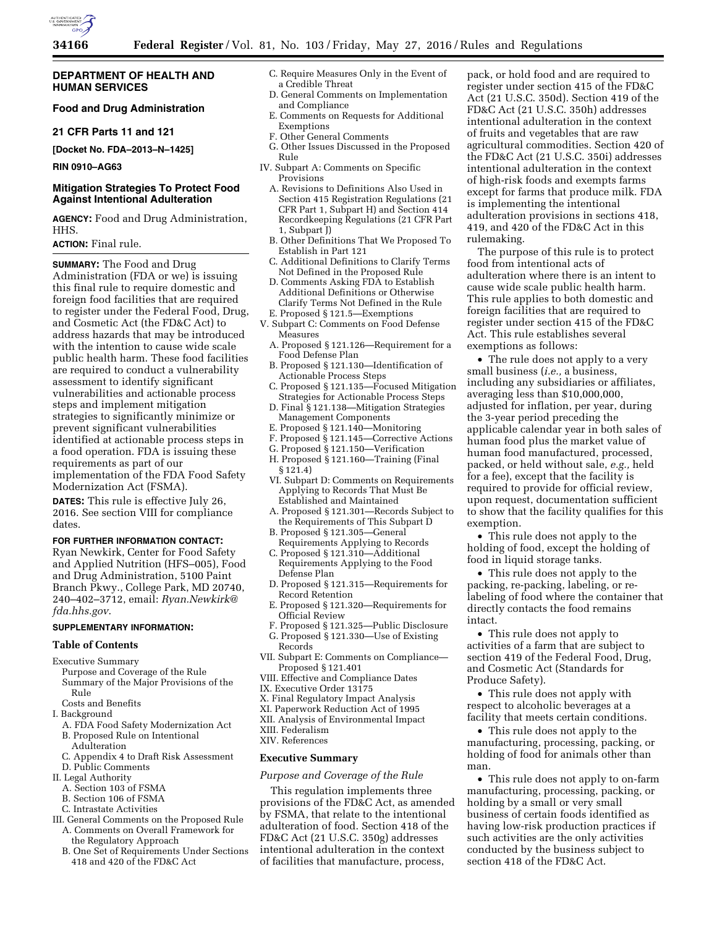

# **DEPARTMENT OF HEALTH AND HUMAN SERVICES**

# **Food and Drug Administration**

### **21 CFR Parts 11 and 121**

**[Docket No. FDA–2013–N–1425]** 

# **RIN 0910–AG63**

# **Mitigation Strategies To Protect Food Against Intentional Adulteration**

**AGENCY:** Food and Drug Administration, HHS.

# **ACTION:** Final rule.

**SUMMARY:** The Food and Drug Administration (FDA or we) is issuing this final rule to require domestic and foreign food facilities that are required to register under the Federal Food, Drug, and Cosmetic Act (the FD&C Act) to address hazards that may be introduced with the intention to cause wide scale public health harm. These food facilities are required to conduct a vulnerability assessment to identify significant vulnerabilities and actionable process steps and implement mitigation strategies to significantly minimize or prevent significant vulnerabilities identified at actionable process steps in a food operation. FDA is issuing these requirements as part of our implementation of the FDA Food Safety Modernization Act (FSMA).

**DATES:** This rule is effective July 26, 2016. See section VIII for compliance dates.

# **FOR FURTHER INFORMATION CONTACT:**

Ryan Newkirk, Center for Food Safety and Applied Nutrition (HFS–005), Food and Drug Administration, 5100 Paint Branch Pkwy., College Park, MD 20740, 240–402–3712, email: *[Ryan.Newkirk@](mailto:Ryan.Newkirk@fda.hhs.gov) [fda.hhs.gov](mailto:Ryan.Newkirk@fda.hhs.gov)*.

# **SUPPLEMENTARY INFORMATION:**

### **Table of Contents**

Executive Summary

- Purpose and Coverage of the Rule Summary of the Major Provisions of the Rule
- Costs and Benefits
- I. Background
- A. FDA Food Safety Modernization Act B. Proposed Rule on Intentional
- Adulteration
- C. Appendix 4 to Draft Risk Assessment
- D. Public Comments
- II. Legal Authority
	- A. Section 103 of FSMA
	- B. Section 106 of FSMA
- C. Intrastate Activities
- III. General Comments on the Proposed Rule A. Comments on Overall Framework for
	- the Regulatory Approach B. One Set of Requirements Under Sections
	- 418 and 420 of the FD&C Act
- C. Require Measures Only in the Event of a Credible Threat
- D. General Comments on Implementation and Compliance
- E. Comments on Requests for Additional Exemptions
- F. Other General Comments
- G. Other Issues Discussed in the Proposed
- Rule IV. Subpart A: Comments on Specific
	- Provisions A. Revisions to Definitions Also Used in Section 415 Registration Regulations (21 CFR Part 1, Subpart H) and Section 414 Recordkeeping Regulations (21 CFR Part 1, Subpart J)
	- B. Other Definitions That We Proposed To Establish in Part 121
	- C. Additional Definitions to Clarify Terms Not Defined in the Proposed Rule
	- D. Comments Asking FDA to Establish Additional Definitions or Otherwise Clarify Terms Not Defined in the Rule E. Proposed § 121.5—Exemptions
- V. Subpart C: Comments on Food Defense Measures
	- A. Proposed § 121.126—Requirement for a Food Defense Plan
	- B. Proposed § 121.130—Identification of Actionable Process Steps
	- C. Proposed § 121.135—Focused Mitigation Strategies for Actionable Process Steps
	- D. Final § 121.138—Mitigation Strategies Management Components
	- E. Proposed § 121.140—Monitoring
	- F. Proposed § 121.145—Corrective Actions
	- G. Proposed § 121.150—Verification
	- H. Proposed § 121.160—Training (Final  $§ 12\overline{1}.4]$
	- VI. Subpart D: Comments on Requirements Applying to Records That Must Be Established and Maintained
	- A. Proposed § 121.301—Records Subject to the Requirements of This Subpart D
	- B. Proposed § 121.305—General
	- Requirements Applying to Records C. Proposed § 121.310—Additional
	- Requirements Applying to the Food Defense Plan
	- D. Proposed § 121.315—Requirements for Record Retention
	- E. Proposed § 121.320—Requirements for Official Review
- F. Proposed § 121.325—Public Disclosure G. Proposed § 121.330—Use of Existing Records
- VII. Subpart E: Comments on Compliance— Proposed § 121.401
- VIII. Effective and Compliance Dates
- IX. Executive Order 13175
- X. Final Regulatory Impact Analysis
- XI. Paperwork Reduction Act of 1995
- XII. Analysis of Environmental Impact
- XIII. Federalism
- XIV. References

## **Executive Summary**

# *Purpose and Coverage of the Rule*

This regulation implements three provisions of the FD&C Act, as amended by FSMA, that relate to the intentional adulteration of food. Section 418 of the FD&C Act (21 U.S.C. 350g) addresses intentional adulteration in the context of facilities that manufacture, process,

pack, or hold food and are required to register under section 415 of the FD&C Act (21 U.S.C. 350d). Section 419 of the FD&C Act (21 U.S.C. 350h) addresses intentional adulteration in the context of fruits and vegetables that are raw agricultural commodities. Section 420 of the FD&C Act (21 U.S.C. 350i) addresses intentional adulteration in the context of high-risk foods and exempts farms except for farms that produce milk. FDA is implementing the intentional adulteration provisions in sections 418, 419, and 420 of the FD&C Act in this rulemaking.

The purpose of this rule is to protect food from intentional acts of adulteration where there is an intent to cause wide scale public health harm. This rule applies to both domestic and foreign facilities that are required to register under section 415 of the FD&C Act. This rule establishes several exemptions as follows:

• The rule does not apply to a very small business (*i.e.,* a business, including any subsidiaries or affiliates, averaging less than \$10,000,000, adjusted for inflation, per year, during the 3-year period preceding the applicable calendar year in both sales of human food plus the market value of human food manufactured, processed, packed, or held without sale, *e.g.,* held for a fee), except that the facility is required to provide for official review, upon request, documentation sufficient to show that the facility qualifies for this exemption.

• This rule does not apply to the holding of food, except the holding of food in liquid storage tanks.

• This rule does not apply to the packing, re-packing, labeling, or relabeling of food where the container that directly contacts the food remains intact.

• This rule does not apply to activities of a farm that are subject to section 419 of the Federal Food, Drug, and Cosmetic Act (Standards for Produce Safety).

• This rule does not apply with respect to alcoholic beverages at a facility that meets certain conditions.

• This rule does not apply to the manufacturing, processing, packing, or holding of food for animals other than man.

• This rule does not apply to on-farm manufacturing, processing, packing, or holding by a small or very small business of certain foods identified as having low-risk production practices if such activities are the only activities conducted by the business subject to section 418 of the FD&C Act.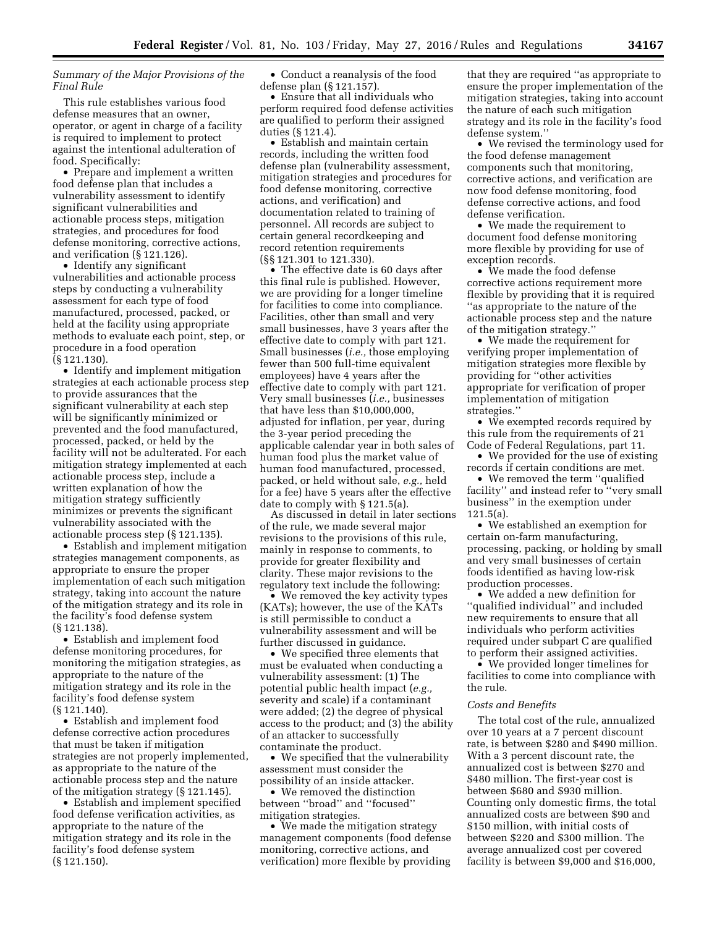*Summary of the Major Provisions of the Final Rule* 

This rule establishes various food defense measures that an owner, operator, or agent in charge of a facility is required to implement to protect against the intentional adulteration of food. Specifically:

• Prepare and implement a written food defense plan that includes a vulnerability assessment to identify significant vulnerabilities and actionable process steps, mitigation strategies, and procedures for food defense monitoring, corrective actions, and verification (§ 121.126).

• Identify any significant vulnerabilities and actionable process steps by conducting a vulnerability assessment for each type of food manufactured, processed, packed, or held at the facility using appropriate methods to evaluate each point, step, or procedure in a food operation (§ 121.130).

• Identify and implement mitigation strategies at each actionable process step to provide assurances that the significant vulnerability at each step will be significantly minimized or prevented and the food manufactured, processed, packed, or held by the facility will not be adulterated. For each mitigation strategy implemented at each actionable process step, include a written explanation of how the mitigation strategy sufficiently minimizes or prevents the significant vulnerability associated with the actionable process step (§ 121.135).

• Establish and implement mitigation strategies management components, as appropriate to ensure the proper implementation of each such mitigation strategy, taking into account the nature of the mitigation strategy and its role in the facility's food defense system (§ 121.138).

• Establish and implement food defense monitoring procedures, for monitoring the mitigation strategies, as appropriate to the nature of the mitigation strategy and its role in the facility's food defense system (§ 121.140).

• Establish and implement food defense corrective action procedures that must be taken if mitigation strategies are not properly implemented, as appropriate to the nature of the actionable process step and the nature of the mitigation strategy (§ 121.145).

• Establish and implement specified food defense verification activities, as appropriate to the nature of the mitigation strategy and its role in the facility's food defense system (§ 121.150).

• Conduct a reanalysis of the food defense plan (§ 121.157).

• Ensure that all individuals who perform required food defense activities are qualified to perform their assigned duties (§ 121.4).

• Establish and maintain certain records, including the written food defense plan (vulnerability assessment, mitigation strategies and procedures for food defense monitoring, corrective actions, and verification) and documentation related to training of personnel. All records are subject to certain general recordkeeping and record retention requirements (§§ 121.301 to 121.330).

• The effective date is 60 days after this final rule is published. However, we are providing for a longer timeline for facilities to come into compliance. Facilities, other than small and very small businesses, have 3 years after the effective date to comply with part 121. Small businesses (*i.e.,* those employing fewer than 500 full-time equivalent employees) have 4 years after the effective date to comply with part 121. Very small businesses (*i.e.,* businesses that have less than \$10,000,000, adjusted for inflation, per year, during the 3-year period preceding the applicable calendar year in both sales of human food plus the market value of human food manufactured, processed, packed, or held without sale, *e.g.,* held for a fee) have 5 years after the effective date to comply with § 121.5(a).

As discussed in detail in later sections of the rule, we made several major revisions to the provisions of this rule, mainly in response to comments, to provide for greater flexibility and clarity. These major revisions to the regulatory text include the following:

• We removed the key activity types (KATs); however, the use of the KATs is still permissible to conduct a vulnerability assessment and will be further discussed in guidance.

• We specified three elements that must be evaluated when conducting a vulnerability assessment: (1) The potential public health impact (*e.g.,*  severity and scale) if a contaminant were added; (2) the degree of physical access to the product; and (3) the ability of an attacker to successfully contaminate the product.

• We specified that the vulnerability assessment must consider the possibility of an inside attacker.

• We removed the distinction between ''broad'' and ''focused'' mitigation strategies.

• We made the mitigation strategy management components (food defense monitoring, corrective actions, and verification) more flexible by providing

that they are required ''as appropriate to ensure the proper implementation of the mitigation strategies, taking into account the nature of each such mitigation strategy and its role in the facility's food defense system.''

• We revised the terminology used for the food defense management components such that monitoring, corrective actions, and verification are now food defense monitoring, food defense corrective actions, and food defense verification.

• We made the requirement to document food defense monitoring more flexible by providing for use of exception records.

• We made the food defense corrective actions requirement more flexible by providing that it is required ''as appropriate to the nature of the actionable process step and the nature of the mitigation strategy.''

• We made the requirement for verifying proper implementation of mitigation strategies more flexible by providing for ''other activities appropriate for verification of proper implementation of mitigation strategies.''

• We exempted records required by this rule from the requirements of 21 Code of Federal Regulations, part 11.

• We provided for the use of existing records if certain conditions are met.

• We removed the term ''qualified facility'' and instead refer to ''very small business'' in the exemption under 121.5(a).

• We established an exemption for certain on-farm manufacturing, processing, packing, or holding by small and very small businesses of certain foods identified as having low-risk production processes.

• We added a new definition for ''qualified individual'' and included new requirements to ensure that all individuals who perform activities required under subpart C are qualified to perform their assigned activities.

• We provided longer timelines for facilities to come into compliance with the rule.

# *Costs and Benefits*

The total cost of the rule, annualized over 10 years at a 7 percent discount rate, is between \$280 and \$490 million. With a 3 percent discount rate, the annualized cost is between \$270 and \$480 million. The first-year cost is between \$680 and \$930 million. Counting only domestic firms, the total annualized costs are between \$90 and \$150 million, with initial costs of between \$220 and \$300 million. The average annualized cost per covered facility is between \$9,000 and \$16,000,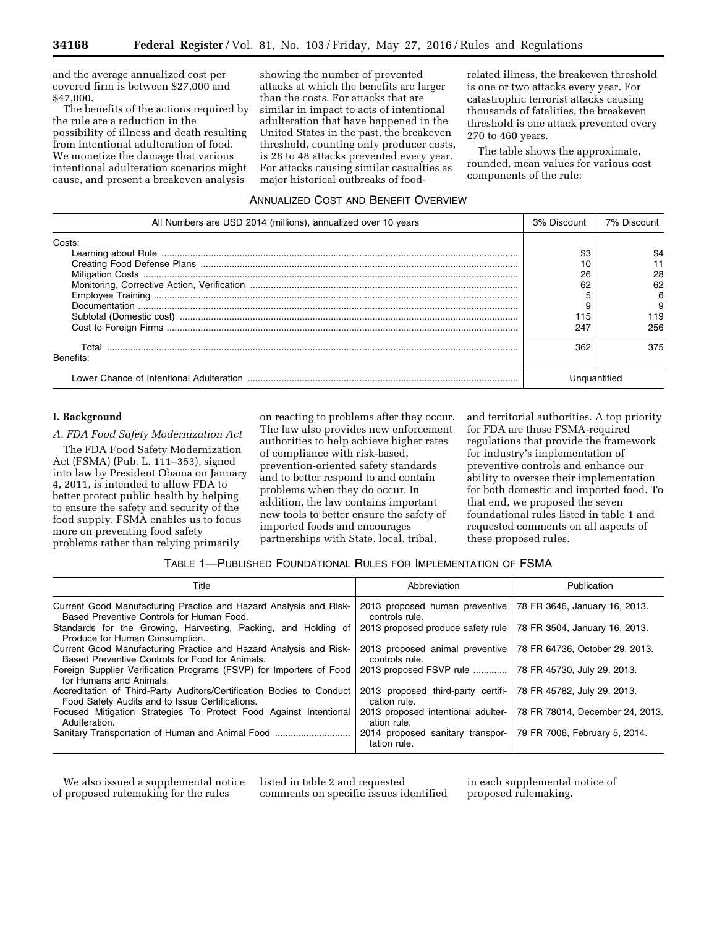and the average annualized cost per covered firm is between \$27,000 and \$47,000.

The benefits of the actions required by the rule are a reduction in the possibility of illness and death resulting from intentional adulteration of food. We monetize the damage that various intentional adulteration scenarios might cause, and present a breakeven analysis

showing the number of prevented attacks at which the benefits are larger than the costs. For attacks that are similar in impact to acts of intentional adulteration that have happened in the United States in the past, the breakeven threshold, counting only producer costs, is 28 to 48 attacks prevented every year. For attacks causing similar casualties as major historical outbreaks of food-

related illness, the breakeven threshold is one or two attacks every year. For catastrophic terrorist attacks causing thousands of fatalities, the breakeven threshold is one attack prevented every 270 to 460 years.

The table shows the approximate, rounded, mean values for various cost components of the rule:

# ANNUALIZED COST AND BENEFIT OVERVIEW

| All Numbers are USD 2014 (millions), annualized over 10 years | 3% Discount | 7% Discount |
|---------------------------------------------------------------|-------------|-------------|
| Costs:                                                        |             |             |
|                                                               | \$3         |             |
|                                                               |             |             |
|                                                               | 26          | 28          |
|                                                               | 62          |             |
|                                                               |             | h           |
|                                                               |             | 9           |
|                                                               |             | 119         |
|                                                               | 247         | 256         |
| Total<br>Benefits:                                            | 362         | 375         |
|                                                               |             |             |

# **I. Background**

*A. FDA Food Safety Modernization Act* 

The FDA Food Safety Modernization Act (FSMA) (Pub. L. 111–353), signed into law by President Obama on January 4, 2011, is intended to allow FDA to better protect public health by helping to ensure the safety and security of the food supply. FSMA enables us to focus more on preventing food safety problems rather than relying primarily

on reacting to problems after they occur. The law also provides new enforcement authorities to help achieve higher rates of compliance with risk-based, prevention-oriented safety standards and to better respond to and contain problems when they do occur. In addition, the law contains important new tools to better ensure the safety of imported foods and encourages partnerships with State, local, tribal,

and territorial authorities. A top priority for FDA are those FSMA-required regulations that provide the framework for industry's implementation of preventive controls and enhance our ability to oversee their implementation for both domestic and imported food. To that end, we proposed the seven foundational rules listed in table 1 and requested comments on all aspects of these proposed rules.

# TABLE 1—PUBLISHED FOUNDATIONAL RULES FOR IMPLEMENTATION OF FSMA

| Title                                                                                                                    | Abbreviation                                       | Publication                     |
|--------------------------------------------------------------------------------------------------------------------------|----------------------------------------------------|---------------------------------|
| Current Good Manufacturing Practice and Hazard Analysis and Risk-<br>Based Preventive Controls for Human Food.           | 2013 proposed human preventive<br>controls rule.   | 78 FR 3646, January 16, 2013.   |
| Standards for the Growing, Harvesting, Packing, and Holding of<br>Produce for Human Consumption.                         | 2013 proposed produce safety rule                  | 78 FR 3504, January 16, 2013.   |
| Current Good Manufacturing Practice and Hazard Analysis and Risk-<br>Based Preventive Controls for Food for Animals.     | 2013 proposed animal preventive<br>controls rule.  | 78 FR 64736, October 29, 2013.  |
| Foreign Supplier Verification Programs (FSVP) for Importers of Food<br>for Humans and Animals.                           | 2013 proposed FSVP rule                            | 78 FR 45730, July 29, 2013.     |
| Accreditation of Third-Party Auditors/Certification Bodies to Conduct<br>Food Safety Audits and to Issue Certifications. | 2013 proposed third-party certifi-<br>cation rule. | 78 FR 45782, July 29, 2013.     |
| Focused Mitigation Strategies To Protect Food Against Intentional<br>Adulteration.                                       | 2013 proposed intentional adulter-<br>ation rule.  | 78 FR 78014, December 24, 2013. |
| Sanitary Transportation of Human and Animal Food                                                                         | 2014 proposed sanitary transpor-<br>tation rule.   | 79 FR 7006, February 5, 2014.   |

We also issued a supplemental notice of proposed rulemaking for the rules

listed in table 2 and requested comments on specific issues identified in each supplemental notice of proposed rulemaking.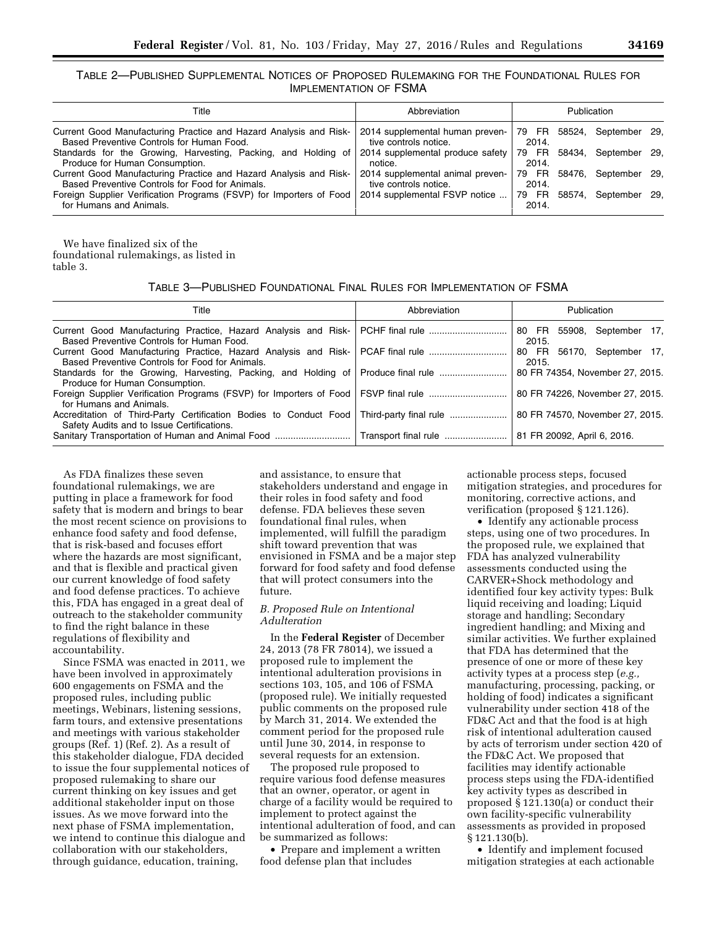TABLE 2—PUBLISHED SUPPLEMENTAL NOTICES OF PROPOSED RULEMAKING FOR THE FOUNDATIONAL RULES FOR IMPLEMENTATION OF FSMA

| Title                                                                                                                | Abbreviation                                              | Publication    |  |                      |  |
|----------------------------------------------------------------------------------------------------------------------|-----------------------------------------------------------|----------------|--|----------------------|--|
| Current Good Manufacturing Practice and Hazard Analysis and Risk-<br>Based Preventive Controls for Human Food.       | 2014 supplemental human preven-<br>tive controls notice.  | 79 FR<br>2014. |  | 58524, September 29, |  |
| Standards for the Growing, Harvesting, Packing, and Holding of<br>Produce for Human Consumption.                     | 2014 supplemental produce safety<br>notice.               | 79 FR<br>2014. |  | 58434. September 29. |  |
| Current Good Manufacturing Practice and Hazard Analysis and Risk-<br>Based Preventive Controls for Food for Animals. | 2014 supplemental animal preven-<br>tive controls notice. | 79 FR<br>2014. |  | 58476, September 29, |  |
| Foreign Supplier Verification Programs (FSVP) for Importers of Food<br>for Humans and Animals.                       | 2014 supplemental FSVP notice                             | 79 FR<br>2014. |  | 58574. September 29. |  |
|                                                                                                                      |                                                           |                |  |                      |  |

We have finalized six of the foundational rulemakings, as listed in table 3.

TABLE 3—PUBLISHED FOUNDATIONAL FINAL RULES FOR IMPLEMENTATION OF FSMA

| Title                                                                                                                                  | Abbreviation | Publication                         |  |
|----------------------------------------------------------------------------------------------------------------------------------------|--------------|-------------------------------------|--|
| Current Good Manufacturing Practice, Hazard Analysis and Risk- PCHF final rule<br>Based Preventive Controls for Human Food.            |              | 80 FR 55908, September 17,<br>2015. |  |
| Current Good Manufacturing Practice, Hazard Analysis and Risk- PCAF final rule<br>Based Preventive Controls for Food for Animals.      |              | 80 FR 56170, September 17,<br>2015. |  |
| Standards for the Growing, Harvesting, Packing, and Holding of Produce final rule<br>Produce for Human Consumption.                    |              | 80 FR 74354, November 27, 2015.     |  |
| for Humans and Animals.                                                                                                                |              | 80 FR 74226, November 27, 2015.     |  |
| Accreditation of Third-Party Certification Bodies to Conduct Food Third-party final rule<br>Safety Audits and to Issue Certifications. |              | 80 FR 74570, November 27, 2015.     |  |
| Sanitary Transportation of Human and Animal Food    Transport final rule                                                               |              | 81 FR 20092, April 6, 2016.         |  |

As FDA finalizes these seven foundational rulemakings, we are putting in place a framework for food safety that is modern and brings to bear the most recent science on provisions to enhance food safety and food defense, that is risk-based and focuses effort where the hazards are most significant, and that is flexible and practical given our current knowledge of food safety and food defense practices. To achieve this, FDA has engaged in a great deal of outreach to the stakeholder community to find the right balance in these regulations of flexibility and accountability.

Since FSMA was enacted in 2011, we have been involved in approximately 600 engagements on FSMA and the proposed rules, including public meetings, Webinars, listening sessions, farm tours, and extensive presentations and meetings with various stakeholder groups (Ref. 1) (Ref. 2). As a result of this stakeholder dialogue, FDA decided to issue the four supplemental notices of proposed rulemaking to share our current thinking on key issues and get additional stakeholder input on those issues. As we move forward into the next phase of FSMA implementation, we intend to continue this dialogue and collaboration with our stakeholders, through guidance, education, training,

and assistance, to ensure that stakeholders understand and engage in their roles in food safety and food defense. FDA believes these seven foundational final rules, when implemented, will fulfill the paradigm shift toward prevention that was envisioned in FSMA and be a major step forward for food safety and food defense that will protect consumers into the future.

### *B. Proposed Rule on Intentional Adulteration*

In the **Federal Register** of December 24, 2013 (78 FR 78014), we issued a proposed rule to implement the intentional adulteration provisions in sections 103, 105, and 106 of FSMA (proposed rule). We initially requested public comments on the proposed rule by March 31, 2014. We extended the comment period for the proposed rule until June 30, 2014, in response to several requests for an extension.

The proposed rule proposed to require various food defense measures that an owner, operator, or agent in charge of a facility would be required to implement to protect against the intentional adulteration of food, and can be summarized as follows:

• Prepare and implement a written food defense plan that includes

actionable process steps, focused mitigation strategies, and procedures for monitoring, corrective actions, and verification (proposed § 121.126).

• Identify any actionable process steps, using one of two procedures. In the proposed rule, we explained that FDA has analyzed vulnerability assessments conducted using the CARVER+Shock methodology and identified four key activity types: Bulk liquid receiving and loading; Liquid storage and handling; Secondary ingredient handling; and Mixing and similar activities. We further explained that FDA has determined that the presence of one or more of these key activity types at a process step (*e.g.,*  manufacturing, processing, packing, or holding of food) indicates a significant vulnerability under section 418 of the FD&C Act and that the food is at high risk of intentional adulteration caused by acts of terrorism under section 420 of the FD&C Act. We proposed that facilities may identify actionable process steps using the FDA-identified key activity types as described in proposed § 121.130(a) or conduct their own facility-specific vulnerability assessments as provided in proposed § 121.130(b).

• Identify and implement focused mitigation strategies at each actionable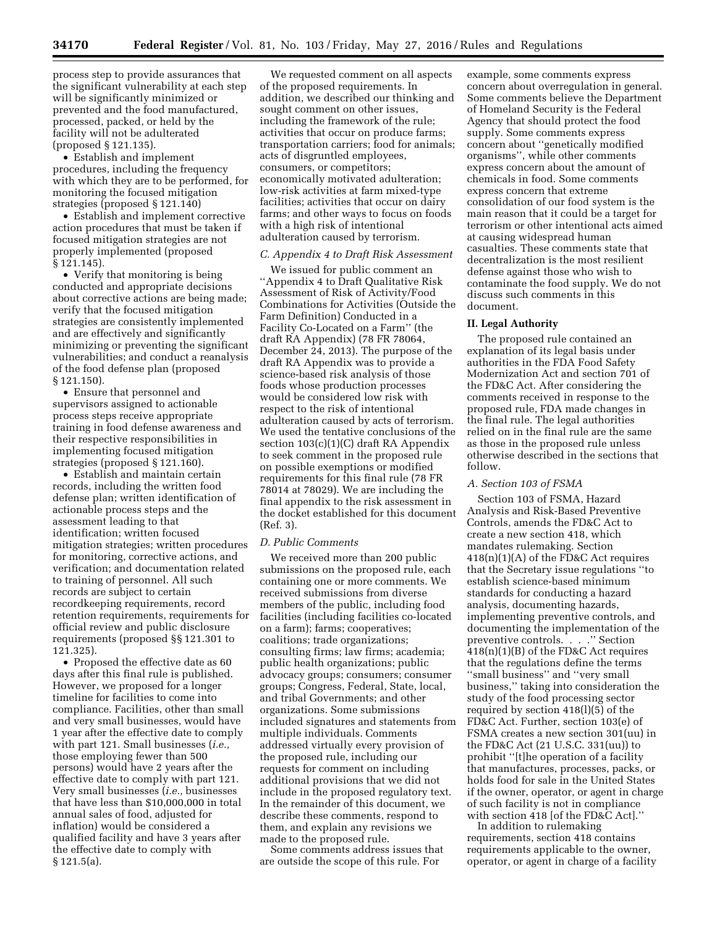process step to provide assurances that the significant vulnerability at each step will be significantly minimized or prevented and the food manufactured, processed, packed, or held by the facility will not be adulterated (proposed § 121.135).

• Establish and implement procedures, including the frequency with which they are to be performed, for monitoring the focused mitigation strategies (proposed § 121.140)

• Establish and implement corrective action procedures that must be taken if focused mitigation strategies are not properly implemented (proposed § 121.145).

• Verify that monitoring is being conducted and appropriate decisions about corrective actions are being made; verify that the focused mitigation strategies are consistently implemented and are effectively and significantly minimizing or preventing the significant vulnerabilities; and conduct a reanalysis of the food defense plan (proposed § 121.150).

• Ensure that personnel and supervisors assigned to actionable process steps receive appropriate training in food defense awareness and their respective responsibilities in implementing focused mitigation strategies (proposed § 121.160).

• Establish and maintain certain records, including the written food defense plan; written identification of actionable process steps and the assessment leading to that identification; written focused mitigation strategies; written procedures for monitoring, corrective actions, and verification; and documentation related to training of personnel. All such records are subject to certain recordkeeping requirements, record retention requirements, requirements for official review and public disclosure requirements (proposed §§ 121.301 to 121.325).

• Proposed the effective date as 60 days after this final rule is published. However, we proposed for a longer timeline for facilities to come into compliance. Facilities, other than small and very small businesses, would have 1 year after the effective date to comply with part 121. Small businesses (*i.e.,*  those employing fewer than 500 persons) would have 2 years after the effective date to comply with part 121. Very small businesses (*i.e.,* businesses that have less than \$10,000,000 in total annual sales of food, adjusted for inflation) would be considered a qualified facility and have 3 years after the effective date to comply with § 121.5(a).

We requested comment on all aspects of the proposed requirements. In addition, we described our thinking and sought comment on other issues, including the framework of the rule; activities that occur on produce farms; transportation carriers; food for animals; acts of disgruntled employees, consumers, or competitors; economically motivated adulteration; low-risk activities at farm mixed-type facilities; activities that occur on dairy farms; and other ways to focus on foods with a high risk of intentional adulteration caused by terrorism.

# *C. Appendix 4 to Draft Risk Assessment*

We issued for public comment an ''Appendix 4 to Draft Qualitative Risk Assessment of Risk of Activity/Food Combinations for Activities (Outside the Farm Definition) Conducted in a Facility Co-Located on a Farm'' (the draft RA Appendix) (78 FR 78064, December 24, 2013). The purpose of the draft RA Appendix was to provide a science-based risk analysis of those foods whose production processes would be considered low risk with respect to the risk of intentional adulteration caused by acts of terrorism. We used the tentative conclusions of the section 103(c)(1)(C) draft RA Appendix to seek comment in the proposed rule on possible exemptions or modified requirements for this final rule (78 FR 78014 at 78029). We are including the final appendix to the risk assessment in the docket established for this document (Ref. 3).

#### *D. Public Comments*

We received more than 200 public submissions on the proposed rule, each containing one or more comments. We received submissions from diverse members of the public, including food facilities (including facilities co-located on a farm); farms; cooperatives; coalitions; trade organizations; consulting firms; law firms; academia; public health organizations; public advocacy groups; consumers; consumer groups; Congress, Federal, State, local, and tribal Governments; and other organizations. Some submissions included signatures and statements from multiple individuals. Comments addressed virtually every provision of the proposed rule, including our requests for comment on including additional provisions that we did not include in the proposed regulatory text. In the remainder of this document, we describe these comments, respond to them, and explain any revisions we made to the proposed rule.

Some comments address issues that are outside the scope of this rule. For

example, some comments express concern about overregulation in general. Some comments believe the Department of Homeland Security is the Federal Agency that should protect the food supply. Some comments express concern about ''genetically modified organisms'', while other comments express concern about the amount of chemicals in food. Some comments express concern that extreme consolidation of our food system is the main reason that it could be a target for terrorism or other intentional acts aimed at causing widespread human casualties. These comments state that decentralization is the most resilient defense against those who wish to contaminate the food supply. We do not discuss such comments in this document.

### **II. Legal Authority**

The proposed rule contained an explanation of its legal basis under authorities in the FDA Food Safety Modernization Act and section 701 of the FD&C Act. After considering the comments received in response to the proposed rule, FDA made changes in the final rule. The legal authorities relied on in the final rule are the same as those in the proposed rule unless otherwise described in the sections that follow.

## *A. Section 103 of FSMA*

Section 103 of FSMA, Hazard Analysis and Risk-Based Preventive Controls, amends the FD&C Act to create a new section 418, which mandates rulemaking. Section 418(n)(1)(A) of the FD&C Act requires that the Secretary issue regulations ''to establish science-based minimum standards for conducting a hazard analysis, documenting hazards, implementing preventive controls, and documenting the implementation of the preventive controls. . . .'' Section 418(n)(1)(B) of the FD&C Act requires that the regulations define the terms ''small business'' and ''very small business,'' taking into consideration the study of the food processing sector required by section 418(l)(5) of the FD&C Act. Further, section 103(e) of FSMA creates a new section 301(uu) in the FD&C Act (21 U.S.C. 331(uu)) to prohibit ''[t]he operation of a facility that manufactures, processes, packs, or holds food for sale in the United States if the owner, operator, or agent in charge of such facility is not in compliance with section 418 [of the FD&C Act].''

In addition to rulemaking requirements, section 418 contains requirements applicable to the owner, operator, or agent in charge of a facility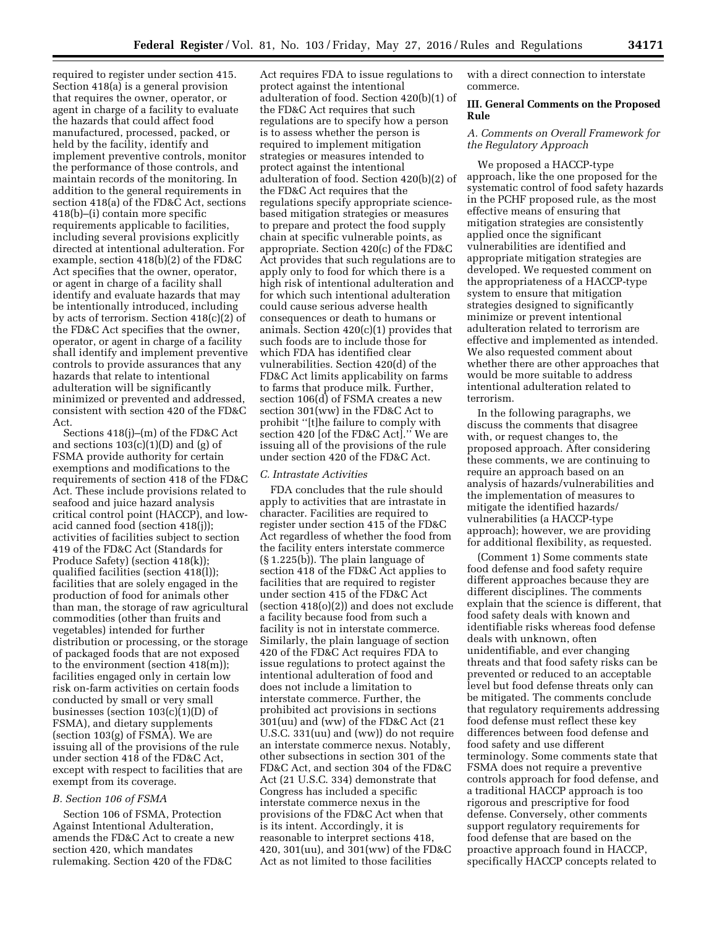required to register under section 415. Section 418(a) is a general provision that requires the owner, operator, or agent in charge of a facility to evaluate the hazards that could affect food manufactured, processed, packed, or held by the facility, identify and implement preventive controls, monitor the performance of those controls, and maintain records of the monitoring. In addition to the general requirements in section 418(a) of the FD&C Act, sections 418(b)–(i) contain more specific requirements applicable to facilities, including several provisions explicitly directed at intentional adulteration. For example, section 418(b)(2) of the FD&C Act specifies that the owner, operator, or agent in charge of a facility shall identify and evaluate hazards that may be intentionally introduced, including by acts of terrorism. Section 418(c)(2) of the FD&C Act specifies that the owner, operator, or agent in charge of a facility shall identify and implement preventive controls to provide assurances that any hazards that relate to intentional adulteration will be significantly minimized or prevented and addressed, consistent with section 420 of the FD&C Act.

Sections 418(j)–(m) of the FD&C Act and sections  $103(c)(1)(D)$  and  $(g)$  of FSMA provide authority for certain exemptions and modifications to the requirements of section 418 of the FD&C Act. These include provisions related to seafood and juice hazard analysis critical control point (HACCP), and lowacid canned food (section 418(j)); activities of facilities subject to section 419 of the FD&C Act (Standards for Produce Safety) (section 418(k)); qualified facilities (section 418(l)); facilities that are solely engaged in the production of food for animals other than man, the storage of raw agricultural commodities (other than fruits and vegetables) intended for further distribution or processing, or the storage of packaged foods that are not exposed to the environment (section 418(m)); facilities engaged only in certain low risk on-farm activities on certain foods conducted by small or very small businesses (section 103(c)(1)(D) of FSMA), and dietary supplements (section 103(g) of FSMA). We are issuing all of the provisions of the rule under section 418 of the FD&C Act, except with respect to facilities that are exempt from its coverage.

# *B. Section 106 of FSMA*

Section 106 of FSMA, Protection Against Intentional Adulteration, amends the FD&C Act to create a new section 420, which mandates rulemaking. Section 420 of the FD&C

Act requires FDA to issue regulations to protect against the intentional adulteration of food. Section 420(b)(1) of the FD&C Act requires that such regulations are to specify how a person is to assess whether the person is required to implement mitigation strategies or measures intended to protect against the intentional adulteration of food. Section 420(b)(2) of the FD&C Act requires that the regulations specify appropriate sciencebased mitigation strategies or measures to prepare and protect the food supply chain at specific vulnerable points, as appropriate. Section 420(c) of the FD&C Act provides that such regulations are to apply only to food for which there is a high risk of intentional adulteration and for which such intentional adulteration could cause serious adverse health consequences or death to humans or animals. Section 420(c)(1) provides that such foods are to include those for which FDA has identified clear vulnerabilities. Section 420(d) of the FD&C Act limits applicability on farms to farms that produce milk. Further, section 106(d) of FSMA creates a new section 301(ww) in the FD&C Act to prohibit ''[t]he failure to comply with section 420 [of the FD&C Act].'' We are issuing all of the provisions of the rule under section 420 of the FD&C Act.

### *C. Intrastate Activities*

FDA concludes that the rule should apply to activities that are intrastate in character. Facilities are required to register under section 415 of the FD&C Act regardless of whether the food from the facility enters interstate commerce (§ 1.225(b)). The plain language of section 418 of the FD&C Act applies to facilities that are required to register under section 415 of the FD&C Act (section 418(o)(2)) and does not exclude a facility because food from such a facility is not in interstate commerce. Similarly, the plain language of section 420 of the FD&C Act requires FDA to issue regulations to protect against the intentional adulteration of food and does not include a limitation to interstate commerce. Further, the prohibited act provisions in sections 301(uu) and (ww) of the FD&C Act (21 U.S.C. 331(uu) and (ww)) do not require an interstate commerce nexus. Notably, other subsections in section 301 of the FD&C Act, and section 304 of the FD&C Act (21 U.S.C. 334) demonstrate that Congress has included a specific interstate commerce nexus in the provisions of the FD&C Act when that is its intent. Accordingly, it is reasonable to interpret sections 418, 420, 301(uu), and 301(ww) of the FD&C Act as not limited to those facilities

with a direct connection to interstate commerce.

# **III. General Comments on the Proposed Rule**

# *A. Comments on Overall Framework for the Regulatory Approach*

We proposed a HACCP-type approach, like the one proposed for the systematic control of food safety hazards in the PCHF proposed rule, as the most effective means of ensuring that mitigation strategies are consistently applied once the significant vulnerabilities are identified and appropriate mitigation strategies are developed. We requested comment on the appropriateness of a HACCP-type system to ensure that mitigation strategies designed to significantly minimize or prevent intentional adulteration related to terrorism are effective and implemented as intended. We also requested comment about whether there are other approaches that would be more suitable to address intentional adulteration related to terrorism.

In the following paragraphs, we discuss the comments that disagree with, or request changes to, the proposed approach. After considering these comments, we are continuing to require an approach based on an analysis of hazards/vulnerabilities and the implementation of measures to mitigate the identified hazards/ vulnerabilities (a HACCP-type approach); however, we are providing for additional flexibility, as requested.

(Comment 1) Some comments state food defense and food safety require different approaches because they are different disciplines. The comments explain that the science is different, that food safety deals with known and identifiable risks whereas food defense deals with unknown, often unidentifiable, and ever changing threats and that food safety risks can be prevented or reduced to an acceptable level but food defense threats only can be mitigated. The comments conclude that regulatory requirements addressing food defense must reflect these key differences between food defense and food safety and use different terminology. Some comments state that FSMA does not require a preventive controls approach for food defense, and a traditional HACCP approach is too rigorous and prescriptive for food defense. Conversely, other comments support regulatory requirements for food defense that are based on the proactive approach found in HACCP, specifically HACCP concepts related to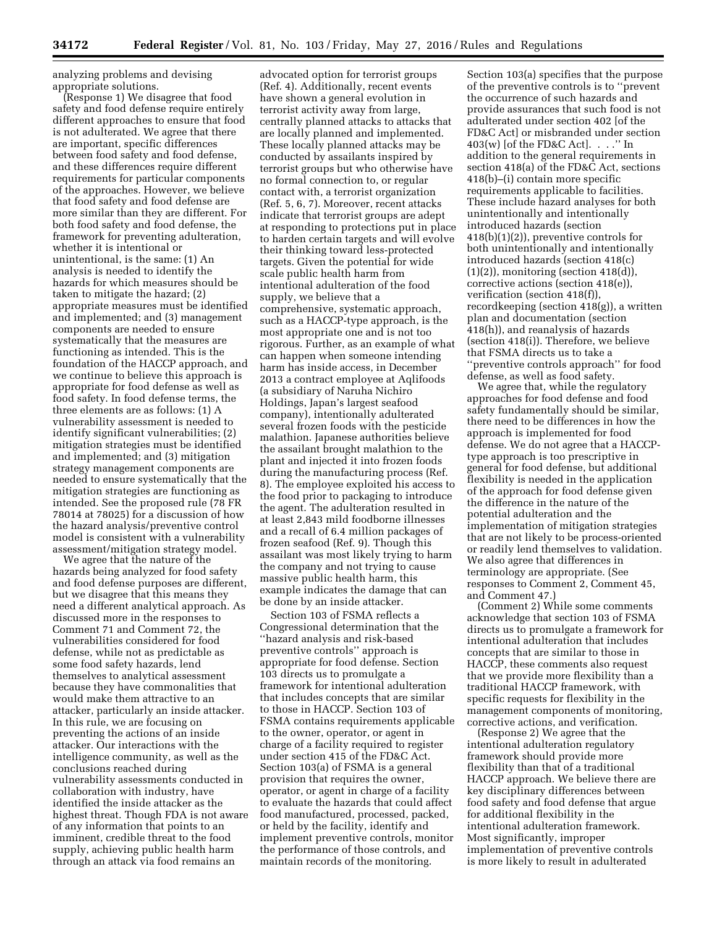analyzing problems and devising appropriate solutions.

(Response 1) We disagree that food safety and food defense require entirely different approaches to ensure that food is not adulterated. We agree that there are important, specific differences between food safety and food defense, and these differences require different requirements for particular components of the approaches. However, we believe that food safety and food defense are more similar than they are different. For both food safety and food defense, the framework for preventing adulteration, whether it is intentional or unintentional, is the same: (1) An analysis is needed to identify the hazards for which measures should be taken to mitigate the hazard; (2) appropriate measures must be identified and implemented; and (3) management components are needed to ensure systematically that the measures are functioning as intended. This is the foundation of the HACCP approach, and we continue to believe this approach is appropriate for food defense as well as food safety. In food defense terms, the three elements are as follows: (1) A vulnerability assessment is needed to identify significant vulnerabilities; (2) mitigation strategies must be identified and implemented; and (3) mitigation strategy management components are needed to ensure systematically that the mitigation strategies are functioning as intended. See the proposed rule (78 FR 78014 at 78025) for a discussion of how the hazard analysis/preventive control model is consistent with a vulnerability assessment/mitigation strategy model.

We agree that the nature of the hazards being analyzed for food safety and food defense purposes are different, but we disagree that this means they need a different analytical approach. As discussed more in the responses to Comment 71 and Comment 72, the vulnerabilities considered for food defense, while not as predictable as some food safety hazards, lend themselves to analytical assessment because they have commonalities that would make them attractive to an attacker, particularly an inside attacker. In this rule, we are focusing on preventing the actions of an inside attacker. Our interactions with the intelligence community, as well as the conclusions reached during vulnerability assessments conducted in collaboration with industry, have identified the inside attacker as the highest threat. Though FDA is not aware of any information that points to an imminent, credible threat to the food supply, achieving public health harm through an attack via food remains an

advocated option for terrorist groups (Ref. 4). Additionally, recent events have shown a general evolution in terrorist activity away from large, centrally planned attacks to attacks that are locally planned and implemented. These locally planned attacks may be conducted by assailants inspired by terrorist groups but who otherwise have no formal connection to, or regular contact with, a terrorist organization (Ref. 5, 6, 7). Moreover, recent attacks indicate that terrorist groups are adept at responding to protections put in place to harden certain targets and will evolve their thinking toward less-protected targets. Given the potential for wide scale public health harm from intentional adulteration of the food supply, we believe that a comprehensive, systematic approach, such as a HACCP-type approach, is the most appropriate one and is not too rigorous. Further, as an example of what can happen when someone intending harm has inside access, in December 2013 a contract employee at Aqlifoods (a subsidiary of Naruha Nichiro Holdings, Japan's largest seafood company), intentionally adulterated several frozen foods with the pesticide malathion. Japanese authorities believe the assailant brought malathion to the plant and injected it into frozen foods during the manufacturing process (Ref. 8). The employee exploited his access to the food prior to packaging to introduce the agent. The adulteration resulted in at least 2,843 mild foodborne illnesses and a recall of 6.4 million packages of frozen seafood (Ref. 9). Though this assailant was most likely trying to harm the company and not trying to cause massive public health harm, this example indicates the damage that can be done by an inside attacker.

Section 103 of FSMA reflects a Congressional determination that the ''hazard analysis and risk-based preventive controls'' approach is appropriate for food defense. Section 103 directs us to promulgate a framework for intentional adulteration that includes concepts that are similar to those in HACCP. Section 103 of FSMA contains requirements applicable to the owner, operator, or agent in charge of a facility required to register under section 415 of the FD&C Act. Section 103(a) of FSMA is a general provision that requires the owner, operator, or agent in charge of a facility to evaluate the hazards that could affect food manufactured, processed, packed, or held by the facility, identify and implement preventive controls, monitor the performance of those controls, and maintain records of the monitoring.

Section 103(a) specifies that the purpose of the preventive controls is to ''prevent the occurrence of such hazards and provide assurances that such food is not adulterated under section 402 [of the FD&C Act] or misbranded under section  $403(w)$  [of the FD&C Act].  $\ldots$ " In addition to the general requirements in section 418(a) of the FD&C Act, sections 418(b)–(i) contain more specific requirements applicable to facilities. These include hazard analyses for both unintentionally and intentionally introduced hazards (section 418(b)(1)(2)), preventive controls for both unintentionally and intentionally introduced hazards (section 418(c)  $(1)(2)$ , monitoring (section 418 $(d)$ ), corrective actions (section 418(e)), verification (section 418(f)) recordkeeping (section 418(g)), a written plan and documentation (section 418(h)), and reanalysis of hazards (section 418(i)). Therefore, we believe that FSMA directs us to take a ''preventive controls approach'' for food defense, as well as food safety.

We agree that, while the regulatory approaches for food defense and food safety fundamentally should be similar, there need to be differences in how the approach is implemented for food defense. We do not agree that a HACCPtype approach is too prescriptive in general for food defense, but additional flexibility is needed in the application of the approach for food defense given the difference in the nature of the potential adulteration and the implementation of mitigation strategies that are not likely to be process-oriented or readily lend themselves to validation. We also agree that differences in terminology are appropriate. (See responses to Comment 2, Comment 45, and Comment 47.)

(Comment 2) While some comments acknowledge that section 103 of FSMA directs us to promulgate a framework for intentional adulteration that includes concepts that are similar to those in HACCP, these comments also request that we provide more flexibility than a traditional HACCP framework, with specific requests for flexibility in the management components of monitoring, corrective actions, and verification.

(Response 2) We agree that the intentional adulteration regulatory framework should provide more flexibility than that of a traditional HACCP approach. We believe there are key disciplinary differences between food safety and food defense that argue for additional flexibility in the intentional adulteration framework. Most significantly, improper implementation of preventive controls is more likely to result in adulterated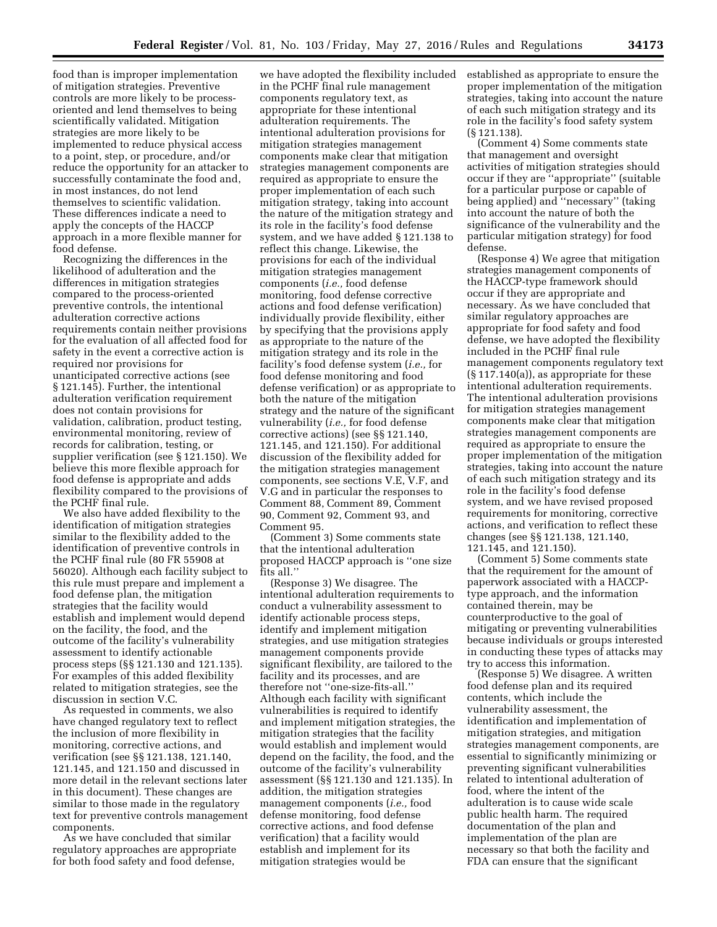food than is improper implementation of mitigation strategies. Preventive controls are more likely to be processoriented and lend themselves to being scientifically validated. Mitigation strategies are more likely to be implemented to reduce physical access to a point, step, or procedure, and/or reduce the opportunity for an attacker to successfully contaminate the food and, in most instances, do not lend themselves to scientific validation. These differences indicate a need to apply the concepts of the HACCP approach in a more flexible manner for food defense.

Recognizing the differences in the likelihood of adulteration and the differences in mitigation strategies compared to the process-oriented preventive controls, the intentional adulteration corrective actions requirements contain neither provisions for the evaluation of all affected food for safety in the event a corrective action is required nor provisions for unanticipated corrective actions (see § 121.145). Further, the intentional adulteration verification requirement does not contain provisions for validation, calibration, product testing, environmental monitoring, review of records for calibration, testing, or supplier verification (see § 121.150). We believe this more flexible approach for food defense is appropriate and adds flexibility compared to the provisions of the PCHF final rule.

We also have added flexibility to the identification of mitigation strategies similar to the flexibility added to the identification of preventive controls in the PCHF final rule (80 FR 55908 at 56020). Although each facility subject to this rule must prepare and implement a food defense plan, the mitigation strategies that the facility would establish and implement would depend on the facility, the food, and the outcome of the facility's vulnerability assessment to identify actionable process steps (§§ 121.130 and 121.135). For examples of this added flexibility related to mitigation strategies, see the discussion in section V.C.

As requested in comments, we also have changed regulatory text to reflect the inclusion of more flexibility in monitoring, corrective actions, and verification (see §§ 121.138, 121.140, 121.145, and 121.150 and discussed in more detail in the relevant sections later in this document). These changes are similar to those made in the regulatory text for preventive controls management components.

As we have concluded that similar regulatory approaches are appropriate for both food safety and food defense,

we have adopted the flexibility included in the PCHF final rule management components regulatory text, as appropriate for these intentional adulteration requirements. The intentional adulteration provisions for mitigation strategies management components make clear that mitigation strategies management components are required as appropriate to ensure the proper implementation of each such mitigation strategy, taking into account the nature of the mitigation strategy and its role in the facility's food defense system, and we have added § 121.138 to reflect this change. Likewise, the provisions for each of the individual mitigation strategies management components (*i.e.,* food defense monitoring, food defense corrective actions and food defense verification) individually provide flexibility, either by specifying that the provisions apply as appropriate to the nature of the mitigation strategy and its role in the facility's food defense system (*i.e.,* for food defense monitoring and food defense verification) or as appropriate to both the nature of the mitigation strategy and the nature of the significant vulnerability (*i.e.,* for food defense corrective actions) (see §§ 121.140, 121.145, and 121.150). For additional discussion of the flexibility added for the mitigation strategies management components, see sections V.E, V.F, and V.G and in particular the responses to Comment 88, Comment 89, Comment 90, Comment 92, Comment 93, and Comment 95.

(Comment 3) Some comments state that the intentional adulteration proposed HACCP approach is ''one size fits all.''

(Response 3) We disagree. The intentional adulteration requirements to conduct a vulnerability assessment to identify actionable process steps, identify and implement mitigation strategies, and use mitigation strategies management components provide significant flexibility, are tailored to the facility and its processes, and are therefore not ''one-size-fits-all.'' Although each facility with significant vulnerabilities is required to identify and implement mitigation strategies, the mitigation strategies that the facility would establish and implement would depend on the facility, the food, and the outcome of the facility's vulnerability assessment (§§ 121.130 and 121.135). In addition, the mitigation strategies management components (*i.e.,* food defense monitoring, food defense corrective actions, and food defense verification) that a facility would establish and implement for its mitigation strategies would be

established as appropriate to ensure the proper implementation of the mitigation strategies, taking into account the nature of each such mitigation strategy and its role in the facility's food safety system (§ 121.138).

(Comment 4) Some comments state that management and oversight activities of mitigation strategies should occur if they are ''appropriate'' (suitable for a particular purpose or capable of being applied) and ''necessary'' (taking into account the nature of both the significance of the vulnerability and the particular mitigation strategy) for food defense.

(Response 4) We agree that mitigation strategies management components of the HACCP-type framework should occur if they are appropriate and necessary. As we have concluded that similar regulatory approaches are appropriate for food safety and food defense, we have adopted the flexibility included in the PCHF final rule management components regulatory text (§ 117.140(a)), as appropriate for these intentional adulteration requirements. The intentional adulteration provisions for mitigation strategies management components make clear that mitigation strategies management components are required as appropriate to ensure the proper implementation of the mitigation strategies, taking into account the nature of each such mitigation strategy and its role in the facility's food defense system, and we have revised proposed requirements for monitoring, corrective actions, and verification to reflect these changes (see §§ 121.138, 121.140, 121.145, and 121.150).

(Comment 5) Some comments state that the requirement for the amount of paperwork associated with a HACCPtype approach, and the information contained therein, may be counterproductive to the goal of mitigating or preventing vulnerabilities because individuals or groups interested in conducting these types of attacks may try to access this information.

(Response 5) We disagree. A written food defense plan and its required contents, which include the vulnerability assessment, the identification and implementation of mitigation strategies, and mitigation strategies management components, are essential to significantly minimizing or preventing significant vulnerabilities related to intentional adulteration of food, where the intent of the adulteration is to cause wide scale public health harm. The required documentation of the plan and implementation of the plan are necessary so that both the facility and FDA can ensure that the significant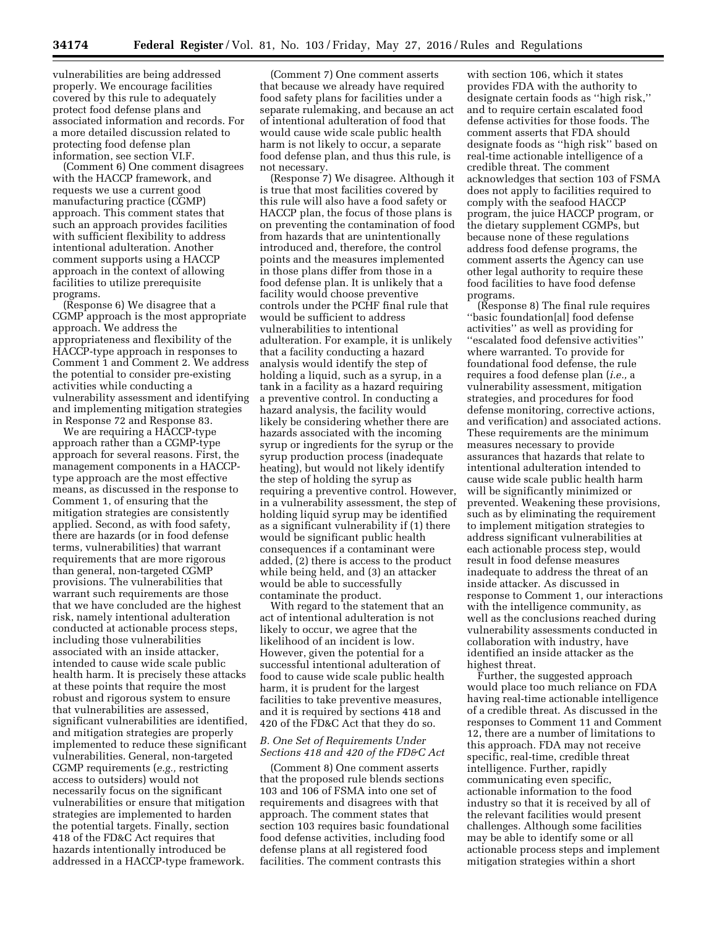vulnerabilities are being addressed properly. We encourage facilities covered by this rule to adequately protect food defense plans and associated information and records. For a more detailed discussion related to protecting food defense plan information, see section VI.F.

(Comment 6) One comment disagrees with the HACCP framework, and requests we use a current good manufacturing practice (CGMP) approach. This comment states that such an approach provides facilities with sufficient flexibility to address intentional adulteration. Another comment supports using a HACCP approach in the context of allowing facilities to utilize prerequisite programs.

(Response 6) We disagree that a CGMP approach is the most appropriate approach. We address the appropriateness and flexibility of the HACCP-type approach in responses to Comment 1 and Comment 2. We address the potential to consider pre-existing activities while conducting a vulnerability assessment and identifying and implementing mitigation strategies in Response 72 and Response 83.

We are requiring a HACCP-type approach rather than a CGMP-type approach for several reasons. First, the management components in a HACCPtype approach are the most effective means, as discussed in the response to Comment 1, of ensuring that the mitigation strategies are consistently applied. Second, as with food safety, there are hazards (or in food defense terms, vulnerabilities) that warrant requirements that are more rigorous than general, non-targeted CGMP provisions. The vulnerabilities that warrant such requirements are those that we have concluded are the highest risk, namely intentional adulteration conducted at actionable process steps, including those vulnerabilities associated with an inside attacker, intended to cause wide scale public health harm. It is precisely these attacks at these points that require the most robust and rigorous system to ensure that vulnerabilities are assessed, significant vulnerabilities are identified, and mitigation strategies are properly implemented to reduce these significant vulnerabilities. General, non-targeted CGMP requirements (*e.g.,* restricting access to outsiders) would not necessarily focus on the significant vulnerabilities or ensure that mitigation strategies are implemented to harden the potential targets. Finally, section 418 of the FD&C Act requires that hazards intentionally introduced be addressed in a HACCP-type framework.

(Comment 7) One comment asserts that because we already have required food safety plans for facilities under a separate rulemaking, and because an act of intentional adulteration of food that would cause wide scale public health harm is not likely to occur, a separate food defense plan, and thus this rule, is not necessary.

(Response 7) We disagree. Although it is true that most facilities covered by this rule will also have a food safety or HACCP plan, the focus of those plans is on preventing the contamination of food from hazards that are unintentionally introduced and, therefore, the control points and the measures implemented in those plans differ from those in a food defense plan. It is unlikely that a facility would choose preventive controls under the PCHF final rule that would be sufficient to address vulnerabilities to intentional adulteration. For example, it is unlikely that a facility conducting a hazard analysis would identify the step of holding a liquid, such as a syrup, in a tank in a facility as a hazard requiring a preventive control. In conducting a hazard analysis, the facility would likely be considering whether there are hazards associated with the incoming syrup or ingredients for the syrup or the syrup production process (inadequate heating), but would not likely identify the step of holding the syrup as requiring a preventive control. However, in a vulnerability assessment, the step of holding liquid syrup may be identified as a significant vulnerability if (1) there would be significant public health consequences if a contaminant were added, (2) there is access to the product while being held, and (3) an attacker would be able to successfully contaminate the product.

With regard to the statement that an act of intentional adulteration is not likely to occur, we agree that the likelihood of an incident is low. However, given the potential for a successful intentional adulteration of food to cause wide scale public health harm, it is prudent for the largest facilities to take preventive measures, and it is required by sections 418 and 420 of the FD&C Act that they do so.

# *B. One Set of Requirements Under Sections 418 and 420 of the FD&C Act*

(Comment 8) One comment asserts that the proposed rule blends sections 103 and 106 of FSMA into one set of requirements and disagrees with that approach. The comment states that section 103 requires basic foundational food defense activities, including food defense plans at all registered food facilities. The comment contrasts this

with section 106, which it states provides FDA with the authority to designate certain foods as ''high risk,'' and to require certain escalated food defense activities for those foods. The comment asserts that FDA should designate foods as ''high risk'' based on real-time actionable intelligence of a credible threat. The comment acknowledges that section 103 of FSMA does not apply to facilities required to comply with the seafood HACCP program, the juice HACCP program, or the dietary supplement CGMPs, but because none of these regulations address food defense programs, the comment asserts the Agency can use other legal authority to require these food facilities to have food defense programs.

(Response 8) The final rule requires ''basic foundation[al] food defense activities'' as well as providing for ''escalated food defensive activities'' where warranted. To provide for foundational food defense, the rule requires a food defense plan (*i.e.,* a vulnerability assessment, mitigation strategies, and procedures for food defense monitoring, corrective actions, and verification) and associated actions. These requirements are the minimum measures necessary to provide assurances that hazards that relate to intentional adulteration intended to cause wide scale public health harm will be significantly minimized or prevented. Weakening these provisions, such as by eliminating the requirement to implement mitigation strategies to address significant vulnerabilities at each actionable process step, would result in food defense measures inadequate to address the threat of an inside attacker. As discussed in response to Comment 1, our interactions with the intelligence community, as well as the conclusions reached during vulnerability assessments conducted in collaboration with industry, have identified an inside attacker as the highest threat.

Further, the suggested approach would place too much reliance on FDA having real-time actionable intelligence of a credible threat. As discussed in the responses to Comment 11 and Comment 12, there are a number of limitations to this approach. FDA may not receive specific, real-time, credible threat intelligence. Further, rapidly communicating even specific, actionable information to the food industry so that it is received by all of the relevant facilities would present challenges. Although some facilities may be able to identify some or all actionable process steps and implement mitigation strategies within a short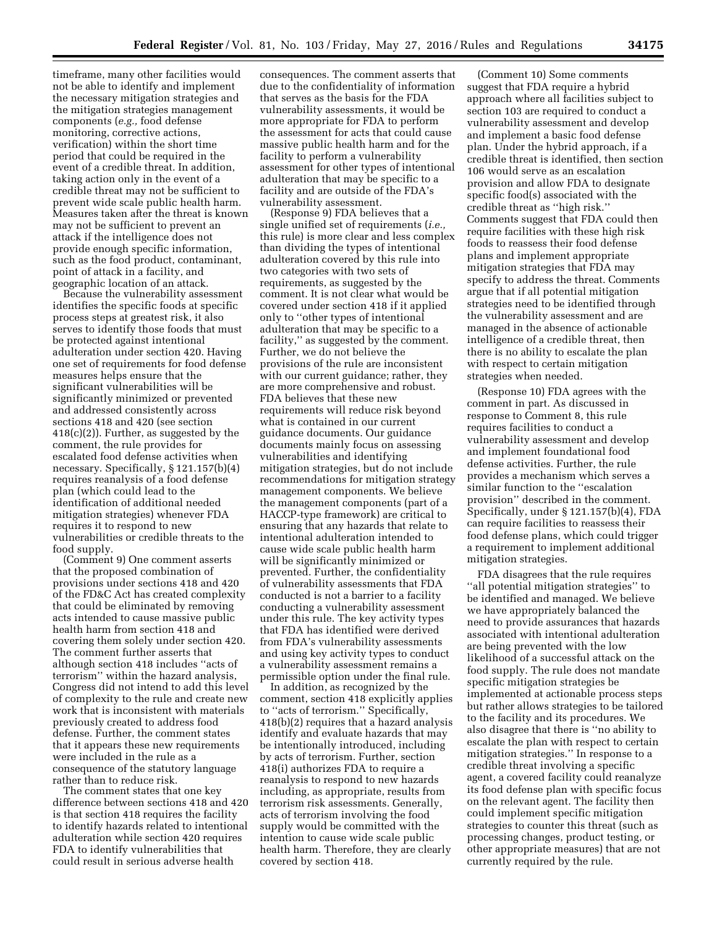timeframe, many other facilities would not be able to identify and implement the necessary mitigation strategies and the mitigation strategies management components (*e.g.,* food defense monitoring, corrective actions, verification) within the short time period that could be required in the event of a credible threat. In addition, taking action only in the event of a credible threat may not be sufficient to prevent wide scale public health harm. Measures taken after the threat is known may not be sufficient to prevent an attack if the intelligence does not provide enough specific information, such as the food product, contaminant, point of attack in a facility, and geographic location of an attack.

Because the vulnerability assessment identifies the specific foods at specific process steps at greatest risk, it also serves to identify those foods that must be protected against intentional adulteration under section 420. Having one set of requirements for food defense measures helps ensure that the significant vulnerabilities will be significantly minimized or prevented and addressed consistently across sections 418 and 420 (see section 418(c)(2)). Further, as suggested by the comment, the rule provides for escalated food defense activities when necessary. Specifically, § 121.157(b)(4) requires reanalysis of a food defense plan (which could lead to the identification of additional needed mitigation strategies) whenever FDA requires it to respond to new vulnerabilities or credible threats to the food supply.

(Comment 9) One comment asserts that the proposed combination of provisions under sections 418 and 420 of the FD&C Act has created complexity that could be eliminated by removing acts intended to cause massive public health harm from section 418 and covering them solely under section 420. The comment further asserts that although section 418 includes ''acts of terrorism'' within the hazard analysis, Congress did not intend to add this level of complexity to the rule and create new work that is inconsistent with materials previously created to address food defense. Further, the comment states that it appears these new requirements were included in the rule as a consequence of the statutory language rather than to reduce risk.

The comment states that one key difference between sections 418 and 420 is that section 418 requires the facility to identify hazards related to intentional adulteration while section 420 requires FDA to identify vulnerabilities that could result in serious adverse health

consequences. The comment asserts that due to the confidentiality of information that serves as the basis for the FDA vulnerability assessments, it would be more appropriate for FDA to perform the assessment for acts that could cause massive public health harm and for the facility to perform a vulnerability assessment for other types of intentional adulteration that may be specific to a facility and are outside of the FDA's vulnerability assessment.

(Response 9) FDA believes that a single unified set of requirements (*i.e.,*  this rule) is more clear and less complex than dividing the types of intentional adulteration covered by this rule into two categories with two sets of requirements, as suggested by the comment. It is not clear what would be covered under section 418 if it applied only to ''other types of intentional adulteration that may be specific to a facility,'' as suggested by the comment. Further, we do not believe the provisions of the rule are inconsistent with our current guidance; rather, they are more comprehensive and robust. FDA believes that these new requirements will reduce risk beyond what is contained in our current guidance documents. Our guidance documents mainly focus on assessing vulnerabilities and identifying mitigation strategies, but do not include recommendations for mitigation strategy management components. We believe the management components (part of a HACCP-type framework) are critical to ensuring that any hazards that relate to intentional adulteration intended to cause wide scale public health harm will be significantly minimized or prevented. Further, the confidentiality of vulnerability assessments that FDA conducted is not a barrier to a facility conducting a vulnerability assessment under this rule. The key activity types that FDA has identified were derived from FDA's vulnerability assessments and using key activity types to conduct a vulnerability assessment remains a permissible option under the final rule.

In addition, as recognized by the comment, section 418 explicitly applies to ''acts of terrorism.'' Specifically, 418(b)(2) requires that a hazard analysis identify and evaluate hazards that may be intentionally introduced, including by acts of terrorism. Further, section 418(i) authorizes FDA to require a reanalysis to respond to new hazards including, as appropriate, results from terrorism risk assessments. Generally, acts of terrorism involving the food supply would be committed with the intention to cause wide scale public health harm. Therefore, they are clearly covered by section 418.

(Comment 10) Some comments suggest that FDA require a hybrid approach where all facilities subject to section 103 are required to conduct a vulnerability assessment and develop and implement a basic food defense plan. Under the hybrid approach, if a credible threat is identified, then section 106 would serve as an escalation provision and allow FDA to designate specific food(s) associated with the credible threat as ''high risk.'' Comments suggest that FDA could then require facilities with these high risk foods to reassess their food defense plans and implement appropriate mitigation strategies that FDA may specify to address the threat. Comments argue that if all potential mitigation strategies need to be identified through the vulnerability assessment and are managed in the absence of actionable intelligence of a credible threat, then there is no ability to escalate the plan with respect to certain mitigation strategies when needed.

(Response 10) FDA agrees with the comment in part. As discussed in response to Comment 8, this rule requires facilities to conduct a vulnerability assessment and develop and implement foundational food defense activities. Further, the rule provides a mechanism which serves a similar function to the ''escalation provision'' described in the comment. Specifically, under § 121.157(b)(4), FDA can require facilities to reassess their food defense plans, which could trigger a requirement to implement additional mitigation strategies.

FDA disagrees that the rule requires ''all potential mitigation strategies'' to be identified and managed. We believe we have appropriately balanced the need to provide assurances that hazards associated with intentional adulteration are being prevented with the low likelihood of a successful attack on the food supply. The rule does not mandate specific mitigation strategies be implemented at actionable process steps but rather allows strategies to be tailored to the facility and its procedures. We also disagree that there is ''no ability to escalate the plan with respect to certain mitigation strategies.'' In response to a credible threat involving a specific agent, a covered facility could reanalyze its food defense plan with specific focus on the relevant agent. The facility then could implement specific mitigation strategies to counter this threat (such as processing changes, product testing, or other appropriate measures) that are not currently required by the rule.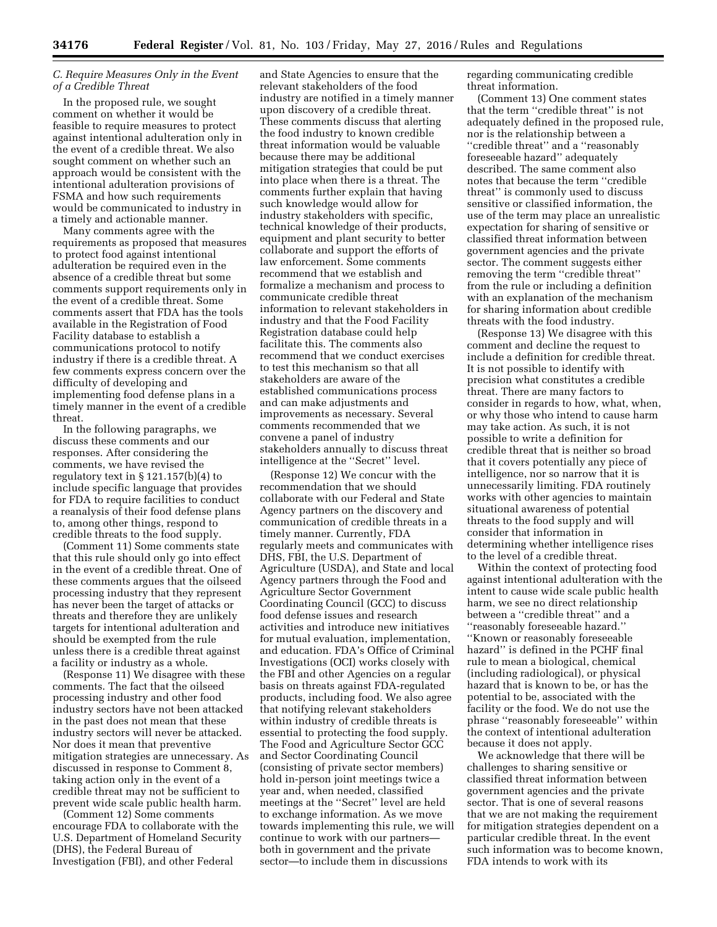# *C. Require Measures Only in the Event of a Credible Threat*

In the proposed rule, we sought comment on whether it would be feasible to require measures to protect against intentional adulteration only in the event of a credible threat. We also sought comment on whether such an approach would be consistent with the intentional adulteration provisions of FSMA and how such requirements would be communicated to industry in a timely and actionable manner.

Many comments agree with the requirements as proposed that measures to protect food against intentional adulteration be required even in the absence of a credible threat but some comments support requirements only in the event of a credible threat. Some comments assert that FDA has the tools available in the Registration of Food Facility database to establish a communications protocol to notify industry if there is a credible threat. A few comments express concern over the difficulty of developing and implementing food defense plans in a timely manner in the event of a credible threat.

In the following paragraphs, we discuss these comments and our responses. After considering the comments, we have revised the regulatory text in  $\S 121.157(b)(4)$  to include specific language that provides for FDA to require facilities to conduct a reanalysis of their food defense plans to, among other things, respond to credible threats to the food supply.

(Comment 11) Some comments state that this rule should only go into effect in the event of a credible threat. One of these comments argues that the oilseed processing industry that they represent has never been the target of attacks or threats and therefore they are unlikely targets for intentional adulteration and should be exempted from the rule unless there is a credible threat against a facility or industry as a whole.

(Response 11) We disagree with these comments. The fact that the oilseed processing industry and other food industry sectors have not been attacked in the past does not mean that these industry sectors will never be attacked. Nor does it mean that preventive mitigation strategies are unnecessary. As discussed in response to Comment 8, taking action only in the event of a credible threat may not be sufficient to prevent wide scale public health harm.

(Comment 12) Some comments encourage FDA to collaborate with the U.S. Department of Homeland Security (DHS), the Federal Bureau of Investigation (FBI), and other Federal

and State Agencies to ensure that the relevant stakeholders of the food industry are notified in a timely manner upon discovery of a credible threat. These comments discuss that alerting the food industry to known credible threat information would be valuable because there may be additional mitigation strategies that could be put into place when there is a threat. The comments further explain that having such knowledge would allow for industry stakeholders with specific, technical knowledge of their products, equipment and plant security to better collaborate and support the efforts of law enforcement. Some comments recommend that we establish and formalize a mechanism and process to communicate credible threat information to relevant stakeholders in industry and that the Food Facility Registration database could help facilitate this. The comments also recommend that we conduct exercises to test this mechanism so that all stakeholders are aware of the established communications process and can make adjustments and improvements as necessary. Several comments recommended that we convene a panel of industry stakeholders annually to discuss threat intelligence at the ''Secret'' level.

(Response 12) We concur with the recommendation that we should collaborate with our Federal and State Agency partners on the discovery and communication of credible threats in a timely manner. Currently, FDA regularly meets and communicates with DHS, FBI, the U.S. Department of Agriculture (USDA), and State and local Agency partners through the Food and Agriculture Sector Government Coordinating Council (GCC) to discuss food defense issues and research activities and introduce new initiatives for mutual evaluation, implementation, and education. FDA's Office of Criminal Investigations (OCI) works closely with the FBI and other Agencies on a regular basis on threats against FDA-regulated products, including food. We also agree that notifying relevant stakeholders within industry of credible threats is essential to protecting the food supply. The Food and Agriculture Sector GCC and Sector Coordinating Council (consisting of private sector members) hold in-person joint meetings twice a year and, when needed, classified meetings at the ''Secret'' level are held to exchange information. As we move towards implementing this rule, we will continue to work with our partners both in government and the private sector—to include them in discussions

regarding communicating credible threat information.

(Comment 13) One comment states that the term ''credible threat'' is not adequately defined in the proposed rule, nor is the relationship between a ''credible threat'' and a ''reasonably foreseeable hazard'' adequately described. The same comment also notes that because the term ''credible threat'' is commonly used to discuss sensitive or classified information, the use of the term may place an unrealistic expectation for sharing of sensitive or classified threat information between government agencies and the private sector. The comment suggests either removing the term ''credible threat'' from the rule or including a definition with an explanation of the mechanism for sharing information about credible threats with the food industry.

(Response 13) We disagree with this comment and decline the request to include a definition for credible threat. It is not possible to identify with precision what constitutes a credible threat. There are many factors to consider in regards to how, what, when, or why those who intend to cause harm may take action. As such, it is not possible to write a definition for credible threat that is neither so broad that it covers potentially any piece of intelligence, nor so narrow that it is unnecessarily limiting. FDA routinely works with other agencies to maintain situational awareness of potential threats to the food supply and will consider that information in determining whether intelligence rises to the level of a credible threat.

Within the context of protecting food against intentional adulteration with the intent to cause wide scale public health harm, we see no direct relationship between a ''credible threat'' and a ''reasonably foreseeable hazard.'' ''Known or reasonably foreseeable hazard'' is defined in the PCHF final rule to mean a biological, chemical (including radiological), or physical hazard that is known to be, or has the potential to be, associated with the facility or the food. We do not use the phrase ''reasonably foreseeable'' within the context of intentional adulteration because it does not apply.

We acknowledge that there will be challenges to sharing sensitive or classified threat information between government agencies and the private sector. That is one of several reasons that we are not making the requirement for mitigation strategies dependent on a particular credible threat. In the event such information was to become known, FDA intends to work with its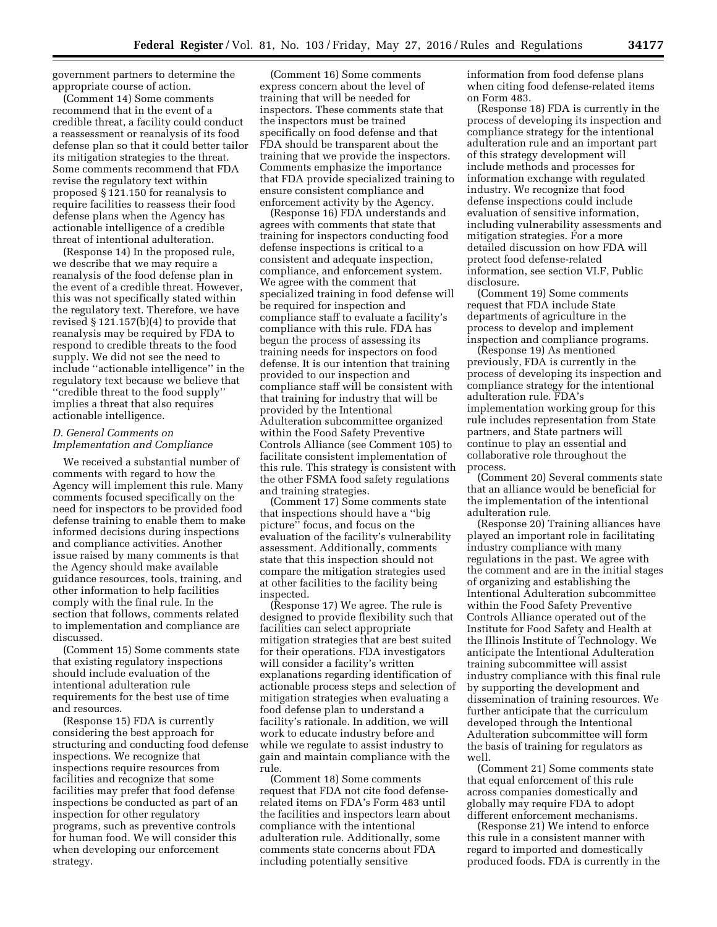government partners to determine the appropriate course of action.

(Comment 14) Some comments recommend that in the event of a credible threat, a facility could conduct a reassessment or reanalysis of its food defense plan so that it could better tailor its mitigation strategies to the threat. Some comments recommend that FDA revise the regulatory text within proposed § 121.150 for reanalysis to require facilities to reassess their food defense plans when the Agency has actionable intelligence of a credible threat of intentional adulteration.

(Response 14) In the proposed rule, we describe that we may require a reanalysis of the food defense plan in the event of a credible threat. However, this was not specifically stated within the regulatory text. Therefore, we have revised § 121.157(b)(4) to provide that reanalysis may be required by FDA to respond to credible threats to the food supply. We did not see the need to include ''actionable intelligence'' in the regulatory text because we believe that ''credible threat to the food supply'' implies a threat that also requires actionable intelligence.

# *D. General Comments on Implementation and Compliance*

We received a substantial number of comments with regard to how the Agency will implement this rule. Many comments focused specifically on the need for inspectors to be provided food defense training to enable them to make informed decisions during inspections and compliance activities. Another issue raised by many comments is that the Agency should make available guidance resources, tools, training, and other information to help facilities comply with the final rule. In the section that follows, comments related to implementation and compliance are discussed.

(Comment 15) Some comments state that existing regulatory inspections should include evaluation of the intentional adulteration rule requirements for the best use of time and resources.

(Response 15) FDA is currently considering the best approach for structuring and conducting food defense inspections. We recognize that inspections require resources from facilities and recognize that some facilities may prefer that food defense inspections be conducted as part of an inspection for other regulatory programs, such as preventive controls for human food. We will consider this when developing our enforcement strategy.

(Comment 16) Some comments express concern about the level of training that will be needed for inspectors. These comments state that the inspectors must be trained specifically on food defense and that FDA should be transparent about the training that we provide the inspectors. Comments emphasize the importance that FDA provide specialized training to ensure consistent compliance and enforcement activity by the Agency.

(Response 16) FDA understands and agrees with comments that state that training for inspectors conducting food defense inspections is critical to a consistent and adequate inspection, compliance, and enforcement system. We agree with the comment that specialized training in food defense will be required for inspection and compliance staff to evaluate a facility's compliance with this rule. FDA has begun the process of assessing its training needs for inspectors on food defense. It is our intention that training provided to our inspection and compliance staff will be consistent with that training for industry that will be provided by the Intentional Adulteration subcommittee organized within the Food Safety Preventive Controls Alliance (see Comment 105) to facilitate consistent implementation of this rule. This strategy is consistent with the other FSMA food safety regulations and training strategies.

(Comment 17) Some comments state that inspections should have a ''big picture'' focus, and focus on the evaluation of the facility's vulnerability assessment. Additionally, comments state that this inspection should not compare the mitigation strategies used at other facilities to the facility being inspected.

(Response 17) We agree. The rule is designed to provide flexibility such that facilities can select appropriate mitigation strategies that are best suited for their operations. FDA investigators will consider a facility's written explanations regarding identification of actionable process steps and selection of mitigation strategies when evaluating a food defense plan to understand a facility's rationale. In addition, we will work to educate industry before and while we regulate to assist industry to gain and maintain compliance with the rule.

(Comment 18) Some comments request that FDA not cite food defenserelated items on FDA's Form 483 until the facilities and inspectors learn about compliance with the intentional adulteration rule. Additionally, some comments state concerns about FDA including potentially sensitive

information from food defense plans when citing food defense-related items on Form 483.

(Response 18) FDA is currently in the process of developing its inspection and compliance strategy for the intentional adulteration rule and an important part of this strategy development will include methods and processes for information exchange with regulated industry. We recognize that food defense inspections could include evaluation of sensitive information, including vulnerability assessments and mitigation strategies. For a more detailed discussion on how FDA will protect food defense-related information, see section VI.F, Public disclosure.

(Comment 19) Some comments request that FDA include State departments of agriculture in the process to develop and implement inspection and compliance programs.

(Response 19) As mentioned previously, FDA is currently in the process of developing its inspection and compliance strategy for the intentional adulteration rule. FDA's implementation working group for this rule includes representation from State partners, and State partners will continue to play an essential and collaborative role throughout the process.

(Comment 20) Several comments state that an alliance would be beneficial for the implementation of the intentional adulteration rule.

(Response 20) Training alliances have played an important role in facilitating industry compliance with many regulations in the past. We agree with the comment and are in the initial stages of organizing and establishing the Intentional Adulteration subcommittee within the Food Safety Preventive Controls Alliance operated out of the Institute for Food Safety and Health at the Illinois Institute of Technology. We anticipate the Intentional Adulteration training subcommittee will assist industry compliance with this final rule by supporting the development and dissemination of training resources. We further anticipate that the curriculum developed through the Intentional Adulteration subcommittee will form the basis of training for regulators as well.

(Comment 21) Some comments state that equal enforcement of this rule across companies domestically and globally may require FDA to adopt different enforcement mechanisms.

(Response 21) We intend to enforce this rule in a consistent manner with regard to imported and domestically produced foods. FDA is currently in the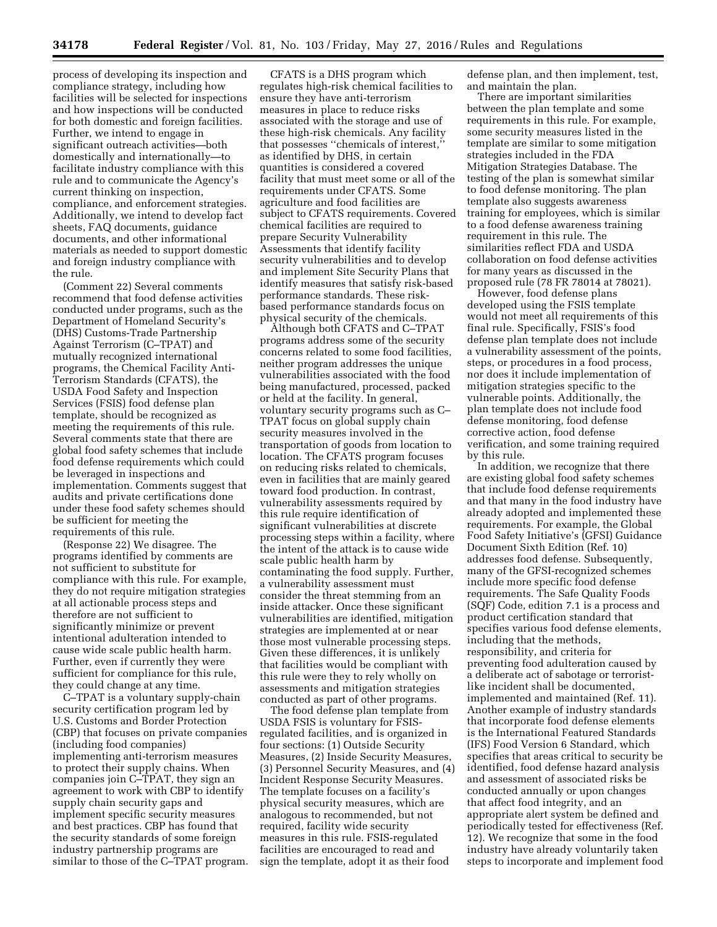process of developing its inspection and compliance strategy, including how facilities will be selected for inspections and how inspections will be conducted for both domestic and foreign facilities. Further, we intend to engage in significant outreach activities—both domestically and internationally—to facilitate industry compliance with this rule and to communicate the Agency's current thinking on inspection, compliance, and enforcement strategies. Additionally, we intend to develop fact sheets, FAQ documents, guidance documents, and other informational materials as needed to support domestic and foreign industry compliance with the rule.

(Comment 22) Several comments recommend that food defense activities conducted under programs, such as the Department of Homeland Security's (DHS) Customs-Trade Partnership Against Terrorism (C–TPAT) and mutually recognized international programs, the Chemical Facility Anti-Terrorism Standards (CFATS), the USDA Food Safety and Inspection Services (FSIS) food defense plan template, should be recognized as meeting the requirements of this rule. Several comments state that there are global food safety schemes that include food defense requirements which could be leveraged in inspections and implementation. Comments suggest that audits and private certifications done under these food safety schemes should be sufficient for meeting the requirements of this rule.

(Response 22) We disagree. The programs identified by comments are not sufficient to substitute for compliance with this rule. For example, they do not require mitigation strategies at all actionable process steps and therefore are not sufficient to significantly minimize or prevent intentional adulteration intended to cause wide scale public health harm. Further, even if currently they were sufficient for compliance for this rule, they could change at any time.

C–TPAT is a voluntary supply-chain security certification program led by U.S. Customs and Border Protection (CBP) that focuses on private companies (including food companies) implementing anti-terrorism measures to protect their supply chains. When companies join C–TPAT, they sign an agreement to work with CBP to identify supply chain security gaps and implement specific security measures and best practices. CBP has found that the security standards of some foreign industry partnership programs are similar to those of the C–TPAT program.

CFATS is a DHS program which regulates high-risk chemical facilities to ensure they have anti-terrorism measures in place to reduce risks associated with the storage and use of these high-risk chemicals. Any facility that possesses ''chemicals of interest,'' as identified by DHS, in certain quantities is considered a covered facility that must meet some or all of the requirements under CFATS. Some agriculture and food facilities are subject to CFATS requirements. Covered chemical facilities are required to prepare Security Vulnerability Assessments that identify facility security vulnerabilities and to develop and implement Site Security Plans that identify measures that satisfy risk-based performance standards. These riskbased performance standards focus on physical security of the chemicals.

Although both CFATS and C–TPAT programs address some of the security concerns related to some food facilities, neither program addresses the unique vulnerabilities associated with the food being manufactured, processed, packed or held at the facility. In general, voluntary security programs such as C– TPAT focus on global supply chain security measures involved in the transportation of goods from location to location. The CFATS program focuses on reducing risks related to chemicals, even in facilities that are mainly geared toward food production. In contrast, vulnerability assessments required by this rule require identification of significant vulnerabilities at discrete processing steps within a facility, where the intent of the attack is to cause wide scale public health harm by contaminating the food supply. Further, a vulnerability assessment must consider the threat stemming from an inside attacker. Once these significant vulnerabilities are identified, mitigation strategies are implemented at or near those most vulnerable processing steps. Given these differences, it is unlikely that facilities would be compliant with this rule were they to rely wholly on assessments and mitigation strategies conducted as part of other programs.

The food defense plan template from USDA FSIS is voluntary for FSISregulated facilities, and is organized in four sections: (1) Outside Security Measures, (2) Inside Security Measures, (3) Personnel Security Measures, and (4) Incident Response Security Measures. The template focuses on a facility's physical security measures, which are analogous to recommended, but not required, facility wide security measures in this rule. FSIS-regulated facilities are encouraged to read and sign the template, adopt it as their food

defense plan, and then implement, test, and maintain the plan.

There are important similarities between the plan template and some requirements in this rule. For example, some security measures listed in the template are similar to some mitigation strategies included in the FDA Mitigation Strategies Database. The testing of the plan is somewhat similar to food defense monitoring. The plan template also suggests awareness training for employees, which is similar to a food defense awareness training requirement in this rule. The similarities reflect FDA and USDA collaboration on food defense activities for many years as discussed in the proposed rule (78 FR 78014 at 78021).

However, food defense plans developed using the FSIS template would not meet all requirements of this final rule. Specifically, FSIS's food defense plan template does not include a vulnerability assessment of the points, steps, or procedures in a food process, nor does it include implementation of mitigation strategies specific to the vulnerable points. Additionally, the plan template does not include food defense monitoring, food defense corrective action, food defense verification, and some training required by this rule.

In addition, we recognize that there are existing global food safety schemes that include food defense requirements and that many in the food industry have already adopted and implemented these requirements. For example, the Global Food Safety Initiative's (GFSI) Guidance Document Sixth Edition (Ref. 10) addresses food defense. Subsequently, many of the GFSI-recognized schemes include more specific food defense requirements. The Safe Quality Foods (SQF) Code, edition 7.1 is a process and product certification standard that specifies various food defense elements, including that the methods, responsibility, and criteria for preventing food adulteration caused by a deliberate act of sabotage or terroristlike incident shall be documented, implemented and maintained (Ref. 11). Another example of industry standards that incorporate food defense elements is the International Featured Standards (IFS) Food Version 6 Standard, which specifies that areas critical to security be identified, food defense hazard analysis and assessment of associated risks be conducted annually or upon changes that affect food integrity, and an appropriate alert system be defined and periodically tested for effectiveness (Ref. 12). We recognize that some in the food industry have already voluntarily taken steps to incorporate and implement food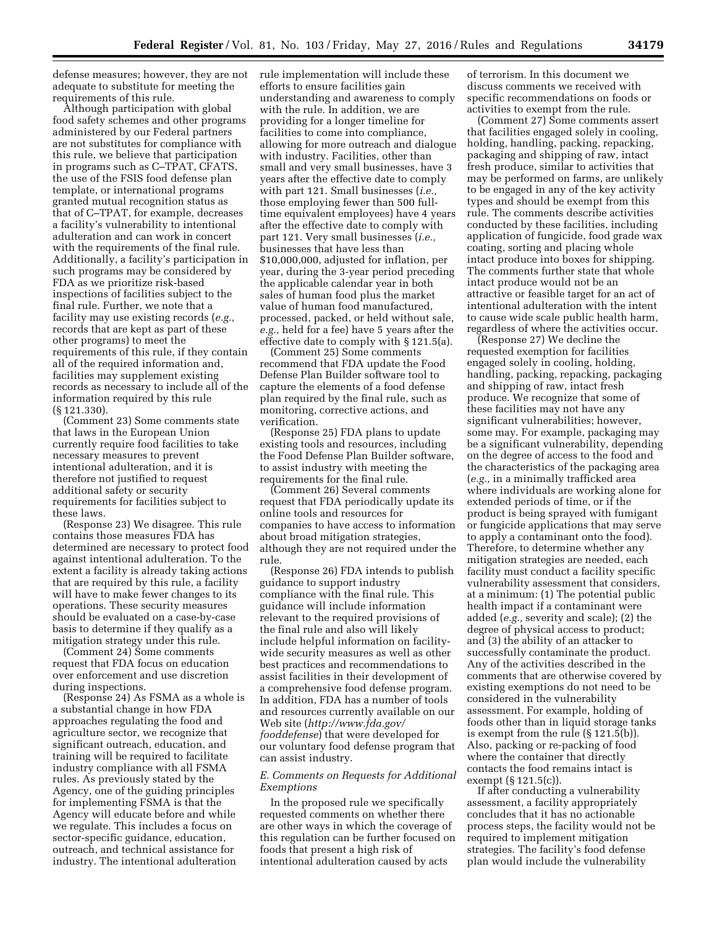defense measures; however, they are not adequate to substitute for meeting the requirements of this rule.

Although participation with global food safety schemes and other programs administered by our Federal partners are not substitutes for compliance with this rule, we believe that participation in programs such as C–TPAT, CFATS, the use of the FSIS food defense plan template, or international programs granted mutual recognition status as that of C–TPAT, for example, decreases a facility's vulnerability to intentional adulteration and can work in concert with the requirements of the final rule. Additionally, a facility's participation in such programs may be considered by FDA as we prioritize risk-based inspections of facilities subject to the final rule. Further, we note that a facility may use existing records (*e.g.,*  records that are kept as part of these other programs) to meet the requirements of this rule, if they contain all of the required information and, facilities may supplement existing records as necessary to include all of the information required by this rule (§ 121.330).

(Comment 23) Some comments state that laws in the European Union currently require food facilities to take necessary measures to prevent intentional adulteration, and it is therefore not justified to request additional safety or security requirements for facilities subject to these laws.

(Response 23) We disagree. This rule contains those measures FDA has determined are necessary to protect food against intentional adulteration. To the extent a facility is already taking actions that are required by this rule, a facility will have to make fewer changes to its operations. These security measures should be evaluated on a case-by-case basis to determine if they qualify as a mitigation strategy under this rule.

(Comment 24) Some comments request that FDA focus on education over enforcement and use discretion during inspections.

(Response 24) As FSMA as a whole is a substantial change in how FDA approaches regulating the food and agriculture sector, we recognize that significant outreach, education, and training will be required to facilitate industry compliance with all FSMA rules. As previously stated by the Agency, one of the guiding principles for implementing FSMA is that the Agency will educate before and while we regulate. This includes a focus on sector-specific guidance, education, outreach, and technical assistance for industry. The intentional adulteration

rule implementation will include these efforts to ensure facilities gain understanding and awareness to comply with the rule. In addition, we are providing for a longer timeline for facilities to come into compliance, allowing for more outreach and dialogue with industry. Facilities, other than small and very small businesses, have 3 years after the effective date to comply with part 121. Small businesses (*i.e.,*  those employing fewer than 500 fulltime equivalent employees) have 4 years after the effective date to comply with part 121. Very small businesses (*i.e.,*  businesses that have less than \$10,000,000, adjusted for inflation, per year, during the 3-year period preceding the applicable calendar year in both sales of human food plus the market value of human food manufactured, processed, packed, or held without sale, *e.g.,* held for a fee) have 5 years after the effective date to comply with § 121.5(a).

(Comment 25) Some comments recommend that FDA update the Food Defense Plan Builder software tool to capture the elements of a food defense plan required by the final rule, such as monitoring, corrective actions, and verification.

(Response 25) FDA plans to update existing tools and resources, including the Food Defense Plan Builder software, to assist industry with meeting the requirements for the final rule.

(Comment 26) Several comments request that FDA periodically update its online tools and resources for companies to have access to information about broad mitigation strategies, although they are not required under the rule.

(Response 26) FDA intends to publish guidance to support industry compliance with the final rule. This guidance will include information relevant to the required provisions of the final rule and also will likely include helpful information on facilitywide security measures as well as other best practices and recommendations to assist facilities in their development of a comprehensive food defense program. In addition, FDA has a number of tools and resources currently available on our Web site (*[http://www.fda.gov/](http://www.fda.gov/fooddefense) [fooddefense](http://www.fda.gov/fooddefense)*) that were developed for our voluntary food defense program that can assist industry.

# *E. Comments on Requests for Additional Exemptions*

In the proposed rule we specifically requested comments on whether there are other ways in which the coverage of this regulation can be further focused on foods that present a high risk of intentional adulteration caused by acts

of terrorism. In this document we discuss comments we received with specific recommendations on foods or activities to exempt from the rule.

(Comment 27) Some comments assert that facilities engaged solely in cooling, holding, handling, packing, repacking, packaging and shipping of raw, intact fresh produce, similar to activities that may be performed on farms, are unlikely to be engaged in any of the key activity types and should be exempt from this rule. The comments describe activities conducted by these facilities, including application of fungicide, food grade wax coating, sorting and placing whole intact produce into boxes for shipping. The comments further state that whole intact produce would not be an attractive or feasible target for an act of intentional adulteration with the intent to cause wide scale public health harm, regardless of where the activities occur.

(Response 27) We decline the requested exemption for facilities engaged solely in cooling, holding, handling, packing, repacking, packaging and shipping of raw, intact fresh produce. We recognize that some of these facilities may not have any significant vulnerabilities; however, some may. For example, packaging may be a significant vulnerability, depending on the degree of access to the food and the characteristics of the packaging area (*e.g.,* in a minimally trafficked area where individuals are working alone for extended periods of time, or if the product is being sprayed with fumigant or fungicide applications that may serve to apply a contaminant onto the food). Therefore, to determine whether any mitigation strategies are needed, each facility must conduct a facility specific vulnerability assessment that considers, at a minimum: (1) The potential public health impact if a contaminant were added (*e.g.,* severity and scale); (2) the degree of physical access to product; and (3) the ability of an attacker to successfully contaminate the product. Any of the activities described in the comments that are otherwise covered by existing exemptions do not need to be considered in the vulnerability assessment. For example, holding of foods other than in liquid storage tanks is exempt from the rule (§ 121.5(b)). Also, packing or re-packing of food where the container that directly contacts the food remains intact is exempt (§ 121.5(c)).

If after conducting a vulnerability assessment, a facility appropriately concludes that it has no actionable process steps, the facility would not be required to implement mitigation strategies. The facility's food defense plan would include the vulnerability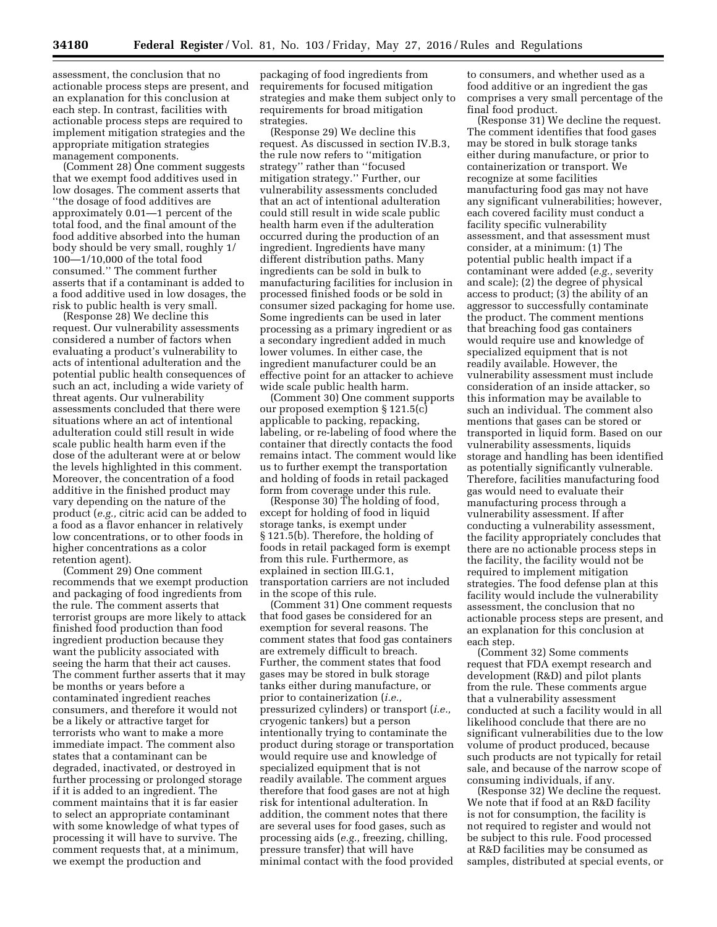assessment, the conclusion that no actionable process steps are present, and an explanation for this conclusion at each step. In contrast, facilities with actionable process steps are required to implement mitigation strategies and the appropriate mitigation strategies management components.

(Comment 28) One comment suggests that we exempt food additives used in low dosages. The comment asserts that ''the dosage of food additives are approximately 0.01—1 percent of the total food, and the final amount of the food additive absorbed into the human body should be very small, roughly 1/ 100—1/10,000 of the total food consumed.'' The comment further asserts that if a contaminant is added to a food additive used in low dosages, the risk to public health is very small.

(Response 28) We decline this request. Our vulnerability assessments considered a number of factors when evaluating a product's vulnerability to acts of intentional adulteration and the potential public health consequences of such an act, including a wide variety of threat agents. Our vulnerability assessments concluded that there were situations where an act of intentional adulteration could still result in wide scale public health harm even if the dose of the adulterant were at or below the levels highlighted in this comment. Moreover, the concentration of a food additive in the finished product may vary depending on the nature of the product (*e.g.,* citric acid can be added to a food as a flavor enhancer in relatively low concentrations, or to other foods in higher concentrations as a color retention agent).

(Comment 29) One comment recommends that we exempt production and packaging of food ingredients from the rule. The comment asserts that terrorist groups are more likely to attack finished food production than food ingredient production because they want the publicity associated with seeing the harm that their act causes. The comment further asserts that it may be months or years before a contaminated ingredient reaches consumers, and therefore it would not be a likely or attractive target for terrorists who want to make a more immediate impact. The comment also states that a contaminant can be degraded, inactivated, or destroyed in further processing or prolonged storage if it is added to an ingredient. The comment maintains that it is far easier to select an appropriate contaminant with some knowledge of what types of processing it will have to survive. The comment requests that, at a minimum, we exempt the production and

packaging of food ingredients from requirements for focused mitigation strategies and make them subject only to requirements for broad mitigation strategies.

(Response 29) We decline this request. As discussed in section IV.B.3, the rule now refers to ''mitigation strategy'' rather than ''focused mitigation strategy.'' Further, our vulnerability assessments concluded that an act of intentional adulteration could still result in wide scale public health harm even if the adulteration occurred during the production of an ingredient. Ingredients have many different distribution paths. Many ingredients can be sold in bulk to manufacturing facilities for inclusion in processed finished foods or be sold in consumer sized packaging for home use. Some ingredients can be used in later processing as a primary ingredient or as a secondary ingredient added in much lower volumes. In either case, the ingredient manufacturer could be an effective point for an attacker to achieve wide scale public health harm.

(Comment 30) One comment supports our proposed exemption § 121.5(c) applicable to packing, repacking, labeling, or re-labeling of food where the container that directly contacts the food remains intact. The comment would like us to further exempt the transportation and holding of foods in retail packaged form from coverage under this rule.

(Response 30) The holding of food, except for holding of food in liquid storage tanks, is exempt under § 121.5(b). Therefore, the holding of foods in retail packaged form is exempt from this rule. Furthermore, as explained in section III.G.1, transportation carriers are not included in the scope of this rule.

(Comment 31) One comment requests that food gases be considered for an exemption for several reasons. The comment states that food gas containers are extremely difficult to breach. Further, the comment states that food gases may be stored in bulk storage tanks either during manufacture, or prior to containerization (*i.e.,*  pressurized cylinders) or transport (*i.e.,*  cryogenic tankers) but a person intentionally trying to contaminate the product during storage or transportation would require use and knowledge of specialized equipment that is not readily available. The comment argues therefore that food gases are not at high risk for intentional adulteration. In addition, the comment notes that there are several uses for food gases, such as processing aids (*e.g.,* freezing, chilling, pressure transfer) that will have minimal contact with the food provided

to consumers, and whether used as a food additive or an ingredient the gas comprises a very small percentage of the final food product.

(Response 31) We decline the request. The comment identifies that food gases may be stored in bulk storage tanks either during manufacture, or prior to containerization or transport. We recognize at some facilities manufacturing food gas may not have any significant vulnerabilities; however, each covered facility must conduct a facility specific vulnerability assessment, and that assessment must consider, at a minimum: (1) The potential public health impact if a contaminant were added (*e.g.,* severity and scale); (2) the degree of physical access to product;  $(3)$  the ability of an aggressor to successfully contaminate the product. The comment mentions that breaching food gas containers would require use and knowledge of specialized equipment that is not readily available. However, the vulnerability assessment must include consideration of an inside attacker, so this information may be available to such an individual. The comment also mentions that gases can be stored or transported in liquid form. Based on our vulnerability assessments, liquids storage and handling has been identified as potentially significantly vulnerable. Therefore, facilities manufacturing food gas would need to evaluate their manufacturing process through a vulnerability assessment. If after conducting a vulnerability assessment, the facility appropriately concludes that there are no actionable process steps in the facility, the facility would not be required to implement mitigation strategies. The food defense plan at this facility would include the vulnerability assessment, the conclusion that no actionable process steps are present, and an explanation for this conclusion at each step.

(Comment 32) Some comments request that FDA exempt research and development (R&D) and pilot plants from the rule. These comments argue that a vulnerability assessment conducted at such a facility would in all likelihood conclude that there are no significant vulnerabilities due to the low volume of product produced, because such products are not typically for retail sale, and because of the narrow scope of consuming individuals, if any.

(Response 32) We decline the request. We note that if food at an R&D facility is not for consumption, the facility is not required to register and would not be subject to this rule. Food processed at R&D facilities may be consumed as samples, distributed at special events, or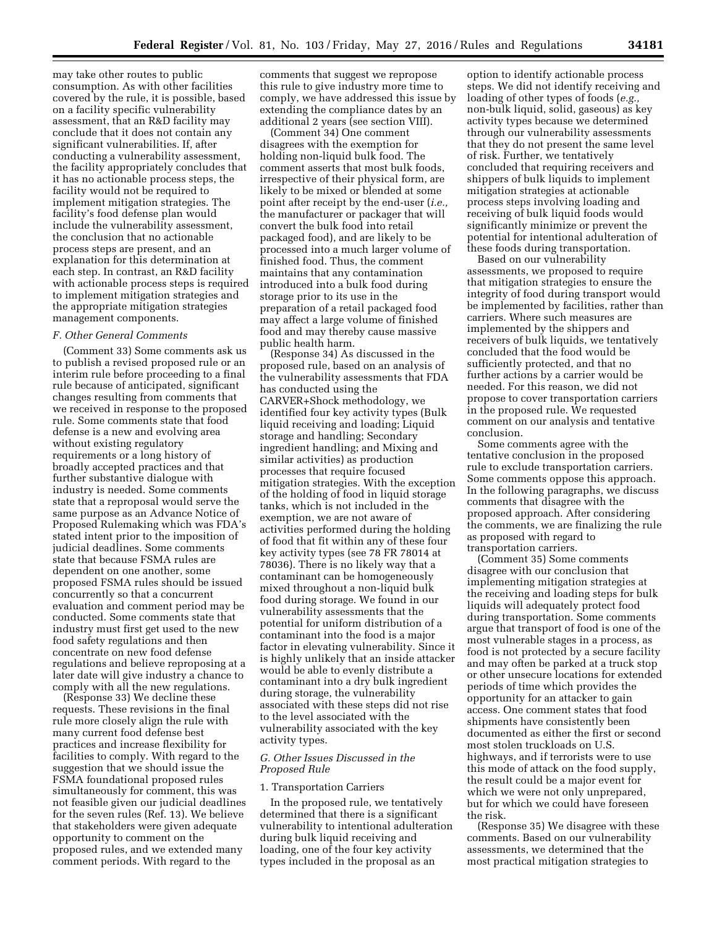may take other routes to public consumption. As with other facilities covered by the rule, it is possible, based on a facility specific vulnerability assessment, that an R&D facility may conclude that it does not contain any significant vulnerabilities. If, after conducting a vulnerability assessment, the facility appropriately concludes that it has no actionable process steps, the facility would not be required to implement mitigation strategies. The facility's food defense plan would include the vulnerability assessment, the conclusion that no actionable process steps are present, and an explanation for this determination at each step. In contrast, an R&D facility with actionable process steps is required to implement mitigation strategies and the appropriate mitigation strategies management components.

### *F. Other General Comments*

(Comment 33) Some comments ask us to publish a revised proposed rule or an interim rule before proceeding to a final rule because of anticipated, significant changes resulting from comments that we received in response to the proposed rule. Some comments state that food defense is a new and evolving area without existing regulatory requirements or a long history of broadly accepted practices and that further substantive dialogue with industry is needed. Some comments state that a reproposal would serve the same purpose as an Advance Notice of Proposed Rulemaking which was FDA's stated intent prior to the imposition of judicial deadlines. Some comments state that because FSMA rules are dependent on one another, some proposed FSMA rules should be issued concurrently so that a concurrent evaluation and comment period may be conducted. Some comments state that industry must first get used to the new food safety regulations and then concentrate on new food defense regulations and believe reproposing at a later date will give industry a chance to comply with all the new regulations.

(Response 33) We decline these requests. These revisions in the final rule more closely align the rule with many current food defense best practices and increase flexibility for facilities to comply. With regard to the suggestion that we should issue the FSMA foundational proposed rules simultaneously for comment, this was not feasible given our judicial deadlines for the seven rules (Ref. 13). We believe that stakeholders were given adequate opportunity to comment on the proposed rules, and we extended many comment periods. With regard to the

comments that suggest we repropose this rule to give industry more time to comply, we have addressed this issue by extending the compliance dates by an additional 2 years (see section VIII).

(Comment 34) One comment disagrees with the exemption for holding non-liquid bulk food. The comment asserts that most bulk foods, irrespective of their physical form, are likely to be mixed or blended at some point after receipt by the end-user (*i.e.,*  the manufacturer or packager that will convert the bulk food into retail packaged food), and are likely to be processed into a much larger volume of finished food. Thus, the comment maintains that any contamination introduced into a bulk food during storage prior to its use in the preparation of a retail packaged food may affect a large volume of finished food and may thereby cause massive public health harm.

(Response 34) As discussed in the proposed rule, based on an analysis of the vulnerability assessments that FDA has conducted using the CARVER+Shock methodology, we identified four key activity types (Bulk liquid receiving and loading; Liquid storage and handling; Secondary ingredient handling; and Mixing and similar activities) as production processes that require focused mitigation strategies. With the exception of the holding of food in liquid storage tanks, which is not included in the exemption, we are not aware of activities performed during the holding of food that fit within any of these four key activity types (see 78 FR 78014 at 78036). There is no likely way that a contaminant can be homogeneously mixed throughout a non-liquid bulk food during storage. We found in our vulnerability assessments that the potential for uniform distribution of a contaminant into the food is a major factor in elevating vulnerability. Since it is highly unlikely that an inside attacker would be able to evenly distribute a contaminant into a dry bulk ingredient during storage, the vulnerability associated with these steps did not rise to the level associated with the vulnerability associated with the key activity types.

# *G. Other Issues Discussed in the Proposed Rule*

#### 1. Transportation Carriers

In the proposed rule, we tentatively determined that there is a significant vulnerability to intentional adulteration during bulk liquid receiving and loading, one of the four key activity types included in the proposal as an

option to identify actionable process steps. We did not identify receiving and loading of other types of foods (*e.g.,*  non-bulk liquid, solid, gaseous) as key activity types because we determined through our vulnerability assessments that they do not present the same level of risk. Further, we tentatively concluded that requiring receivers and shippers of bulk liquids to implement mitigation strategies at actionable process steps involving loading and receiving of bulk liquid foods would significantly minimize or prevent the potential for intentional adulteration of these foods during transportation.

Based on our vulnerability assessments, we proposed to require that mitigation strategies to ensure the integrity of food during transport would be implemented by facilities, rather than carriers. Where such measures are implemented by the shippers and receivers of bulk liquids, we tentatively concluded that the food would be sufficiently protected, and that no further actions by a carrier would be needed. For this reason, we did not propose to cover transportation carriers in the proposed rule. We requested comment on our analysis and tentative conclusion.

Some comments agree with the tentative conclusion in the proposed rule to exclude transportation carriers. Some comments oppose this approach. In the following paragraphs, we discuss comments that disagree with the proposed approach. After considering the comments, we are finalizing the rule as proposed with regard to transportation carriers.

(Comment 35) Some comments disagree with our conclusion that implementing mitigation strategies at the receiving and loading steps for bulk liquids will adequately protect food during transportation. Some comments argue that transport of food is one of the most vulnerable stages in a process, as food is not protected by a secure facility and may often be parked at a truck stop or other unsecure locations for extended periods of time which provides the opportunity for an attacker to gain access. One comment states that food shipments have consistently been documented as either the first or second most stolen truckloads on U.S. highways, and if terrorists were to use this mode of attack on the food supply, the result could be a major event for which we were not only unprepared, but for which we could have foreseen the risk.

(Response 35) We disagree with these comments. Based on our vulnerability assessments, we determined that the most practical mitigation strategies to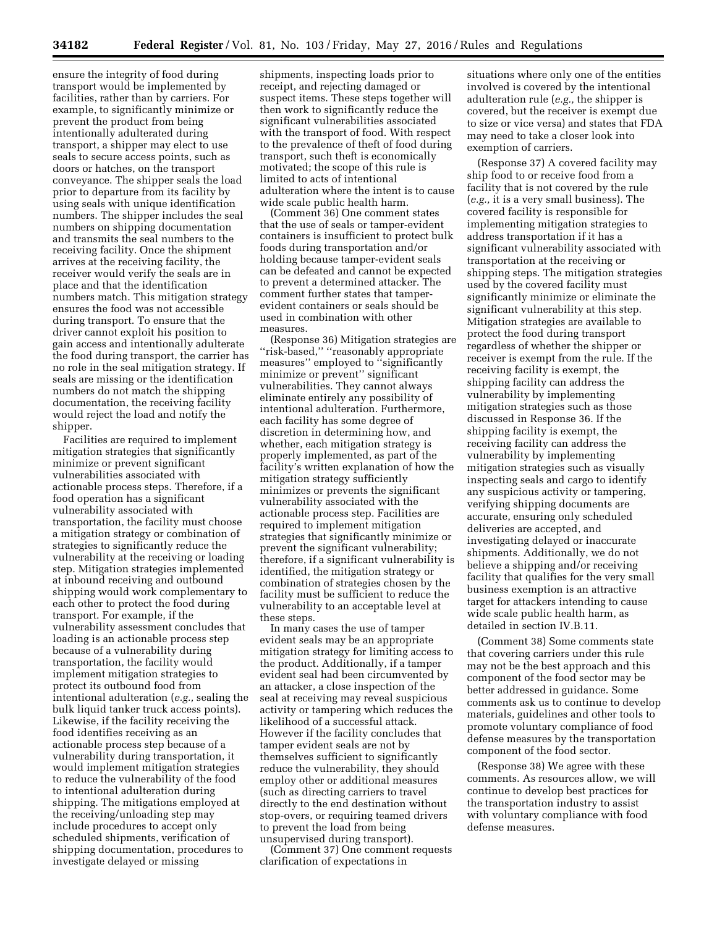ensure the integrity of food during transport would be implemented by facilities, rather than by carriers. For example, to significantly minimize or prevent the product from being intentionally adulterated during transport, a shipper may elect to use seals to secure access points, such as doors or hatches, on the transport conveyance. The shipper seals the load prior to departure from its facility by using seals with unique identification numbers. The shipper includes the seal numbers on shipping documentation and transmits the seal numbers to the receiving facility. Once the shipment arrives at the receiving facility, the receiver would verify the seals are in place and that the identification numbers match. This mitigation strategy ensures the food was not accessible during transport. To ensure that the driver cannot exploit his position to gain access and intentionally adulterate the food during transport, the carrier has no role in the seal mitigation strategy. If seals are missing or the identification numbers do not match the shipping documentation, the receiving facility would reject the load and notify the shipper.

Facilities are required to implement mitigation strategies that significantly minimize or prevent significant vulnerabilities associated with actionable process steps. Therefore, if a food operation has a significant vulnerability associated with transportation, the facility must choose a mitigation strategy or combination of strategies to significantly reduce the vulnerability at the receiving or loading step. Mitigation strategies implemented at inbound receiving and outbound shipping would work complementary to each other to protect the food during transport. For example, if the vulnerability assessment concludes that loading is an actionable process step because of a vulnerability during transportation, the facility would implement mitigation strategies to protect its outbound food from intentional adulteration (*e.g.,* sealing the bulk liquid tanker truck access points). Likewise, if the facility receiving the food identifies receiving as an actionable process step because of a vulnerability during transportation, it would implement mitigation strategies to reduce the vulnerability of the food to intentional adulteration during shipping. The mitigations employed at the receiving/unloading step may include procedures to accept only scheduled shipments, verification of shipping documentation, procedures to investigate delayed or missing

shipments, inspecting loads prior to receipt, and rejecting damaged or suspect items. These steps together will then work to significantly reduce the significant vulnerabilities associated with the transport of food. With respect to the prevalence of theft of food during transport, such theft is economically motivated; the scope of this rule is limited to acts of intentional adulteration where the intent is to cause wide scale public health harm.

(Comment 36) One comment states that the use of seals or tamper-evident containers is insufficient to protect bulk foods during transportation and/or holding because tamper-evident seals can be defeated and cannot be expected to prevent a determined attacker. The comment further states that tamperevident containers or seals should be used in combination with other measures.

(Response 36) Mitigation strategies are ''risk-based,'' ''reasonably appropriate measures'' employed to ''significantly minimize or prevent'' significant vulnerabilities. They cannot always eliminate entirely any possibility of intentional adulteration. Furthermore, each facility has some degree of discretion in determining how, and whether, each mitigation strategy is properly implemented, as part of the facility's written explanation of how the mitigation strategy sufficiently minimizes or prevents the significant vulnerability associated with the actionable process step. Facilities are required to implement mitigation strategies that significantly minimize or prevent the significant vulnerability; therefore, if a significant vulnerability is identified, the mitigation strategy or combination of strategies chosen by the facility must be sufficient to reduce the vulnerability to an acceptable level at these steps.

In many cases the use of tamper evident seals may be an appropriate mitigation strategy for limiting access to the product. Additionally, if a tamper evident seal had been circumvented by an attacker, a close inspection of the seal at receiving may reveal suspicious activity or tampering which reduces the likelihood of a successful attack. However if the facility concludes that tamper evident seals are not by themselves sufficient to significantly reduce the vulnerability, they should employ other or additional measures (such as directing carriers to travel directly to the end destination without stop-overs, or requiring teamed drivers to prevent the load from being unsupervised during transport).

(Comment 37) One comment requests clarification of expectations in

situations where only one of the entities involved is covered by the intentional adulteration rule (*e.g.,* the shipper is covered, but the receiver is exempt due to size or vice versa) and states that FDA may need to take a closer look into exemption of carriers.

(Response 37) A covered facility may ship food to or receive food from a facility that is not covered by the rule (*e.g.,* it is a very small business). The covered facility is responsible for implementing mitigation strategies to address transportation if it has a significant vulnerability associated with transportation at the receiving or shipping steps. The mitigation strategies used by the covered facility must significantly minimize or eliminate the significant vulnerability at this step. Mitigation strategies are available to protect the food during transport regardless of whether the shipper or receiver is exempt from the rule. If the receiving facility is exempt, the shipping facility can address the vulnerability by implementing mitigation strategies such as those discussed in Response 36. If the shipping facility is exempt, the receiving facility can address the vulnerability by implementing mitigation strategies such as visually inspecting seals and cargo to identify any suspicious activity or tampering, verifying shipping documents are accurate, ensuring only scheduled deliveries are accepted, and investigating delayed or inaccurate shipments. Additionally, we do not believe a shipping and/or receiving facility that qualifies for the very small business exemption is an attractive target for attackers intending to cause wide scale public health harm, as detailed in section IV.B.11.

(Comment 38) Some comments state that covering carriers under this rule may not be the best approach and this component of the food sector may be better addressed in guidance. Some comments ask us to continue to develop materials, guidelines and other tools to promote voluntary compliance of food defense measures by the transportation component of the food sector.

(Response 38) We agree with these comments. As resources allow, we will continue to develop best practices for the transportation industry to assist with voluntary compliance with food defense measures.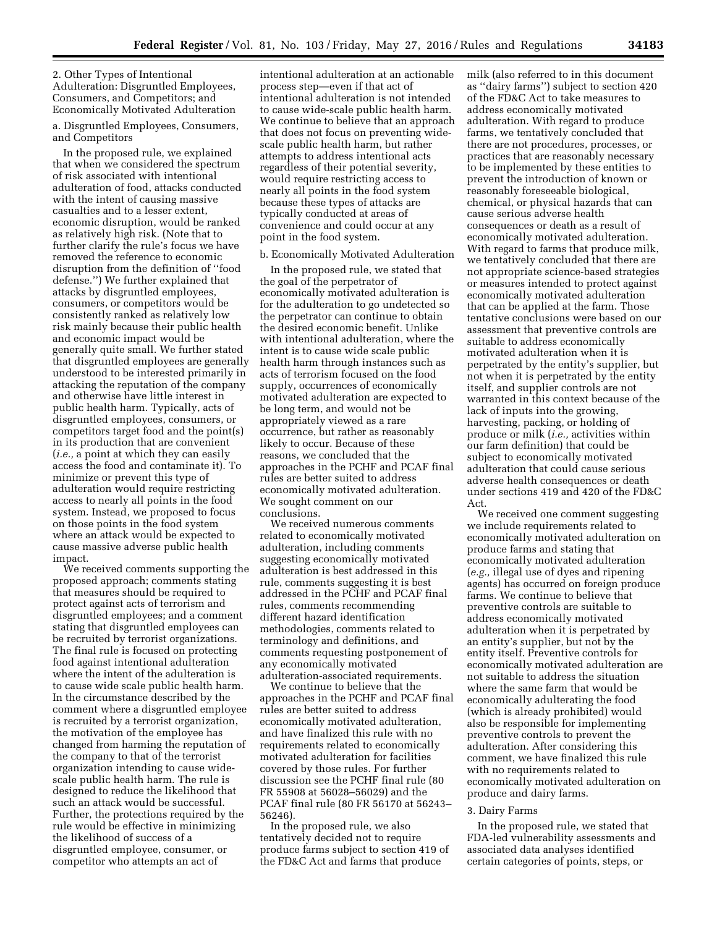# 2. Other Types of Intentional Adulteration: Disgruntled Employees, Consumers, and Competitors; and Economically Motivated Adulteration

a. Disgruntled Employees, Consumers, and Competitors

In the proposed rule, we explained that when we considered the spectrum of risk associated with intentional adulteration of food, attacks conducted with the intent of causing massive casualties and to a lesser extent, economic disruption, would be ranked as relatively high risk. (Note that to further clarify the rule's focus we have removed the reference to economic disruption from the definition of ''food defense.'') We further explained that attacks by disgruntled employees, consumers, or competitors would be consistently ranked as relatively low risk mainly because their public health and economic impact would be generally quite small. We further stated that disgruntled employees are generally understood to be interested primarily in attacking the reputation of the company and otherwise have little interest in public health harm. Typically, acts of disgruntled employees, consumers, or competitors target food and the point(s) in its production that are convenient (*i.e.,* a point at which they can easily access the food and contaminate it). To minimize or prevent this type of adulteration would require restricting access to nearly all points in the food system. Instead, we proposed to focus on those points in the food system where an attack would be expected to cause massive adverse public health impact.

We received comments supporting the proposed approach; comments stating that measures should be required to protect against acts of terrorism and disgruntled employees; and a comment stating that disgruntled employees can be recruited by terrorist organizations. The final rule is focused on protecting food against intentional adulteration where the intent of the adulteration is to cause wide scale public health harm. In the circumstance described by the comment where a disgruntled employee is recruited by a terrorist organization, the motivation of the employee has changed from harming the reputation of the company to that of the terrorist organization intending to cause widescale public health harm. The rule is designed to reduce the likelihood that such an attack would be successful. Further, the protections required by the rule would be effective in minimizing the likelihood of success of a disgruntled employee, consumer, or competitor who attempts an act of

intentional adulteration at an actionable process step—even if that act of intentional adulteration is not intended to cause wide-scale public health harm. We continue to believe that an approach that does not focus on preventing widescale public health harm, but rather attempts to address intentional acts regardless of their potential severity, would require restricting access to nearly all points in the food system because these types of attacks are typically conducted at areas of convenience and could occur at any point in the food system.

# b. Economically Motivated Adulteration

In the proposed rule, we stated that the goal of the perpetrator of economically motivated adulteration is for the adulteration to go undetected so the perpetrator can continue to obtain the desired economic benefit. Unlike with intentional adulteration, where the intent is to cause wide scale public health harm through instances such as acts of terrorism focused on the food supply, occurrences of economically motivated adulteration are expected to be long term, and would not be appropriately viewed as a rare occurrence, but rather as reasonably likely to occur. Because of these reasons, we concluded that the approaches in the PCHF and PCAF final rules are better suited to address economically motivated adulteration. We sought comment on our conclusions.

We received numerous comments related to economically motivated adulteration, including comments suggesting economically motivated adulteration is best addressed in this rule, comments suggesting it is best addressed in the PCHF and PCAF final rules, comments recommending different hazard identification methodologies, comments related to terminology and definitions, and comments requesting postponement of any economically motivated adulteration-associated requirements.

We continue to believe that the approaches in the PCHF and PCAF final rules are better suited to address economically motivated adulteration, and have finalized this rule with no requirements related to economically motivated adulteration for facilities covered by those rules. For further discussion see the PCHF final rule (80 FR 55908 at 56028–56029) and the PCAF final rule (80 FR 56170 at 56243– 56246).

In the proposed rule, we also tentatively decided not to require produce farms subject to section 419 of the FD&C Act and farms that produce

milk (also referred to in this document as ''dairy farms'') subject to section 420 of the FD&C Act to take measures to address economically motivated adulteration. With regard to produce farms, we tentatively concluded that there are not procedures, processes, or practices that are reasonably necessary to be implemented by these entities to prevent the introduction of known or reasonably foreseeable biological, chemical, or physical hazards that can cause serious adverse health consequences or death as a result of economically motivated adulteration. With regard to farms that produce milk, we tentatively concluded that there are not appropriate science-based strategies or measures intended to protect against economically motivated adulteration that can be applied at the farm. Those tentative conclusions were based on our assessment that preventive controls are suitable to address economically motivated adulteration when it is perpetrated by the entity's supplier, but not when it is perpetrated by the entity itself, and supplier controls are not warranted in this context because of the lack of inputs into the growing, harvesting, packing, or holding of produce or milk (*i.e.,* activities within our farm definition) that could be subject to economically motivated adulteration that could cause serious adverse health consequences or death under sections 419 and 420 of the FD&C Act.

We received one comment suggesting we include requirements related to economically motivated adulteration on produce farms and stating that economically motivated adulteration (*e.g.,* illegal use of dyes and ripening agents) has occurred on foreign produce farms. We continue to believe that preventive controls are suitable to address economically motivated adulteration when it is perpetrated by an entity's supplier, but not by the entity itself. Preventive controls for economically motivated adulteration are not suitable to address the situation where the same farm that would be economically adulterating the food (which is already prohibited) would also be responsible for implementing preventive controls to prevent the adulteration. After considering this comment, we have finalized this rule with no requirements related to economically motivated adulteration on produce and dairy farms.

## 3. Dairy Farms

In the proposed rule, we stated that FDA-led vulnerability assessments and associated data analyses identified certain categories of points, steps, or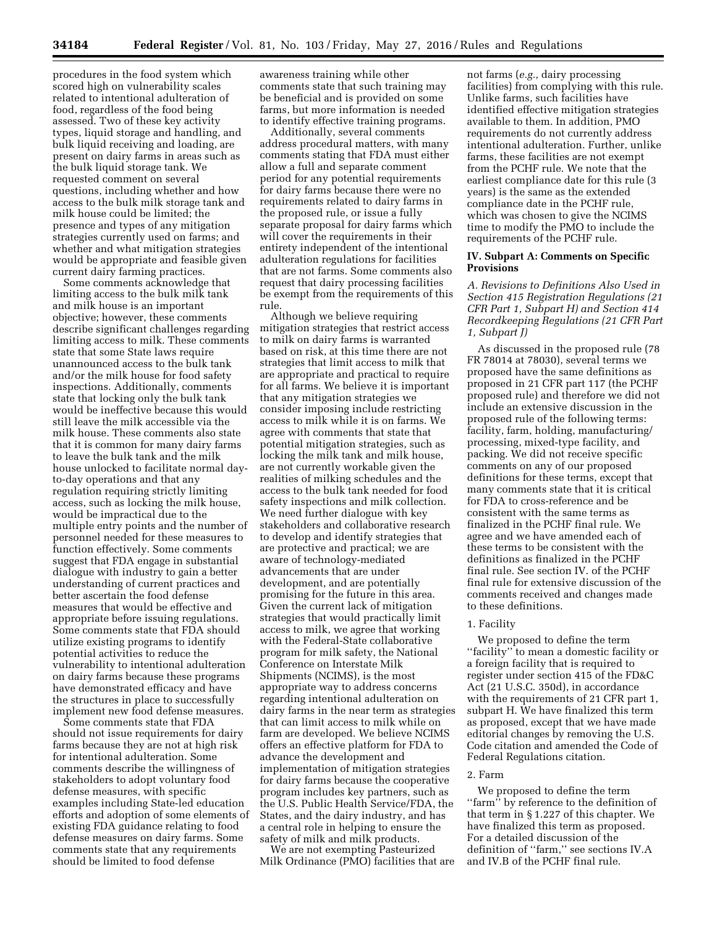procedures in the food system which scored high on vulnerability scales related to intentional adulteration of food, regardless of the food being assessed. Two of these key activity types, liquid storage and handling, and bulk liquid receiving and loading, are present on dairy farms in areas such as the bulk liquid storage tank. We requested comment on several questions, including whether and how access to the bulk milk storage tank and milk house could be limited; the presence and types of any mitigation strategies currently used on farms; and whether and what mitigation strategies would be appropriate and feasible given current dairy farming practices.

Some comments acknowledge that limiting access to the bulk milk tank and milk house is an important objective; however, these comments describe significant challenges regarding limiting access to milk. These comments state that some State laws require unannounced access to the bulk tank and/or the milk house for food safety inspections. Additionally, comments state that locking only the bulk tank would be ineffective because this would still leave the milk accessible via the milk house. These comments also state that it is common for many dairy farms to leave the bulk tank and the milk house unlocked to facilitate normal dayto-day operations and that any regulation requiring strictly limiting access, such as locking the milk house, would be impractical due to the multiple entry points and the number of personnel needed for these measures to function effectively. Some comments suggest that FDA engage in substantial dialogue with industry to gain a better understanding of current practices and better ascertain the food defense measures that would be effective and appropriate before issuing regulations. Some comments state that FDA should utilize existing programs to identify potential activities to reduce the vulnerability to intentional adulteration on dairy farms because these programs have demonstrated efficacy and have the structures in place to successfully implement new food defense measures.

Some comments state that FDA should not issue requirements for dairy farms because they are not at high risk for intentional adulteration. Some comments describe the willingness of stakeholders to adopt voluntary food defense measures, with specific examples including State-led education efforts and adoption of some elements of existing FDA guidance relating to food defense measures on dairy farms. Some comments state that any requirements should be limited to food defense

awareness training while other comments state that such training may be beneficial and is provided on some farms, but more information is needed to identify effective training programs.

Additionally, several comments address procedural matters, with many comments stating that FDA must either allow a full and separate comment period for any potential requirements for dairy farms because there were no requirements related to dairy farms in the proposed rule, or issue a fully separate proposal for dairy farms which will cover the requirements in their entirety independent of the intentional adulteration regulations for facilities that are not farms. Some comments also request that dairy processing facilities be exempt from the requirements of this rule.

Although we believe requiring mitigation strategies that restrict access to milk on dairy farms is warranted based on risk, at this time there are not strategies that limit access to milk that are appropriate and practical to require for all farms. We believe it is important that any mitigation strategies we consider imposing include restricting access to milk while it is on farms. We agree with comments that state that potential mitigation strategies, such as locking the milk tank and milk house, are not currently workable given the realities of milking schedules and the access to the bulk tank needed for food safety inspections and milk collection. We need further dialogue with key stakeholders and collaborative research to develop and identify strategies that are protective and practical; we are aware of technology-mediated advancements that are under development, and are potentially promising for the future in this area. Given the current lack of mitigation strategies that would practically limit access to milk, we agree that working with the Federal-State collaborative program for milk safety, the National Conference on Interstate Milk Shipments (NCIMS), is the most appropriate way to address concerns regarding intentional adulteration on dairy farms in the near term as strategies that can limit access to milk while on farm are developed. We believe NCIMS offers an effective platform for FDA to advance the development and implementation of mitigation strategies for dairy farms because the cooperative program includes key partners, such as the U.S. Public Health Service/FDA, the States, and the dairy industry, and has a central role in helping to ensure the safety of milk and milk products.

We are not exempting Pasteurized Milk Ordinance (PMO) facilities that are not farms (*e.g.,* dairy processing facilities) from complying with this rule. Unlike farms, such facilities have identified effective mitigation strategies available to them. In addition, PMO requirements do not currently address intentional adulteration. Further, unlike farms, these facilities are not exempt from the PCHF rule. We note that the earliest compliance date for this rule (3 years) is the same as the extended compliance date in the PCHF rule, which was chosen to give the NCIMS time to modify the PMO to include the requirements of the PCHF rule.

# **IV. Subpart A: Comments on Specific Provisions**

*A. Revisions to Definitions Also Used in Section 415 Registration Regulations (21 CFR Part 1, Subpart H) and Section 414 Recordkeeping Regulations (21 CFR Part 1, Subpart J)* 

As discussed in the proposed rule (78 FR 78014 at 78030), several terms we proposed have the same definitions as proposed in 21 CFR part 117 (the PCHF proposed rule) and therefore we did not include an extensive discussion in the proposed rule of the following terms: facility, farm, holding, manufacturing/ processing, mixed-type facility, and packing. We did not receive specific comments on any of our proposed definitions for these terms, except that many comments state that it is critical for FDA to cross-reference and be consistent with the same terms as finalized in the PCHF final rule. We agree and we have amended each of these terms to be consistent with the definitions as finalized in the PCHF final rule. See section IV. of the PCHF final rule for extensive discussion of the comments received and changes made to these definitions.

## 1. Facility

We proposed to define the term ''facility'' to mean a domestic facility or a foreign facility that is required to register under section 415 of the FD&C Act (21 U.S.C. 350d), in accordance with the requirements of 21 CFR part 1, subpart H. We have finalized this term as proposed, except that we have made editorial changes by removing the U.S. Code citation and amended the Code of Federal Regulations citation.

## 2. Farm

We proposed to define the term "farm" by reference to the definition of that term in § 1.227 of this chapter. We have finalized this term as proposed. For a detailed discussion of the definition of ''farm,'' see sections IV.A and IV.B of the PCHF final rule.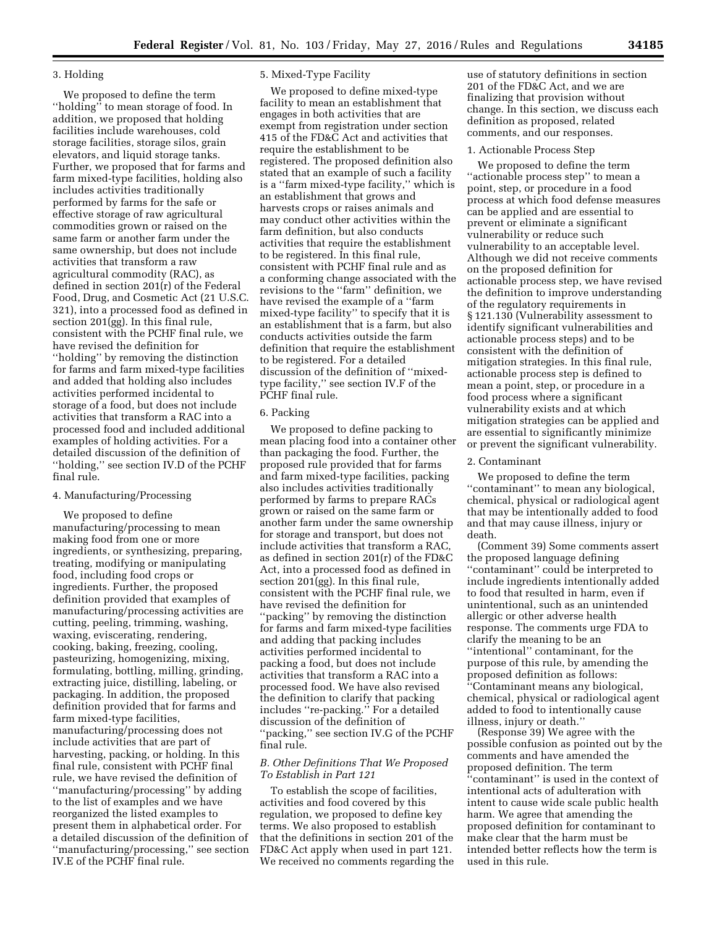# 3. Holding

We proposed to define the term ''holding'' to mean storage of food. In addition, we proposed that holding facilities include warehouses, cold storage facilities, storage silos, grain elevators, and liquid storage tanks. Further, we proposed that for farms and farm mixed-type facilities, holding also includes activities traditionally performed by farms for the safe or effective storage of raw agricultural commodities grown or raised on the same farm or another farm under the same ownership, but does not include activities that transform a raw agricultural commodity (RAC), as defined in section 201(r) of the Federal Food, Drug, and Cosmetic Act (21 U.S.C. 321), into a processed food as defined in section 201(gg). In this final rule, consistent with the PCHF final rule, we have revised the definition for ''holding'' by removing the distinction for farms and farm mixed-type facilities and added that holding also includes activities performed incidental to storage of a food, but does not include activities that transform a RAC into a processed food and included additional examples of holding activities. For a detailed discussion of the definition of ''holding,'' see section IV.D of the PCHF final rule.

# 4. Manufacturing/Processing

We proposed to define manufacturing/processing to mean making food from one or more ingredients, or synthesizing, preparing, treating, modifying or manipulating food, including food crops or ingredients. Further, the proposed definition provided that examples of manufacturing/processing activities are cutting, peeling, trimming, washing, waxing, eviscerating, rendering, cooking, baking, freezing, cooling, pasteurizing, homogenizing, mixing, formulating, bottling, milling, grinding, extracting juice, distilling, labeling, or packaging. In addition, the proposed definition provided that for farms and farm mixed-type facilities, manufacturing/processing does not include activities that are part of harvesting, packing, or holding. In this final rule, consistent with PCHF final rule, we have revised the definition of ''manufacturing/processing'' by adding to the list of examples and we have reorganized the listed examples to present them in alphabetical order. For a detailed discussion of the definition of ''manufacturing/processing,'' see section IV.E of the PCHF final rule.

# 5. Mixed-Type Facility

We proposed to define mixed-type facility to mean an establishment that engages in both activities that are exempt from registration under section 415 of the FD&C Act and activities that require the establishment to be registered. The proposed definition also stated that an example of such a facility is a ''farm mixed-type facility,'' which is an establishment that grows and harvests crops or raises animals and may conduct other activities within the farm definition, but also conducts activities that require the establishment to be registered. In this final rule, consistent with PCHF final rule and as a conforming change associated with the revisions to the ''farm'' definition, we have revised the example of a ''farm mixed-type facility'' to specify that it is an establishment that is a farm, but also conducts activities outside the farm definition that require the establishment to be registered. For a detailed discussion of the definition of ''mixedtype facility,'' see section IV.F of the PCHF final rule.

### 6. Packing

We proposed to define packing to mean placing food into a container other than packaging the food. Further, the proposed rule provided that for farms and farm mixed-type facilities, packing also includes activities traditionally performed by farms to prepare RACs grown or raised on the same farm or another farm under the same ownership for storage and transport, but does not include activities that transform a RAC, as defined in section 201(r) of the FD&C Act, into a processed food as defined in section 201(gg). In this final rule, consistent with the PCHF final rule, we have revised the definition for ''packing'' by removing the distinction for farms and farm mixed-type facilities and adding that packing includes activities performed incidental to packing a food, but does not include activities that transform a RAC into a processed food. We have also revised the definition to clarify that packing includes ''re-packing.'' For a detailed discussion of the definition of ''packing,'' see section IV.G of the PCHF final rule.

# *B. Other Definitions That We Proposed To Establish in Part 121*

To establish the scope of facilities, activities and food covered by this regulation, we proposed to define key terms. We also proposed to establish that the definitions in section 201 of the FD&C Act apply when used in part 121. We received no comments regarding the

use of statutory definitions in section 201 of the FD&C Act, and we are finalizing that provision without change. In this section, we discuss each definition as proposed, related comments, and our responses.

#### 1. Actionable Process Step

We proposed to define the term ''actionable process step'' to mean a point, step, or procedure in a food process at which food defense measures can be applied and are essential to prevent or eliminate a significant vulnerability or reduce such vulnerability to an acceptable level. Although we did not receive comments on the proposed definition for actionable process step, we have revised the definition to improve understanding of the regulatory requirements in § 121.130 (Vulnerability assessment to identify significant vulnerabilities and actionable process steps) and to be consistent with the definition of mitigation strategies. In this final rule, actionable process step is defined to mean a point, step, or procedure in a food process where a significant vulnerability exists and at which mitigation strategies can be applied and are essential to significantly minimize or prevent the significant vulnerability.

# 2. Contaminant

We proposed to define the term ''contaminant'' to mean any biological, chemical, physical or radiological agent that may be intentionally added to food and that may cause illness, injury or death.

(Comment 39) Some comments assert the proposed language defining ''contaminant'' could be interpreted to include ingredients intentionally added to food that resulted in harm, even if unintentional, such as an unintended allergic or other adverse health response. The comments urge FDA to clarify the meaning to be an ''intentional'' contaminant, for the purpose of this rule, by amending the proposed definition as follows: ''Contaminant means any biological, chemical, physical or radiological agent added to food to intentionally cause illness, injury or death.''

(Response 39) We agree with the possible confusion as pointed out by the comments and have amended the proposed definition. The term ''contaminant'' is used in the context of intentional acts of adulteration with intent to cause wide scale public health harm. We agree that amending the proposed definition for contaminant to make clear that the harm must be intended better reflects how the term is used in this rule.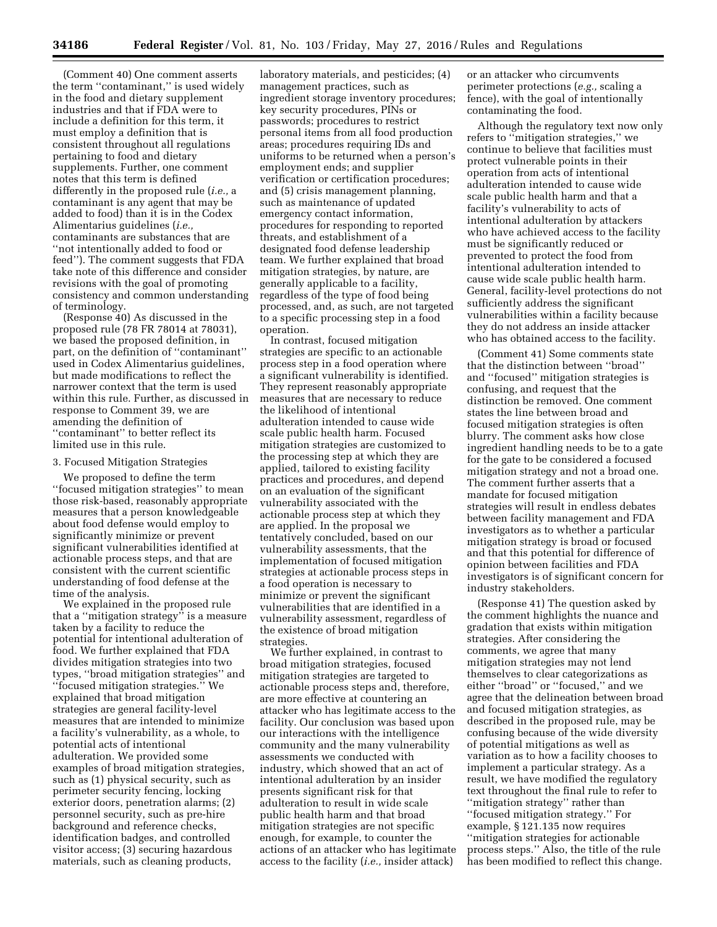(Comment 40) One comment asserts the term ''contaminant,'' is used widely in the food and dietary supplement industries and that if FDA were to include a definition for this term, it must employ a definition that is consistent throughout all regulations pertaining to food and dietary supplements. Further, one comment notes that this term is defined differently in the proposed rule (*i.e.,* a contaminant is any agent that may be added to food) than it is in the Codex Alimentarius guidelines (*i.e.,*  contaminants are substances that are ''not intentionally added to food or feed''). The comment suggests that FDA take note of this difference and consider revisions with the goal of promoting consistency and common understanding of terminology.

(Response 40) As discussed in the proposed rule (78 FR 78014 at 78031), we based the proposed definition, in part, on the definition of ''contaminant'' used in Codex Alimentarius guidelines, but made modifications to reflect the narrower context that the term is used within this rule. Further, as discussed in response to Comment 39, we are amending the definition of ''contaminant'' to better reflect its limited use in this rule.

# 3. Focused Mitigation Strategies

We proposed to define the term ''focused mitigation strategies'' to mean those risk-based, reasonably appropriate measures that a person knowledgeable about food defense would employ to significantly minimize or prevent significant vulnerabilities identified at actionable process steps, and that are consistent with the current scientific understanding of food defense at the time of the analysis.

We explained in the proposed rule that a ''mitigation strategy'' is a measure taken by a facility to reduce the potential for intentional adulteration of food. We further explained that FDA divides mitigation strategies into two types, ''broad mitigation strategies'' and ''focused mitigation strategies.'' We explained that broad mitigation strategies are general facility-level measures that are intended to minimize a facility's vulnerability, as a whole, to potential acts of intentional adulteration. We provided some examples of broad mitigation strategies, such as (1) physical security, such as perimeter security fencing, locking exterior doors, penetration alarms; (2) personnel security, such as pre-hire background and reference checks, identification badges, and controlled visitor access; (3) securing hazardous materials, such as cleaning products,

laboratory materials, and pesticides; (4) management practices, such as ingredient storage inventory procedures; key security procedures, PINs or passwords; procedures to restrict personal items from all food production areas; procedures requiring IDs and uniforms to be returned when a person's employment ends; and supplier verification or certification procedures; and (5) crisis management planning, such as maintenance of updated emergency contact information, procedures for responding to reported threats, and establishment of a designated food defense leadership team. We further explained that broad mitigation strategies, by nature, are generally applicable to a facility, regardless of the type of food being processed, and, as such, are not targeted to a specific processing step in a food operation.

In contrast, focused mitigation strategies are specific to an actionable process step in a food operation where a significant vulnerability is identified. They represent reasonably appropriate measures that are necessary to reduce the likelihood of intentional adulteration intended to cause wide scale public health harm. Focused mitigation strategies are customized to the processing step at which they are applied, tailored to existing facility practices and procedures, and depend on an evaluation of the significant vulnerability associated with the actionable process step at which they are applied. In the proposal we tentatively concluded, based on our vulnerability assessments, that the implementation of focused mitigation strategies at actionable process steps in a food operation is necessary to minimize or prevent the significant vulnerabilities that are identified in a vulnerability assessment, regardless of the existence of broad mitigation strategies.

We further explained, in contrast to broad mitigation strategies, focused mitigation strategies are targeted to actionable process steps and, therefore, are more effective at countering an attacker who has legitimate access to the facility. Our conclusion was based upon our interactions with the intelligence community and the many vulnerability assessments we conducted with industry, which showed that an act of intentional adulteration by an insider presents significant risk for that adulteration to result in wide scale public health harm and that broad mitigation strategies are not specific enough, for example, to counter the actions of an attacker who has legitimate access to the facility (*i.e.,* insider attack)

or an attacker who circumvents perimeter protections (*e.g.,* scaling a fence), with the goal of intentionally contaminating the food.

Although the regulatory text now only refers to ''mitigation strategies,'' we continue to believe that facilities must protect vulnerable points in their operation from acts of intentional adulteration intended to cause wide scale public health harm and that a facility's vulnerability to acts of intentional adulteration by attackers who have achieved access to the facility must be significantly reduced or prevented to protect the food from intentional adulteration intended to cause wide scale public health harm. General, facility-level protections do not sufficiently address the significant vulnerabilities within a facility because they do not address an inside attacker who has obtained access to the facility.

(Comment 41) Some comments state that the distinction between ''broad'' and ''focused'' mitigation strategies is confusing, and request that the distinction be removed. One comment states the line between broad and focused mitigation strategies is often blurry. The comment asks how close ingredient handling needs to be to a gate for the gate to be considered a focused mitigation strategy and not a broad one. The comment further asserts that a mandate for focused mitigation strategies will result in endless debates between facility management and FDA investigators as to whether a particular mitigation strategy is broad or focused and that this potential for difference of opinion between facilities and FDA investigators is of significant concern for industry stakeholders.

(Response 41) The question asked by the comment highlights the nuance and gradation that exists within mitigation strategies. After considering the comments, we agree that many mitigation strategies may not lend themselves to clear categorizations as either ''broad'' or ''focused,'' and we agree that the delineation between broad and focused mitigation strategies, as described in the proposed rule, may be confusing because of the wide diversity of potential mitigations as well as variation as to how a facility chooses to implement a particular strategy. As a result, we have modified the regulatory text throughout the final rule to refer to ''mitigation strategy'' rather than ''focused mitigation strategy.'' For example, § 121.135 now requires ''mitigation strategies for actionable process steps.'' Also, the title of the rule has been modified to reflect this change.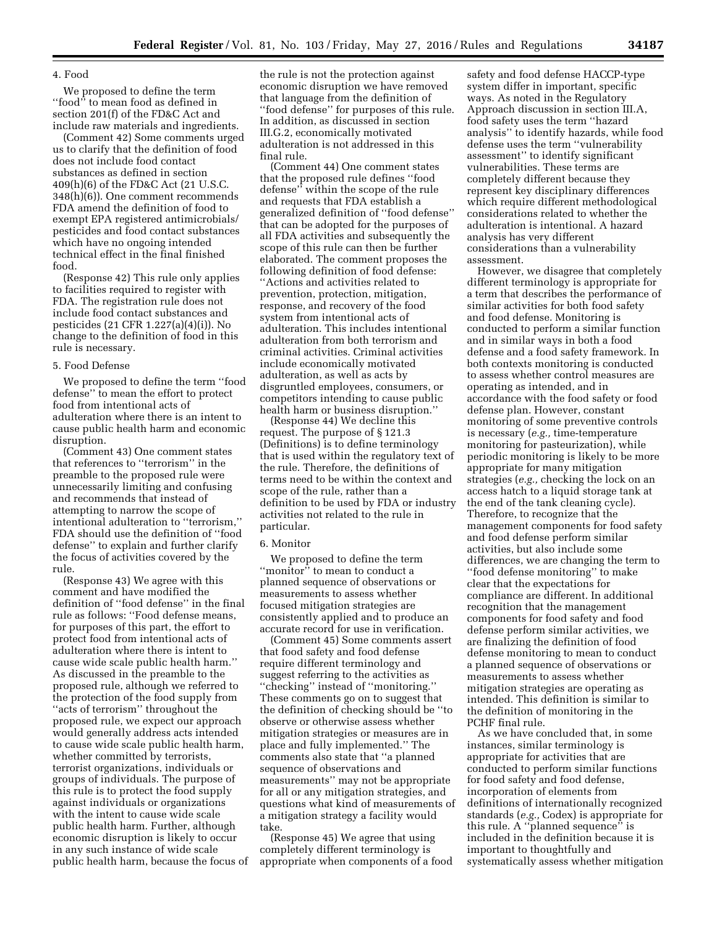### 4. Food

We proposed to define the term "food" to mean food as defined in section 201(f) of the FD&C Act and include raw materials and ingredients.

(Comment 42) Some comments urged us to clarify that the definition of food does not include food contact substances as defined in section 409(h)(6) of the FD&C Act (21 U.S.C. 348(h)(6)). One comment recommends FDA amend the definition of food to exempt EPA registered antimicrobials/ pesticides and food contact substances which have no ongoing intended technical effect in the final finished food.

(Response 42) This rule only applies to facilities required to register with FDA. The registration rule does not include food contact substances and pesticides (21 CFR 1.227(a)(4)(i)). No change to the definition of food in this rule is necessary.

### 5. Food Defense

We proposed to define the term ''food defense'' to mean the effort to protect food from intentional acts of adulteration where there is an intent to cause public health harm and economic disruption.

(Comment 43) One comment states that references to ''terrorism'' in the preamble to the proposed rule were unnecessarily limiting and confusing and recommends that instead of attempting to narrow the scope of intentional adulteration to ''terrorism,'' FDA should use the definition of ''food defense'' to explain and further clarify the focus of activities covered by the rule.

(Response 43) We agree with this comment and have modified the definition of ''food defense'' in the final rule as follows: ''Food defense means, for purposes of this part, the effort to protect food from intentional acts of adulteration where there is intent to cause wide scale public health harm.'' As discussed in the preamble to the proposed rule, although we referred to the protection of the food supply from ''acts of terrorism'' throughout the proposed rule, we expect our approach would generally address acts intended to cause wide scale public health harm, whether committed by terrorists, terrorist organizations, individuals or groups of individuals. The purpose of this rule is to protect the food supply against individuals or organizations with the intent to cause wide scale public health harm. Further, although economic disruption is likely to occur in any such instance of wide scale public health harm, because the focus of

the rule is not the protection against economic disruption we have removed that language from the definition of ''food defense'' for purposes of this rule. In addition, as discussed in section III.G.2, economically motivated adulteration is not addressed in this final rule.

(Comment 44) One comment states that the proposed rule defines ''food defense'' within the scope of the rule and requests that FDA establish a generalized definition of ''food defense'' that can be adopted for the purposes of all FDA activities and subsequently the scope of this rule can then be further elaborated. The comment proposes the following definition of food defense: ''Actions and activities related to prevention, protection, mitigation, response, and recovery of the food system from intentional acts of adulteration. This includes intentional adulteration from both terrorism and criminal activities. Criminal activities include economically motivated adulteration, as well as acts by disgruntled employees, consumers, or competitors intending to cause public health harm or business disruption.''

(Response 44) We decline this request. The purpose of § 121.3 (Definitions) is to define terminology that is used within the regulatory text of the rule. Therefore, the definitions of terms need to be within the context and scope of the rule, rather than a definition to be used by FDA or industry activities not related to the rule in particular.

### 6. Monitor

We proposed to define the term ''monitor'' to mean to conduct a planned sequence of observations or measurements to assess whether focused mitigation strategies are consistently applied and to produce an accurate record for use in verification.

(Comment 45) Some comments assert that food safety and food defense require different terminology and suggest referring to the activities as ''checking'' instead of ''monitoring.'' These comments go on to suggest that the definition of checking should be ''to observe or otherwise assess whether mitigation strategies or measures are in place and fully implemented.'' The comments also state that ''a planned sequence of observations and measurements'' may not be appropriate for all or any mitigation strategies, and questions what kind of measurements of a mitigation strategy a facility would take.

(Response 45) We agree that using completely different terminology is appropriate when components of a food safety and food defense HACCP-type system differ in important, specific ways. As noted in the Regulatory Approach discussion in section III.A, food safety uses the term ''hazard analysis'' to identify hazards, while food defense uses the term ''vulnerability assessment'' to identify significant vulnerabilities. These terms are completely different because they represent key disciplinary differences which require different methodological considerations related to whether the adulteration is intentional. A hazard analysis has very different considerations than a vulnerability assessment.

However, we disagree that completely different terminology is appropriate for a term that describes the performance of similar activities for both food safety and food defense. Monitoring is conducted to perform a similar function and in similar ways in both a food defense and a food safety framework. In both contexts monitoring is conducted to assess whether control measures are operating as intended, and in accordance with the food safety or food defense plan. However, constant monitoring of some preventive controls is necessary (*e.g.,* time-temperature monitoring for pasteurization), while periodic monitoring is likely to be more appropriate for many mitigation strategies (*e.g.,* checking the lock on an access hatch to a liquid storage tank at the end of the tank cleaning cycle). Therefore, to recognize that the management components for food safety and food defense perform similar activities, but also include some differences, we are changing the term to ''food defense monitoring'' to make clear that the expectations for compliance are different. In additional recognition that the management components for food safety and food defense perform similar activities, we are finalizing the definition of food defense monitoring to mean to conduct a planned sequence of observations or measurements to assess whether mitigation strategies are operating as intended. This definition is similar to the definition of monitoring in the PCHF final rule.

As we have concluded that, in some instances, similar terminology is appropriate for activities that are conducted to perform similar functions for food safety and food defense, incorporation of elements from definitions of internationally recognized standards (*e.g.,* Codex) is appropriate for this rule. A ''planned sequence'' is included in the definition because it is important to thoughtfully and systematically assess whether mitigation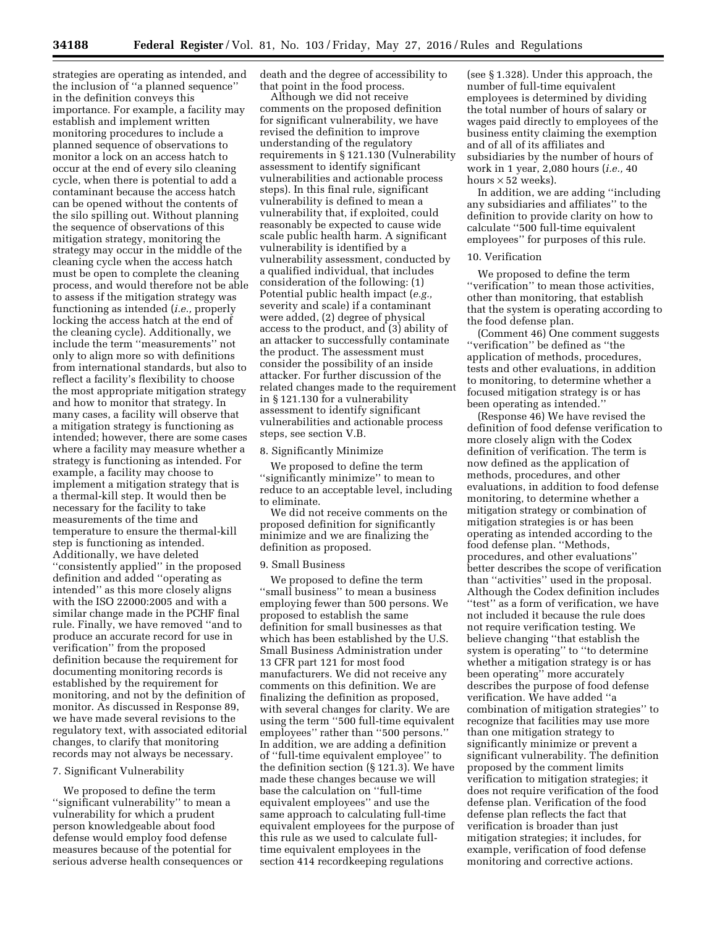strategies are operating as intended, and the inclusion of ''a planned sequence'' in the definition conveys this importance. For example, a facility may establish and implement written monitoring procedures to include a planned sequence of observations to monitor a lock on an access hatch to occur at the end of every silo cleaning cycle, when there is potential to add a contaminant because the access hatch can be opened without the contents of the silo spilling out. Without planning the sequence of observations of this mitigation strategy, monitoring the strategy may occur in the middle of the cleaning cycle when the access hatch must be open to complete the cleaning process, and would therefore not be able to assess if the mitigation strategy was functioning as intended (*i.e.,* properly locking the access hatch at the end of the cleaning cycle). Additionally, we include the term ''measurements'' not only to align more so with definitions from international standards, but also to reflect a facility's flexibility to choose the most appropriate mitigation strategy and how to monitor that strategy. In many cases, a facility will observe that a mitigation strategy is functioning as intended; however, there are some cases where a facility may measure whether a strategy is functioning as intended. For example, a facility may choose to implement a mitigation strategy that is a thermal-kill step. It would then be necessary for the facility to take measurements of the time and temperature to ensure the thermal-kill step is functioning as intended. Additionally, we have deleted ''consistently applied'' in the proposed definition and added ''operating as intended'' as this more closely aligns with the ISO 22000:2005 and with a similar change made in the PCHF final rule. Finally, we have removed ''and to produce an accurate record for use in verification'' from the proposed definition because the requirement for documenting monitoring records is established by the requirement for monitoring, and not by the definition of monitor. As discussed in Response 89, we have made several revisions to the regulatory text, with associated editorial changes, to clarify that monitoring records may not always be necessary.

### 7. Significant Vulnerability

We proposed to define the term ''significant vulnerability'' to mean a vulnerability for which a prudent person knowledgeable about food defense would employ food defense measures because of the potential for serious adverse health consequences or death and the degree of accessibility to that point in the food process.

Although we did not receive comments on the proposed definition for significant vulnerability, we have revised the definition to improve understanding of the regulatory requirements in § 121.130 (Vulnerability assessment to identify significant vulnerabilities and actionable process steps). In this final rule, significant vulnerability is defined to mean a vulnerability that, if exploited, could reasonably be expected to cause wide scale public health harm. A significant vulnerability is identified by a vulnerability assessment, conducted by a qualified individual, that includes consideration of the following: (1) Potential public health impact (*e.g.,*  severity and scale) if a contaminant were added, (2) degree of physical access to the product, and (3) ability of an attacker to successfully contaminate the product. The assessment must consider the possibility of an inside attacker. For further discussion of the related changes made to the requirement in § 121.130 for a vulnerability assessment to identify significant vulnerabilities and actionable process steps, see section V.B.

### 8. Significantly Minimize

We proposed to define the term ''significantly minimize'' to mean to reduce to an acceptable level, including to eliminate.

We did not receive comments on the proposed definition for significantly minimize and we are finalizing the definition as proposed.

#### 9. Small Business

We proposed to define the term ''small business'' to mean a business employing fewer than 500 persons. We proposed to establish the same definition for small businesses as that which has been established by the U.S. Small Business Administration under 13 CFR part 121 for most food manufacturers. We did not receive any comments on this definition. We are finalizing the definition as proposed, with several changes for clarity. We are using the term ''500 full-time equivalent employees'' rather than ''500 persons.'' In addition, we are adding a definition of ''full-time equivalent employee'' to the definition section (§ 121.3). We have made these changes because we will base the calculation on ''full-time equivalent employees'' and use the same approach to calculating full-time equivalent employees for the purpose of this rule as we used to calculate fulltime equivalent employees in the section 414 recordkeeping regulations

(see § 1.328). Under this approach, the number of full-time equivalent employees is determined by dividing the total number of hours of salary or wages paid directly to employees of the business entity claiming the exemption and of all of its affiliates and subsidiaries by the number of hours of work in 1 year, 2,080 hours (*i.e.,* 40 hours  $\times$  52 weeks).

In addition, we are adding ''including any subsidiaries and affiliates'' to the definition to provide clarity on how to calculate ''500 full-time equivalent employees'' for purposes of this rule.

### 10. Verification

We proposed to define the term ''verification'' to mean those activities, other than monitoring, that establish that the system is operating according to the food defense plan.

(Comment 46) One comment suggests ''verification'' be defined as ''the application of methods, procedures, tests and other evaluations, in addition to monitoring, to determine whether a focused mitigation strategy is or has been operating as intended.''

(Response 46) We have revised the definition of food defense verification to more closely align with the Codex definition of verification. The term is now defined as the application of methods, procedures, and other evaluations, in addition to food defense monitoring, to determine whether a mitigation strategy or combination of mitigation strategies is or has been operating as intended according to the food defense plan. ''Methods, procedures, and other evaluations'' better describes the scope of verification than ''activities'' used in the proposal. Although the Codex definition includes ''test'' as a form of verification, we have not included it because the rule does not require verification testing. We believe changing ''that establish the system is operating'' to ''to determine whether a mitigation strategy is or has been operating'' more accurately describes the purpose of food defense verification. We have added ''a combination of mitigation strategies'' to recognize that facilities may use more than one mitigation strategy to significantly minimize or prevent a significant vulnerability. The definition proposed by the comment limits verification to mitigation strategies; it does not require verification of the food defense plan. Verification of the food defense plan reflects the fact that verification is broader than just mitigation strategies; it includes, for example, verification of food defense monitoring and corrective actions.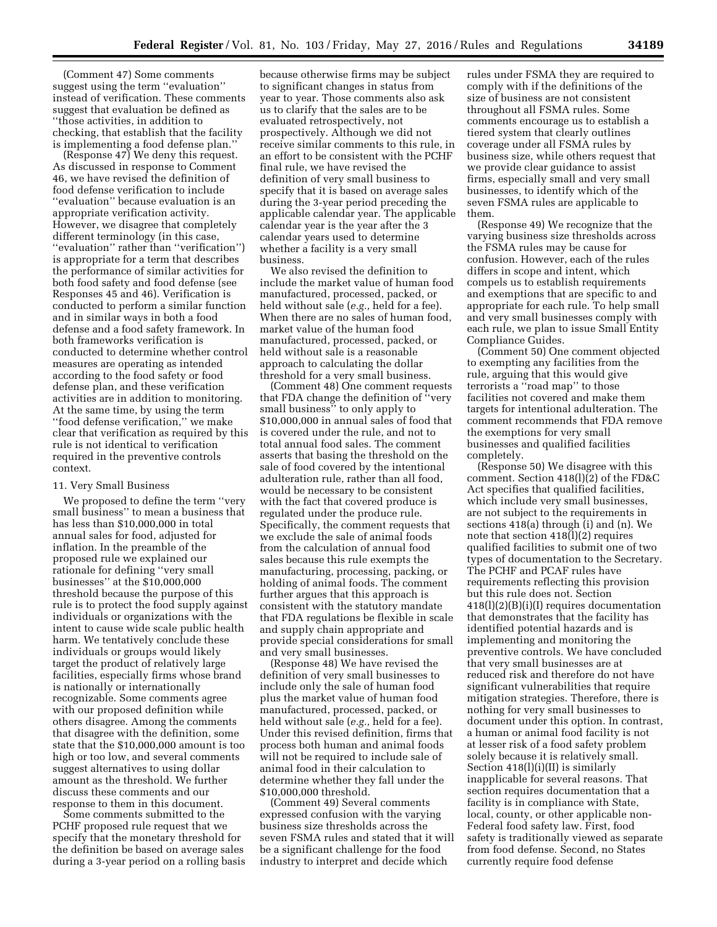(Comment 47) Some comments suggest using the term ''evaluation'' instead of verification. These comments suggest that evaluation be defined as ''those activities, in addition to checking, that establish that the facility is implementing a food defense plan.''

(Response 47) We deny this request. As discussed in response to Comment 46, we have revised the definition of food defense verification to include ''evaluation'' because evaluation is an appropriate verification activity. However, we disagree that completely different terminology (in this case, ''evaluation'' rather than ''verification'') is appropriate for a term that describes the performance of similar activities for both food safety and food defense (see Responses 45 and 46). Verification is conducted to perform a similar function and in similar ways in both a food defense and a food safety framework. In both frameworks verification is conducted to determine whether control measures are operating as intended according to the food safety or food defense plan, and these verification activities are in addition to monitoring. At the same time, by using the term ''food defense verification,'' we make clear that verification as required by this rule is not identical to verification required in the preventive controls context.

### 11. Very Small Business

We proposed to define the term ''very small business'' to mean a business that has less than \$10,000,000 in total annual sales for food, adjusted for inflation. In the preamble of the proposed rule we explained our rationale for defining ''very small businesses'' at the \$10,000,000 threshold because the purpose of this rule is to protect the food supply against individuals or organizations with the intent to cause wide scale public health harm. We tentatively conclude these individuals or groups would likely target the product of relatively large facilities, especially firms whose brand is nationally or internationally recognizable. Some comments agree with our proposed definition while others disagree. Among the comments that disagree with the definition, some state that the \$10,000,000 amount is too high or too low, and several comments suggest alternatives to using dollar amount as the threshold. We further discuss these comments and our response to them in this document.

Some comments submitted to the PCHF proposed rule request that we specify that the monetary threshold for the definition be based on average sales during a 3-year period on a rolling basis

because otherwise firms may be subject to significant changes in status from year to year. Those comments also ask us to clarify that the sales are to be evaluated retrospectively, not prospectively. Although we did not receive similar comments to this rule, in an effort to be consistent with the PCHF final rule, we have revised the definition of very small business to specify that it is based on average sales during the 3-year period preceding the applicable calendar year. The applicable calendar year is the year after the 3 calendar years used to determine whether a facility is a very small business.

We also revised the definition to include the market value of human food manufactured, processed, packed, or held without sale (*e.g.,* held for a fee). When there are no sales of human food, market value of the human food manufactured, processed, packed, or held without sale is a reasonable approach to calculating the dollar threshold for a very small business.

(Comment 48) One comment requests that FDA change the definition of ''very small business'' to only apply to \$10,000,000 in annual sales of food that is covered under the rule, and not to total annual food sales. The comment asserts that basing the threshold on the sale of food covered by the intentional adulteration rule, rather than all food, would be necessary to be consistent with the fact that covered produce is regulated under the produce rule. Specifically, the comment requests that we exclude the sale of animal foods from the calculation of annual food sales because this rule exempts the manufacturing, processing, packing, or holding of animal foods. The comment further argues that this approach is consistent with the statutory mandate that FDA regulations be flexible in scale and supply chain appropriate and provide special considerations for small and very small businesses.

(Response 48) We have revised the definition of very small businesses to include only the sale of human food plus the market value of human food manufactured, processed, packed, or held without sale (*e.g.,* held for a fee). Under this revised definition, firms that process both human and animal foods will not be required to include sale of animal food in their calculation to determine whether they fall under the \$10,000,000 threshold.

(Comment 49) Several comments expressed confusion with the varying business size thresholds across the seven FSMA rules and stated that it will be a significant challenge for the food industry to interpret and decide which

rules under FSMA they are required to comply with if the definitions of the size of business are not consistent throughout all FSMA rules. Some comments encourage us to establish a tiered system that clearly outlines coverage under all FSMA rules by business size, while others request that we provide clear guidance to assist firms, especially small and very small businesses, to identify which of the seven FSMA rules are applicable to them.

(Response 49) We recognize that the varying business size thresholds across the FSMA rules may be cause for confusion. However, each of the rules differs in scope and intent, which compels us to establish requirements and exemptions that are specific to and appropriate for each rule. To help small and very small businesses comply with each rule, we plan to issue Small Entity Compliance Guides.

(Comment 50) One comment objected to exempting any facilities from the rule, arguing that this would give terrorists a ''road map'' to those facilities not covered and make them targets for intentional adulteration. The comment recommends that FDA remove the exemptions for very small businesses and qualified facilities completely.

(Response 50) We disagree with this comment. Section 418(l)(2) of the FD&C Act specifies that qualified facilities, which include very small businesses, are not subject to the requirements in sections 418(a) through (i) and (n). We note that section 418(l)(2) requires qualified facilities to submit one of two types of documentation to the Secretary. The PCHF and PCAF rules have requirements reflecting this provision but this rule does not. Section 418(l)(2)(B)(i)(I) requires documentation that demonstrates that the facility has identified potential hazards and is implementing and monitoring the preventive controls. We have concluded that very small businesses are at reduced risk and therefore do not have significant vulnerabilities that require mitigation strategies. Therefore, there is nothing for very small businesses to document under this option. In contrast, a human or animal food facility is not at lesser risk of a food safety problem solely because it is relatively small. Section 418(l)(i)(II) is similarly inapplicable for several reasons. That section requires documentation that a facility is in compliance with State, local, county, or other applicable non-Federal food safety law. First, food safety is traditionally viewed as separate from food defense. Second, no States currently require food defense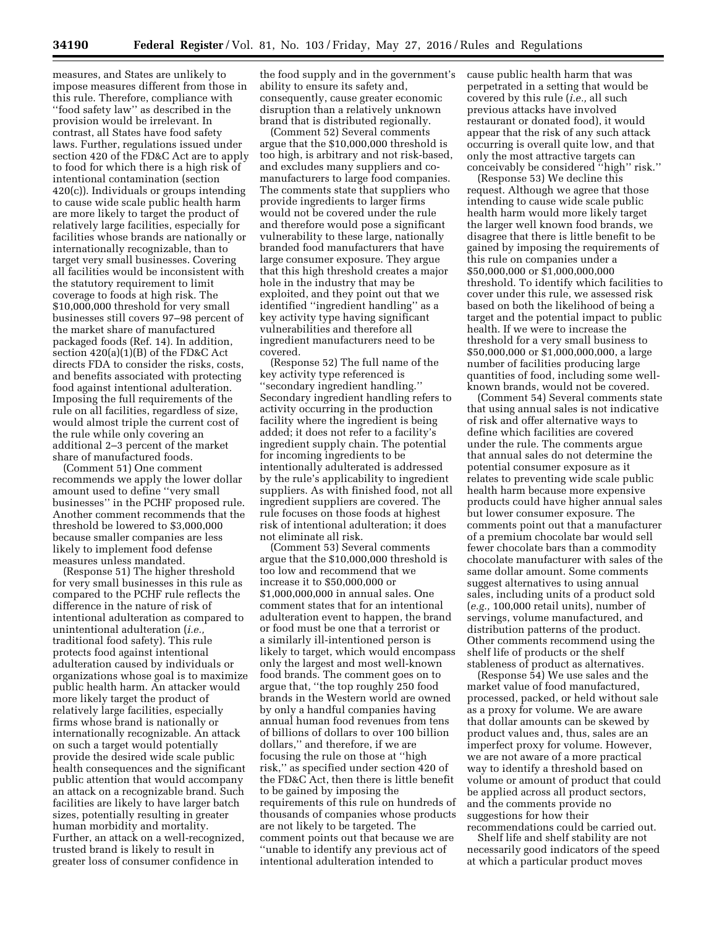measures, and States are unlikely to impose measures different from those in this rule. Therefore, compliance with ''food safety law'' as described in the provision would be irrelevant. In contrast, all States have food safety laws. Further, regulations issued under section 420 of the FD&C Act are to apply to food for which there is a high risk of intentional contamination (section 420(c)). Individuals or groups intending to cause wide scale public health harm are more likely to target the product of relatively large facilities, especially for facilities whose brands are nationally or internationally recognizable, than to target very small businesses. Covering all facilities would be inconsistent with the statutory requirement to limit coverage to foods at high risk. The \$10,000,000 threshold for very small businesses still covers 97–98 percent of the market share of manufactured packaged foods (Ref. 14). In addition, section 420(a)(1)(B) of the FD&C Act directs FDA to consider the risks, costs, and benefits associated with protecting food against intentional adulteration. Imposing the full requirements of the rule on all facilities, regardless of size, would almost triple the current cost of the rule while only covering an additional 2–3 percent of the market share of manufactured foods.

(Comment 51) One comment recommends we apply the lower dollar amount used to define ''very small businesses'' in the PCHF proposed rule. Another comment recommends that the threshold be lowered to \$3,000,000 because smaller companies are less likely to implement food defense measures unless mandated.

(Response 51) The higher threshold for very small businesses in this rule as compared to the PCHF rule reflects the difference in the nature of risk of intentional adulteration as compared to unintentional adulteration (*i.e.,*  traditional food safety). This rule protects food against intentional adulteration caused by individuals or organizations whose goal is to maximize public health harm. An attacker would more likely target the product of relatively large facilities, especially firms whose brand is nationally or internationally recognizable. An attack on such a target would potentially provide the desired wide scale public health consequences and the significant public attention that would accompany an attack on a recognizable brand. Such facilities are likely to have larger batch sizes, potentially resulting in greater human morbidity and mortality. Further, an attack on a well-recognized, trusted brand is likely to result in greater loss of consumer confidence in

the food supply and in the government's ability to ensure its safety and, consequently, cause greater economic disruption than a relatively unknown brand that is distributed regionally.

(Comment 52) Several comments argue that the \$10,000,000 threshold is too high, is arbitrary and not risk-based, and excludes many suppliers and comanufacturers to large food companies. The comments state that suppliers who provide ingredients to larger firms would not be covered under the rule and therefore would pose a significant vulnerability to these large, nationally branded food manufacturers that have large consumer exposure. They argue that this high threshold creates a major hole in the industry that may be exploited, and they point out that we identified ''ingredient handling'' as a key activity type having significant vulnerabilities and therefore all ingredient manufacturers need to be covered.

(Response 52) The full name of the key activity type referenced is ''secondary ingredient handling.'' Secondary ingredient handling refers to activity occurring in the production facility where the ingredient is being added; it does not refer to a facility's ingredient supply chain. The potential for incoming ingredients to be intentionally adulterated is addressed by the rule's applicability to ingredient suppliers. As with finished food, not all ingredient suppliers are covered. The rule focuses on those foods at highest risk of intentional adulteration; it does not eliminate all risk.

(Comment 53) Several comments argue that the \$10,000,000 threshold is too low and recommend that we increase it to \$50,000,000 or \$1,000,000,000 in annual sales. One comment states that for an intentional adulteration event to happen, the brand or food must be one that a terrorist or a similarly ill-intentioned person is likely to target, which would encompass only the largest and most well-known food brands. The comment goes on to argue that, ''the top roughly 250 food brands in the Western world are owned by only a handful companies having annual human food revenues from tens of billions of dollars to over 100 billion dollars,'' and therefore, if we are focusing the rule on those at ''high risk,'' as specified under section 420 of the FD&C Act, then there is little benefit to be gained by imposing the requirements of this rule on hundreds of thousands of companies whose products are not likely to be targeted. The comment points out that because we are ''unable to identify any previous act of intentional adulteration intended to

cause public health harm that was perpetrated in a setting that would be covered by this rule (*i.e.,* all such previous attacks have involved restaurant or donated food), it would appear that the risk of any such attack occurring is overall quite low, and that only the most attractive targets can conceivably be considered ''high'' risk.''

(Response 53) We decline this request. Although we agree that those intending to cause wide scale public health harm would more likely target the larger well known food brands, we disagree that there is little benefit to be gained by imposing the requirements of this rule on companies under a \$50,000,000 or \$1,000,000,000 threshold. To identify which facilities to cover under this rule, we assessed risk based on both the likelihood of being a target and the potential impact to public health. If we were to increase the threshold for a very small business to \$50,000,000 or \$1,000,000,000, a large number of facilities producing large quantities of food, including some wellknown brands, would not be covered.

(Comment 54) Several comments state that using annual sales is not indicative of risk and offer alternative ways to define which facilities are covered under the rule. The comments argue that annual sales do not determine the potential consumer exposure as it relates to preventing wide scale public health harm because more expensive products could have higher annual sales but lower consumer exposure. The comments point out that a manufacturer of a premium chocolate bar would sell fewer chocolate bars than a commodity chocolate manufacturer with sales of the same dollar amount. Some comments suggest alternatives to using annual sales, including units of a product sold (*e.g.,* 100,000 retail units), number of servings, volume manufactured, and distribution patterns of the product. Other comments recommend using the shelf life of products or the shelf stableness of product as alternatives.

(Response 54) We use sales and the market value of food manufactured, processed, packed, or held without sale as a proxy for volume. We are aware that dollar amounts can be skewed by product values and, thus, sales are an imperfect proxy for volume. However, we are not aware of a more practical way to identify a threshold based on volume or amount of product that could be applied across all product sectors, and the comments provide no suggestions for how their recommendations could be carried out.

Shelf life and shelf stability are not necessarily good indicators of the speed at which a particular product moves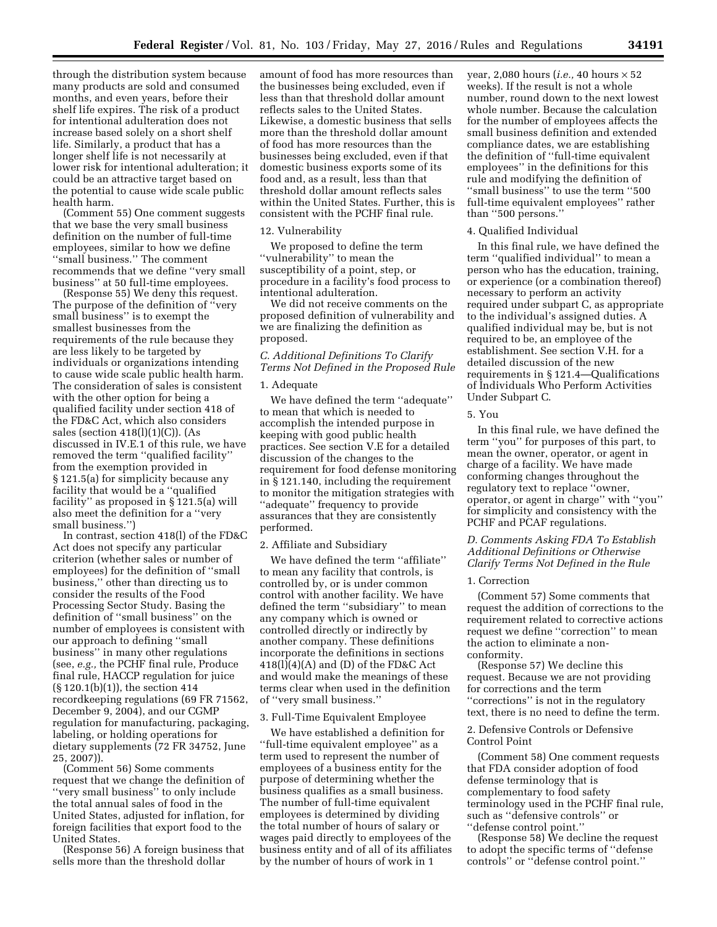through the distribution system because many products are sold and consumed months, and even years, before their shelf life expires. The risk of a product for intentional adulteration does not increase based solely on a short shelf life. Similarly, a product that has a longer shelf life is not necessarily at lower risk for intentional adulteration; it could be an attractive target based on the potential to cause wide scale public health harm.

(Comment 55) One comment suggests that we base the very small business definition on the number of full-time employees, similar to how we define ''small business.'' The comment recommends that we define ''very small business'' at 50 full-time employees.

(Response 55) We deny this request. The purpose of the definition of ''very small business'' is to exempt the smallest businesses from the requirements of the rule because they are less likely to be targeted by individuals or organizations intending to cause wide scale public health harm. The consideration of sales is consistent with the other option for being a qualified facility under section 418 of the FD&C Act, which also considers sales (section  $418(l)(1)(C)$ ). (As discussed in IV.E.1 of this rule, we have removed the term ''qualified facility'' from the exemption provided in § 121.5(a) for simplicity because any facility that would be a ''qualified facility'' as proposed in § 121.5(a) will also meet the definition for a ''very small business.'')

In contrast, section 418(l) of the FD&C Act does not specify any particular criterion (whether sales or number of employees) for the definition of ''small business,'' other than directing us to consider the results of the Food Processing Sector Study. Basing the definition of ''small business'' on the number of employees is consistent with our approach to defining ''small business'' in many other regulations (see, *e.g.,* the PCHF final rule, Produce final rule, HACCP regulation for juice (§ 120.1(b)(1)), the section 414 recordkeeping regulations (69 FR 71562, December 9, 2004), and our CGMP regulation for manufacturing, packaging, labeling, or holding operations for dietary supplements (72 FR 34752, June 25, 2007)).

(Comment 56) Some comments request that we change the definition of ''very small business'' to only include the total annual sales of food in the United States, adjusted for inflation, for foreign facilities that export food to the United States.

(Response 56) A foreign business that sells more than the threshold dollar

amount of food has more resources than the businesses being excluded, even if less than that threshold dollar amount reflects sales to the United States. Likewise, a domestic business that sells more than the threshold dollar amount of food has more resources than the businesses being excluded, even if that domestic business exports some of its food and, as a result, less than that threshold dollar amount reflects sales within the United States. Further, this is consistent with the PCHF final rule.

### 12. Vulnerability

We proposed to define the term ''vulnerability'' to mean the susceptibility of a point, step, or procedure in a facility's food process to intentional adulteration.

We did not receive comments on the proposed definition of vulnerability and we are finalizing the definition as proposed.

# *C. Additional Definitions To Clarify Terms Not Defined in the Proposed Rule*

# 1. Adequate

We have defined the term ''adequate'' to mean that which is needed to accomplish the intended purpose in keeping with good public health practices. See section V.E for a detailed discussion of the changes to the requirement for food defense monitoring in § 121.140, including the requirement to monitor the mitigation strategies with ''adequate'' frequency to provide assurances that they are consistently performed.

# 2. Affiliate and Subsidiary

We have defined the term ''affiliate'' to mean any facility that controls, is controlled by, or is under common control with another facility. We have defined the term ''subsidiary'' to mean any company which is owned or controlled directly or indirectly by another company. These definitions incorporate the definitions in sections  $418(1)(4)(A)$  and (D) of the FD&C Act and would make the meanings of these terms clear when used in the definition of ''very small business.''

### 3. Full-Time Equivalent Employee

We have established a definition for ''full-time equivalent employee'' as a term used to represent the number of employees of a business entity for the purpose of determining whether the business qualifies as a small business. The number of full-time equivalent employees is determined by dividing the total number of hours of salary or wages paid directly to employees of the business entity and of all of its affiliates by the number of hours of work in 1

year, 2,080 hours (*i.e.,* 40 hours × 52 weeks). If the result is not a whole number, round down to the next lowest whole number. Because the calculation for the number of employees affects the small business definition and extended compliance dates, we are establishing the definition of ''full-time equivalent employees'' in the definitions for this rule and modifying the definition of ''small business'' to use the term ''500 full-time equivalent employees'' rather than ''500 persons.''

#### 4. Qualified Individual

In this final rule, we have defined the term ''qualified individual'' to mean a person who has the education, training, or experience (or a combination thereof) necessary to perform an activity required under subpart C, as appropriate to the individual's assigned duties. A qualified individual may be, but is not required to be, an employee of the establishment. See section V.H. for a detailed discussion of the new requirements in § 121.4—Qualifications of Individuals Who Perform Activities Under Subpart C.

# 5. You

In this final rule, we have defined the term ''you'' for purposes of this part, to mean the owner, operator, or agent in charge of a facility. We have made conforming changes throughout the regulatory text to replace ''owner, operator, or agent in charge'' with ''you'' for simplicity and consistency with the PCHF and PCAF regulations.

# *D. Comments Asking FDA To Establish Additional Definitions or Otherwise Clarify Terms Not Defined in the Rule*

# 1. Correction

(Comment 57) Some comments that request the addition of corrections to the requirement related to corrective actions request we define ''correction'' to mean the action to eliminate a nonconformity.

(Response 57) We decline this request. Because we are not providing for corrections and the term ''corrections'' is not in the regulatory text, there is no need to define the term.

# 2. Defensive Controls or Defensive Control Point

(Comment 58) One comment requests that FDA consider adoption of food defense terminology that is complementary to food safety terminology used in the PCHF final rule, such as ''defensive controls'' or ''defense control point.''

(Response 58) We decline the request to adopt the specific terms of ''defense controls'' or ''defense control point.''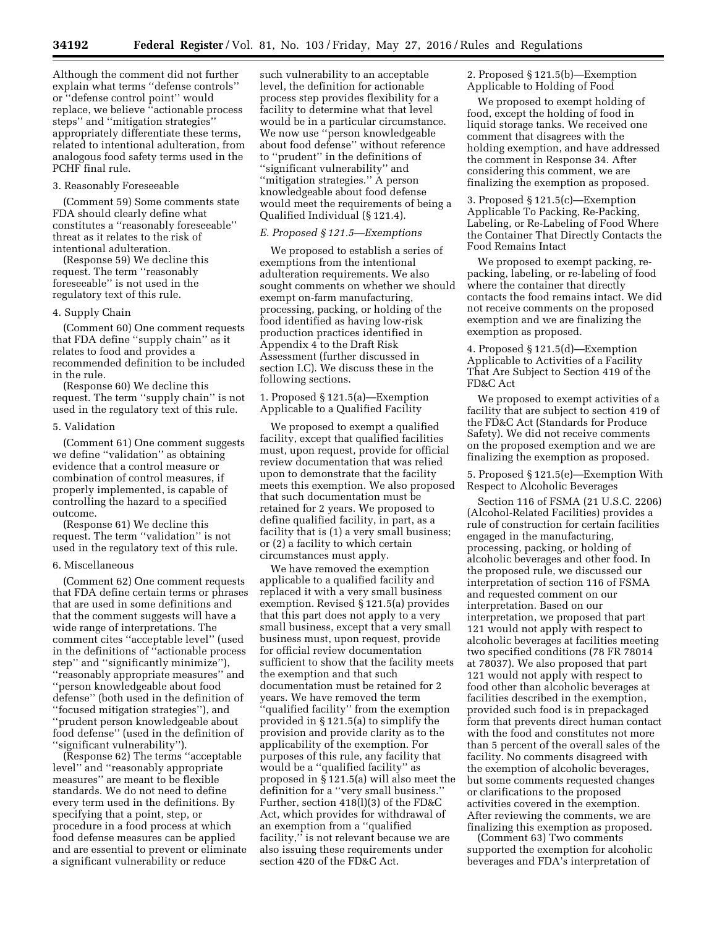Although the comment did not further explain what terms ''defense controls'' or ''defense control point'' would replace, we believe ''actionable process steps'' and ''mitigation strategies'' appropriately differentiate these terms, related to intentional adulteration, from analogous food safety terms used in the PCHF final rule.

# 3. Reasonably Foreseeable

(Comment 59) Some comments state FDA should clearly define what constitutes a ''reasonably foreseeable'' threat as it relates to the risk of intentional adulteration.

(Response 59) We decline this request. The term ''reasonably foreseeable'' is not used in the regulatory text of this rule.

# 4. Supply Chain

(Comment 60) One comment requests that FDA define ''supply chain'' as it relates to food and provides a recommended definition to be included in the rule.

(Response 60) We decline this request. The term ''supply chain'' is not used in the regulatory text of this rule.

#### 5. Validation

(Comment 61) One comment suggests we define ''validation'' as obtaining evidence that a control measure or combination of control measures, if properly implemented, is capable of controlling the hazard to a specified outcome.

(Response 61) We decline this request. The term ''validation'' is not used in the regulatory text of this rule.

### 6. Miscellaneous

(Comment 62) One comment requests that FDA define certain terms or phrases that are used in some definitions and that the comment suggests will have a wide range of interpretations. The comment cites ''acceptable level'' (used in the definitions of ''actionable process step'' and ''significantly minimize''), ''reasonably appropriate measures'' and ''person knowledgeable about food defense'' (both used in the definition of ''focused mitigation strategies''), and ''prudent person knowledgeable about food defense'' (used in the definition of ''significant vulnerability'').

(Response 62) The terms ''acceptable level'' and ''reasonably appropriate measures'' are meant to be flexible standards. We do not need to define every term used in the definitions. By specifying that a point, step, or procedure in a food process at which food defense measures can be applied and are essential to prevent or eliminate a significant vulnerability or reduce

such vulnerability to an acceptable level, the definition for actionable process step provides flexibility for a facility to determine what that level would be in a particular circumstance. We now use ''person knowledgeable about food defense'' without reference to ''prudent'' in the definitions of ''significant vulnerability'' and ''mitigation strategies.'' A person knowledgeable about food defense would meet the requirements of being a Qualified Individual (§ 121.4).

### *E. Proposed § 121.5—Exemptions*

We proposed to establish a series of exemptions from the intentional adulteration requirements. We also sought comments on whether we should exempt on-farm manufacturing, processing, packing, or holding of the food identified as having low-risk production practices identified in Appendix 4 to the Draft Risk Assessment (further discussed in section I.C). We discuss these in the following sections.

1. Proposed § 121.5(a)—Exemption Applicable to a Qualified Facility

We proposed to exempt a qualified facility, except that qualified facilities must, upon request, provide for official review documentation that was relied upon to demonstrate that the facility meets this exemption. We also proposed that such documentation must be retained for 2 years. We proposed to define qualified facility, in part, as a facility that is (1) a very small business; or (2) a facility to which certain circumstances must apply.

We have removed the exemption applicable to a qualified facility and replaced it with a very small business exemption. Revised § 121.5(a) provides that this part does not apply to a very small business, except that a very small business must, upon request, provide for official review documentation sufficient to show that the facility meets the exemption and that such documentation must be retained for 2 years. We have removed the term ''qualified facility'' from the exemption provided in § 121.5(a) to simplify the provision and provide clarity as to the applicability of the exemption. For purposes of this rule, any facility that would be a ''qualified facility'' as proposed in § 121.5(a) will also meet the definition for a ''very small business.'' Further, section 418(l)(3) of the FD&C Act, which provides for withdrawal of an exemption from a ''qualified facility," is not relevant because we are also issuing these requirements under section 420 of the FD&C Act.

2. Proposed § 121.5(b)—Exemption Applicable to Holding of Food

We proposed to exempt holding of food, except the holding of food in liquid storage tanks. We received one comment that disagrees with the holding exemption, and have addressed the comment in Response 34. After considering this comment, we are finalizing the exemption as proposed.

3. Proposed § 121.5(c)—Exemption Applicable To Packing, Re-Packing, Labeling, or Re-Labeling of Food Where the Container That Directly Contacts the Food Remains Intact

We proposed to exempt packing, repacking, labeling, or re-labeling of food where the container that directly contacts the food remains intact. We did not receive comments on the proposed exemption and we are finalizing the exemption as proposed.

4. Proposed § 121.5(d)—Exemption Applicable to Activities of a Facility That Are Subject to Section 419 of the FD&C Act

We proposed to exempt activities of a facility that are subject to section 419 of the FD&C Act (Standards for Produce Safety). We did not receive comments on the proposed exemption and we are finalizing the exemption as proposed.

5. Proposed § 121.5(e)—Exemption With Respect to Alcoholic Beverages

Section 116 of FSMA (21 U.S.C. 2206) (Alcohol-Related Facilities) provides a rule of construction for certain facilities engaged in the manufacturing, processing, packing, or holding of alcoholic beverages and other food. In the proposed rule, we discussed our interpretation of section 116 of FSMA and requested comment on our interpretation. Based on our interpretation, we proposed that part 121 would not apply with respect to alcoholic beverages at facilities meeting two specified conditions (78 FR 78014 at 78037). We also proposed that part 121 would not apply with respect to food other than alcoholic beverages at facilities described in the exemption, provided such food is in prepackaged form that prevents direct human contact with the food and constitutes not more than 5 percent of the overall sales of the facility. No comments disagreed with the exemption of alcoholic beverages, but some comments requested changes or clarifications to the proposed activities covered in the exemption. After reviewing the comments, we are finalizing this exemption as proposed.

(Comment 63) Two comments supported the exemption for alcoholic beverages and FDA's interpretation of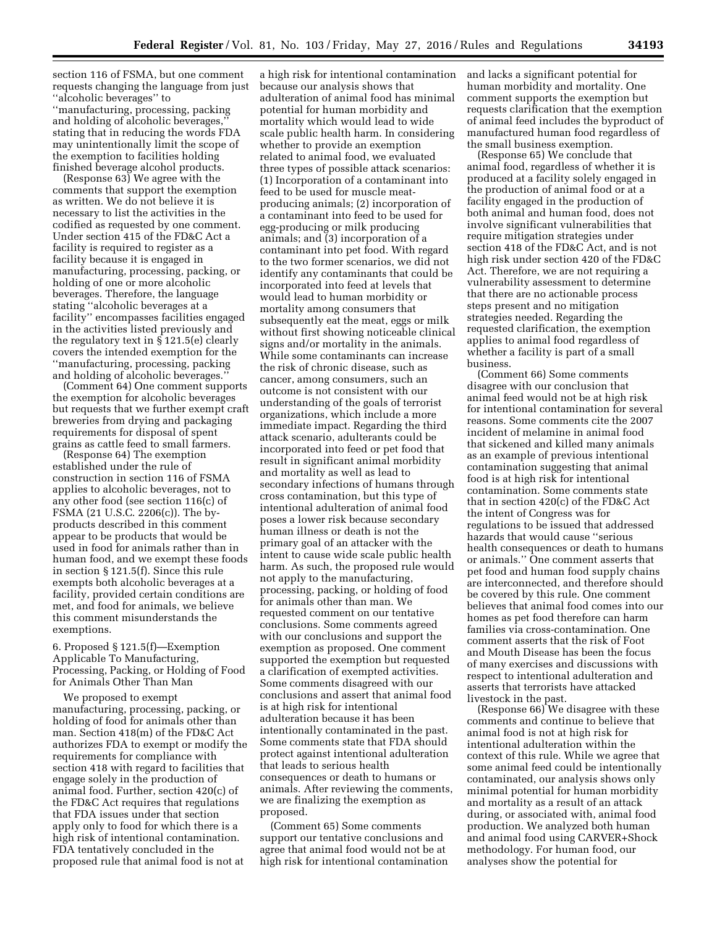section 116 of FSMA, but one comment requests changing the language from just ''alcoholic beverages'' to ''manufacturing, processing, packing and holding of alcoholic beverages,'' stating that in reducing the words FDA may unintentionally limit the scope of the exemption to facilities holding finished beverage alcohol products.

(Response 63) We agree with the comments that support the exemption as written. We do not believe it is necessary to list the activities in the codified as requested by one comment. Under section 415 of the FD&C Act a facility is required to register as a facility because it is engaged in manufacturing, processing, packing, or holding of one or more alcoholic beverages. Therefore, the language stating ''alcoholic beverages at a facility'' encompasses facilities engaged in the activities listed previously and the regulatory text in  $\S 121.5(e)$  clearly covers the intended exemption for the ''manufacturing, processing, packing and holding of alcoholic beverages.''

(Comment 64) One comment supports the exemption for alcoholic beverages but requests that we further exempt craft breweries from drying and packaging requirements for disposal of spent grains as cattle feed to small farmers.

(Response 64) The exemption established under the rule of construction in section 116 of FSMA applies to alcoholic beverages, not to any other food (see section 116(c) of FSMA (21 U.S.C. 2206(c)). The byproducts described in this comment appear to be products that would be used in food for animals rather than in human food, and we exempt these foods in section § 121.5(f). Since this rule exempts both alcoholic beverages at a facility, provided certain conditions are met, and food for animals, we believe this comment misunderstands the exemptions.

6. Proposed § 121.5(f)—Exemption Applicable To Manufacturing, Processing, Packing, or Holding of Food for Animals Other Than Man

We proposed to exempt manufacturing, processing, packing, or holding of food for animals other than man. Section 418(m) of the FD&C Act authorizes FDA to exempt or modify the requirements for compliance with section 418 with regard to facilities that engage solely in the production of animal food. Further, section 420(c) of the FD&C Act requires that regulations that FDA issues under that section apply only to food for which there is a high risk of intentional contamination. FDA tentatively concluded in the proposed rule that animal food is not at

a high risk for intentional contamination because our analysis shows that adulteration of animal food has minimal potential for human morbidity and mortality which would lead to wide scale public health harm. In considering whether to provide an exemption related to animal food, we evaluated three types of possible attack scenarios: (1) Incorporation of a contaminant into feed to be used for muscle meatproducing animals; (2) incorporation of a contaminant into feed to be used for egg-producing or milk producing animals; and (3) incorporation of a contaminant into pet food. With regard to the two former scenarios, we did not identify any contaminants that could be incorporated into feed at levels that would lead to human morbidity or mortality among consumers that subsequently eat the meat, eggs or milk without first showing noticeable clinical signs and/or mortality in the animals. While some contaminants can increase the risk of chronic disease, such as cancer, among consumers, such an outcome is not consistent with our understanding of the goals of terrorist organizations, which include a more immediate impact. Regarding the third attack scenario, adulterants could be incorporated into feed or pet food that result in significant animal morbidity and mortality as well as lead to secondary infections of humans through cross contamination, but this type of intentional adulteration of animal food poses a lower risk because secondary human illness or death is not the primary goal of an attacker with the intent to cause wide scale public health harm. As such, the proposed rule would not apply to the manufacturing, processing, packing, or holding of food for animals other than man. We requested comment on our tentative conclusions. Some comments agreed with our conclusions and support the exemption as proposed. One comment supported the exemption but requested a clarification of exempted activities. Some comments disagreed with our conclusions and assert that animal food is at high risk for intentional adulteration because it has been intentionally contaminated in the past. Some comments state that FDA should protect against intentional adulteration that leads to serious health consequences or death to humans or animals. After reviewing the comments, we are finalizing the exemption as proposed.

(Comment 65) Some comments support our tentative conclusions and agree that animal food would not be at high risk for intentional contamination and lacks a significant potential for human morbidity and mortality. One comment supports the exemption but requests clarification that the exemption of animal feed includes the byproduct of manufactured human food regardless of the small business exemption.

(Response 65) We conclude that animal food, regardless of whether it is produced at a facility solely engaged in the production of animal food or at a facility engaged in the production of both animal and human food, does not involve significant vulnerabilities that require mitigation strategies under section 418 of the FD&C Act, and is not high risk under section 420 of the FD&C Act. Therefore, we are not requiring a vulnerability assessment to determine that there are no actionable process steps present and no mitigation strategies needed. Regarding the requested clarification, the exemption applies to animal food regardless of whether a facility is part of a small business.

(Comment 66) Some comments disagree with our conclusion that animal feed would not be at high risk for intentional contamination for several reasons. Some comments cite the 2007 incident of melamine in animal food that sickened and killed many animals as an example of previous intentional contamination suggesting that animal food is at high risk for intentional contamination. Some comments state that in section 420(c) of the FD&C Act the intent of Congress was for regulations to be issued that addressed hazards that would cause ''serious health consequences or death to humans or animals.'' One comment asserts that pet food and human food supply chains are interconnected, and therefore should be covered by this rule. One comment believes that animal food comes into our homes as pet food therefore can harm families via cross-contamination. One comment asserts that the risk of Foot and Mouth Disease has been the focus of many exercises and discussions with respect to intentional adulteration and asserts that terrorists have attacked livestock in the past.

(Response 66) We disagree with these comments and continue to believe that animal food is not at high risk for intentional adulteration within the context of this rule. While we agree that some animal feed could be intentionally contaminated, our analysis shows only minimal potential for human morbidity and mortality as a result of an attack during, or associated with, animal food production. We analyzed both human and animal food using CARVER+Shock methodology. For human food, our analyses show the potential for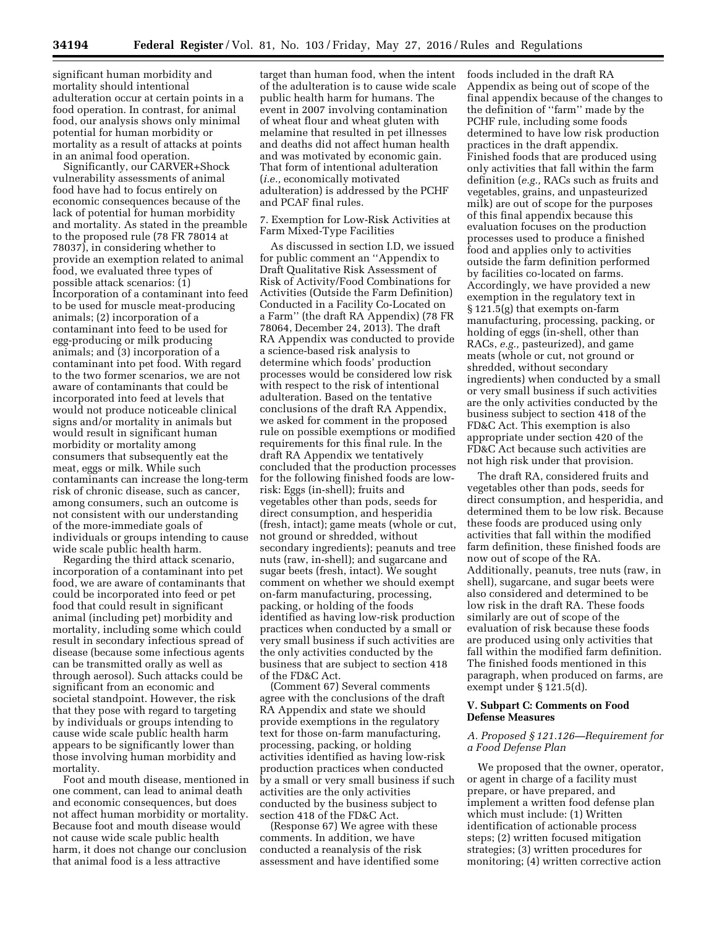significant human morbidity and mortality should intentional adulteration occur at certain points in a food operation. In contrast, for animal food, our analysis shows only minimal potential for human morbidity or mortality as a result of attacks at points in an animal food operation.

Significantly, our CARVER+Shock vulnerability assessments of animal food have had to focus entirely on economic consequences because of the lack of potential for human morbidity and mortality. As stated in the preamble to the proposed rule (78 FR 78014 at 78037), in considering whether to provide an exemption related to animal food, we evaluated three types of possible attack scenarios: (1) Incorporation of a contaminant into feed to be used for muscle meat-producing animals; (2) incorporation of a contaminant into feed to be used for egg-producing or milk producing animals; and (3) incorporation of a contaminant into pet food. With regard to the two former scenarios, we are not aware of contaminants that could be incorporated into feed at levels that would not produce noticeable clinical signs and/or mortality in animals but would result in significant human morbidity or mortality among consumers that subsequently eat the meat, eggs or milk. While such contaminants can increase the long-term risk of chronic disease, such as cancer, among consumers, such an outcome is not consistent with our understanding of the more-immediate goals of individuals or groups intending to cause wide scale public health harm.

Regarding the third attack scenario, incorporation of a contaminant into pet food, we are aware of contaminants that could be incorporated into feed or pet food that could result in significant animal (including pet) morbidity and mortality, including some which could result in secondary infectious spread of disease (because some infectious agents can be transmitted orally as well as through aerosol). Such attacks could be significant from an economic and societal standpoint. However, the risk that they pose with regard to targeting by individuals or groups intending to cause wide scale public health harm appears to be significantly lower than those involving human morbidity and mortality.

Foot and mouth disease, mentioned in one comment, can lead to animal death and economic consequences, but does not affect human morbidity or mortality. Because foot and mouth disease would not cause wide scale public health harm, it does not change our conclusion that animal food is a less attractive

target than human food, when the intent of the adulteration is to cause wide scale public health harm for humans. The event in 2007 involving contamination of wheat flour and wheat gluten with melamine that resulted in pet illnesses and deaths did not affect human health and was motivated by economic gain. That form of intentional adulteration (*i.e.,* economically motivated adulteration) is addressed by the PCHF and PCAF final rules.

7. Exemption for Low-Risk Activities at Farm Mixed-Type Facilities

As discussed in section I.D, we issued for public comment an ''Appendix to Draft Qualitative Risk Assessment of Risk of Activity/Food Combinations for Activities (Outside the Farm Definition) Conducted in a Facility Co-Located on a Farm'' (the draft RA Appendix) (78 FR 78064, December 24, 2013). The draft RA Appendix was conducted to provide a science-based risk analysis to determine which foods' production processes would be considered low risk with respect to the risk of intentional adulteration. Based on the tentative conclusions of the draft RA Appendix, we asked for comment in the proposed rule on possible exemptions or modified requirements for this final rule. In the draft RA Appendix we tentatively concluded that the production processes for the following finished foods are lowrisk: Eggs (in-shell); fruits and vegetables other than pods, seeds for direct consumption, and hesperidia (fresh, intact); game meats (whole or cut, not ground or shredded, without secondary ingredients); peanuts and tree nuts (raw, in-shell); and sugarcane and sugar beets (fresh, intact). We sought comment on whether we should exempt on-farm manufacturing, processing, packing, or holding of the foods identified as having low-risk production practices when conducted by a small or very small business if such activities are the only activities conducted by the business that are subject to section 418 of the FD&C Act.

(Comment 67) Several comments agree with the conclusions of the draft RA Appendix and state we should provide exemptions in the regulatory text for those on-farm manufacturing, processing, packing, or holding activities identified as having low-risk production practices when conducted by a small or very small business if such activities are the only activities conducted by the business subject to section 418 of the FD&C Act.

(Response 67) We agree with these comments. In addition, we have conducted a reanalysis of the risk assessment and have identified some foods included in the draft RA Appendix as being out of scope of the final appendix because of the changes to the definition of ''farm'' made by the PCHF rule, including some foods determined to have low risk production practices in the draft appendix. Finished foods that are produced using only activities that fall within the farm definition (*e.g.,* RACs such as fruits and vegetables, grains, and unpasteurized milk) are out of scope for the purposes of this final appendix because this evaluation focuses on the production processes used to produce a finished food and applies only to activities outside the farm definition performed by facilities co-located on farms. Accordingly, we have provided a new exemption in the regulatory text in § 121.5(g) that exempts on-farm manufacturing, processing, packing, or holding of eggs (in-shell, other than RACs, *e.g.,* pasteurized), and game meats (whole or cut, not ground or shredded, without secondary ingredients) when conducted by a small or very small business if such activities are the only activities conducted by the business subject to section 418 of the FD&C Act. This exemption is also appropriate under section 420 of the FD&C Act because such activities are not high risk under that provision.

The draft RA, considered fruits and vegetables other than pods, seeds for direct consumption, and hesperidia, and determined them to be low risk. Because these foods are produced using only activities that fall within the modified farm definition, these finished foods are now out of scope of the RA. Additionally, peanuts, tree nuts (raw, in shell), sugarcane, and sugar beets were also considered and determined to be low risk in the draft RA. These foods similarly are out of scope of the evaluation of risk because these foods are produced using only activities that fall within the modified farm definition. The finished foods mentioned in this paragraph, when produced on farms, are exempt under § 121.5(d).

# **V. Subpart C: Comments on Food Defense Measures**

# *A. Proposed § 121.126—Requirement for a Food Defense Plan*

We proposed that the owner, operator, or agent in charge of a facility must prepare, or have prepared, and implement a written food defense plan which must include: (1) Written identification of actionable process steps; (2) written focused mitigation strategies; (3) written procedures for monitoring; (4) written corrective action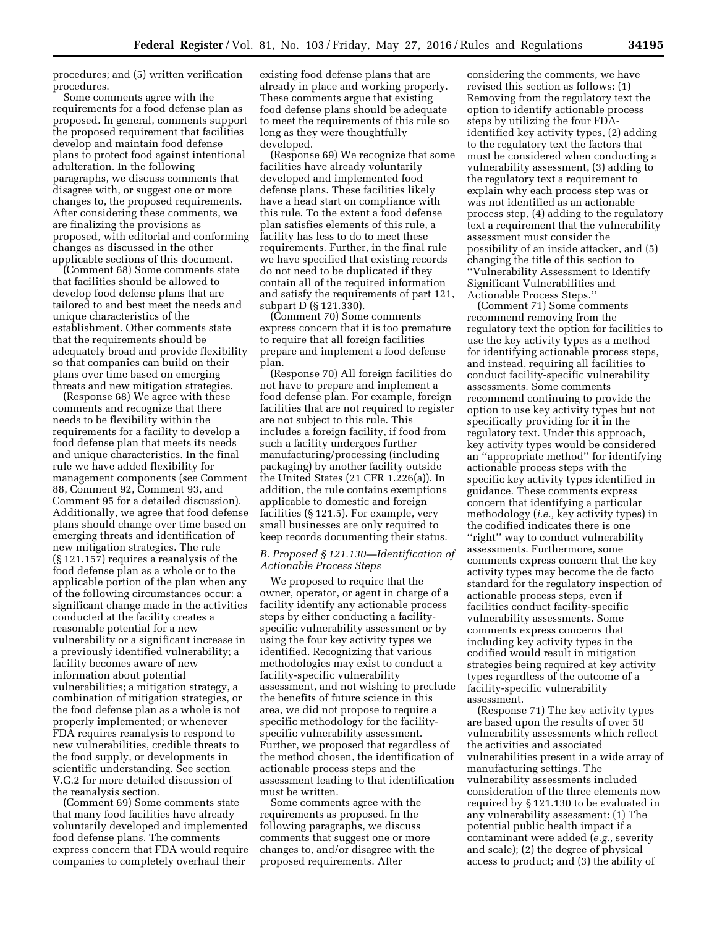procedures; and (5) written verification procedures.

Some comments agree with the requirements for a food defense plan as proposed. In general, comments support the proposed requirement that facilities develop and maintain food defense plans to protect food against intentional adulteration. In the following paragraphs, we discuss comments that disagree with, or suggest one or more changes to, the proposed requirements. After considering these comments, we are finalizing the provisions as proposed, with editorial and conforming changes as discussed in the other applicable sections of this document.

(Comment 68) Some comments state that facilities should be allowed to develop food defense plans that are tailored to and best meet the needs and unique characteristics of the establishment. Other comments state that the requirements should be adequately broad and provide flexibility so that companies can build on their plans over time based on emerging threats and new mitigation strategies.

(Response 68) We agree with these comments and recognize that there needs to be flexibility within the requirements for a facility to develop a food defense plan that meets its needs and unique characteristics. In the final rule we have added flexibility for management components (see Comment 88, Comment 92, Comment 93, and Comment 95 for a detailed discussion). Additionally, we agree that food defense plans should change over time based on emerging threats and identification of new mitigation strategies. The rule (§ 121.157) requires a reanalysis of the food defense plan as a whole or to the applicable portion of the plan when any of the following circumstances occur: a significant change made in the activities conducted at the facility creates a reasonable potential for a new vulnerability or a significant increase in a previously identified vulnerability; a facility becomes aware of new information about potential vulnerabilities; a mitigation strategy, a combination of mitigation strategies, or the food defense plan as a whole is not properly implemented; or whenever FDA requires reanalysis to respond to new vulnerabilities, credible threats to the food supply, or developments in scientific understanding. See section V.G.2 for more detailed discussion of the reanalysis section.

(Comment 69) Some comments state that many food facilities have already voluntarily developed and implemented food defense plans. The comments express concern that FDA would require companies to completely overhaul their

existing food defense plans that are already in place and working properly. These comments argue that existing food defense plans should be adequate to meet the requirements of this rule so long as they were thoughtfully developed.

(Response 69) We recognize that some facilities have already voluntarily developed and implemented food defense plans. These facilities likely have a head start on compliance with this rule. To the extent a food defense plan satisfies elements of this rule, a facility has less to do to meet these requirements. Further, in the final rule we have specified that existing records do not need to be duplicated if they contain all of the required information and satisfy the requirements of part 121, subpart D (§ 121.330).

(Comment 70) Some comments express concern that it is too premature to require that all foreign facilities prepare and implement a food defense plan.

(Response 70) All foreign facilities do not have to prepare and implement a food defense plan. For example, foreign facilities that are not required to register are not subject to this rule. This includes a foreign facility, if food from such a facility undergoes further manufacturing/processing (including packaging) by another facility outside the United States (21 CFR 1.226(a)). In addition, the rule contains exemptions applicable to domestic and foreign facilities (§ 121.5). For example, very small businesses are only required to keep records documenting their status.

# *B. Proposed § 121.130—Identification of Actionable Process Steps*

We proposed to require that the owner, operator, or agent in charge of a facility identify any actionable process steps by either conducting a facilityspecific vulnerability assessment or by using the four key activity types we identified. Recognizing that various methodologies may exist to conduct a facility-specific vulnerability assessment, and not wishing to preclude the benefits of future science in this area, we did not propose to require a specific methodology for the facilityspecific vulnerability assessment. Further, we proposed that regardless of the method chosen, the identification of actionable process steps and the assessment leading to that identification must be written.

Some comments agree with the requirements as proposed. In the following paragraphs, we discuss comments that suggest one or more changes to, and/or disagree with the proposed requirements. After

considering the comments, we have revised this section as follows: (1) Removing from the regulatory text the option to identify actionable process steps by utilizing the four FDAidentified key activity types, (2) adding to the regulatory text the factors that must be considered when conducting a vulnerability assessment, (3) adding to the regulatory text a requirement to explain why each process step was or was not identified as an actionable process step, (4) adding to the regulatory text a requirement that the vulnerability assessment must consider the possibility of an inside attacker, and (5) changing the title of this section to ''Vulnerability Assessment to Identify Significant Vulnerabilities and Actionable Process Steps.''

(Comment 71) Some comments recommend removing from the regulatory text the option for facilities to use the key activity types as a method for identifying actionable process steps, and instead, requiring all facilities to conduct facility-specific vulnerability assessments. Some comments recommend continuing to provide the option to use key activity types but not specifically providing for it in the regulatory text. Under this approach, key activity types would be considered an ''appropriate method'' for identifying actionable process steps with the specific key activity types identified in guidance. These comments express concern that identifying a particular methodology (*i.e.,* key activity types) in the codified indicates there is one ''right'' way to conduct vulnerability assessments. Furthermore, some comments express concern that the key activity types may become the de facto standard for the regulatory inspection of actionable process steps, even if facilities conduct facility-specific vulnerability assessments. Some comments express concerns that including key activity types in the codified would result in mitigation strategies being required at key activity types regardless of the outcome of a facility-specific vulnerability assessment.

(Response 71) The key activity types are based upon the results of over 50 vulnerability assessments which reflect the activities and associated vulnerabilities present in a wide array of manufacturing settings. The vulnerability assessments included consideration of the three elements now required by § 121.130 to be evaluated in any vulnerability assessment: (1) The potential public health impact if a contaminant were added (*e.g.,* severity and scale); (2) the degree of physical access to product; and (3) the ability of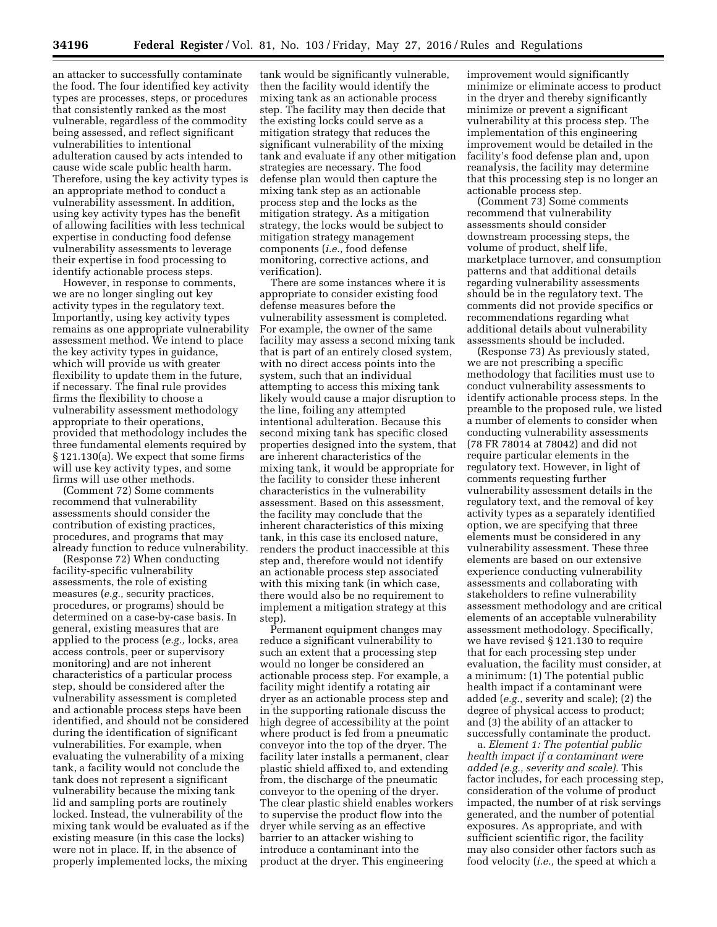an attacker to successfully contaminate the food. The four identified key activity types are processes, steps, or procedures that consistently ranked as the most vulnerable, regardless of the commodity being assessed, and reflect significant vulnerabilities to intentional adulteration caused by acts intended to cause wide scale public health harm. Therefore, using the key activity types is an appropriate method to conduct a vulnerability assessment. In addition, using key activity types has the benefit of allowing facilities with less technical expertise in conducting food defense vulnerability assessments to leverage their expertise in food processing to identify actionable process steps.

However, in response to comments, we are no longer singling out key activity types in the regulatory text. Importantly, using key activity types remains as one appropriate vulnerability assessment method. We intend to place the key activity types in guidance, which will provide us with greater flexibility to update them in the future, if necessary. The final rule provides firms the flexibility to choose a vulnerability assessment methodology appropriate to their operations, provided that methodology includes the three fundamental elements required by § 121.130(a). We expect that some firms will use key activity types, and some firms will use other methods.

(Comment 72) Some comments recommend that vulnerability assessments should consider the contribution of existing practices, procedures, and programs that may already function to reduce vulnerability.

(Response 72) When conducting facility-specific vulnerability assessments, the role of existing measures (*e.g.,* security practices, procedures, or programs) should be determined on a case-by-case basis. In general, existing measures that are applied to the process (*e.g.,* locks, area access controls, peer or supervisory monitoring) and are not inherent characteristics of a particular process step, should be considered after the vulnerability assessment is completed and actionable process steps have been identified, and should not be considered during the identification of significant vulnerabilities. For example, when evaluating the vulnerability of a mixing tank, a facility would not conclude the tank does not represent a significant vulnerability because the mixing tank lid and sampling ports are routinely locked. Instead, the vulnerability of the mixing tank would be evaluated as if the existing measure (in this case the locks) were not in place. If, in the absence of properly implemented locks, the mixing

tank would be significantly vulnerable, then the facility would identify the mixing tank as an actionable process step. The facility may then decide that the existing locks could serve as a mitigation strategy that reduces the significant vulnerability of the mixing tank and evaluate if any other mitigation strategies are necessary. The food defense plan would then capture the mixing tank step as an actionable process step and the locks as the mitigation strategy. As a mitigation strategy, the locks would be subject to mitigation strategy management components (*i.e.,* food defense monitoring, corrective actions, and verification).

There are some instances where it is appropriate to consider existing food defense measures before the vulnerability assessment is completed. For example, the owner of the same facility may assess a second mixing tank that is part of an entirely closed system, with no direct access points into the system, such that an individual attempting to access this mixing tank likely would cause a major disruption to the line, foiling any attempted intentional adulteration. Because this second mixing tank has specific closed properties designed into the system, that are inherent characteristics of the mixing tank, it would be appropriate for the facility to consider these inherent characteristics in the vulnerability assessment. Based on this assessment, the facility may conclude that the inherent characteristics of this mixing tank, in this case its enclosed nature, renders the product inaccessible at this step and, therefore would not identify an actionable process step associated with this mixing tank (in which case, there would also be no requirement to implement a mitigation strategy at this step).

Permanent equipment changes may reduce a significant vulnerability to such an extent that a processing step would no longer be considered an actionable process step. For example, a facility might identify a rotating air dryer as an actionable process step and in the supporting rationale discuss the high degree of accessibility at the point where product is fed from a pneumatic conveyor into the top of the dryer. The facility later installs a permanent, clear plastic shield affixed to, and extending from, the discharge of the pneumatic conveyor to the opening of the dryer. The clear plastic shield enables workers to supervise the product flow into the dryer while serving as an effective barrier to an attacker wishing to introduce a contaminant into the product at the dryer. This engineering

improvement would significantly minimize or eliminate access to product in the dryer and thereby significantly minimize or prevent a significant vulnerability at this process step. The implementation of this engineering improvement would be detailed in the facility's food defense plan and, upon reanalysis, the facility may determine that this processing step is no longer an actionable process step.

(Comment 73) Some comments recommend that vulnerability assessments should consider downstream processing steps, the volume of product, shelf life, marketplace turnover, and consumption patterns and that additional details regarding vulnerability assessments should be in the regulatory text. The comments did not provide specifics or recommendations regarding what additional details about vulnerability assessments should be included.

(Response 73) As previously stated, we are not prescribing a specific methodology that facilities must use to conduct vulnerability assessments to identify actionable process steps. In the preamble to the proposed rule, we listed a number of elements to consider when conducting vulnerability assessments (78 FR 78014 at 78042) and did not require particular elements in the regulatory text. However, in light of comments requesting further vulnerability assessment details in the regulatory text, and the removal of key activity types as a separately identified option, we are specifying that three elements must be considered in any vulnerability assessment. These three elements are based on our extensive experience conducting vulnerability assessments and collaborating with stakeholders to refine vulnerability assessment methodology and are critical elements of an acceptable vulnerability assessment methodology. Specifically, we have revised § 121.130 to require that for each processing step under evaluation, the facility must consider, at a minimum: (1) The potential public health impact if a contaminant were added (*e.g.,* severity and scale); (2) the degree of physical access to product; and (3) the ability of an attacker to successfully contaminate the product.

a. *Element 1: The potential public health impact if a contaminant were added (e.g., severity and scale).* This factor includes, for each processing step, consideration of the volume of product impacted, the number of at risk servings generated, and the number of potential exposures. As appropriate, and with sufficient scientific rigor, the facility may also consider other factors such as food velocity (*i.e.,* the speed at which a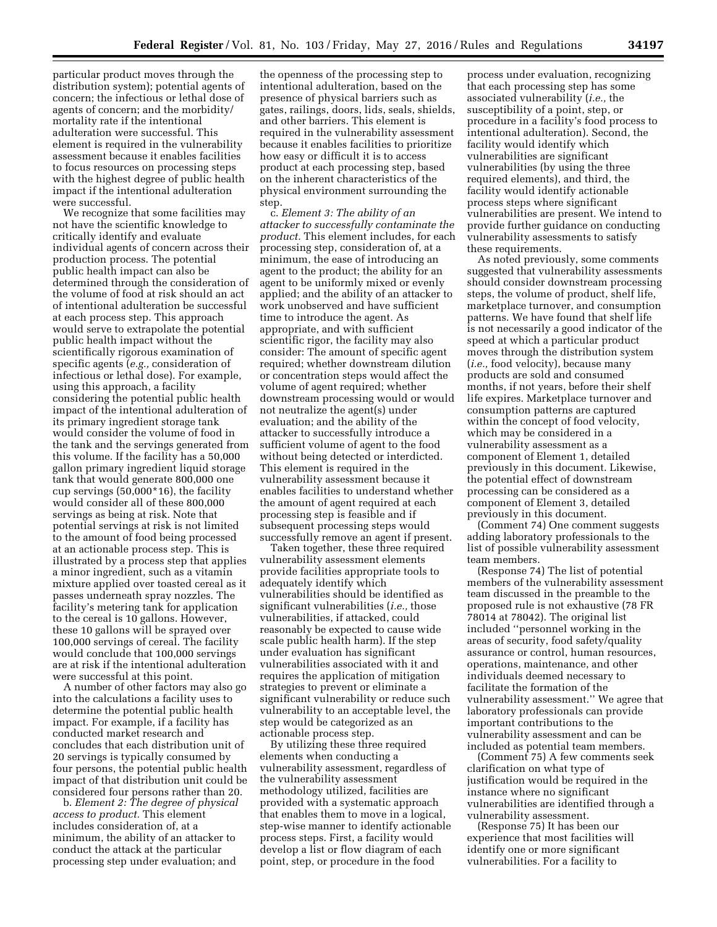particular product moves through the distribution system); potential agents of concern; the infectious or lethal dose of agents of concern; and the morbidity/ mortality rate if the intentional adulteration were successful. This element is required in the vulnerability assessment because it enables facilities to focus resources on processing steps with the highest degree of public health impact if the intentional adulteration were successful.

We recognize that some facilities may not have the scientific knowledge to critically identify and evaluate individual agents of concern across their production process. The potential public health impact can also be determined through the consideration of the volume of food at risk should an act of intentional adulteration be successful at each process step. This approach would serve to extrapolate the potential public health impact without the scientifically rigorous examination of specific agents (*e.g.,* consideration of infectious or lethal dose). For example, using this approach, a facility considering the potential public health impact of the intentional adulteration of its primary ingredient storage tank would consider the volume of food in the tank and the servings generated from this volume. If the facility has a 50,000 gallon primary ingredient liquid storage tank that would generate 800,000 one cup servings (50,000\*16), the facility would consider all of these 800,000 servings as being at risk. Note that potential servings at risk is not limited to the amount of food being processed at an actionable process step. This is illustrated by a process step that applies a minor ingredient, such as a vitamin mixture applied over toasted cereal as it passes underneath spray nozzles. The facility's metering tank for application to the cereal is 10 gallons. However, these 10 gallons will be sprayed over 100,000 servings of cereal. The facility would conclude that 100,000 servings are at risk if the intentional adulteration were successful at this point.

A number of other factors may also go into the calculations a facility uses to determine the potential public health impact. For example, if a facility has conducted market research and concludes that each distribution unit of 20 servings is typically consumed by four persons, the potential public health impact of that distribution unit could be considered four persons rather than 20.

b. *Element 2: The degree of physical access to product.* This element includes consideration of, at a minimum, the ability of an attacker to conduct the attack at the particular processing step under evaluation; and

the openness of the processing step to intentional adulteration, based on the presence of physical barriers such as gates, railings, doors, lids, seals, shields, and other barriers. This element is required in the vulnerability assessment because it enables facilities to prioritize how easy or difficult it is to access product at each processing step, based on the inherent characteristics of the physical environment surrounding the step.

c. *Element 3: The ability of an attacker to successfully contaminate the product.* This element includes, for each processing step, consideration of, at a minimum, the ease of introducing an agent to the product; the ability for an agent to be uniformly mixed or evenly applied; and the ability of an attacker to work unobserved and have sufficient time to introduce the agent. As appropriate, and with sufficient scientific rigor, the facility may also consider: The amount of specific agent required; whether downstream dilution or concentration steps would affect the volume of agent required; whether downstream processing would or would not neutralize the agent(s) under evaluation; and the ability of the attacker to successfully introduce a sufficient volume of agent to the food without being detected or interdicted. This element is required in the vulnerability assessment because it enables facilities to understand whether the amount of agent required at each processing step is feasible and if subsequent processing steps would successfully remove an agent if present.

Taken together, these three required vulnerability assessment elements provide facilities appropriate tools to adequately identify which vulnerabilities should be identified as significant vulnerabilities (*i.e.,* those vulnerabilities, if attacked, could reasonably be expected to cause wide scale public health harm). If the step under evaluation has significant vulnerabilities associated with it and requires the application of mitigation strategies to prevent or eliminate a significant vulnerability or reduce such vulnerability to an acceptable level, the step would be categorized as an actionable process step.

By utilizing these three required elements when conducting a vulnerability assessment, regardless of the vulnerability assessment methodology utilized, facilities are provided with a systematic approach that enables them to move in a logical, step-wise manner to identify actionable process steps. First, a facility would develop a list or flow diagram of each point, step, or procedure in the food

process under evaluation, recognizing that each processing step has some associated vulnerability (*i.e.,* the susceptibility of a point, step, or procedure in a facility's food process to intentional adulteration). Second, the facility would identify which vulnerabilities are significant vulnerabilities (by using the three required elements), and third, the facility would identify actionable process steps where significant vulnerabilities are present. We intend to provide further guidance on conducting vulnerability assessments to satisfy these requirements.

As noted previously, some comments suggested that vulnerability assessments should consider downstream processing steps, the volume of product, shelf life, marketplace turnover, and consumption patterns. We have found that shelf life is not necessarily a good indicator of the speed at which a particular product moves through the distribution system (*i.e.,* food velocity), because many products are sold and consumed months, if not years, before their shelf life expires. Marketplace turnover and consumption patterns are captured within the concept of food velocity, which may be considered in a vulnerability assessment as a component of Element 1, detailed previously in this document. Likewise, the potential effect of downstream processing can be considered as a component of Element 3, detailed previously in this document.

(Comment 74) One comment suggests adding laboratory professionals to the list of possible vulnerability assessment team members.

(Response 74) The list of potential members of the vulnerability assessment team discussed in the preamble to the proposed rule is not exhaustive (78 FR 78014 at 78042). The original list included ''personnel working in the areas of security, food safety/quality assurance or control, human resources, operations, maintenance, and other individuals deemed necessary to facilitate the formation of the vulnerability assessment.'' We agree that laboratory professionals can provide important contributions to the vulnerability assessment and can be included as potential team members.

(Comment 75) A few comments seek clarification on what type of justification would be required in the instance where no significant vulnerabilities are identified through a vulnerability assessment.

(Response 75) It has been our experience that most facilities will identify one or more significant vulnerabilities. For a facility to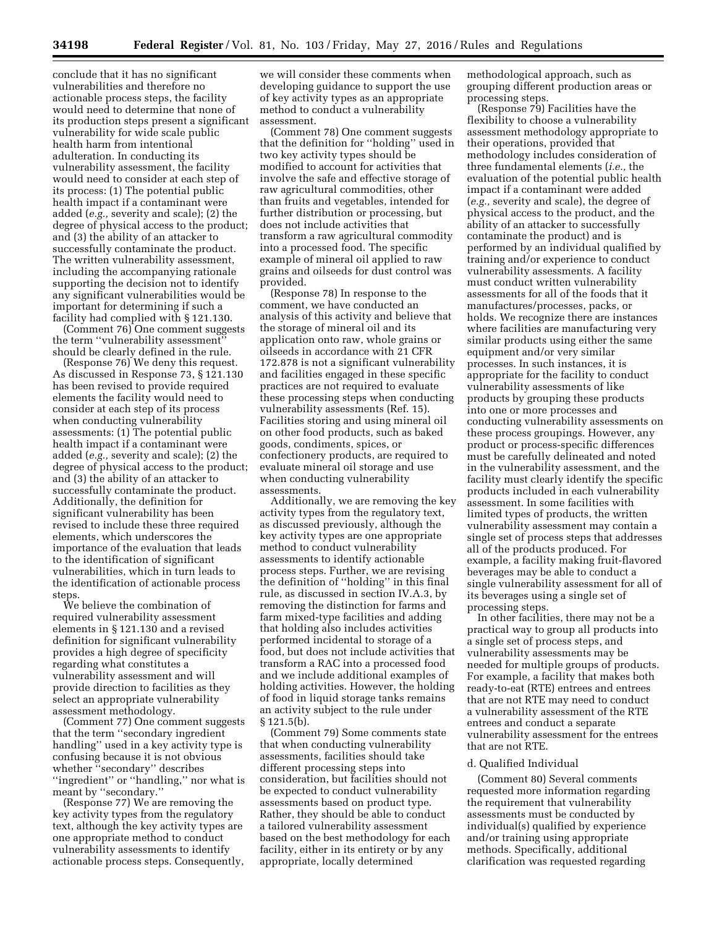conclude that it has no significant vulnerabilities and therefore no actionable process steps, the facility would need to determine that none of its production steps present a significant vulnerability for wide scale public health harm from intentional adulteration. In conducting its vulnerability assessment, the facility would need to consider at each step of its process: (1) The potential public health impact if a contaminant were added (*e.g.,* severity and scale); (2) the degree of physical access to the product; and (3) the ability of an attacker to successfully contaminate the product. The written vulnerability assessment, including the accompanying rationale supporting the decision not to identify any significant vulnerabilities would be important for determining if such a facility had complied with § 121.130.

(Comment 76) One comment suggests the term ''vulnerability assessment'' should be clearly defined in the rule.

(Response 76) We deny this request. As discussed in Response 73, § 121.130 has been revised to provide required elements the facility would need to consider at each step of its process when conducting vulnerability assessments: (1) The potential public health impact if a contaminant were added (*e.g.,* severity and scale); (2) the degree of physical access to the product; and (3) the ability of an attacker to successfully contaminate the product. Additionally, the definition for significant vulnerability has been revised to include these three required elements, which underscores the importance of the evaluation that leads to the identification of significant vulnerabilities, which in turn leads to the identification of actionable process steps.

We believe the combination of required vulnerability assessment elements in § 121.130 and a revised definition for significant vulnerability provides a high degree of specificity regarding what constitutes a vulnerability assessment and will provide direction to facilities as they select an appropriate vulnerability assessment methodology.

(Comment 77) One comment suggests that the term ''secondary ingredient handling'' used in a key activity type is confusing because it is not obvious whether ''secondary'' describes ''ingredient'' or ''handling,'' nor what is meant by ''secondary.''

(Response 77) We are removing the key activity types from the regulatory text, although the key activity types are one appropriate method to conduct vulnerability assessments to identify actionable process steps. Consequently,

we will consider these comments when developing guidance to support the use of key activity types as an appropriate method to conduct a vulnerability assessment.

(Comment 78) One comment suggests that the definition for ''holding'' used in two key activity types should be modified to account for activities that involve the safe and effective storage of raw agricultural commodities, other than fruits and vegetables, intended for further distribution or processing, but does not include activities that transform a raw agricultural commodity into a processed food. The specific example of mineral oil applied to raw grains and oilseeds for dust control was provided.

(Response 78) In response to the comment, we have conducted an analysis of this activity and believe that the storage of mineral oil and its application onto raw, whole grains or oilseeds in accordance with 21 CFR 172.878 is not a significant vulnerability and facilities engaged in these specific practices are not required to evaluate these processing steps when conducting vulnerability assessments (Ref. 15). Facilities storing and using mineral oil on other food products, such as baked goods, condiments, spices, or confectionery products, are required to evaluate mineral oil storage and use when conducting vulnerability assessments.

Additionally, we are removing the key activity types from the regulatory text, as discussed previously, although the key activity types are one appropriate method to conduct vulnerability assessments to identify actionable process steps. Further, we are revising the definition of ''holding'' in this final rule, as discussed in section IV.A.3, by removing the distinction for farms and farm mixed-type facilities and adding that holding also includes activities performed incidental to storage of a food, but does not include activities that transform a RAC into a processed food and we include additional examples of holding activities. However, the holding of food in liquid storage tanks remains an activity subject to the rule under § 121.5(b).

(Comment 79) Some comments state that when conducting vulnerability assessments, facilities should take different processing steps into consideration, but facilities should not be expected to conduct vulnerability assessments based on product type. Rather, they should be able to conduct a tailored vulnerability assessment based on the best methodology for each facility, either in its entirety or by any appropriate, locally determined

methodological approach, such as grouping different production areas or processing steps.

(Response 79) Facilities have the flexibility to choose a vulnerability assessment methodology appropriate to their operations, provided that methodology includes consideration of three fundamental elements (*i.e.,* the evaluation of the potential public health impact if a contaminant were added (*e.g.,* severity and scale), the degree of physical access to the product, and the ability of an attacker to successfully contaminate the product) and is performed by an individual qualified by training and/or experience to conduct vulnerability assessments. A facility must conduct written vulnerability assessments for all of the foods that it manufactures/processes, packs, or holds. We recognize there are instances where facilities are manufacturing very similar products using either the same equipment and/or very similar processes. In such instances, it is appropriate for the facility to conduct vulnerability assessments of like products by grouping these products into one or more processes and conducting vulnerability assessments on these process groupings. However, any product or process-specific differences must be carefully delineated and noted in the vulnerability assessment, and the facility must clearly identify the specific products included in each vulnerability assessment. In some facilities with limited types of products, the written vulnerability assessment may contain a single set of process steps that addresses all of the products produced. For example, a facility making fruit-flavored beverages may be able to conduct a single vulnerability assessment for all of its beverages using a single set of processing steps.

In other facilities, there may not be a practical way to group all products into a single set of process steps, and vulnerability assessments may be needed for multiple groups of products. For example, a facility that makes both ready-to-eat (RTE) entrees and entrees that are not RTE may need to conduct a vulnerability assessment of the RTE entrees and conduct a separate vulnerability assessment for the entrees that are not RTE.

#### d. Qualified Individual

(Comment 80) Several comments requested more information regarding the requirement that vulnerability assessments must be conducted by individual(s) qualified by experience and/or training using appropriate methods. Specifically, additional clarification was requested regarding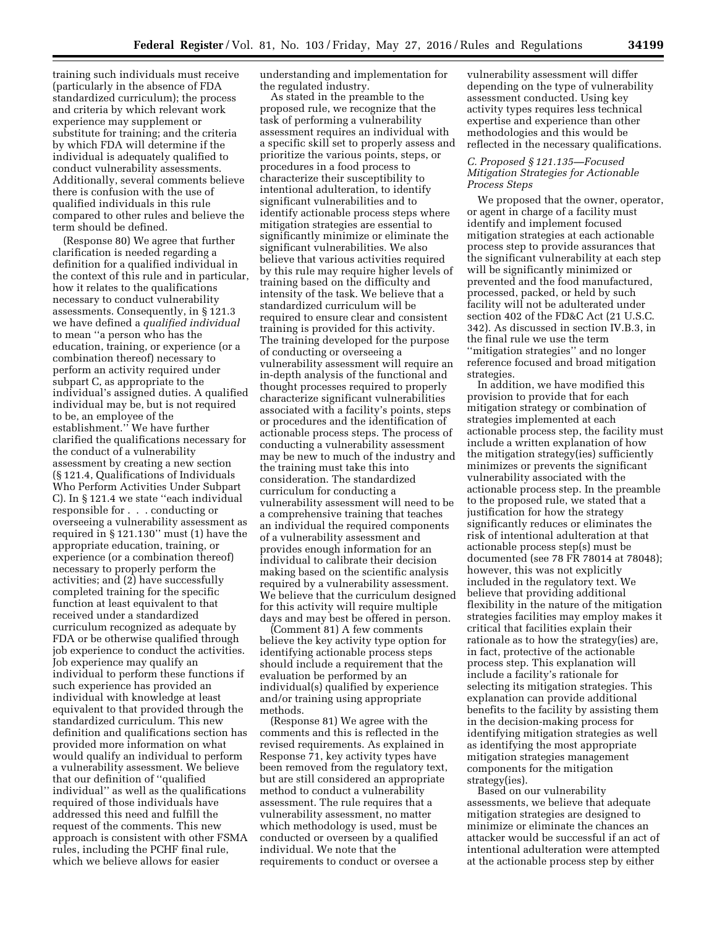training such individuals must receive (particularly in the absence of FDA standardized curriculum); the process and criteria by which relevant work experience may supplement or substitute for training; and the criteria by which FDA will determine if the individual is adequately qualified to conduct vulnerability assessments. Additionally, several comments believe there is confusion with the use of qualified individuals in this rule compared to other rules and believe the term should be defined.

(Response 80) We agree that further clarification is needed regarding a definition for a qualified individual in the context of this rule and in particular, how it relates to the qualifications necessary to conduct vulnerability assessments. Consequently, in § 121.3 we have defined a *qualified individual*  to mean ''a person who has the education, training, or experience (or a combination thereof) necessary to perform an activity required under subpart C, as appropriate to the individual's assigned duties. A qualified individual may be, but is not required to be, an employee of the establishment.'' We have further clarified the qualifications necessary for the conduct of a vulnerability assessment by creating a new section (§ 121.4, Qualifications of Individuals Who Perform Activities Under Subpart C). In § 121.4 we state ''each individual responsible for . . . conducting or overseeing a vulnerability assessment as required in § 121.130'' must (1) have the appropriate education, training, or experience (or a combination thereof) necessary to properly perform the activities; and (2) have successfully completed training for the specific function at least equivalent to that received under a standardized curriculum recognized as adequate by FDA or be otherwise qualified through job experience to conduct the activities. Job experience may qualify an individual to perform these functions if such experience has provided an individual with knowledge at least equivalent to that provided through the standardized curriculum. This new definition and qualifications section has provided more information on what would qualify an individual to perform a vulnerability assessment. We believe that our definition of ''qualified individual'' as well as the qualifications required of those individuals have addressed this need and fulfill the request of the comments. This new approach is consistent with other FSMA rules, including the PCHF final rule, which we believe allows for easier

understanding and implementation for the regulated industry.

As stated in the preamble to the proposed rule, we recognize that the task of performing a vulnerability assessment requires an individual with a specific skill set to properly assess and prioritize the various points, steps, or procedures in a food process to characterize their susceptibility to intentional adulteration, to identify significant vulnerabilities and to identify actionable process steps where mitigation strategies are essential to significantly minimize or eliminate the significant vulnerabilities. We also believe that various activities required by this rule may require higher levels of training based on the difficulty and intensity of the task. We believe that a standardized curriculum will be required to ensure clear and consistent training is provided for this activity. The training developed for the purpose of conducting or overseeing a vulnerability assessment will require an in-depth analysis of the functional and thought processes required to properly characterize significant vulnerabilities associated with a facility's points, steps or procedures and the identification of actionable process steps. The process of conducting a vulnerability assessment may be new to much of the industry and the training must take this into consideration. The standardized curriculum for conducting a vulnerability assessment will need to be a comprehensive training that teaches an individual the required components of a vulnerability assessment and provides enough information for an individual to calibrate their decision making based on the scientific analysis required by a vulnerability assessment. We believe that the curriculum designed for this activity will require multiple days and may best be offered in person.

(Comment 81) A few comments believe the key activity type option for identifying actionable process steps should include a requirement that the evaluation be performed by an individual(s) qualified by experience and/or training using appropriate methods.

(Response 81) We agree with the comments and this is reflected in the revised requirements. As explained in Response 71, key activity types have been removed from the regulatory text, but are still considered an appropriate method to conduct a vulnerability assessment. The rule requires that a vulnerability assessment, no matter which methodology is used, must be conducted or overseen by a qualified individual. We note that the requirements to conduct or oversee a

vulnerability assessment will differ depending on the type of vulnerability assessment conducted. Using key activity types requires less technical expertise and experience than other methodologies and this would be reflected in the necessary qualifications.

# *C. Proposed § 121.135—Focused Mitigation Strategies for Actionable Process Steps*

We proposed that the owner, operator, or agent in charge of a facility must identify and implement focused mitigation strategies at each actionable process step to provide assurances that the significant vulnerability at each step will be significantly minimized or prevented and the food manufactured, processed, packed, or held by such facility will not be adulterated under section 402 of the FD&C Act (21 U.S.C. 342). As discussed in section IV.B.3, in the final rule we use the term ''mitigation strategies'' and no longer reference focused and broad mitigation strategies.

In addition, we have modified this provision to provide that for each mitigation strategy or combination of strategies implemented at each actionable process step, the facility must include a written explanation of how the mitigation strategy(ies) sufficiently minimizes or prevents the significant vulnerability associated with the actionable process step. In the preamble to the proposed rule, we stated that a justification for how the strategy significantly reduces or eliminates the risk of intentional adulteration at that actionable process step(s) must be documented (see 78 FR 78014 at 78048); however, this was not explicitly included in the regulatory text. We believe that providing additional flexibility in the nature of the mitigation strategies facilities may employ makes it critical that facilities explain their rationale as to how the strategy(ies) are, in fact, protective of the actionable process step. This explanation will include a facility's rationale for selecting its mitigation strategies. This explanation can provide additional benefits to the facility by assisting them in the decision-making process for identifying mitigation strategies as well as identifying the most appropriate mitigation strategies management components for the mitigation strategy(ies).

Based on our vulnerability assessments, we believe that adequate mitigation strategies are designed to minimize or eliminate the chances an attacker would be successful if an act of intentional adulteration were attempted at the actionable process step by either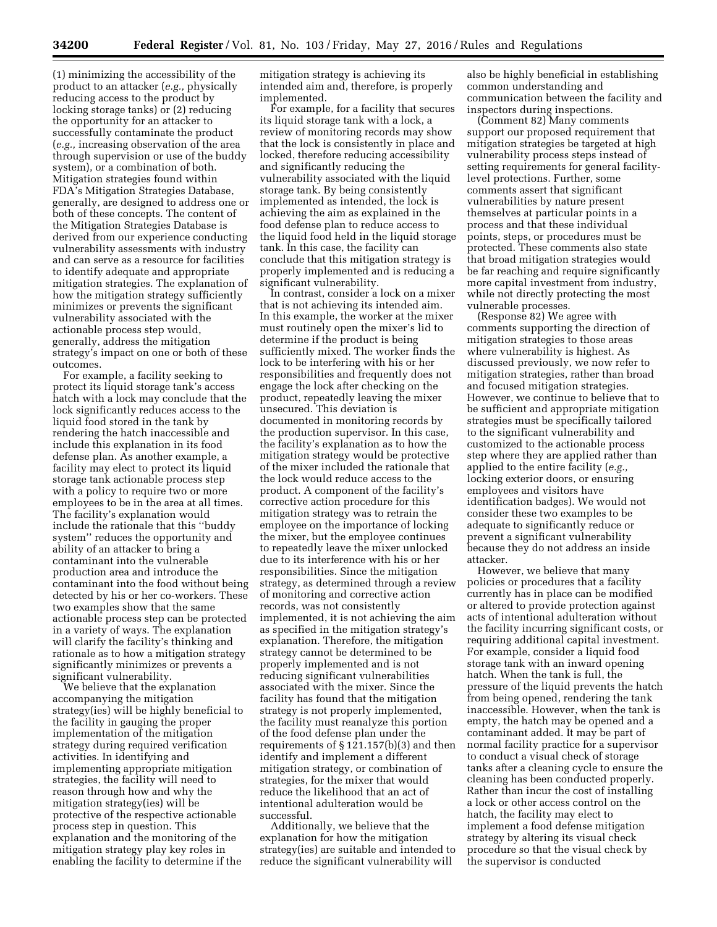(1) minimizing the accessibility of the product to an attacker (*e.g.,* physically reducing access to the product by locking storage tanks) or (2) reducing the opportunity for an attacker to successfully contaminate the product (*e.g.,* increasing observation of the area through supervision or use of the buddy system), or a combination of both. Mitigation strategies found within FDA's Mitigation Strategies Database, generally, are designed to address one or both of these concepts. The content of the Mitigation Strategies Database is derived from our experience conducting vulnerability assessments with industry and can serve as a resource for facilities to identify adequate and appropriate mitigation strategies. The explanation of how the mitigation strategy sufficiently minimizes or prevents the significant vulnerability associated with the actionable process step would, generally, address the mitigation strategy's impact on one or both of these outcomes.

For example, a facility seeking to protect its liquid storage tank's access hatch with a lock may conclude that the lock significantly reduces access to the liquid food stored in the tank by rendering the hatch inaccessible and include this explanation in its food defense plan. As another example, a facility may elect to protect its liquid storage tank actionable process step with a policy to require two or more employees to be in the area at all times. The facility's explanation would include the rationale that this ''buddy system'' reduces the opportunity and ability of an attacker to bring a contaminant into the vulnerable production area and introduce the contaminant into the food without being detected by his or her co-workers. These two examples show that the same actionable process step can be protected in a variety of ways. The explanation will clarify the facility's thinking and rationale as to how a mitigation strategy significantly minimizes or prevents a significant vulnerability.

We believe that the explanation accompanying the mitigation strategy(ies) will be highly beneficial to the facility in gauging the proper implementation of the mitigation strategy during required verification activities. In identifying and implementing appropriate mitigation strategies, the facility will need to reason through how and why the mitigation strategy(ies) will be protective of the respective actionable process step in question. This explanation and the monitoring of the mitigation strategy play key roles in enabling the facility to determine if the

mitigation strategy is achieving its intended aim and, therefore, is properly implemented.

For example, for a facility that secures its liquid storage tank with a lock, a review of monitoring records may show that the lock is consistently in place and locked, therefore reducing accessibility and significantly reducing the vulnerability associated with the liquid storage tank. By being consistently implemented as intended, the lock is achieving the aim as explained in the food defense plan to reduce access to the liquid food held in the liquid storage tank. In this case, the facility can conclude that this mitigation strategy is properly implemented and is reducing a significant vulnerability.

In contrast, consider a lock on a mixer that is not achieving its intended aim. In this example, the worker at the mixer must routinely open the mixer's lid to determine if the product is being sufficiently mixed. The worker finds the lock to be interfering with his or her responsibilities and frequently does not engage the lock after checking on the product, repeatedly leaving the mixer unsecured. This deviation is documented in monitoring records by the production supervisor. In this case, the facility's explanation as to how the mitigation strategy would be protective of the mixer included the rationale that the lock would reduce access to the product. A component of the facility's corrective action procedure for this mitigation strategy was to retrain the employee on the importance of locking the mixer, but the employee continues to repeatedly leave the mixer unlocked due to its interference with his or her responsibilities. Since the mitigation strategy, as determined through a review of monitoring and corrective action records, was not consistently implemented, it is not achieving the aim as specified in the mitigation strategy's explanation. Therefore, the mitigation strategy cannot be determined to be properly implemented and is not reducing significant vulnerabilities associated with the mixer. Since the facility has found that the mitigation strategy is not properly implemented, the facility must reanalyze this portion of the food defense plan under the requirements of  $\S 121.157(b)(3)$  and then identify and implement a different mitigation strategy, or combination of strategies, for the mixer that would reduce the likelihood that an act of intentional adulteration would be successful.

Additionally, we believe that the explanation for how the mitigation strategy(ies) are suitable and intended to reduce the significant vulnerability will

also be highly beneficial in establishing common understanding and communication between the facility and inspectors during inspections.

(Comment 82) Many comments support our proposed requirement that mitigation strategies be targeted at high vulnerability process steps instead of setting requirements for general facilitylevel protections. Further, some comments assert that significant vulnerabilities by nature present themselves at particular points in a process and that these individual points, steps, or procedures must be protected. These comments also state that broad mitigation strategies would be far reaching and require significantly more capital investment from industry, while not directly protecting the most vulnerable processes.

(Response 82) We agree with comments supporting the direction of mitigation strategies to those areas where vulnerability is highest. As discussed previously, we now refer to mitigation strategies, rather than broad and focused mitigation strategies. However, we continue to believe that to be sufficient and appropriate mitigation strategies must be specifically tailored to the significant vulnerability and customized to the actionable process step where they are applied rather than applied to the entire facility (*e.g.,*  locking exterior doors, or ensuring employees and visitors have identification badges). We would not consider these two examples to be adequate to significantly reduce or prevent a significant vulnerability because they do not address an inside attacker.

However, we believe that many policies or procedures that a facility currently has in place can be modified or altered to provide protection against acts of intentional adulteration without the facility incurring significant costs, or requiring additional capital investment. For example, consider a liquid food storage tank with an inward opening hatch. When the tank is full, the pressure of the liquid prevents the hatch from being opened, rendering the tank inaccessible. However, when the tank is empty, the hatch may be opened and a contaminant added. It may be part of normal facility practice for a supervisor to conduct a visual check of storage tanks after a cleaning cycle to ensure the cleaning has been conducted properly. Rather than incur the cost of installing a lock or other access control on the hatch, the facility may elect to implement a food defense mitigation strategy by altering its visual check procedure so that the visual check by the supervisor is conducted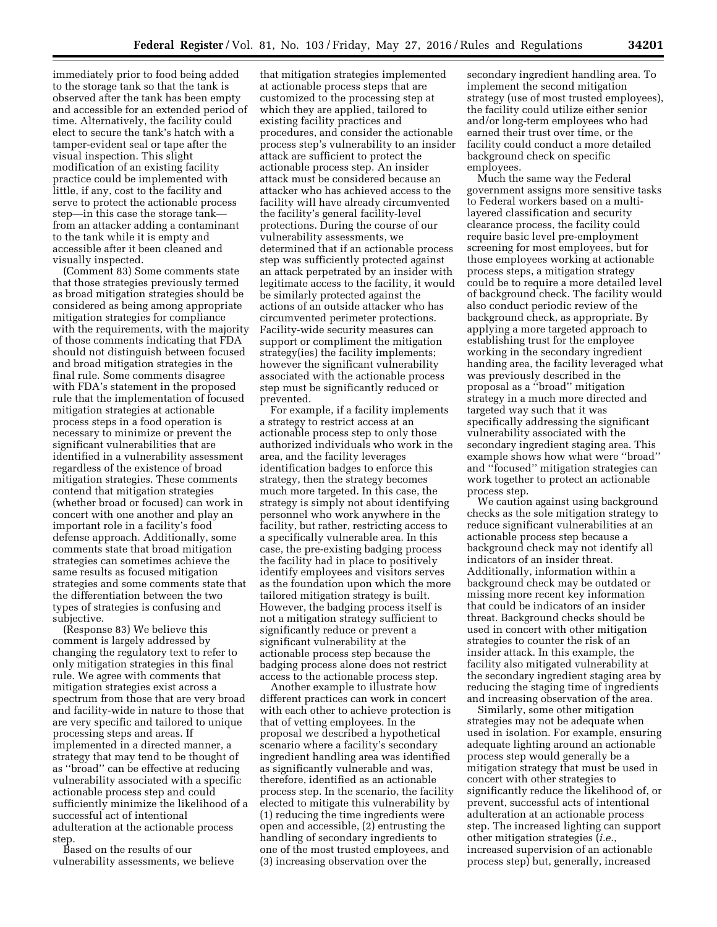immediately prior to food being added to the storage tank so that the tank is observed after the tank has been empty and accessible for an extended period of time. Alternatively, the facility could elect to secure the tank's hatch with a tamper-evident seal or tape after the visual inspection. This slight modification of an existing facility practice could be implemented with little, if any, cost to the facility and serve to protect the actionable process step—in this case the storage tank from an attacker adding a contaminant to the tank while it is empty and accessible after it been cleaned and visually inspected.

(Comment 83) Some comments state that those strategies previously termed as broad mitigation strategies should be considered as being among appropriate mitigation strategies for compliance with the requirements, with the majority of those comments indicating that FDA should not distinguish between focused and broad mitigation strategies in the final rule. Some comments disagree with FDA's statement in the proposed rule that the implementation of focused mitigation strategies at actionable process steps in a food operation is necessary to minimize or prevent the significant vulnerabilities that are identified in a vulnerability assessment regardless of the existence of broad mitigation strategies. These comments contend that mitigation strategies (whether broad or focused) can work in concert with one another and play an important role in a facility's food defense approach. Additionally, some comments state that broad mitigation strategies can sometimes achieve the same results as focused mitigation strategies and some comments state that the differentiation between the two types of strategies is confusing and subjective.

(Response 83) We believe this comment is largely addressed by changing the regulatory text to refer to only mitigation strategies in this final rule. We agree with comments that mitigation strategies exist across a spectrum from those that are very broad and facility-wide in nature to those that are very specific and tailored to unique processing steps and areas. If implemented in a directed manner, a strategy that may tend to be thought of as ''broad'' can be effective at reducing vulnerability associated with a specific actionable process step and could sufficiently minimize the likelihood of a successful act of intentional adulteration at the actionable process step.

Based on the results of our vulnerability assessments, we believe

that mitigation strategies implemented at actionable process steps that are customized to the processing step at which they are applied, tailored to existing facility practices and procedures, and consider the actionable process step's vulnerability to an insider attack are sufficient to protect the actionable process step. An insider attack must be considered because an attacker who has achieved access to the facility will have already circumvented the facility's general facility-level protections. During the course of our vulnerability assessments, we determined that if an actionable process step was sufficiently protected against an attack perpetrated by an insider with legitimate access to the facility, it would be similarly protected against the actions of an outside attacker who has circumvented perimeter protections. Facility-wide security measures can support or compliment the mitigation strategy(ies) the facility implements; however the significant vulnerability associated with the actionable process step must be significantly reduced or prevented.

For example, if a facility implements a strategy to restrict access at an actionable process step to only those authorized individuals who work in the area, and the facility leverages identification badges to enforce this strategy, then the strategy becomes much more targeted. In this case, the strategy is simply not about identifying personnel who work anywhere in the facility, but rather, restricting access to a specifically vulnerable area. In this case, the pre-existing badging process the facility had in place to positively identify employees and visitors serves as the foundation upon which the more tailored mitigation strategy is built. However, the badging process itself is not a mitigation strategy sufficient to significantly reduce or prevent a significant vulnerability at the actionable process step because the badging process alone does not restrict access to the actionable process step.

Another example to illustrate how different practices can work in concert with each other to achieve protection is that of vetting employees. In the proposal we described a hypothetical scenario where a facility's secondary ingredient handling area was identified as significantly vulnerable and was, therefore, identified as an actionable process step. In the scenario, the facility elected to mitigate this vulnerability by (1) reducing the time ingredients were open and accessible, (2) entrusting the handling of secondary ingredients to one of the most trusted employees, and (3) increasing observation over the

secondary ingredient handling area. To implement the second mitigation strategy (use of most trusted employees), the facility could utilize either senior and/or long-term employees who had earned their trust over time, or the facility could conduct a more detailed background check on specific employees.

Much the same way the Federal government assigns more sensitive tasks to Federal workers based on a multilayered classification and security clearance process, the facility could require basic level pre-employment screening for most employees, but for those employees working at actionable process steps, a mitigation strategy could be to require a more detailed level of background check. The facility would also conduct periodic review of the background check, as appropriate. By applying a more targeted approach to establishing trust for the employee working in the secondary ingredient handing area, the facility leveraged what was previously described in the proposal as a ''broad'' mitigation strategy in a much more directed and targeted way such that it was specifically addressing the significant vulnerability associated with the secondary ingredient staging area. This example shows how what were ''broad'' and ''focused'' mitigation strategies can work together to protect an actionable process step.

We caution against using background checks as the sole mitigation strategy to reduce significant vulnerabilities at an actionable process step because a background check may not identify all indicators of an insider threat. Additionally, information within a background check may be outdated or missing more recent key information that could be indicators of an insider threat. Background checks should be used in concert with other mitigation strategies to counter the risk of an insider attack. In this example, the facility also mitigated vulnerability at the secondary ingredient staging area by reducing the staging time of ingredients and increasing observation of the area.

Similarly, some other mitigation strategies may not be adequate when used in isolation. For example, ensuring adequate lighting around an actionable process step would generally be a mitigation strategy that must be used in concert with other strategies to significantly reduce the likelihood of, or prevent, successful acts of intentional adulteration at an actionable process step. The increased lighting can support other mitigation strategies (*i.e.,*  increased supervision of an actionable process step) but, generally, increased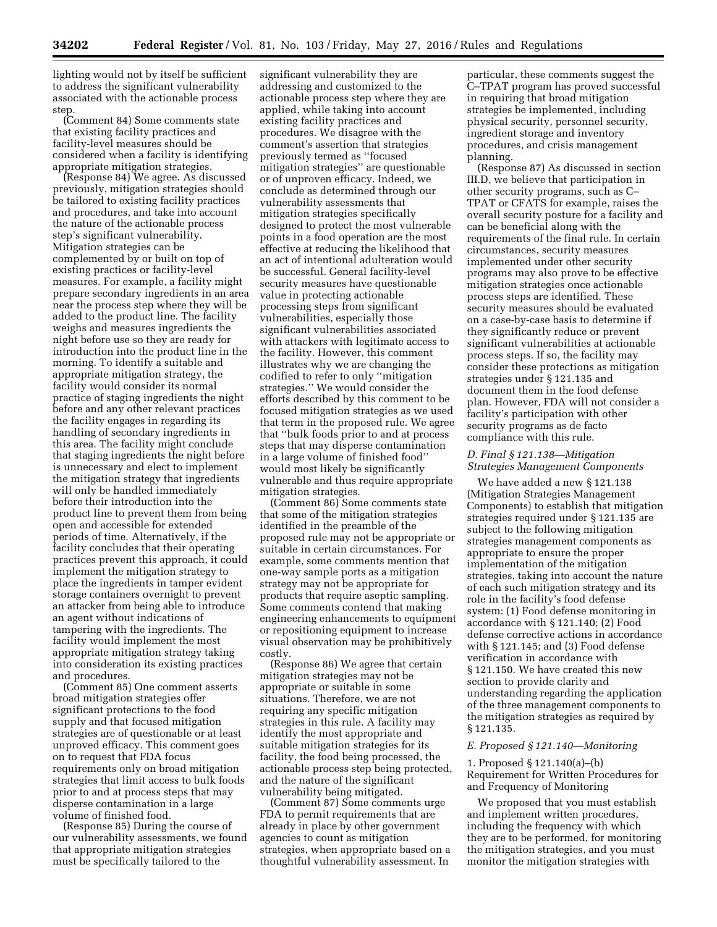lighting would not by itself be sufficient to address the significant vulnerability associated with the actionable process step.

(Comment 84) Some comments state that existing facility practices and facility-level measures should be considered when a facility is identifying appropriate mitigation strategies.

(Response 84) We agree. As discussed previously, mitigation strategies should be tailored to existing facility practices and procedures, and take into account the nature of the actionable process step's significant vulnerability. Mitigation strategies can be complemented by or built on top of existing practices or facility-level measures. For example, a facility might prepare secondary ingredients in an area near the process step where they will be added to the product line. The facility weighs and measures ingredients the night before use so they are ready for introduction into the product line in the morning. To identify a suitable and appropriate mitigation strategy, the facility would consider its normal practice of staging ingredients the night before and any other relevant practices the facility engages in regarding its handling of secondary ingredients in this area. The facility might conclude that staging ingredients the night before is unnecessary and elect to implement the mitigation strategy that ingredients will only be handled immediately before their introduction into the product line to prevent them from being open and accessible for extended periods of time. Alternatively, if the facility concludes that their operating practices prevent this approach, it could implement the mitigation strategy to place the ingredients in tamper evident storage containers overnight to prevent an attacker from being able to introduce an agent without indications of tampering with the ingredients. The facility would implement the most appropriate mitigation strategy taking into consideration its existing practices and procedures.

(Comment 85) One comment asserts broad mitigation strategies offer significant protections to the food supply and that focused mitigation strategies are of questionable or at least unproved efficacy. This comment goes on to request that FDA focus requirements only on broad mitigation strategies that limit access to bulk foods prior to and at process steps that may disperse contamination in a large volume of finished food.

(Response 85) During the course of our vulnerability assessments, we found that appropriate mitigation strategies must be specifically tailored to the

significant vulnerability they are addressing and customized to the actionable process step where they are applied, while taking into account existing facility practices and procedures. We disagree with the comment's assertion that strategies previously termed as ''focused mitigation strategies'' are questionable or of unproven efficacy. Indeed, we conclude as determined through our vulnerability assessments that mitigation strategies specifically designed to protect the most vulnerable points in a food operation are the most effective at reducing the likelihood that an act of intentional adulteration would be successful. General facility-level security measures have questionable value in protecting actionable processing steps from significant vulnerabilities, especially those significant vulnerabilities associated with attackers with legitimate access to the facility. However, this comment illustrates why we are changing the codified to refer to only ''mitigation strategies.'' We would consider the efforts described by this comment to be focused mitigation strategies as we used that term in the proposed rule. We agree that ''bulk foods prior to and at process steps that may disperse contamination in a large volume of finished food'' would most likely be significantly vulnerable and thus require appropriate mitigation strategies.

(Comment 86) Some comments state that some of the mitigation strategies identified in the preamble of the proposed rule may not be appropriate or suitable in certain circumstances. For example, some comments mention that one-way sample ports as a mitigation strategy may not be appropriate for products that require aseptic sampling. Some comments contend that making engineering enhancements to equipment or repositioning equipment to increase visual observation may be prohibitively costly.

(Response 86) We agree that certain mitigation strategies may not be appropriate or suitable in some situations. Therefore, we are not requiring any specific mitigation strategies in this rule. A facility may identify the most appropriate and suitable mitigation strategies for its facility, the food being processed, the actionable process step being protected, and the nature of the significant vulnerability being mitigated.

(Comment 87) Some comments urge FDA to permit requirements that are already in place by other government agencies to count as mitigation strategies, when appropriate based on a thoughtful vulnerability assessment. In

particular, these comments suggest the C–TPAT program has proved successful in requiring that broad mitigation strategies be implemented, including physical security, personnel security, ingredient storage and inventory procedures, and crisis management planning.

(Response 87) As discussed in section III.D, we believe that participation in other security programs, such as C– TPAT or CFATS for example, raises the overall security posture for a facility and can be beneficial along with the requirements of the final rule. In certain circumstances, security measures implemented under other security programs may also prove to be effective mitigation strategies once actionable process steps are identified. These security measures should be evaluated on a case-by-case basis to determine if they significantly reduce or prevent significant vulnerabilities at actionable process steps. If so, the facility may consider these protections as mitigation strategies under § 121.135 and document them in the food defense plan. However, FDA will not consider a facility's participation with other security programs as de facto compliance with this rule.

# *D. Final § 121.138—Mitigation Strategies Management Components*

We have added a new § 121.138 (Mitigation Strategies Management Components) to establish that mitigation strategies required under § 121.135 are subject to the following mitigation strategies management components as appropriate to ensure the proper implementation of the mitigation strategies, taking into account the nature of each such mitigation strategy and its role in the facility's food defense system: (1) Food defense monitoring in accordance with § 121.140; (2) Food defense corrective actions in accordance with § 121.145; and (3) Food defense verification in accordance with § 121.150. We have created this new section to provide clarity and understanding regarding the application of the three management components to the mitigation strategies as required by § 121.135.

### *E. Proposed § 121.140—Monitoring*

1. Proposed § 121.140(a)–(b) Requirement for Written Procedures for and Frequency of Monitoring

We proposed that you must establish and implement written procedures, including the frequency with which they are to be performed, for monitoring the mitigation strategies, and you must monitor the mitigation strategies with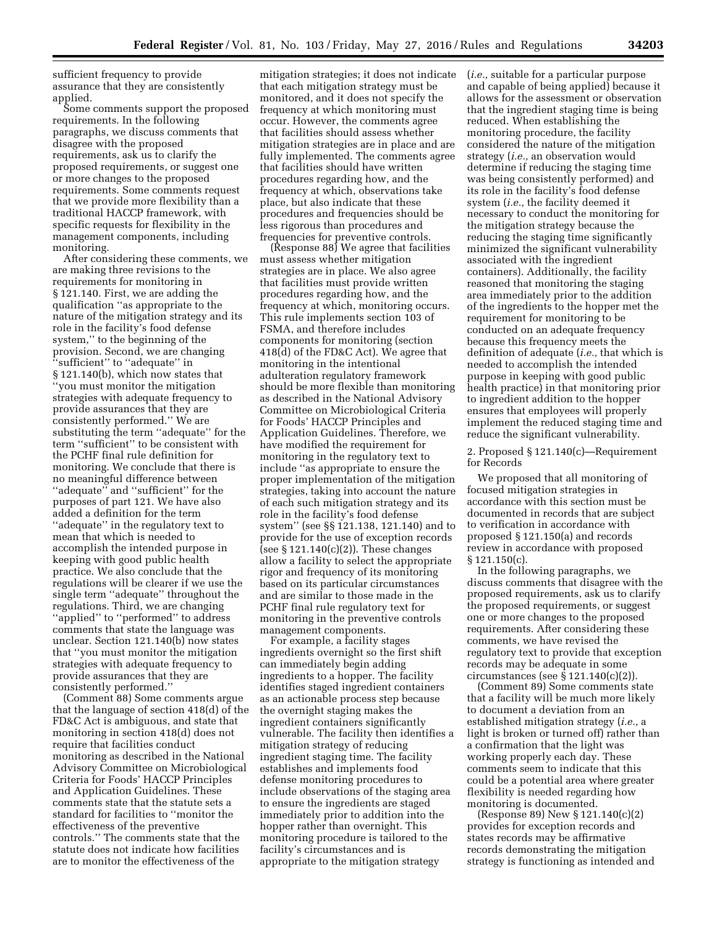sufficient frequency to provide assurance that they are consistently applied.

Some comments support the proposed requirements. In the following paragraphs, we discuss comments that disagree with the proposed requirements, ask us to clarify the proposed requirements, or suggest one or more changes to the proposed requirements. Some comments request that we provide more flexibility than a traditional HACCP framework, with specific requests for flexibility in the management components, including monitoring.

After considering these comments, we are making three revisions to the requirements for monitoring in § 121.140. First, we are adding the qualification ''as appropriate to the nature of the mitigation strategy and its role in the facility's food defense system,'' to the beginning of the provision. Second, we are changing ''sufficient'' to ''adequate'' in § 121.140(b), which now states that ''you must monitor the mitigation strategies with adequate frequency to provide assurances that they are consistently performed.'' We are substituting the term ''adequate'' for the term ''sufficient'' to be consistent with the PCHF final rule definition for monitoring. We conclude that there is no meaningful difference between ''adequate'' and ''sufficient'' for the purposes of part 121. We have also added a definition for the term ''adequate'' in the regulatory text to mean that which is needed to accomplish the intended purpose in keeping with good public health practice. We also conclude that the regulations will be clearer if we use the single term ''adequate'' throughout the regulations. Third, we are changing ''applied'' to ''performed'' to address comments that state the language was unclear. Section 121.140(b) now states that ''you must monitor the mitigation strategies with adequate frequency to provide assurances that they are consistently performed.''

(Comment 88) Some comments argue that the language of section 418(d) of the FD&C Act is ambiguous, and state that monitoring in section 418(d) does not require that facilities conduct monitoring as described in the National Advisory Committee on Microbiological Criteria for Foods' HACCP Principles and Application Guidelines. These comments state that the statute sets a standard for facilities to ''monitor the effectiveness of the preventive controls.'' The comments state that the statute does not indicate how facilities are to monitor the effectiveness of the

mitigation strategies; it does not indicate that each mitigation strategy must be monitored, and it does not specify the frequency at which monitoring must occur. However, the comments agree that facilities should assess whether mitigation strategies are in place and are fully implemented. The comments agree that facilities should have written procedures regarding how, and the frequency at which, observations take place, but also indicate that these procedures and frequencies should be less rigorous than procedures and frequencies for preventive controls.

(Response 88) We agree that facilities must assess whether mitigation strategies are in place. We also agree that facilities must provide written procedures regarding how, and the frequency at which, monitoring occurs. This rule implements section 103 of FSMA, and therefore includes components for monitoring (section 418(d) of the FD&C Act). We agree that monitoring in the intentional adulteration regulatory framework should be more flexible than monitoring as described in the National Advisory Committee on Microbiological Criteria for Foods' HACCP Principles and Application Guidelines. Therefore, we have modified the requirement for monitoring in the regulatory text to include ''as appropriate to ensure the proper implementation of the mitigation strategies, taking into account the nature of each such mitigation strategy and its role in the facility's food defense system'' (see §§ 121.138, 121.140) and to provide for the use of exception records (see  $\S 121.140(c)(2)$ ). These changes allow a facility to select the appropriate rigor and frequency of its monitoring based on its particular circumstances and are similar to those made in the PCHF final rule regulatory text for monitoring in the preventive controls management components.

For example, a facility stages ingredients overnight so the first shift can immediately begin adding ingredients to a hopper. The facility identifies staged ingredient containers as an actionable process step because the overnight staging makes the ingredient containers significantly vulnerable. The facility then identifies a mitigation strategy of reducing ingredient staging time. The facility establishes and implements food defense monitoring procedures to include observations of the staging area to ensure the ingredients are staged immediately prior to addition into the hopper rather than overnight. This monitoring procedure is tailored to the facility's circumstances and is appropriate to the mitigation strategy

(*i.e.,* suitable for a particular purpose and capable of being applied) because it allows for the assessment or observation that the ingredient staging time is being reduced. When establishing the monitoring procedure, the facility considered the nature of the mitigation strategy (*i.e.,* an observation would determine if reducing the staging time was being consistently performed) and its role in the facility's food defense system (*i.e.,* the facility deemed it necessary to conduct the monitoring for the mitigation strategy because the reducing the staging time significantly minimized the significant vulnerability associated with the ingredient containers). Additionally, the facility reasoned that monitoring the staging area immediately prior to the addition of the ingredients to the hopper met the requirement for monitoring to be conducted on an adequate frequency because this frequency meets the definition of adequate (*i.e.,* that which is needed to accomplish the intended purpose in keeping with good public health practice) in that monitoring prior to ingredient addition to the hopper ensures that employees will properly implement the reduced staging time and reduce the significant vulnerability.

2. Proposed § 121.140(c)—Requirement for Records

We proposed that all monitoring of focused mitigation strategies in accordance with this section must be documented in records that are subject to verification in accordance with proposed § 121.150(a) and records review in accordance with proposed § 121.150(c).

In the following paragraphs, we discuss comments that disagree with the proposed requirements, ask us to clarify the proposed requirements, or suggest one or more changes to the proposed requirements. After considering these comments, we have revised the regulatory text to provide that exception records may be adequate in some circumstances (see  $\S 121.140(c)(2)$ ).

(Comment 89) Some comments state that a facility will be much more likely to document a deviation from an established mitigation strategy (*i.e.,* a light is broken or turned off) rather than a confirmation that the light was working properly each day. These comments seem to indicate that this could be a potential area where greater flexibility is needed regarding how monitoring is documented.

(Response 89) New § 121.140(c)(2) provides for exception records and states records may be affirmative records demonstrating the mitigation strategy is functioning as intended and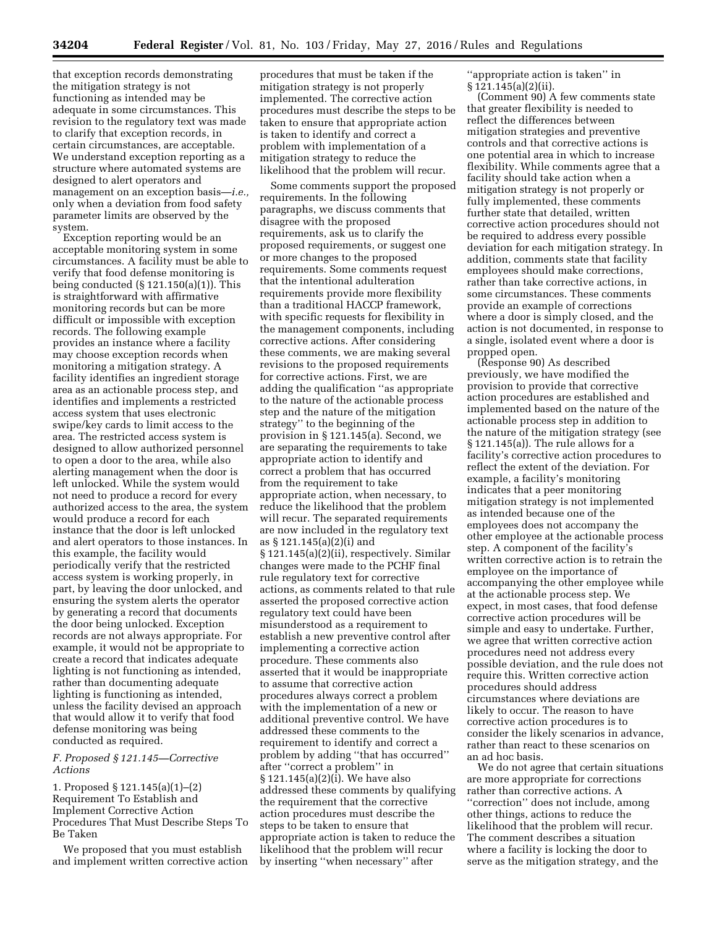**34204 Federal Register** / Vol. 81, No. 103 / Friday, May 27, 2016 / Rules and Regulations

that exception records demonstrating the mitigation strategy is not functioning as intended may be adequate in some circumstances. This revision to the regulatory text was made to clarify that exception records, in certain circumstances, are acceptable. We understand exception reporting as a structure where automated systems are designed to alert operators and management on an exception basis—*i.e.,*  only when a deviation from food safety parameter limits are observed by the system.

Exception reporting would be an acceptable monitoring system in some circumstances. A facility must be able to verify that food defense monitoring is being conducted  $(\S 121.150(a)(1))$ . This is straightforward with affirmative monitoring records but can be more difficult or impossible with exception records. The following example provides an instance where a facility may choose exception records when monitoring a mitigation strategy. A facility identifies an ingredient storage area as an actionable process step, and identifies and implements a restricted access system that uses electronic swipe/key cards to limit access to the area. The restricted access system is designed to allow authorized personnel to open a door to the area, while also alerting management when the door is left unlocked. While the system would not need to produce a record for every authorized access to the area, the system would produce a record for each instance that the door is left unlocked and alert operators to those instances. In this example, the facility would periodically verify that the restricted access system is working properly, in part, by leaving the door unlocked, and ensuring the system alerts the operator by generating a record that documents the door being unlocked. Exception records are not always appropriate. For example, it would not be appropriate to create a record that indicates adequate lighting is not functioning as intended, rather than documenting adequate lighting is functioning as intended, unless the facility devised an approach that would allow it to verify that food defense monitoring was being conducted as required.

# *F. Proposed § 121.145—Corrective Actions*

1. Proposed § 121.145(a)(1)–(2) Requirement To Establish and Implement Corrective Action Procedures That Must Describe Steps To Be Taken

We proposed that you must establish and implement written corrective action

procedures that must be taken if the mitigation strategy is not properly implemented. The corrective action procedures must describe the steps to be taken to ensure that appropriate action is taken to identify and correct a problem with implementation of a mitigation strategy to reduce the likelihood that the problem will recur.

Some comments support the proposed requirements. In the following paragraphs, we discuss comments that disagree with the proposed requirements, ask us to clarify the proposed requirements, or suggest one or more changes to the proposed requirements. Some comments request that the intentional adulteration requirements provide more flexibility than a traditional HACCP framework, with specific requests for flexibility in the management components, including corrective actions. After considering these comments, we are making several revisions to the proposed requirements for corrective actions. First, we are adding the qualification ''as appropriate to the nature of the actionable process step and the nature of the mitigation strategy'' to the beginning of the provision in § 121.145(a). Second, we are separating the requirements to take appropriate action to identify and correct a problem that has occurred from the requirement to take appropriate action, when necessary, to reduce the likelihood that the problem will recur. The separated requirements are now included in the regulatory text as § 121.145(a)(2)(i) and § 121.145(a)(2)(ii), respectively. Similar changes were made to the PCHF final rule regulatory text for corrective actions, as comments related to that rule asserted the proposed corrective action regulatory text could have been misunderstood as a requirement to establish a new preventive control after implementing a corrective action procedure. These comments also asserted that it would be inappropriate to assume that corrective action procedures always correct a problem with the implementation of a new or additional preventive control. We have addressed these comments to the requirement to identify and correct a problem by adding ''that has occurred'' after ''correct a problem'' in § 121.145(a)(2)(i). We have also addressed these comments by qualifying the requirement that the corrective action procedures must describe the steps to be taken to ensure that appropriate action is taken to reduce the likelihood that the problem will recur by inserting ''when necessary'' after

''appropriate action is taken'' in § 121.145(a)(2)(ii).

(Comment 90) A few comments state that greater flexibility is needed to reflect the differences between mitigation strategies and preventive controls and that corrective actions is one potential area in which to increase flexibility. While comments agree that a facility should take action when a mitigation strategy is not properly or fully implemented, these comments further state that detailed, written corrective action procedures should not be required to address every possible deviation for each mitigation strategy. In addition, comments state that facility employees should make corrections, rather than take corrective actions, in some circumstances. These comments provide an example of corrections where a door is simply closed, and the action is not documented, in response to a single, isolated event where a door is propped open.

(Response 90) As described previously, we have modified the provision to provide that corrective action procedures are established and implemented based on the nature of the actionable process step in addition to the nature of the mitigation strategy (see § 121.145(a)). The rule allows for a facility's corrective action procedures to reflect the extent of the deviation. For example, a facility's monitoring indicates that a peer monitoring mitigation strategy is not implemented as intended because one of the employees does not accompany the other employee at the actionable process step. A component of the facility's written corrective action is to retrain the employee on the importance of accompanying the other employee while at the actionable process step. We expect, in most cases, that food defense corrective action procedures will be simple and easy to undertake. Further, we agree that written corrective action procedures need not address every possible deviation, and the rule does not require this. Written corrective action procedures should address circumstances where deviations are likely to occur. The reason to have corrective action procedures is to consider the likely scenarios in advance, rather than react to these scenarios on an ad hoc basis.

We do not agree that certain situations are more appropriate for corrections rather than corrective actions. A ''correction'' does not include, among other things, actions to reduce the likelihood that the problem will recur. The comment describes a situation where a facility is locking the door to serve as the mitigation strategy, and the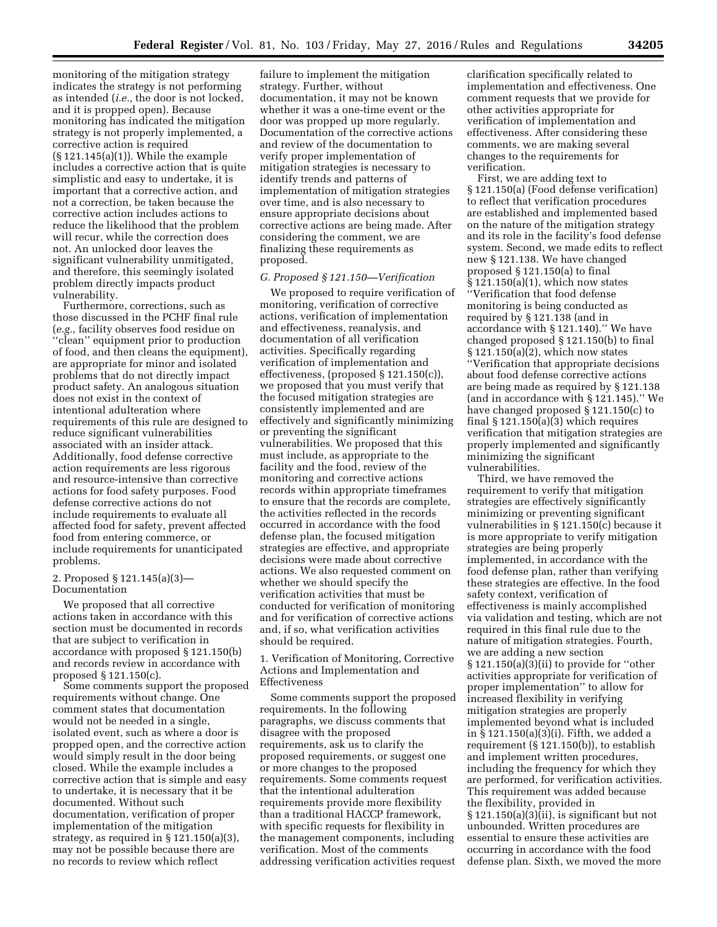monitoring of the mitigation strategy indicates the strategy is not performing as intended (*i.e.,* the door is not locked, and it is propped open). Because monitoring has indicated the mitigation strategy is not properly implemented, a corrective action is required (§ 121.145(a)(1)). While the example includes a corrective action that is quite simplistic and easy to undertake, it is important that a corrective action, and not a correction, be taken because the corrective action includes actions to reduce the likelihood that the problem will recur, while the correction does not. An unlocked door leaves the significant vulnerability unmitigated, and therefore, this seemingly isolated problem directly impacts product vulnerability.

Furthermore, corrections, such as those discussed in the PCHF final rule (*e.g.,* facility observes food residue on ''clean'' equipment prior to production of food, and then cleans the equipment), are appropriate for minor and isolated problems that do not directly impact product safety. An analogous situation does not exist in the context of intentional adulteration where requirements of this rule are designed to reduce significant vulnerabilities associated with an insider attack. Additionally, food defense corrective action requirements are less rigorous and resource-intensive than corrective actions for food safety purposes. Food defense corrective actions do not include requirements to evaluate all affected food for safety, prevent affected food from entering commerce, or include requirements for unanticipated problems.

# 2. Proposed § 121.145(a)(3)— Documentation

We proposed that all corrective actions taken in accordance with this section must be documented in records that are subject to verification in accordance with proposed § 121.150(b) and records review in accordance with proposed § 121.150(c).

Some comments support the proposed requirements without change. One comment states that documentation would not be needed in a single, isolated event, such as where a door is propped open, and the corrective action would simply result in the door being closed. While the example includes a corrective action that is simple and easy to undertake, it is necessary that it be documented. Without such documentation, verification of proper implementation of the mitigation strategy, as required in  $\S 121.150(a)(3)$ , may not be possible because there are no records to review which reflect

failure to implement the mitigation strategy. Further, without documentation, it may not be known whether it was a one-time event or the door was propped up more regularly. Documentation of the corrective actions and review of the documentation to verify proper implementation of mitigation strategies is necessary to identify trends and patterns of implementation of mitigation strategies over time, and is also necessary to ensure appropriate decisions about corrective actions are being made. After considering the comment, we are finalizing these requirements as proposed.

# *G. Proposed § 121.150—Verification*

We proposed to require verification of monitoring, verification of corrective actions, verification of implementation and effectiveness, reanalysis, and documentation of all verification activities. Specifically regarding verification of implementation and effectiveness, (proposed § 121.150(c)), we proposed that you must verify that the focused mitigation strategies are consistently implemented and are effectively and significantly minimizing or preventing the significant vulnerabilities. We proposed that this must include, as appropriate to the facility and the food, review of the monitoring and corrective actions records within appropriate timeframes to ensure that the records are complete, the activities reflected in the records occurred in accordance with the food defense plan, the focused mitigation strategies are effective, and appropriate decisions were made about corrective actions. We also requested comment on whether we should specify the verification activities that must be conducted for verification of monitoring and for verification of corrective actions and, if so, what verification activities should be required.

1. Verification of Monitoring, Corrective Actions and Implementation and Effectiveness

Some comments support the proposed requirements. In the following paragraphs, we discuss comments that disagree with the proposed requirements, ask us to clarify the proposed requirements, or suggest one or more changes to the proposed requirements. Some comments request that the intentional adulteration requirements provide more flexibility than a traditional HACCP framework, with specific requests for flexibility in the management components, including verification. Most of the comments addressing verification activities request

clarification specifically related to implementation and effectiveness. One comment requests that we provide for other activities appropriate for verification of implementation and effectiveness. After considering these comments, we are making several changes to the requirements for verification.

First, we are adding text to § 121.150(a) (Food defense verification) to reflect that verification procedures are established and implemented based on the nature of the mitigation strategy and its role in the facility's food defense system. Second, we made edits to reflect new § 121.138. We have changed proposed § 121.150(a) to final § 121.150(a)(1), which now states ''Verification that food defense monitoring is being conducted as required by § 121.138 (and in accordance with § 121.140).'' We have changed proposed § 121.150(b) to final § 121.150(a)(2), which now states ''Verification that appropriate decisions about food defense corrective actions are being made as required by § 121.138 (and in accordance with § 121.145).'' We have changed proposed § 121.150(c) to final  $\S 121.150(a)(3)$  which requires verification that mitigation strategies are properly implemented and significantly minimizing the significant vulnerabilities.

Third, we have removed the requirement to verify that mitigation strategies are effectively significantly minimizing or preventing significant vulnerabilities in § 121.150(c) because it is more appropriate to verify mitigation strategies are being properly implemented, in accordance with the food defense plan, rather than verifying these strategies are effective. In the food safety context, verification of effectiveness is mainly accomplished via validation and testing, which are not required in this final rule due to the nature of mitigation strategies. Fourth, we are adding a new section § 121.150(a)(3)(ii) to provide for ''other activities appropriate for verification of proper implementation'' to allow for increased flexibility in verifying mitigation strategies are properly implemented beyond what is included in § 121.150(a)(3)(i). Fifth, we added a requirement (§ 121.150(b)), to establish and implement written procedures, including the frequency for which they are performed, for verification activities. This requirement was added because the flexibility, provided in § 121.150(a)(3)(ii), is significant but not unbounded. Written procedures are essential to ensure these activities are occurring in accordance with the food defense plan. Sixth, we moved the more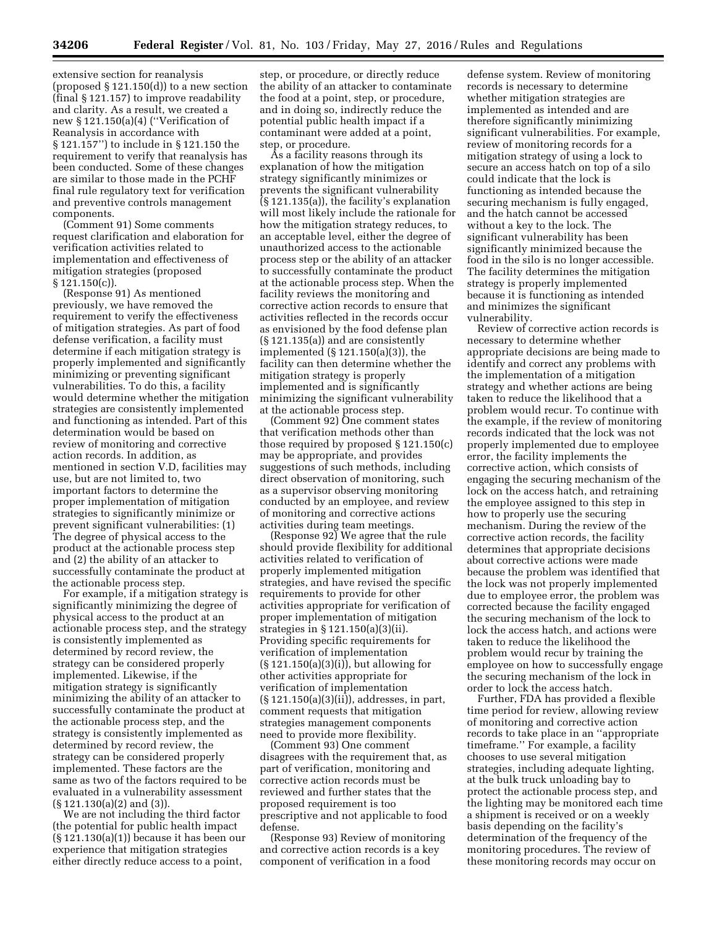extensive section for reanalysis (proposed  $\S 121.150(d)$ ) to a new section (final § 121.157) to improve readability and clarity. As a result, we created a new § 121.150(a)(4) (''Verification of Reanalysis in accordance with § 121.157'') to include in § 121.150 the requirement to verify that reanalysis has been conducted. Some of these changes are similar to those made in the PCHF final rule regulatory text for verification and preventive controls management components.

(Comment 91) Some comments request clarification and elaboration for verification activities related to implementation and effectiveness of mitigation strategies (proposed  $\S 121.150(c)$ ).

(Response 91) As mentioned previously, we have removed the requirement to verify the effectiveness of mitigation strategies. As part of food defense verification, a facility must determine if each mitigation strategy is properly implemented and significantly minimizing or preventing significant vulnerabilities. To do this, a facility would determine whether the mitigation strategies are consistently implemented and functioning as intended. Part of this determination would be based on review of monitoring and corrective action records. In addition, as mentioned in section V.D, facilities may use, but are not limited to, two important factors to determine the proper implementation of mitigation strategies to significantly minimize or prevent significant vulnerabilities: (1) The degree of physical access to the product at the actionable process step and (2) the ability of an attacker to successfully contaminate the product at the actionable process step.

For example, if a mitigation strategy is significantly minimizing the degree of physical access to the product at an actionable process step, and the strategy is consistently implemented as determined by record review, the strategy can be considered properly implemented. Likewise, if the mitigation strategy is significantly minimizing the ability of an attacker to successfully contaminate the product at the actionable process step, and the strategy is consistently implemented as determined by record review, the strategy can be considered properly implemented. These factors are the same as two of the factors required to be evaluated in a vulnerability assessment (§ 121.130(a)(2) and (3)).

We are not including the third factor (the potential for public health impact (§ 121.130(a)(1)) because it has been our experience that mitigation strategies either directly reduce access to a point,

step, or procedure, or directly reduce the ability of an attacker to contaminate the food at a point, step, or procedure, and in doing so, indirectly reduce the potential public health impact if a contaminant were added at a point, step, or procedure.

As a facility reasons through its explanation of how the mitigation strategy significantly minimizes or prevents the significant vulnerability (§ 121.135(a)), the facility's explanation will most likely include the rationale for how the mitigation strategy reduces, to an acceptable level, either the degree of unauthorized access to the actionable process step or the ability of an attacker to successfully contaminate the product at the actionable process step. When the facility reviews the monitoring and corrective action records to ensure that activities reflected in the records occur as envisioned by the food defense plan (§ 121.135(a)) and are consistently implemented (§ 121.150(a)(3)), the facility can then determine whether the mitigation strategy is properly implemented and is significantly minimizing the significant vulnerability at the actionable process step.

(Comment 92) One comment states that verification methods other than those required by proposed § 121.150(c) may be appropriate, and provides suggestions of such methods, including direct observation of monitoring, such as a supervisor observing monitoring conducted by an employee, and review of monitoring and corrective actions activities during team meetings.

(Response 92) We agree that the rule should provide flexibility for additional activities related to verification of properly implemented mitigation strategies, and have revised the specific requirements to provide for other activities appropriate for verification of proper implementation of mitigation strategies in § 121.150(a)(3)(ii). Providing specific requirements for verification of implementation (§ 121.150(a)(3)(i)), but allowing for other activities appropriate for verification of implementation (§ 121.150(a)(3)(ii)), addresses, in part, comment requests that mitigation strategies management components need to provide more flexibility.

(Comment 93) One comment disagrees with the requirement that, as part of verification, monitoring and corrective action records must be reviewed and further states that the proposed requirement is too prescriptive and not applicable to food defense.

(Response 93) Review of monitoring and corrective action records is a key component of verification in a food

defense system. Review of monitoring records is necessary to determine whether mitigation strategies are implemented as intended and are therefore significantly minimizing significant vulnerabilities. For example, review of monitoring records for a mitigation strategy of using a lock to secure an access hatch on top of a silo could indicate that the lock is functioning as intended because the securing mechanism is fully engaged, and the hatch cannot be accessed without a key to the lock. The significant vulnerability has been significantly minimized because the food in the silo is no longer accessible. The facility determines the mitigation strategy is properly implemented because it is functioning as intended and minimizes the significant vulnerability.

Review of corrective action records is necessary to determine whether appropriate decisions are being made to identify and correct any problems with the implementation of a mitigation strategy and whether actions are being taken to reduce the likelihood that a problem would recur. To continue with the example, if the review of monitoring records indicated that the lock was not properly implemented due to employee error, the facility implements the corrective action, which consists of engaging the securing mechanism of the lock on the access hatch, and retraining the employee assigned to this step in how to properly use the securing mechanism. During the review of the corrective action records, the facility determines that appropriate decisions about corrective actions were made because the problem was identified that the lock was not properly implemented due to employee error, the problem was corrected because the facility engaged the securing mechanism of the lock to lock the access hatch, and actions were taken to reduce the likelihood the problem would recur by training the employee on how to successfully engage the securing mechanism of the lock in order to lock the access hatch.

Further, FDA has provided a flexible time period for review, allowing review of monitoring and corrective action records to take place in an ''appropriate timeframe.'' For example, a facility chooses to use several mitigation strategies, including adequate lighting, at the bulk truck unloading bay to protect the actionable process step, and the lighting may be monitored each time a shipment is received or on a weekly basis depending on the facility's determination of the frequency of the monitoring procedures. The review of these monitoring records may occur on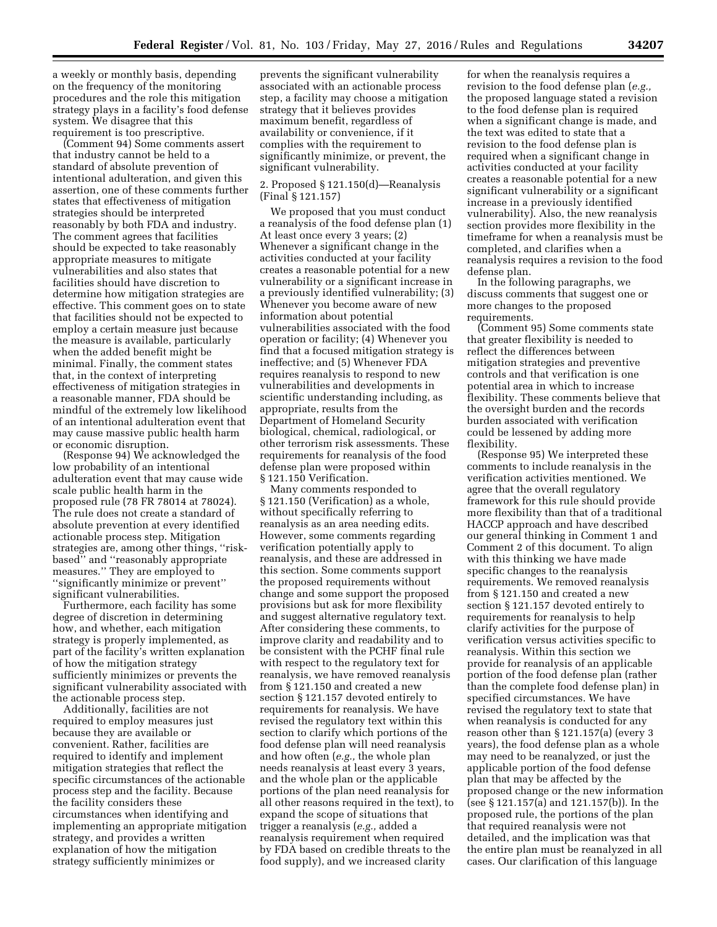a weekly or monthly basis, depending on the frequency of the monitoring procedures and the role this mitigation strategy plays in a facility's food defense system. We disagree that this requirement is too prescriptive.

(Comment 94) Some comments assert that industry cannot be held to a standard of absolute prevention of intentional adulteration, and given this assertion, one of these comments further states that effectiveness of mitigation strategies should be interpreted reasonably by both FDA and industry. The comment agrees that facilities should be expected to take reasonably appropriate measures to mitigate vulnerabilities and also states that facilities should have discretion to determine how mitigation strategies are effective. This comment goes on to state that facilities should not be expected to employ a certain measure just because the measure is available, particularly when the added benefit might be minimal. Finally, the comment states that, in the context of interpreting effectiveness of mitigation strategies in a reasonable manner, FDA should be mindful of the extremely low likelihood of an intentional adulteration event that may cause massive public health harm or economic disruption.

(Response 94) We acknowledged the low probability of an intentional adulteration event that may cause wide scale public health harm in the proposed rule (78 FR 78014 at 78024). The rule does not create a standard of absolute prevention at every identified actionable process step. Mitigation strategies are, among other things, ''riskbased'' and ''reasonably appropriate measures.'' They are employed to ''significantly minimize or prevent'' significant vulnerabilities.

Furthermore, each facility has some degree of discretion in determining how, and whether, each mitigation strategy is properly implemented, as part of the facility's written explanation of how the mitigation strategy sufficiently minimizes or prevents the significant vulnerability associated with the actionable process step.

Additionally, facilities are not required to employ measures just because they are available or convenient. Rather, facilities are required to identify and implement mitigation strategies that reflect the specific circumstances of the actionable process step and the facility. Because the facility considers these circumstances when identifying and implementing an appropriate mitigation strategy, and provides a written explanation of how the mitigation strategy sufficiently minimizes or

prevents the significant vulnerability associated with an actionable process step, a facility may choose a mitigation strategy that it believes provides maximum benefit, regardless of availability or convenience, if it complies with the requirement to significantly minimize, or prevent, the significant vulnerability.

# 2. Proposed § 121.150(d)—Reanalysis (Final § 121.157)

We proposed that you must conduct a reanalysis of the food defense plan (1) At least once every 3 years; (2) Whenever a significant change in the activities conducted at your facility creates a reasonable potential for a new vulnerability or a significant increase in a previously identified vulnerability; (3) Whenever you become aware of new information about potential vulnerabilities associated with the food operation or facility; (4) Whenever you find that a focused mitigation strategy is ineffective; and (5) Whenever FDA requires reanalysis to respond to new vulnerabilities and developments in scientific understanding including, as appropriate, results from the Department of Homeland Security biological, chemical, radiological, or other terrorism risk assessments. These requirements for reanalysis of the food defense plan were proposed within § 121.150 Verification.

Many comments responded to § 121.150 (Verification) as a whole, without specifically referring to reanalysis as an area needing edits. However, some comments regarding verification potentially apply to reanalysis, and these are addressed in this section. Some comments support the proposed requirements without change and some support the proposed provisions but ask for more flexibility and suggest alternative regulatory text. After considering these comments, to improve clarity and readability and to be consistent with the PCHF final rule with respect to the regulatory text for reanalysis, we have removed reanalysis from § 121.150 and created a new section § 121.157 devoted entirely to requirements for reanalysis. We have revised the regulatory text within this section to clarify which portions of the food defense plan will need reanalysis and how often (*e.g.,* the whole plan needs reanalysis at least every 3 years, and the whole plan or the applicable portions of the plan need reanalysis for all other reasons required in the text), to expand the scope of situations that trigger a reanalysis (*e.g.,* added a reanalysis requirement when required by FDA based on credible threats to the food supply), and we increased clarity

for when the reanalysis requires a revision to the food defense plan (*e.g.,*  the proposed language stated a revision to the food defense plan is required when a significant change is made, and the text was edited to state that a revision to the food defense plan is required when a significant change in activities conducted at your facility creates a reasonable potential for a new significant vulnerability or a significant increase in a previously identified vulnerability). Also, the new reanalysis section provides more flexibility in the timeframe for when a reanalysis must be completed, and clarifies when a reanalysis requires a revision to the food defense plan.

In the following paragraphs, we discuss comments that suggest one or more changes to the proposed requirements.

(Comment 95) Some comments state that greater flexibility is needed to reflect the differences between mitigation strategies and preventive controls and that verification is one potential area in which to increase flexibility. These comments believe that the oversight burden and the records burden associated with verification could be lessened by adding more flexibility.

(Response 95) We interpreted these comments to include reanalysis in the verification activities mentioned. We agree that the overall regulatory framework for this rule should provide more flexibility than that of a traditional HACCP approach and have described our general thinking in Comment 1 and Comment 2 of this document. To align with this thinking we have made specific changes to the reanalysis requirements. We removed reanalysis from § 121.150 and created a new section § 121.157 devoted entirely to requirements for reanalysis to help clarify activities for the purpose of verification versus activities specific to reanalysis. Within this section we provide for reanalysis of an applicable portion of the food defense plan (rather than the complete food defense plan) in specified circumstances. We have revised the regulatory text to state that when reanalysis is conducted for any reason other than § 121.157(a) (every 3 years), the food defense plan as a whole may need to be reanalyzed, or just the applicable portion of the food defense plan that may be affected by the proposed change or the new information (see § 121.157(a) and 121.157(b)). In the proposed rule, the portions of the plan that required reanalysis were not detailed, and the implication was that the entire plan must be reanalyzed in all cases. Our clarification of this language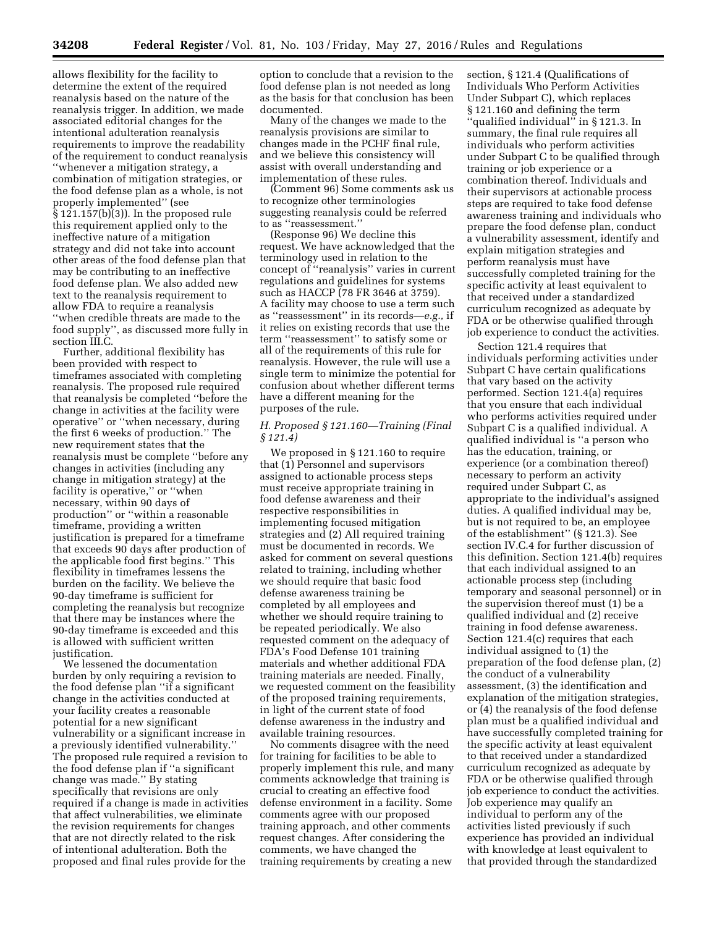allows flexibility for the facility to determine the extent of the required reanalysis based on the nature of the reanalysis trigger. In addition, we made associated editorial changes for the intentional adulteration reanalysis requirements to improve the readability of the requirement to conduct reanalysis ''whenever a mitigation strategy, a combination of mitigation strategies, or the food defense plan as a whole, is not properly implemented'' (see § 121.157(b)(3)). In the proposed rule this requirement applied only to the ineffective nature of a mitigation strategy and did not take into account other areas of the food defense plan that may be contributing to an ineffective food defense plan. We also added new text to the reanalysis requirement to allow FDA to require a reanalysis ''when credible threats are made to the food supply'', as discussed more fully in section III.C.

Further, additional flexibility has been provided with respect to timeframes associated with completing reanalysis. The proposed rule required that reanalysis be completed ''before the change in activities at the facility were operative'' or ''when necessary, during the first 6 weeks of production.'' The new requirement states that the reanalysis must be complete ''before any changes in activities (including any change in mitigation strategy) at the facility is operative,'' or ''when necessary, within 90 days of production'' or ''within a reasonable timeframe, providing a written justification is prepared for a timeframe that exceeds 90 days after production of the applicable food first begins.'' This flexibility in timeframes lessens the burden on the facility. We believe the 90-day timeframe is sufficient for completing the reanalysis but recognize that there may be instances where the 90-day timeframe is exceeded and this is allowed with sufficient written justification.

We lessened the documentation burden by only requiring a revision to the food defense plan ''if a significant change in the activities conducted at your facility creates a reasonable potential for a new significant vulnerability or a significant increase in a previously identified vulnerability.'' The proposed rule required a revision to the food defense plan if ''a significant change was made.'' By stating specifically that revisions are only required if a change is made in activities that affect vulnerabilities, we eliminate the revision requirements for changes that are not directly related to the risk of intentional adulteration. Both the proposed and final rules provide for the

option to conclude that a revision to the food defense plan is not needed as long as the basis for that conclusion has been documented.

Many of the changes we made to the reanalysis provisions are similar to changes made in the PCHF final rule, and we believe this consistency will assist with overall understanding and implementation of these rules.

(Comment 96) Some comments ask us to recognize other terminologies suggesting reanalysis could be referred to as ''reassessment.''

(Response 96) We decline this request. We have acknowledged that the terminology used in relation to the concept of ''reanalysis'' varies in current regulations and guidelines for systems such as HACCP (78 FR 3646 at 3759). A facility may choose to use a term such as ''reassessment'' in its records—*e.g.,* if it relies on existing records that use the term ''reassessment'' to satisfy some or all of the requirements of this rule for reanalysis. However, the rule will use a single term to minimize the potential for confusion about whether different terms have a different meaning for the purposes of the rule.

# *H. Proposed § 121.160—Training (Final § 121.4)*

We proposed in § 121.160 to require that (1) Personnel and supervisors assigned to actionable process steps must receive appropriate training in food defense awareness and their respective responsibilities in implementing focused mitigation strategies and (2) All required training must be documented in records. We asked for comment on several questions related to training, including whether we should require that basic food defense awareness training be completed by all employees and whether we should require training to be repeated periodically. We also requested comment on the adequacy of FDA's Food Defense 101 training materials and whether additional FDA training materials are needed. Finally, we requested comment on the feasibility of the proposed training requirements, in light of the current state of food defense awareness in the industry and available training resources.

No comments disagree with the need for training for facilities to be able to properly implement this rule, and many comments acknowledge that training is crucial to creating an effective food defense environment in a facility. Some comments agree with our proposed training approach, and other comments request changes. After considering the comments, we have changed the training requirements by creating a new

section, § 121.4 (Qualifications of Individuals Who Perform Activities Under Subpart C), which replaces § 121.160 and defining the term ''qualified individual'' in § 121.3. In summary, the final rule requires all individuals who perform activities under Subpart C to be qualified through training or job experience or a combination thereof. Individuals and their supervisors at actionable process steps are required to take food defense awareness training and individuals who prepare the food defense plan, conduct a vulnerability assessment, identify and explain mitigation strategies and perform reanalysis must have successfully completed training for the specific activity at least equivalent to that received under a standardized curriculum recognized as adequate by FDA or be otherwise qualified through job experience to conduct the activities.

Section 121.4 requires that individuals performing activities under Subpart C have certain qualifications that vary based on the activity performed. Section 121.4(a) requires that you ensure that each individual who performs activities required under Subpart C is a qualified individual. A qualified individual is ''a person who has the education, training, or experience (or a combination thereof) necessary to perform an activity required under Subpart C, as appropriate to the individual's assigned duties. A qualified individual may be, but is not required to be, an employee of the establishment'' (§ 121.3). See section IV.C.4 for further discussion of this definition. Section 121.4(b) requires that each individual assigned to an actionable process step (including temporary and seasonal personnel) or in the supervision thereof must (1) be a qualified individual and (2) receive training in food defense awareness. Section 121.4(c) requires that each individual assigned to (1) the preparation of the food defense plan, (2) the conduct of a vulnerability assessment, (3) the identification and explanation of the mitigation strategies, or (4) the reanalysis of the food defense plan must be a qualified individual and have successfully completed training for the specific activity at least equivalent to that received under a standardized curriculum recognized as adequate by FDA or be otherwise qualified through job experience to conduct the activities. Job experience may qualify an individual to perform any of the activities listed previously if such experience has provided an individual with knowledge at least equivalent to that provided through the standardized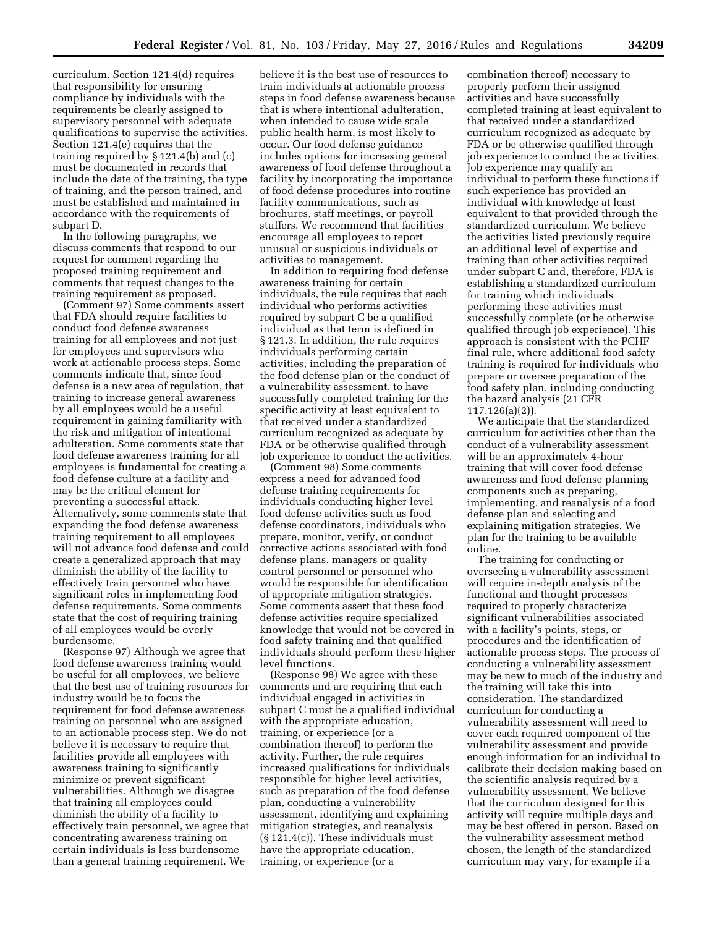curriculum. Section 121.4(d) requires that responsibility for ensuring compliance by individuals with the requirements be clearly assigned to supervisory personnel with adequate qualifications to supervise the activities. Section 121.4(e) requires that the training required by § 121.4(b) and (c) must be documented in records that include the date of the training, the type of training, and the person trained, and must be established and maintained in accordance with the requirements of subpart D.

In the following paragraphs, we discuss comments that respond to our request for comment regarding the proposed training requirement and comments that request changes to the training requirement as proposed.

(Comment 97) Some comments assert that FDA should require facilities to conduct food defense awareness training for all employees and not just for employees and supervisors who work at actionable process steps. Some comments indicate that, since food defense is a new area of regulation, that training to increase general awareness by all employees would be a useful requirement in gaining familiarity with the risk and mitigation of intentional adulteration. Some comments state that food defense awareness training for all employees is fundamental for creating a food defense culture at a facility and may be the critical element for preventing a successful attack. Alternatively, some comments state that expanding the food defense awareness training requirement to all employees will not advance food defense and could create a generalized approach that may diminish the ability of the facility to effectively train personnel who have significant roles in implementing food defense requirements. Some comments state that the cost of requiring training of all employees would be overly burdensome.

(Response 97) Although we agree that food defense awareness training would be useful for all employees, we believe that the best use of training resources for industry would be to focus the requirement for food defense awareness training on personnel who are assigned to an actionable process step. We do not believe it is necessary to require that facilities provide all employees with awareness training to significantly minimize or prevent significant vulnerabilities. Although we disagree that training all employees could diminish the ability of a facility to effectively train personnel, we agree that concentrating awareness training on certain individuals is less burdensome than a general training requirement. We

believe it is the best use of resources to train individuals at actionable process steps in food defense awareness because that is where intentional adulteration, when intended to cause wide scale public health harm, is most likely to occur. Our food defense guidance includes options for increasing general awareness of food defense throughout a facility by incorporating the importance of food defense procedures into routine facility communications, such as brochures, staff meetings, or payroll stuffers. We recommend that facilities encourage all employees to report unusual or suspicious individuals or activities to management.

In addition to requiring food defense awareness training for certain individuals, the rule requires that each individual who performs activities required by subpart C be a qualified individual as that term is defined in § 121.3. In addition, the rule requires individuals performing certain activities, including the preparation of the food defense plan or the conduct of a vulnerability assessment, to have successfully completed training for the specific activity at least equivalent to that received under a standardized curriculum recognized as adequate by FDA or be otherwise qualified through job experience to conduct the activities.

(Comment 98) Some comments express a need for advanced food defense training requirements for individuals conducting higher level food defense activities such as food defense coordinators, individuals who prepare, monitor, verify, or conduct corrective actions associated with food defense plans, managers or quality control personnel or personnel who would be responsible for identification of appropriate mitigation strategies. Some comments assert that these food defense activities require specialized knowledge that would not be covered in food safety training and that qualified individuals should perform these higher level functions.

(Response 98) We agree with these comments and are requiring that each individual engaged in activities in subpart C must be a qualified individual with the appropriate education, training, or experience (or a combination thereof) to perform the activity. Further, the rule requires increased qualifications for individuals responsible for higher level activities, such as preparation of the food defense plan, conducting a vulnerability assessment, identifying and explaining mitigation strategies, and reanalysis (§ 121.4(c)). These individuals must have the appropriate education, training, or experience (or a

combination thereof) necessary to properly perform their assigned activities and have successfully completed training at least equivalent to that received under a standardized curriculum recognized as adequate by FDA or be otherwise qualified through job experience to conduct the activities. Job experience may qualify an individual to perform these functions if such experience has provided an individual with knowledge at least equivalent to that provided through the standardized curriculum. We believe the activities listed previously require an additional level of expertise and training than other activities required under subpart C and, therefore, FDA is establishing a standardized curriculum for training which individuals performing these activities must successfully complete (or be otherwise qualified through job experience). This approach is consistent with the PCHF final rule, where additional food safety training is required for individuals who prepare or oversee preparation of the food safety plan, including conducting the hazard analysis (21 CFR 117.126(a)(2)).

We anticipate that the standardized curriculum for activities other than the conduct of a vulnerability assessment will be an approximately 4-hour training that will cover food defense awareness and food defense planning components such as preparing, implementing, and reanalysis of a food defense plan and selecting and explaining mitigation strategies. We plan for the training to be available online.

The training for conducting or overseeing a vulnerability assessment will require in-depth analysis of the functional and thought processes required to properly characterize significant vulnerabilities associated with a facility's points, steps, or procedures and the identification of actionable process steps. The process of conducting a vulnerability assessment may be new to much of the industry and the training will take this into consideration. The standardized curriculum for conducting a vulnerability assessment will need to cover each required component of the vulnerability assessment and provide enough information for an individual to calibrate their decision making based on the scientific analysis required by a vulnerability assessment. We believe that the curriculum designed for this activity will require multiple days and may be best offered in person. Based on the vulnerability assessment method chosen, the length of the standardized curriculum may vary, for example if a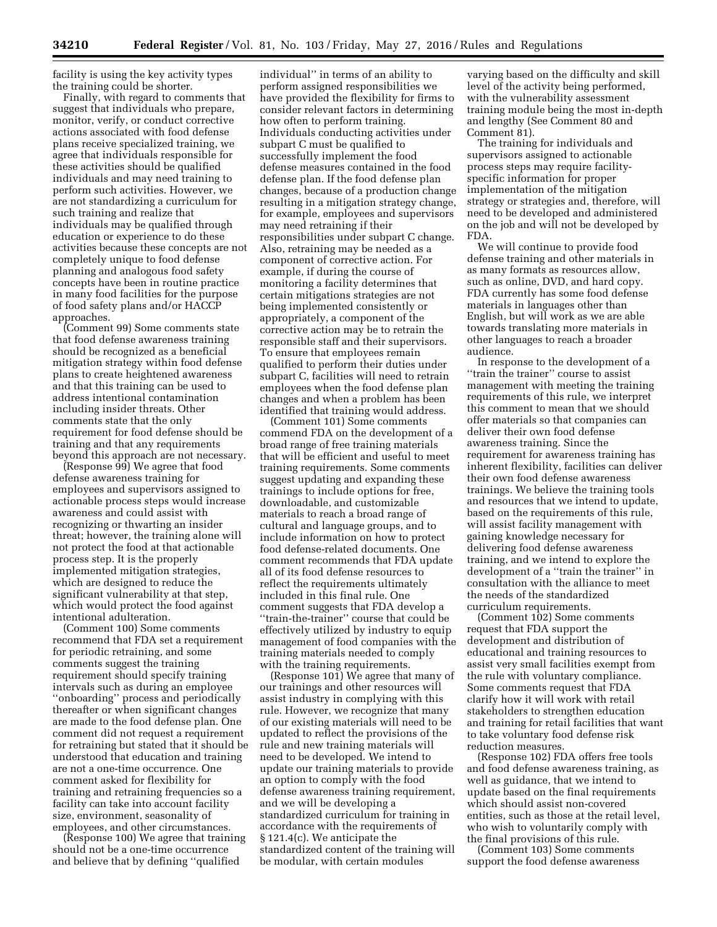facility is using the key activity types the training could be shorter.

Finally, with regard to comments that suggest that individuals who prepare, monitor, verify, or conduct corrective actions associated with food defense plans receive specialized training, we agree that individuals responsible for these activities should be qualified individuals and may need training to perform such activities. However, we are not standardizing a curriculum for such training and realize that individuals may be qualified through education or experience to do these activities because these concepts are not completely unique to food defense planning and analogous food safety concepts have been in routine practice in many food facilities for the purpose of food safety plans and/or HACCP approaches.

(Comment 99) Some comments state that food defense awareness training should be recognized as a beneficial mitigation strategy within food defense plans to create heightened awareness and that this training can be used to address intentional contamination including insider threats. Other comments state that the only requirement for food defense should be training and that any requirements beyond this approach are not necessary.

 $($ Response  $\overline{99}$ ) We agree that food defense awareness training for employees and supervisors assigned to actionable process steps would increase awareness and could assist with recognizing or thwarting an insider threat; however, the training alone will not protect the food at that actionable process step. It is the properly implemented mitigation strategies, which are designed to reduce the significant vulnerability at that step, which would protect the food against intentional adulteration.

(Comment 100) Some comments recommend that FDA set a requirement for periodic retraining, and some comments suggest the training requirement should specify training intervals such as during an employee ''onboarding'' process and periodically thereafter or when significant changes are made to the food defense plan. One comment did not request a requirement for retraining but stated that it should be understood that education and training are not a one-time occurrence. One comment asked for flexibility for training and retraining frequencies so a facility can take into account facility size, environment, seasonality of employees, and other circumstances.

(Response 100) We agree that training should not be a one-time occurrence and believe that by defining ''qualified

individual'' in terms of an ability to perform assigned responsibilities we have provided the flexibility for firms to consider relevant factors in determining how often to perform training. Individuals conducting activities under subpart C must be qualified to successfully implement the food defense measures contained in the food defense plan. If the food defense plan changes, because of a production change resulting in a mitigation strategy change, for example, employees and supervisors may need retraining if their responsibilities under subpart C change. Also, retraining may be needed as a component of corrective action. For example, if during the course of monitoring a facility determines that certain mitigations strategies are not being implemented consistently or appropriately, a component of the corrective action may be to retrain the responsible staff and their supervisors. To ensure that employees remain qualified to perform their duties under subpart C, facilities will need to retrain employees when the food defense plan changes and when a problem has been identified that training would address.

(Comment 101) Some comments commend FDA on the development of a broad range of free training materials that will be efficient and useful to meet training requirements. Some comments suggest updating and expanding these trainings to include options for free, downloadable, and customizable materials to reach a broad range of cultural and language groups, and to include information on how to protect food defense-related documents. One comment recommends that FDA update all of its food defense resources to reflect the requirements ultimately included in this final rule. One comment suggests that FDA develop a ''train-the-trainer'' course that could be effectively utilized by industry to equip management of food companies with the training materials needed to comply with the training requirements.

(Response 101) We agree that many of our trainings and other resources will assist industry in complying with this rule. However, we recognize that many of our existing materials will need to be updated to reflect the provisions of the rule and new training materials will need to be developed. We intend to update our training materials to provide an option to comply with the food defense awareness training requirement, and we will be developing a standardized curriculum for training in accordance with the requirements of § 121.4(c). We anticipate the standardized content of the training will be modular, with certain modules

varying based on the difficulty and skill level of the activity being performed, with the vulnerability assessment training module being the most in-depth and lengthy (See Comment 80 and Comment 81).

The training for individuals and supervisors assigned to actionable process steps may require facilityspecific information for proper implementation of the mitigation strategy or strategies and, therefore, will need to be developed and administered on the job and will not be developed by FDA.

We will continue to provide food defense training and other materials in as many formats as resources allow, such as online, DVD, and hard copy. FDA currently has some food defense materials in languages other than English, but will work as we are able towards translating more materials in other languages to reach a broader audience.

In response to the development of a ''train the trainer'' course to assist management with meeting the training requirements of this rule, we interpret this comment to mean that we should offer materials so that companies can deliver their own food defense awareness training. Since the requirement for awareness training has inherent flexibility, facilities can deliver their own food defense awareness trainings. We believe the training tools and resources that we intend to update, based on the requirements of this rule, will assist facility management with gaining knowledge necessary for delivering food defense awareness training, and we intend to explore the development of a ''train the trainer'' in consultation with the alliance to meet the needs of the standardized curriculum requirements.

(Comment 102) Some comments request that FDA support the development and distribution of educational and training resources to assist very small facilities exempt from the rule with voluntary compliance. Some comments request that FDA clarify how it will work with retail stakeholders to strengthen education and training for retail facilities that want to take voluntary food defense risk reduction measures.

(Response 102) FDA offers free tools and food defense awareness training, as well as guidance, that we intend to update based on the final requirements which should assist non-covered entities, such as those at the retail level, who wish to voluntarily comply with the final provisions of this rule.

(Comment 103) Some comments support the food defense awareness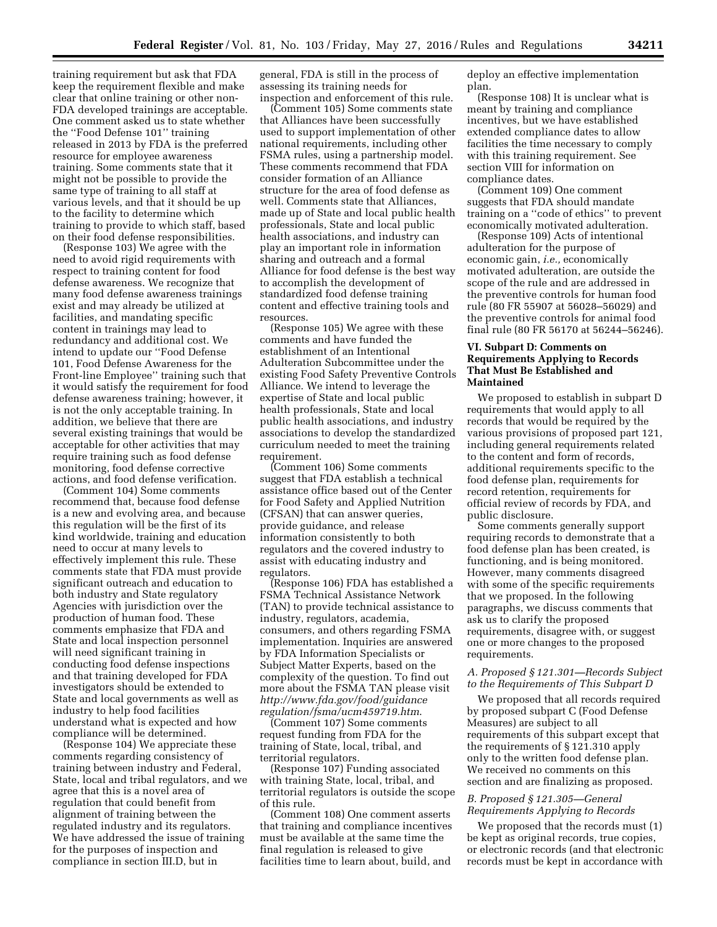training requirement but ask that FDA keep the requirement flexible and make clear that online training or other non-FDA developed trainings are acceptable. One comment asked us to state whether the ''Food Defense 101'' training released in 2013 by FDA is the preferred resource for employee awareness training. Some comments state that it might not be possible to provide the same type of training to all staff at various levels, and that it should be up to the facility to determine which training to provide to which staff, based on their food defense responsibilities.

(Response 103) We agree with the need to avoid rigid requirements with respect to training content for food defense awareness. We recognize that many food defense awareness trainings exist and may already be utilized at facilities, and mandating specific content in trainings may lead to redundancy and additional cost. We intend to update our ''Food Defense 101, Food Defense Awareness for the Front-line Employee'' training such that it would satisfy the requirement for food defense awareness training; however, it is not the only acceptable training. In addition, we believe that there are several existing trainings that would be acceptable for other activities that may require training such as food defense monitoring, food defense corrective actions, and food defense verification.

(Comment 104) Some comments recommend that, because food defense is a new and evolving area, and because this regulation will be the first of its kind worldwide, training and education need to occur at many levels to effectively implement this rule. These comments state that FDA must provide significant outreach and education to both industry and State regulatory Agencies with jurisdiction over the production of human food. These comments emphasize that FDA and State and local inspection personnel will need significant training in conducting food defense inspections and that training developed for FDA investigators should be extended to State and local governments as well as industry to help food facilities understand what is expected and how compliance will be determined.

(Response 104) We appreciate these comments regarding consistency of training between industry and Federal, State, local and tribal regulators, and we agree that this is a novel area of regulation that could benefit from alignment of training between the regulated industry and its regulators. We have addressed the issue of training for the purposes of inspection and compliance in section III.D, but in

general, FDA is still in the process of assessing its training needs for inspection and enforcement of this rule.

(Comment 105) Some comments state that Alliances have been successfully used to support implementation of other national requirements, including other FSMA rules, using a partnership model. These comments recommend that FDA consider formation of an Alliance structure for the area of food defense as well. Comments state that Alliances, made up of State and local public health professionals, State and local public health associations, and industry can play an important role in information sharing and outreach and a formal Alliance for food defense is the best way to accomplish the development of standardized food defense training content and effective training tools and resources.

(Response 105) We agree with these comments and have funded the establishment of an Intentional Adulteration Subcommittee under the existing Food Safety Preventive Controls Alliance. We intend to leverage the expertise of State and local public health professionals, State and local public health associations, and industry associations to develop the standardized curriculum needed to meet the training requirement.

(Comment 106) Some comments suggest that FDA establish a technical assistance office based out of the Center for Food Safety and Applied Nutrition (CFSAN) that can answer queries, provide guidance, and release information consistently to both regulators and the covered industry to assist with educating industry and regulators.

(Response 106) FDA has established a FSMA Technical Assistance Network (TAN) to provide technical assistance to industry, regulators, academia, consumers, and others regarding FSMA implementation. Inquiries are answered by FDA Information Specialists or Subject Matter Experts, based on the complexity of the question. To find out more about the FSMA TAN please visit *[http://www.fda.gov/food/guidance](http://www.fda.gov/food/guidanceregulation/fsma/ucm459719.htm) [regulation/fsma/ucm459719.htm](http://www.fda.gov/food/guidanceregulation/fsma/ucm459719.htm)*.

(Comment 107) Some comments request funding from FDA for the training of State, local, tribal, and territorial regulators.

(Response 107) Funding associated with training State, local, tribal, and territorial regulators is outside the scope of this rule.

(Comment 108) One comment asserts that training and compliance incentives must be available at the same time the final regulation is released to give facilities time to learn about, build, and

deploy an effective implementation plan.

(Response 108) It is unclear what is meant by training and compliance incentives, but we have established extended compliance dates to allow facilities the time necessary to comply with this training requirement. See section VIII for information on compliance dates.

(Comment 109) One comment suggests that FDA should mandate training on a ''code of ethics'' to prevent economically motivated adulteration.

(Response 109) Acts of intentional adulteration for the purpose of economic gain, *i.e.,* economically motivated adulteration, are outside the scope of the rule and are addressed in the preventive controls for human food rule (80 FR 55907 at 56028–56029) and the preventive controls for animal food final rule (80 FR 56170 at 56244–56246).

# **VI. Subpart D: Comments on Requirements Applying to Records That Must Be Established and Maintained**

We proposed to establish in subpart D requirements that would apply to all records that would be required by the various provisions of proposed part 121, including general requirements related to the content and form of records, additional requirements specific to the food defense plan, requirements for record retention, requirements for official review of records by FDA, and public disclosure.

Some comments generally support requiring records to demonstrate that a food defense plan has been created, is functioning, and is being monitored. However, many comments disagreed with some of the specific requirements that we proposed. In the following paragraphs, we discuss comments that ask us to clarify the proposed requirements, disagree with, or suggest one or more changes to the proposed requirements.

# *A. Proposed § 121.301—Records Subject to the Requirements of This Subpart D*

We proposed that all records required by proposed subpart C (Food Defense Measures) are subject to all requirements of this subpart except that the requirements of § 121.310 apply only to the written food defense plan. We received no comments on this section and are finalizing as proposed.

# *B. Proposed § 121.305—General Requirements Applying to Records*

We proposed that the records must (1) be kept as original records, true copies, or electronic records (and that electronic records must be kept in accordance with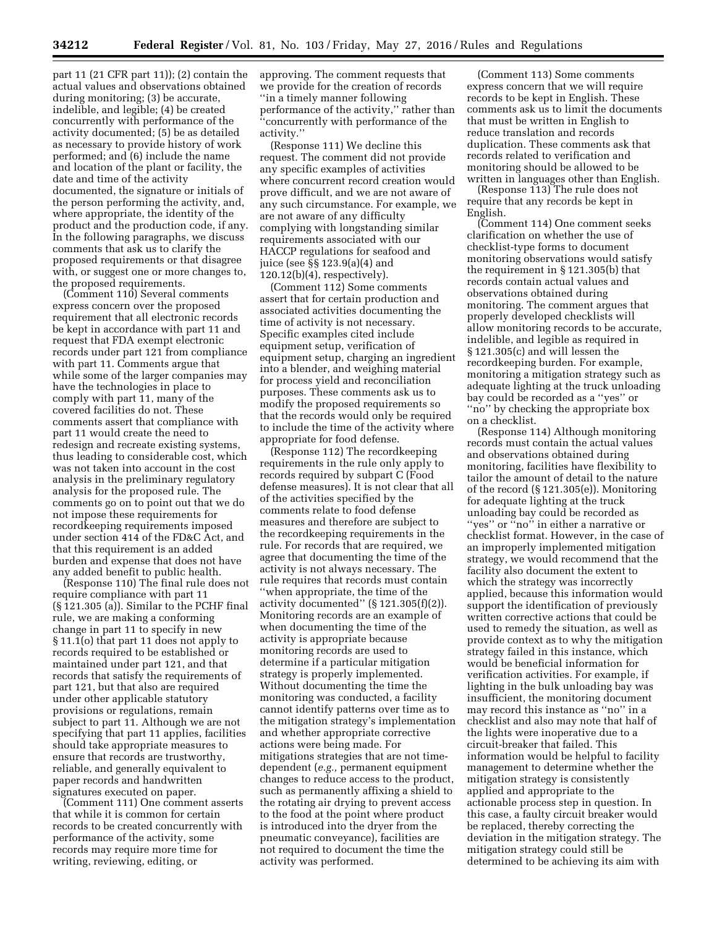part 11 (21 CFR part 11)); (2) contain the actual values and observations obtained during monitoring; (3) be accurate, indelible, and legible; (4) be created concurrently with performance of the activity documented; (5) be as detailed as necessary to provide history of work performed; and (6) include the name and location of the plant or facility, the date and time of the activity documented, the signature or initials of the person performing the activity, and, where appropriate, the identity of the product and the production code, if any. In the following paragraphs, we discuss comments that ask us to clarify the proposed requirements or that disagree with, or suggest one or more changes to, the proposed requirements.

(Comment 110) Several comments express concern over the proposed requirement that all electronic records be kept in accordance with part 11 and request that FDA exempt electronic records under part 121 from compliance with part 11. Comments argue that while some of the larger companies may have the technologies in place to comply with part 11, many of the covered facilities do not. These comments assert that compliance with part 11 would create the need to redesign and recreate existing systems, thus leading to considerable cost, which was not taken into account in the cost analysis in the preliminary regulatory analysis for the proposed rule. The comments go on to point out that we do not impose these requirements for recordkeeping requirements imposed under section 414 of the FD&C Act, and that this requirement is an added burden and expense that does not have any added benefit to public health.

(Response 110) The final rule does not require compliance with part 11 (§ 121.305 (a)). Similar to the PCHF final rule, we are making a conforming change in part 11 to specify in new § 11.1(o) that part 11 does not apply to records required to be established or maintained under part 121, and that records that satisfy the requirements of part 121, but that also are required under other applicable statutory provisions or regulations, remain subject to part 11. Although we are not specifying that part 11 applies, facilities should take appropriate measures to ensure that records are trustworthy, reliable, and generally equivalent to paper records and handwritten signatures executed on paper.

(Comment 111) One comment asserts that while it is common for certain records to be created concurrently with performance of the activity, some records may require more time for writing, reviewing, editing, or

approving. The comment requests that we provide for the creation of records ''in a timely manner following performance of the activity,'' rather than ''concurrently with performance of the activity.''

(Response 111) We decline this request. The comment did not provide any specific examples of activities where concurrent record creation would prove difficult, and we are not aware of any such circumstance. For example, we are not aware of any difficulty complying with longstanding similar requirements associated with our HACCP regulations for seafood and juice (see §§ 123.9(a)(4) and  $120.12(b)(4)$ , respectively).

(Comment 112) Some comments assert that for certain production and associated activities documenting the time of activity is not necessary. Specific examples cited include equipment setup, verification of equipment setup, charging an ingredient into a blender, and weighing material for process yield and reconciliation purposes. These comments ask us to modify the proposed requirements so that the records would only be required to include the time of the activity where appropriate for food defense.

(Response 112) The recordkeeping requirements in the rule only apply to records required by subpart C (Food defense measures). It is not clear that all of the activities specified by the comments relate to food defense measures and therefore are subject to the recordkeeping requirements in the rule. For records that are required, we agree that documenting the time of the activity is not always necessary. The rule requires that records must contain ''when appropriate, the time of the activity documented'' (§ 121.305(f)(2)). Monitoring records are an example of when documenting the time of the activity is appropriate because monitoring records are used to determine if a particular mitigation strategy is properly implemented. Without documenting the time the monitoring was conducted, a facility cannot identify patterns over time as to the mitigation strategy's implementation and whether appropriate corrective actions were being made. For mitigations strategies that are not timedependent (*e.g.,* permanent equipment changes to reduce access to the product, such as permanently affixing a shield to the rotating air drying to prevent access to the food at the point where product is introduced into the dryer from the pneumatic conveyance), facilities are not required to document the time the activity was performed.

(Comment 113) Some comments express concern that we will require records to be kept in English. These comments ask us to limit the documents that must be written in English to reduce translation and records duplication. These comments ask that records related to verification and monitoring should be allowed to be written in languages other than English.

(Response 113) The rule does not require that any records be kept in English.

(Comment 114) One comment seeks clarification on whether the use of checklist-type forms to document monitoring observations would satisfy the requirement in § 121.305(b) that records contain actual values and observations obtained during monitoring. The comment argues that properly developed checklists will allow monitoring records to be accurate, indelible, and legible as required in § 121.305(c) and will lessen the recordkeeping burden. For example, monitoring a mitigation strategy such as adequate lighting at the truck unloading bay could be recorded as a ''yes'' or ''no'' by checking the appropriate box on a checklist.

(Response 114) Although monitoring records must contain the actual values and observations obtained during monitoring, facilities have flexibility to tailor the amount of detail to the nature of the record (§ 121.305(e)). Monitoring for adequate lighting at the truck unloading bay could be recorded as "yes" or "no" in either a narrative or checklist format. However, in the case of an improperly implemented mitigation strategy, we would recommend that the facility also document the extent to which the strategy was incorrectly applied, because this information would support the identification of previously written corrective actions that could be used to remedy the situation, as well as provide context as to why the mitigation strategy failed in this instance, which would be beneficial information for verification activities. For example, if lighting in the bulk unloading bay was insufficient, the monitoring document may record this instance as ''no'' in a checklist and also may note that half of the lights were inoperative due to a circuit-breaker that failed. This information would be helpful to facility management to determine whether the mitigation strategy is consistently applied and appropriate to the actionable process step in question. In this case, a faulty circuit breaker would be replaced, thereby correcting the deviation in the mitigation strategy. The mitigation strategy could still be determined to be achieving its aim with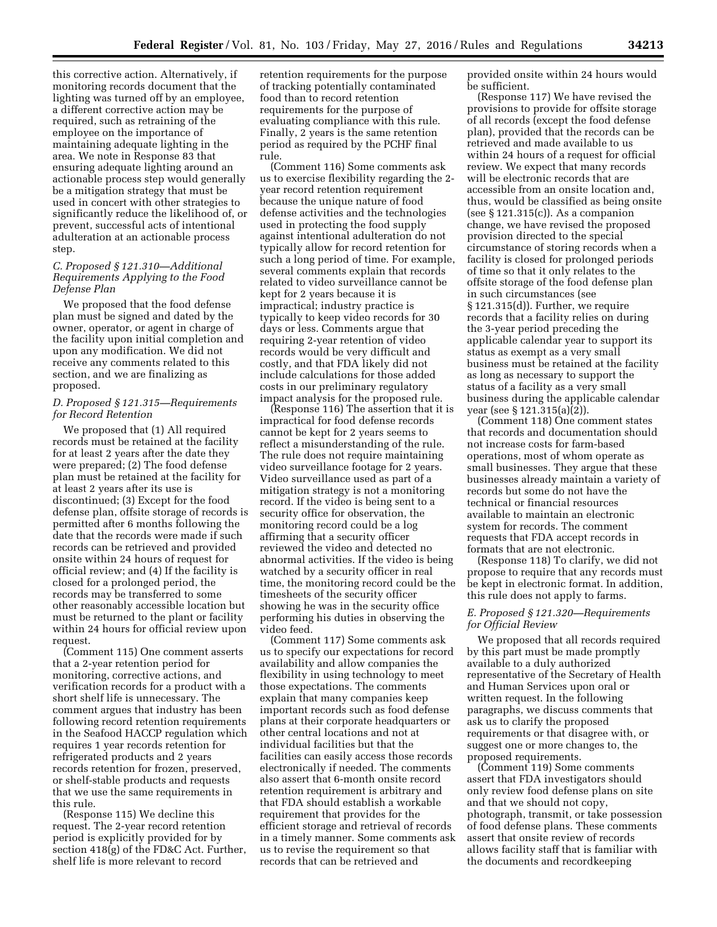this corrective action. Alternatively, if monitoring records document that the lighting was turned off by an employee, a different corrective action may be required, such as retraining of the employee on the importance of maintaining adequate lighting in the area. We note in Response 83 that ensuring adequate lighting around an actionable process step would generally be a mitigation strategy that must be used in concert with other strategies to significantly reduce the likelihood of, or prevent, successful acts of intentional adulteration at an actionable process step.

# *C. Proposed § 121.310—Additional Requirements Applying to the Food Defense Plan*

We proposed that the food defense plan must be signed and dated by the owner, operator, or agent in charge of the facility upon initial completion and upon any modification. We did not receive any comments related to this section, and we are finalizing as proposed.

# *D. Proposed § 121.315—Requirements for Record Retention*

We proposed that (1) All required records must be retained at the facility for at least 2 years after the date they were prepared; (2) The food defense plan must be retained at the facility for at least 2 years after its use is discontinued; (3) Except for the food defense plan, offsite storage of records is permitted after 6 months following the date that the records were made if such records can be retrieved and provided onsite within 24 hours of request for official review; and (4) If the facility is closed for a prolonged period, the records may be transferred to some other reasonably accessible location but must be returned to the plant or facility within 24 hours for official review upon request.

(Comment 115) One comment asserts that a 2-year retention period for monitoring, corrective actions, and verification records for a product with a short shelf life is unnecessary. The comment argues that industry has been following record retention requirements in the Seafood HACCP regulation which requires 1 year records retention for refrigerated products and 2 years records retention for frozen, preserved, or shelf-stable products and requests that we use the same requirements in this rule.

(Response 115) We decline this request. The 2-year record retention period is explicitly provided for by section 418(g) of the FD&C Act. Further, shelf life is more relevant to record

retention requirements for the purpose of tracking potentially contaminated food than to record retention requirements for the purpose of evaluating compliance with this rule. Finally, 2 years is the same retention period as required by the PCHF final rule.

(Comment 116) Some comments ask us to exercise flexibility regarding the 2 year record retention requirement because the unique nature of food defense activities and the technologies used in protecting the food supply against intentional adulteration do not typically allow for record retention for such a long period of time. For example, several comments explain that records related to video surveillance cannot be kept for 2 years because it is impractical; industry practice is typically to keep video records for 30 days or less. Comments argue that requiring 2-year retention of video records would be very difficult and costly, and that FDA likely did not include calculations for those added costs in our preliminary regulatory impact analysis for the proposed rule.

(Response 116) The assertion that it is impractical for food defense records cannot be kept for 2 years seems to reflect a misunderstanding of the rule. The rule does not require maintaining video surveillance footage for 2 years. Video surveillance used as part of a mitigation strategy is not a monitoring record. If the video is being sent to a security office for observation, the monitoring record could be a log affirming that a security officer reviewed the video and detected no abnormal activities. If the video is being watched by a security officer in real time, the monitoring record could be the timesheets of the security officer showing he was in the security office performing his duties in observing the video feed.

(Comment 117) Some comments ask us to specify our expectations for record availability and allow companies the flexibility in using technology to meet those expectations. The comments explain that many companies keep important records such as food defense plans at their corporate headquarters or other central locations and not at individual facilities but that the facilities can easily access those records electronically if needed. The comments also assert that 6-month onsite record retention requirement is arbitrary and that FDA should establish a workable requirement that provides for the efficient storage and retrieval of records in a timely manner. Some comments ask us to revise the requirement so that records that can be retrieved and

provided onsite within 24 hours would be sufficient.

(Response 117) We have revised the provisions to provide for offsite storage of all records (except the food defense plan), provided that the records can be retrieved and made available to us within 24 hours of a request for official review. We expect that many records will be electronic records that are accessible from an onsite location and, thus, would be classified as being onsite (see § 121.315(c)). As a companion change, we have revised the proposed provision directed to the special circumstance of storing records when a facility is closed for prolonged periods of time so that it only relates to the offsite storage of the food defense plan in such circumstances (see § 121.315(d)). Further, we require records that a facility relies on during the 3-year period preceding the applicable calendar year to support its status as exempt as a very small business must be retained at the facility as long as necessary to support the status of a facility as a very small business during the applicable calendar year (see § 121.315(a)(2)).

(Comment 118) One comment states that records and documentation should not increase costs for farm-based operations, most of whom operate as small businesses. They argue that these businesses already maintain a variety of records but some do not have the technical or financial resources available to maintain an electronic system for records. The comment requests that FDA accept records in formats that are not electronic.

(Response 118) To clarify, we did not propose to require that any records must be kept in electronic format. In addition, this rule does not apply to farms.

# *E. Proposed § 121.320—Requirements for Official Review*

We proposed that all records required by this part must be made promptly available to a duly authorized representative of the Secretary of Health and Human Services upon oral or written request. In the following paragraphs, we discuss comments that ask us to clarify the proposed requirements or that disagree with, or suggest one or more changes to, the proposed requirements.

(Comment 119) Some comments assert that FDA investigators should only review food defense plans on site and that we should not copy, photograph, transmit, or take possession of food defense plans. These comments assert that onsite review of records allows facility staff that is familiar with the documents and recordkeeping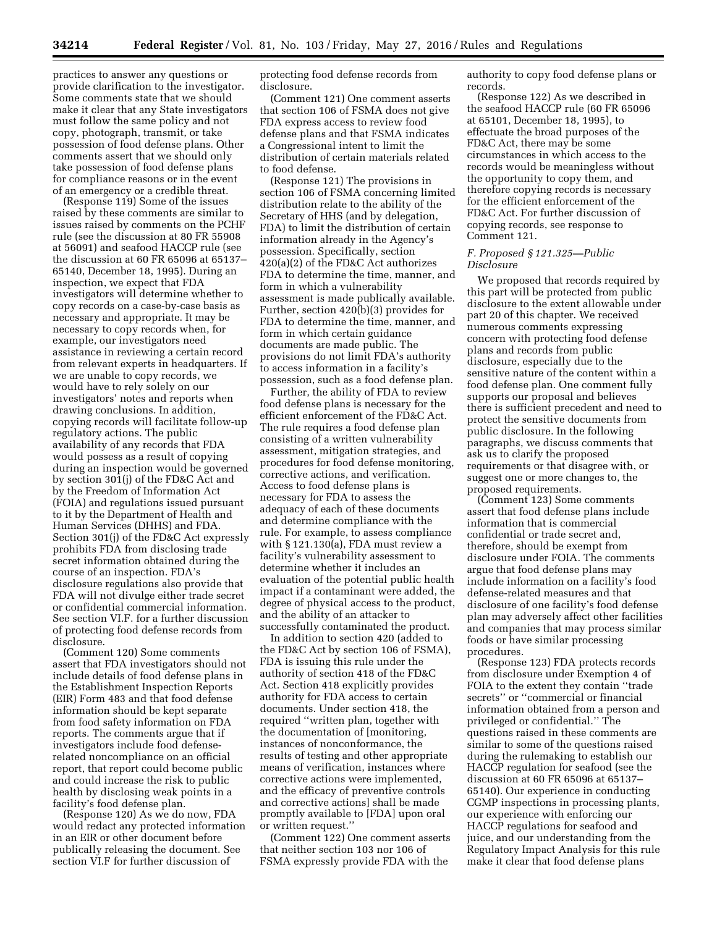practices to answer any questions or provide clarification to the investigator. Some comments state that we should make it clear that any State investigators must follow the same policy and not copy, photograph, transmit, or take possession of food defense plans. Other comments assert that we should only take possession of food defense plans for compliance reasons or in the event of an emergency or a credible threat.

(Response 119) Some of the issues raised by these comments are similar to issues raised by comments on the PCHF rule (see the discussion at 80 FR 55908 at 56091) and seafood HACCP rule (see the discussion at 60 FR 65096 at 65137– 65140, December 18, 1995). During an inspection, we expect that FDA investigators will determine whether to copy records on a case-by-case basis as necessary and appropriate. It may be necessary to copy records when, for example, our investigators need assistance in reviewing a certain record from relevant experts in headquarters. If we are unable to copy records, we would have to rely solely on our investigators' notes and reports when drawing conclusions. In addition, copying records will facilitate follow-up regulatory actions. The public availability of any records that FDA would possess as a result of copying during an inspection would be governed by section 301(j) of the FD&C Act and by the Freedom of Information Act (FOIA) and regulations issued pursuant to it by the Department of Health and Human Services (DHHS) and FDA. Section 301(j) of the FD&C Act expressly prohibits FDA from disclosing trade secret information obtained during the course of an inspection. FDA's disclosure regulations also provide that FDA will not divulge either trade secret or confidential commercial information. See section VI.F. for a further discussion of protecting food defense records from disclosure.

(Comment 120) Some comments assert that FDA investigators should not include details of food defense plans in the Establishment Inspection Reports (EIR) Form 483 and that food defense information should be kept separate from food safety information on FDA reports. The comments argue that if investigators include food defenserelated noncompliance on an official report, that report could become public and could increase the risk to public health by disclosing weak points in a facility's food defense plan.

(Response 120) As we do now, FDA would redact any protected information in an EIR or other document before publically releasing the document. See section VI.F for further discussion of

protecting food defense records from disclosure.

(Comment 121) One comment asserts that section 106 of FSMA does not give FDA express access to review food defense plans and that FSMA indicates a Congressional intent to limit the distribution of certain materials related to food defense.

(Response 121) The provisions in section 106 of FSMA concerning limited distribution relate to the ability of the Secretary of HHS (and by delegation, FDA) to limit the distribution of certain information already in the Agency's possession. Specifically, section 420(a)(2) of the FD&C Act authorizes FDA to determine the time, manner, and form in which a vulnerability assessment is made publically available. Further, section 420(b)(3) provides for FDA to determine the time, manner, and form in which certain guidance documents are made public. The provisions do not limit FDA's authority to access information in a facility's possession, such as a food defense plan.

Further, the ability of FDA to review food defense plans is necessary for the efficient enforcement of the FD&C Act. The rule requires a food defense plan consisting of a written vulnerability assessment, mitigation strategies, and procedures for food defense monitoring, corrective actions, and verification. Access to food defense plans is necessary for FDA to assess the adequacy of each of these documents and determine compliance with the rule. For example, to assess compliance with § 121.130(a), FDA must review a facility's vulnerability assessment to determine whether it includes an evaluation of the potential public health impact if a contaminant were added, the degree of physical access to the product, and the ability of an attacker to successfully contaminated the product.

In addition to section 420 (added to the FD&C Act by section 106 of FSMA), FDA is issuing this rule under the authority of section 418 of the FD&C Act. Section 418 explicitly provides authority for FDA access to certain documents. Under section 418, the required ''written plan, together with the documentation of [monitoring, instances of nonconformance, the results of testing and other appropriate means of verification, instances where corrective actions were implemented, and the efficacy of preventive controls and corrective actions] shall be made promptly available to [FDA] upon oral or written request.''

(Comment 122) One comment asserts that neither section 103 nor 106 of FSMA expressly provide FDA with the

authority to copy food defense plans or records.

(Response 122) As we described in the seafood HACCP rule (60 FR 65096 at 65101, December 18, 1995), to effectuate the broad purposes of the FD&C Act, there may be some circumstances in which access to the records would be meaningless without the opportunity to copy them, and therefore copying records is necessary for the efficient enforcement of the FD&C Act. For further discussion of copying records, see response to Comment 121.

### *F. Proposed § 121.325—Public Disclosure*

We proposed that records required by this part will be protected from public disclosure to the extent allowable under part 20 of this chapter. We received numerous comments expressing concern with protecting food defense plans and records from public disclosure, especially due to the sensitive nature of the content within a food defense plan. One comment fully supports our proposal and believes there is sufficient precedent and need to protect the sensitive documents from public disclosure. In the following paragraphs, we discuss comments that ask us to clarify the proposed requirements or that disagree with, or suggest one or more changes to, the proposed requirements.

(Comment 123) Some comments assert that food defense plans include information that is commercial confidential or trade secret and, therefore, should be exempt from disclosure under FOIA. The comments argue that food defense plans may include information on a facility's food defense-related measures and that disclosure of one facility's food defense plan may adversely affect other facilities and companies that may process similar foods or have similar processing procedures.

(Response 123) FDA protects records from disclosure under Exemption 4 of FOIA to the extent they contain ''trade secrets'' or ''commercial or financial information obtained from a person and privileged or confidential.'' The questions raised in these comments are similar to some of the questions raised during the rulemaking to establish our HACCP regulation for seafood (see the discussion at 60 FR 65096 at 65137– 65140). Our experience in conducting CGMP inspections in processing plants, our experience with enforcing our HACCP regulations for seafood and juice, and our understanding from the Regulatory Impact Analysis for this rule make it clear that food defense plans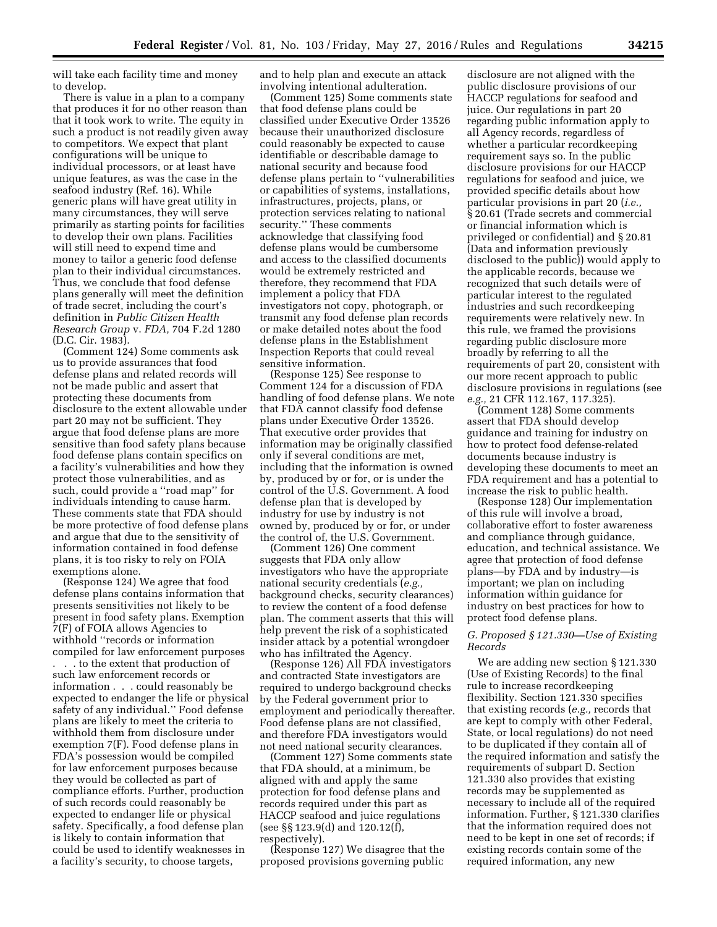will take each facility time and money to develop.

There is value in a plan to a company that produces it for no other reason than that it took work to write. The equity in such a product is not readily given away to competitors. We expect that plant configurations will be unique to individual processors, or at least have unique features, as was the case in the seafood industry (Ref. 16). While generic plans will have great utility in many circumstances, they will serve primarily as starting points for facilities to develop their own plans. Facilities will still need to expend time and money to tailor a generic food defense plan to their individual circumstances. Thus, we conclude that food defense plans generally will meet the definition of trade secret, including the court's definition in *Public Citizen Health Research Group* v. *FDA,* 704 F.2d 1280 (D.C. Cir. 1983).

(Comment 124) Some comments ask us to provide assurances that food defense plans and related records will not be made public and assert that protecting these documents from disclosure to the extent allowable under part 20 may not be sufficient. They argue that food defense plans are more sensitive than food safety plans because food defense plans contain specifics on a facility's vulnerabilities and how they protect those vulnerabilities, and as such, could provide a ''road map'' for individuals intending to cause harm. These comments state that FDA should be more protective of food defense plans and argue that due to the sensitivity of information contained in food defense plans, it is too risky to rely on FOIA exemptions alone.

(Response 124) We agree that food defense plans contains information that presents sensitivities not likely to be present in food safety plans. Exemption 7(F) of FOIA allows Agencies to withhold ''records or information compiled for law enforcement purposes . . . to the extent that production of such law enforcement records or information . . . could reasonably be expected to endanger the life or physical safety of any individual.'' Food defense plans are likely to meet the criteria to withhold them from disclosure under exemption 7(F). Food defense plans in FDA's possession would be compiled for law enforcement purposes because they would be collected as part of compliance efforts. Further, production of such records could reasonably be expected to endanger life or physical safety. Specifically, a food defense plan is likely to contain information that could be used to identify weaknesses in a facility's security, to choose targets,

and to help plan and execute an attack involving intentional adulteration.

(Comment 125) Some comments state that food defense plans could be classified under Executive Order 13526 because their unauthorized disclosure could reasonably be expected to cause identifiable or describable damage to national security and because food defense plans pertain to ''vulnerabilities or capabilities of systems, installations, infrastructures, projects, plans, or protection services relating to national security.'' These comments acknowledge that classifying food defense plans would be cumbersome and access to the classified documents would be extremely restricted and therefore, they recommend that FDA implement a policy that FDA investigators not copy, photograph, or transmit any food defense plan records or make detailed notes about the food defense plans in the Establishment Inspection Reports that could reveal sensitive information.

(Response 125) See response to Comment 124 for a discussion of FDA handling of food defense plans. We note that FDA cannot classify food defense plans under Executive Order 13526. That executive order provides that information may be originally classified only if several conditions are met, including that the information is owned by, produced by or for, or is under the control of the U.S. Government. A food defense plan that is developed by industry for use by industry is not owned by, produced by or for, or under the control of, the U.S. Government.

(Comment 126) One comment suggests that FDA only allow investigators who have the appropriate national security credentials (*e.g.,*  background checks, security clearances) to review the content of a food defense plan. The comment asserts that this will help prevent the risk of a sophisticated insider attack by a potential wrongdoer who has infiltrated the Agency.

(Response 126) All FDA investigators and contracted State investigators are required to undergo background checks by the Federal government prior to employment and periodically thereafter. Food defense plans are not classified, and therefore FDA investigators would not need national security clearances.

(Comment 127) Some comments state that FDA should, at a minimum, be aligned with and apply the same protection for food defense plans and records required under this part as HACCP seafood and juice regulations (see §§ 123.9(d) and 120.12(f), respectively).

(Response 127) We disagree that the proposed provisions governing public

disclosure are not aligned with the public disclosure provisions of our HACCP regulations for seafood and juice. Our regulations in part 20 regarding public information apply to all Agency records, regardless of whether a particular recordkeeping requirement says so. In the public disclosure provisions for our HACCP regulations for seafood and juice, we provided specific details about how particular provisions in part 20 (*i.e.,*  § 20.61 (Trade secrets and commercial or financial information which is privileged or confidential) and § 20.81 (Data and information previously disclosed to the public)) would apply to the applicable records, because we recognized that such details were of particular interest to the regulated industries and such recordkeeping requirements were relatively new. In this rule, we framed the provisions regarding public disclosure more broadly by referring to all the requirements of part 20, consistent with our more recent approach to public disclosure provisions in regulations (see *e.g.,* 21 CFR 112.167, 117.325).

(Comment 128) Some comments assert that FDA should develop guidance and training for industry on how to protect food defense-related documents because industry is developing these documents to meet an FDA requirement and has a potential to increase the risk to public health.

(Response 128) Our implementation of this rule will involve a broad, collaborative effort to foster awareness and compliance through guidance, education, and technical assistance. We agree that protection of food defense plans—by FDA and by industry—is important; we plan on including information within guidance for industry on best practices for how to protect food defense plans.

# *G. Proposed § 121.330—Use of Existing Records*

We are adding new section § 121.330 (Use of Existing Records) to the final rule to increase recordkeeping flexibility. Section 121.330 specifies that existing records (*e.g.,* records that are kept to comply with other Federal, State, or local regulations) do not need to be duplicated if they contain all of the required information and satisfy the requirements of subpart D. Section 121.330 also provides that existing records may be supplemented as necessary to include all of the required information. Further, § 121.330 clarifies that the information required does not need to be kept in one set of records; if existing records contain some of the required information, any new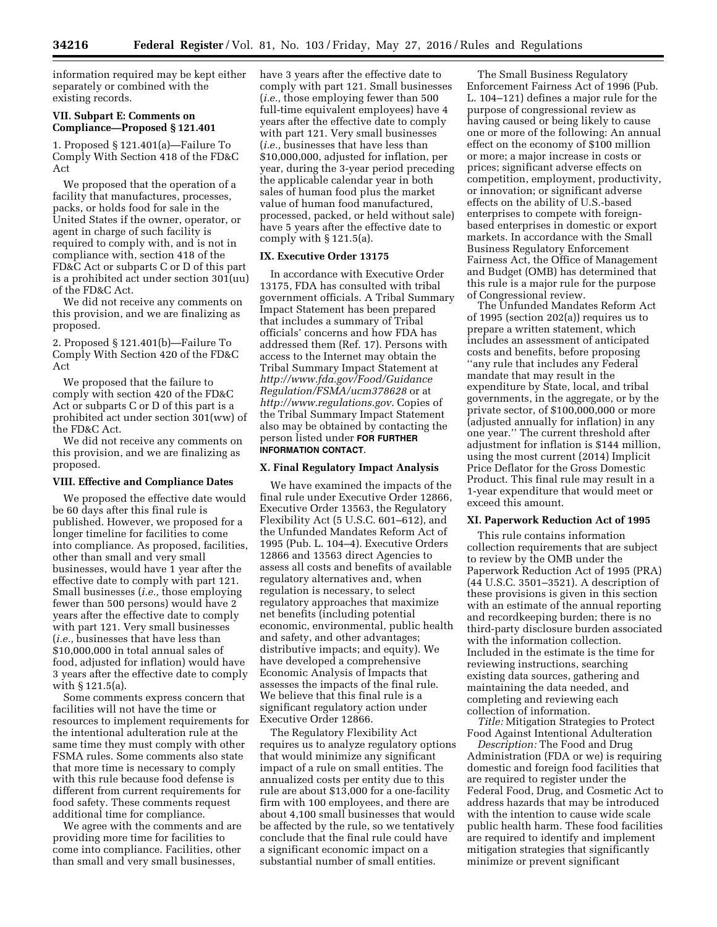information required may be kept either separately or combined with the existing records.

# **VII. Subpart E: Comments on Compliance—Proposed § 121.401**

1. Proposed § 121.401(a)—Failure To Comply With Section 418 of the FD&C Act

We proposed that the operation of a facility that manufactures, processes, packs, or holds food for sale in the United States if the owner, operator, or agent in charge of such facility is required to comply with, and is not in compliance with, section 418 of the FD&C Act or subparts C or D of this part is a prohibited act under section 301(uu) of the FD&C Act.

We did not receive any comments on this provision, and we are finalizing as proposed.

2. Proposed § 121.401(b)—Failure To Comply With Section 420 of the FD&C Act

We proposed that the failure to comply with section 420 of the FD&C Act or subparts C or D of this part is a prohibited act under section 301(ww) of the FD&C Act.

We did not receive any comments on this provision, and we are finalizing as proposed.

#### **VIII. Effective and Compliance Dates**

We proposed the effective date would be 60 days after this final rule is published. However, we proposed for a longer timeline for facilities to come into compliance. As proposed, facilities, other than small and very small businesses, would have 1 year after the effective date to comply with part 121. Small businesses (*i.e.,* those employing fewer than 500 persons) would have 2 years after the effective date to comply with part 121. Very small businesses (*i.e.,* businesses that have less than \$10,000,000 in total annual sales of food, adjusted for inflation) would have 3 years after the effective date to comply with § 121.5(a).

Some comments express concern that facilities will not have the time or resources to implement requirements for the intentional adulteration rule at the same time they must comply with other FSMA rules. Some comments also state that more time is necessary to comply with this rule because food defense is different from current requirements for food safety. These comments request additional time for compliance.

We agree with the comments and are providing more time for facilities to come into compliance. Facilities, other than small and very small businesses,

have 3 years after the effective date to comply with part 121. Small businesses (*i.e.,* those employing fewer than 500 full-time equivalent employees) have 4 years after the effective date to comply with part 121. Very small businesses (*i.e.,* businesses that have less than \$10,000,000, adjusted for inflation, per year, during the 3-year period preceding the applicable calendar year in both sales of human food plus the market value of human food manufactured, processed, packed, or held without sale) have 5 years after the effective date to comply with § 121.5(a).

# **IX. Executive Order 13175**

In accordance with Executive Order 13175, FDA has consulted with tribal government officials. A Tribal Summary Impact Statement has been prepared that includes a summary of Tribal officials' concerns and how FDA has addressed them (Ref. 17). Persons with access to the Internet may obtain the Tribal Summary Impact Statement at *[http://www.fda.gov/Food/Guidance](http://www.fda.gov/Food/GuidanceRegulation/FSMA/ucm378628) [Regulation/FSMA/ucm378628](http://www.fda.gov/Food/GuidanceRegulation/FSMA/ucm378628)* or at *<http://www.regulations.gov>*. Copies of the Tribal Summary Impact Statement also may be obtained by contacting the person listed under **FOR FURTHER INFORMATION CONTACT**.

### **X. Final Regulatory Impact Analysis**

We have examined the impacts of the final rule under Executive Order 12866, Executive Order 13563, the Regulatory Flexibility Act (5 U.S.C. 601–612), and the Unfunded Mandates Reform Act of 1995 (Pub. L. 104–4). Executive Orders 12866 and 13563 direct Agencies to assess all costs and benefits of available regulatory alternatives and, when regulation is necessary, to select regulatory approaches that maximize net benefits (including potential economic, environmental, public health and safety, and other advantages; distributive impacts; and equity). We have developed a comprehensive Economic Analysis of Impacts that assesses the impacts of the final rule. We believe that this final rule is a significant regulatory action under Executive Order 12866.

The Regulatory Flexibility Act requires us to analyze regulatory options that would minimize any significant impact of a rule on small entities. The annualized costs per entity due to this rule are about \$13,000 for a one-facility firm with 100 employees, and there are about 4,100 small businesses that would be affected by the rule, so we tentatively conclude that the final rule could have a significant economic impact on a substantial number of small entities.

The Small Business Regulatory Enforcement Fairness Act of 1996 (Pub. L. 104–121) defines a major rule for the purpose of congressional review as having caused or being likely to cause one or more of the following: An annual effect on the economy of \$100 million or more; a major increase in costs or prices; significant adverse effects on competition, employment, productivity, or innovation; or significant adverse effects on the ability of U.S.-based enterprises to compete with foreignbased enterprises in domestic or export markets. In accordance with the Small Business Regulatory Enforcement Fairness Act, the Office of Management and Budget (OMB) has determined that this rule is a major rule for the purpose of Congressional review.

The Unfunded Mandates Reform Act of 1995 (section 202(a)) requires us to prepare a written statement, which includes an assessment of anticipated costs and benefits, before proposing ''any rule that includes any Federal mandate that may result in the expenditure by State, local, and tribal governments, in the aggregate, or by the private sector, of \$100,000,000 or more (adjusted annually for inflation) in any one year.'' The current threshold after adjustment for inflation is \$144 million, using the most current (2014) Implicit Price Deflator for the Gross Domestic Product. This final rule may result in a 1-year expenditure that would meet or exceed this amount.

# **XI. Paperwork Reduction Act of 1995**

This rule contains information collection requirements that are subject to review by the OMB under the Paperwork Reduction Act of 1995 (PRA) (44 U.S.C. 3501–3521). A description of these provisions is given in this section with an estimate of the annual reporting and recordkeeping burden; there is no third-party disclosure burden associated with the information collection. Included in the estimate is the time for reviewing instructions, searching existing data sources, gathering and maintaining the data needed, and completing and reviewing each collection of information.

*Title:* Mitigation Strategies to Protect Food Against Intentional Adulteration

*Description:* The Food and Drug Administration (FDA or we) is requiring domestic and foreign food facilities that are required to register under the Federal Food, Drug, and Cosmetic Act to address hazards that may be introduced with the intention to cause wide scale public health harm. These food facilities are required to identify and implement mitigation strategies that significantly minimize or prevent significant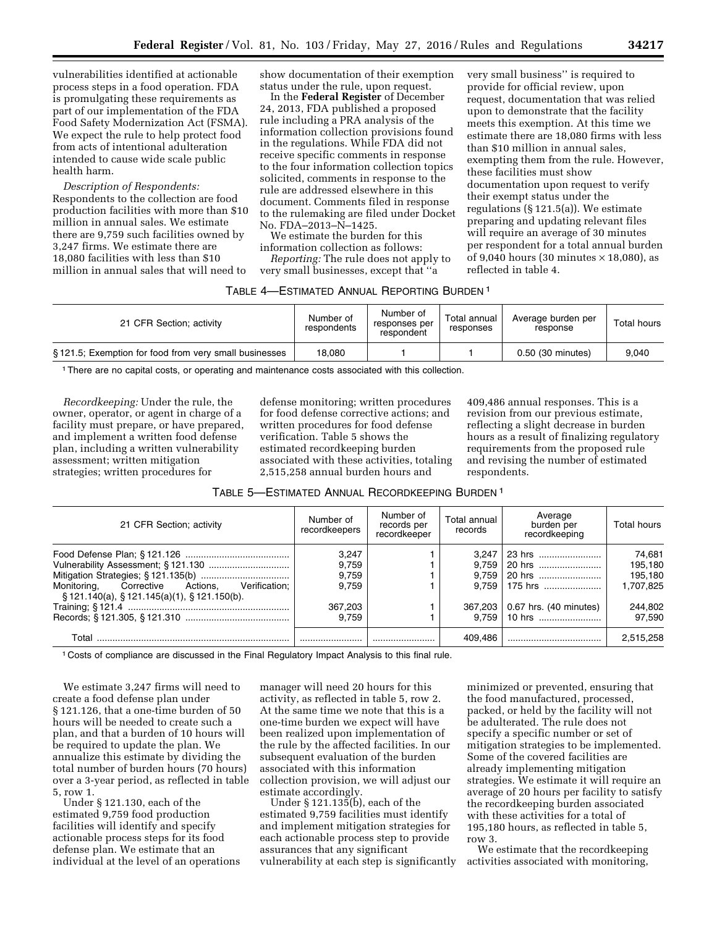vulnerabilities identified at actionable process steps in a food operation. FDA is promulgating these requirements as part of our implementation of the FDA Food Safety Modernization Act (FSMA). We expect the rule to help protect food from acts of intentional adulteration intended to cause wide scale public health harm.

*Description of Respondents:*  Respondents to the collection are food production facilities with more than \$10 million in annual sales. We estimate there are 9,759 such facilities owned by 3,247 firms. We estimate there are 18,080 facilities with less than \$10 million in annual sales that will need to

show documentation of their exemption status under the rule, upon request.

In the **Federal Register** of December 24, 2013, FDA published a proposed rule including a PRA analysis of the information collection provisions found in the regulations. While FDA did not receive specific comments in response to the four information collection topics solicited, comments in response to the rule are addressed elsewhere in this document. Comments filed in response to the rulemaking are filed under Docket No. FDA–2013–N–1425.

We estimate the burden for this information collection as follows:

*Reporting:* The rule does not apply to very small businesses, except that ''a

very small business'' is required to provide for official review, upon request, documentation that was relied upon to demonstrate that the facility meets this exemption. At this time we estimate there are 18,080 firms with less than \$10 million in annual sales, exempting them from the rule. However, these facilities must show documentation upon request to verify their exempt status under the regulations (§ 121.5(a)). We estimate preparing and updating relevant files will require an average of 30 minutes per respondent for a total annual burden of 9,040 hours (30 minutes  $\times$  18,080), as reflected in table 4.

| TABLE 4—ESTIMATED ANNUAL REPORTING BURDEN 1 |  |  |  |
|---------------------------------------------|--|--|--|
|---------------------------------------------|--|--|--|

| 21 CFR Section; activity                              | Number of<br>respondents | Number of<br>responses per<br>respondent | Total annual<br>responses | Average burden per<br>response | Total hours |
|-------------------------------------------------------|--------------------------|------------------------------------------|---------------------------|--------------------------------|-------------|
| §121.5; Exemption for food from very small businesses | 18.080                   |                                          |                           | 0.50 (30 minutes)              | 9.040       |

1There are no capital costs, or operating and maintenance costs associated with this collection.

*Recordkeeping:* Under the rule, the owner, operator, or agent in charge of a facility must prepare, or have prepared, and implement a written food defense plan, including a written vulnerability assessment; written mitigation strategies; written procedures for

defense monitoring; written procedures for food defense corrective actions; and written procedures for food defense verification. Table 5 shows the estimated recordkeeping burden associated with these activities, totaling 2,515,258 annual burden hours and

409,486 annual responses. This is a revision from our previous estimate, reflecting a slight decrease in burden hours as a result of finalizing regulatory requirements from the proposed rule and revising the number of estimated respondents.

| TABLE 5—ESTIMATED ANNUAL RECORDKEEPING BURDEN 1 |  |
|-------------------------------------------------|--|
|-------------------------------------------------|--|

| 21 CFR Section; activity                                                                     | Number of<br>recordkeepers | Number of<br>records per<br>recordkeeper | Total annual<br>records | Average<br>burden per<br>recordkeeping | Total hours |
|----------------------------------------------------------------------------------------------|----------------------------|------------------------------------------|-------------------------|----------------------------------------|-------------|
|                                                                                              | 3.247                      |                                          |                         |                                        | 74.681      |
|                                                                                              | 9,759                      |                                          |                         | $9,759$   20 hrs                       | 195,180     |
|                                                                                              | 9.759                      |                                          | 9.759                   | 20 hrs                                 | 195,180     |
| Monitoring, Corrective Actions, Verification;<br>$$121.140(a), $121.145(a)(1), $121.150(b).$ | 9.759                      |                                          |                         | $9.759$   175 hrs                      | 1,707,825   |
|                                                                                              | 367.203                    |                                          |                         | 367,203   0.67 hrs. (40 minutes)       | 244.802     |
|                                                                                              | 9.759                      |                                          | 9.759                   | 10 hrs                                 | 97.590      |
| Total                                                                                        |                            |                                          | 409.486                 |                                        | 2,515,258   |

1 Costs of compliance are discussed in the Final Regulatory Impact Analysis to this final rule.

We estimate 3,247 firms will need to create a food defense plan under § 121.126, that a one-time burden of 50 hours will be needed to create such a plan, and that a burden of 10 hours will be required to update the plan. We annualize this estimate by dividing the total number of burden hours (70 hours) over a 3-year period, as reflected in table 5, row 1.

Under § 121.130, each of the estimated 9,759 food production facilities will identify and specify actionable process steps for its food defense plan. We estimate that an individual at the level of an operations

manager will need 20 hours for this activity, as reflected in table 5, row 2. At the same time we note that this is a one-time burden we expect will have been realized upon implementation of the rule by the affected facilities. In our subsequent evaluation of the burden associated with this information collection provision, we will adjust our estimate accordingly.

Under § 121.135(b), each of the estimated 9,759 facilities must identify and implement mitigation strategies for each actionable process step to provide assurances that any significant vulnerability at each step is significantly minimized or prevented, ensuring that the food manufactured, processed, packed, or held by the facility will not be adulterated. The rule does not specify a specific number or set of mitigation strategies to be implemented. Some of the covered facilities are already implementing mitigation strategies. We estimate it will require an average of 20 hours per facility to satisfy the recordkeeping burden associated with these activities for a total of 195,180 hours, as reflected in table 5, row 3.

We estimate that the recordkeeping activities associated with monitoring,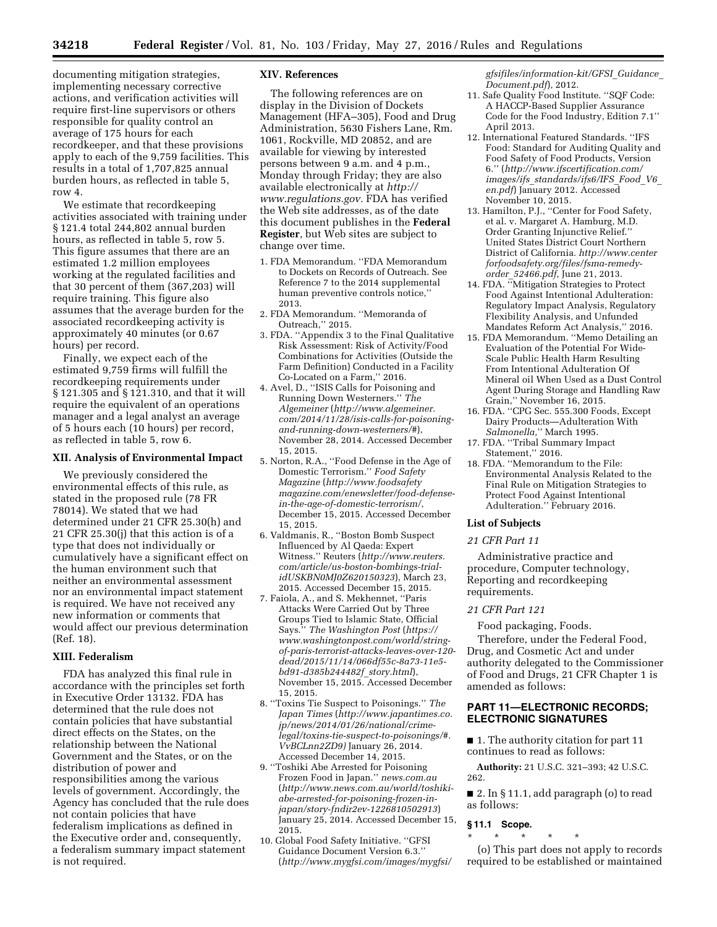documenting mitigation strategies, implementing necessary corrective actions, and verification activities will require first-line supervisors or others responsible for quality control an average of 175 hours for each recordkeeper, and that these provisions apply to each of the 9,759 facilities. This results in a total of 1,707,825 annual burden hours, as reflected in table 5, row 4.

We estimate that recordkeeping activities associated with training under § 121.4 total 244,802 annual burden hours, as reflected in table 5, row 5. This figure assumes that there are an estimated 1.2 million employees working at the regulated facilities and that 30 percent of them (367,203) will require training. This figure also assumes that the average burden for the associated recordkeeping activity is approximately 40 minutes (or 0.67 hours) per record.

Finally, we expect each of the estimated 9,759 firms will fulfill the recordkeeping requirements under § 121.305 and § 121.310, and that it will require the equivalent of an operations manager and a legal analyst an average of 5 hours each (10 hours) per record, as reflected in table 5, row 6.

# **XII. Analysis of Environmental Impact**

We previously considered the environmental effects of this rule, as stated in the proposed rule (78 FR 78014). We stated that we had determined under 21 CFR 25.30(h) and 21 CFR 25.30(j) that this action is of a type that does not individually or cumulatively have a significant effect on the human environment such that neither an environmental assessment nor an environmental impact statement is required. We have not received any new information or comments that would affect our previous determination (Ref. 18).

### **XIII. Federalism**

FDA has analyzed this final rule in accordance with the principles set forth in Executive Order 13132. FDA has determined that the rule does not contain policies that have substantial direct effects on the States, on the relationship between the National Government and the States, or on the distribution of power and responsibilities among the various levels of government. Accordingly, the Agency has concluded that the rule does not contain policies that have federalism implications as defined in the Executive order and, consequently, a federalism summary impact statement is not required.

### **XIV. References**

The following references are on display in the Division of Dockets Management (HFA–305), Food and Drug Administration, 5630 Fishers Lane, Rm. 1061, Rockville, MD 20852, and are available for viewing by interested persons between 9 a.m. and 4 p.m., Monday through Friday; they are also available electronically at *[http://](http://www.regulations.gov) [www.regulations.gov.](http://www.regulations.gov)* FDA has verified the Web site addresses, as of the date this document publishes in the **Federal Register**, but Web sites are subject to change over time.

- 1. FDA Memorandum. ''FDA Memorandum to Dockets on Records of Outreach. See Reference 7 to the 2014 supplemental human preventive controls notice,'' 2013.
- 2. FDA Memorandum. ''Memoranda of Outreach,'' 2015.
- 3. FDA. ''Appendix 3 to the Final Qualitative Risk Assessment: Risk of Activity/Food Combinations for Activities (Outside the Farm Definition) Conducted in a Facility Co-Located on a Farm,'' 2016.
- 4. Avel, D., ''ISIS Calls for Poisoning and Running Down Westerners.'' *The Algemeiner* (*[http://www.algemeiner.](http://www.algemeiner.com/2014/11/28/isis-calls-for-poisoning-and-running-down-westerners/#) [com/2014/11/28/isis-calls-for-poisoning](http://www.algemeiner.com/2014/11/28/isis-calls-for-poisoning-and-running-down-westerners/#)[and-running-down-westerners/#](http://www.algemeiner.com/2014/11/28/isis-calls-for-poisoning-and-running-down-westerners/#)*), November 28, 2014. Accessed December 15, 2015.
- 5. Norton, R.A., ''Food Defense in the Age of Domestic Terrorism.'' *Food Safety Magazine* (*[http://www.foodsafety](http://www.foodsafetymagazine.com/enewsletter/food-defense-in-the-age-of-domestic-terrorism/) [magazine.com/enewsletter/food-defense](http://www.foodsafetymagazine.com/enewsletter/food-defense-in-the-age-of-domestic-terrorism/)[in-the-age-of-domestic-terrorism/](http://www.foodsafetymagazine.com/enewsletter/food-defense-in-the-age-of-domestic-terrorism/)*, December 15, 2015. Accessed December 15, 2015.
- 6. Valdmanis, R., ''Boston Bomb Suspect Influenced by Al Qaeda: Expert Witness.'' Reuters (*[http://www.reuters.](http://www.reuters.com/article/us-boston-bombings-trial-idUSKBN0MJ0Z620150323) [com/article/us-boston-bombings-trial](http://www.reuters.com/article/us-boston-bombings-trial-idUSKBN0MJ0Z620150323)[idUSKBN0MJ0Z620150323](http://www.reuters.com/article/us-boston-bombings-trial-idUSKBN0MJ0Z620150323)*), March 23, 2015. Accessed December 15, 2015.
- 7. Faiola, A., and S. Mekhennet, ''Paris Attacks Were Carried Out by Three Groups Tied to Islamic State, Official Says.'' *The Washington Post* (*[https://](https://www.washingtonpost.com/world/string-of-paris-terrorist-attacks-leaves-over-120-dead/2015/11/14/066df55c-8a73-11e5-bd91-d385b244482f_story.html) [www.washingtonpost.com/world/string](https://www.washingtonpost.com/world/string-of-paris-terrorist-attacks-leaves-over-120-dead/2015/11/14/066df55c-8a73-11e5-bd91-d385b244482f_story.html)[of-paris-terrorist-attacks-leaves-over-120](https://www.washingtonpost.com/world/string-of-paris-terrorist-attacks-leaves-over-120-dead/2015/11/14/066df55c-8a73-11e5-bd91-d385b244482f_story.html) [dead/2015/11/14/066df55c-8a73-11e5](https://www.washingtonpost.com/world/string-of-paris-terrorist-attacks-leaves-over-120-dead/2015/11/14/066df55c-8a73-11e5-bd91-d385b244482f_story.html) [bd91-d385b244482f](https://www.washingtonpost.com/world/string-of-paris-terrorist-attacks-leaves-over-120-dead/2015/11/14/066df55c-8a73-11e5-bd91-d385b244482f_story.html)*\_*story.html*), November 15, 2015. Accessed December 15, 2015.
- 8. ''Toxins Tie Suspect to Poisonings.'' *The Japan Times* (*[http://www.japantimes.co.](http://www.japantimes.co.jp/news/2014/01/26/national/crime-legal/toxins-tie-suspect-to-poisonings/#.VvBCLnn2ZD9) [jp/news/2014/01/26/national/crime](http://www.japantimes.co.jp/news/2014/01/26/national/crime-legal/toxins-tie-suspect-to-poisonings/#.VvBCLnn2ZD9)[legal/toxins-tie-suspect-to-poisonings/#.](http://www.japantimes.co.jp/news/2014/01/26/national/crime-legal/toxins-tie-suspect-to-poisonings/#.VvBCLnn2ZD9) [VvBCLnn2ZD9\)](http://www.japantimes.co.jp/news/2014/01/26/national/crime-legal/toxins-tie-suspect-to-poisonings/#.VvBCLnn2ZD9)* January 26, 2014. Accessed December 14, 2015.
- 9. ''Toshiki Abe Arrested for Poisoning Frozen Food in Japan.'' *news.com.au*  (*[http://www.news.com.au/world/toshiki](http://www.news.com.au/world/toshiki-abe-arrested-for-poisoning-frozen-in-japan/story-fndir2ev-1226810502913)[abe-arrested-for-poisoning-frozen-in](http://www.news.com.au/world/toshiki-abe-arrested-for-poisoning-frozen-in-japan/story-fndir2ev-1226810502913)[japan/story-fndir2ev-1226810502913](http://www.news.com.au/world/toshiki-abe-arrested-for-poisoning-frozen-in-japan/story-fndir2ev-1226810502913)*) January 25, 2014. Accessed December 15, 2015.
- 10. Global Food Safety Initiative. ''GFSI Guidance Document Version 6.3.'' (*[http://www.mygfsi.com/images/mygfsi/](http://www.mygfsi.com/images/mygfsi/gfsifiles/information-kit/GFSI_Guidance_Document.pdf)*

*[gfsifiles/information-kit/GFSI](http://www.mygfsi.com/images/mygfsi/gfsifiles/information-kit/GFSI_Guidance_Document.pdf)*\_*Guidance*\_ *[Document.pdf](http://www.mygfsi.com/images/mygfsi/gfsifiles/information-kit/GFSI_Guidance_Document.pdf)*), 2012.

- 11. Safe Quality Food Institute. ''SQF Code: A HACCP-Based Supplier Assurance Code for the Food Industry, Edition 7.1'' April 2013.
- 12. International Featured Standards. ''IFS Food: Standard for Auditing Quality and Food Safety of Food Products, Version 6.'' (*[http://www.ifscertification.com/](http://www.ifscertification.com/images/ifs_standards/ifs6/IFS_Food_V6_en.pdf) images/ifs*\_*[standards/ifs6/IFS](http://www.ifscertification.com/images/ifs_standards/ifs6/IFS_Food_V6_en.pdf)*\_*Food*\_*V6*\_ *[en.pdf](http://www.ifscertification.com/images/ifs_standards/ifs6/IFS_Food_V6_en.pdf)*) January 2012. Accessed November 10, 2015.
- 13. Hamilton, P.J., ''Center for Food Safety, et al. v. Margaret A. Hamburg, M.D. Order Granting Injunctive Relief.'' United States District Court Northern District of California. *[http://www.center](http://www.centerforfoodsafety.org/files/fsma-remedy-order_52466.pdf) [forfoodsafety.org/files/fsma-remedy](http://www.centerforfoodsafety.org/files/fsma-remedy-order_52466.pdf)order*\_*[52466.pdf,](http://www.centerforfoodsafety.org/files/fsma-remedy-order_52466.pdf)* June 21, 2013.
- 14. FDA. ''Mitigation Strategies to Protect Food Against Intentional Adulteration: Regulatory Impact Analysis, Regulatory Flexibility Analysis, and Unfunded Mandates Reform Act Analysis,'' 2016.
- 15. FDA Memorandum. ''Memo Detailing an Evaluation of the Potential For Wide-Scale Public Health Harm Resulting From Intentional Adulteration Of Mineral oil When Used as a Dust Control Agent During Storage and Handling Raw Grain,'' November 16, 2015.
- 16. FDA. ''CPG Sec. 555.300 Foods, Except Dairy Products—Adulteration With *Salmonella,*'' March 1995.
- 17. FDA. ''Tribal Summary Impact Statement,'' 2016.
- 18. FDA. ''Memorandum to the File: Environmental Analysis Related to the Final Rule on Mitigation Strategies to Protect Food Against Intentional Adulteration.'' February 2016.

# **List of Subjects**

# *21 CFR Part 11*

Administrative practice and procedure, Computer technology, Reporting and recordkeeping requirements.

# *21 CFR Part 121*

Food packaging, Foods.

Therefore, under the Federal Food, Drug, and Cosmetic Act and under authority delegated to the Commissioner of Food and Drugs, 21 CFR Chapter 1 is amended as follows:

# **PART 11—ELECTRONIC RECORDS; ELECTRONIC SIGNATURES**

■ 1. The authority citation for part 11 continues to read as follows:

**Authority:** 21 U.S.C. 321–393; 42 U.S.C. 262.

■ 2. In § 11.1, add paragraph (o) to read as follows:

# **§ 11.1 Scope.**

\* \* \* \* \*

(o) This part does not apply to records required to be established or maintained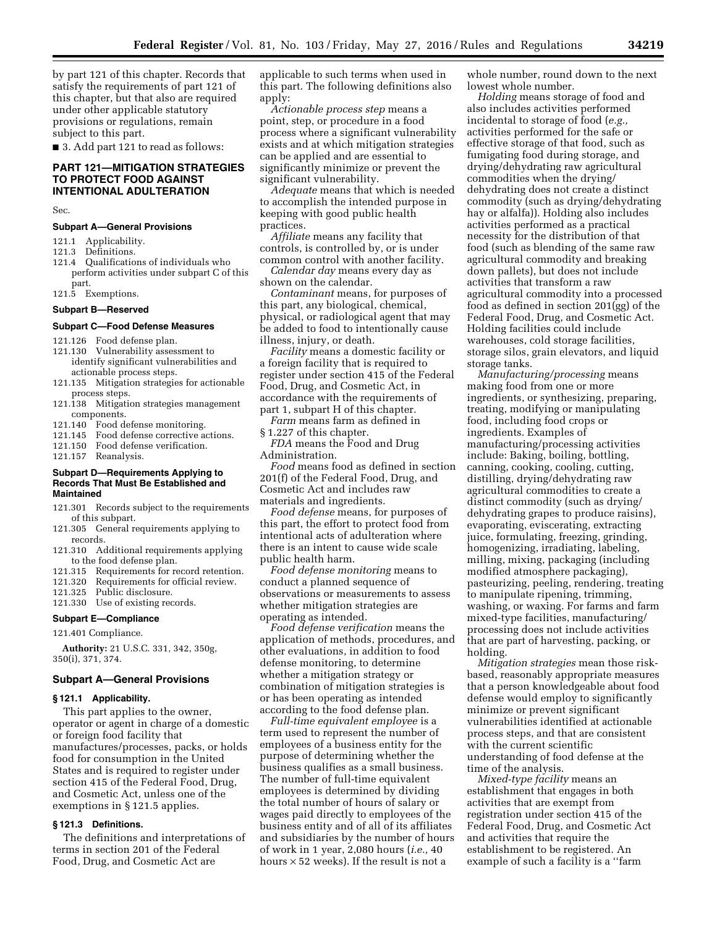by part 121 of this chapter. Records that satisfy the requirements of part 121 of this chapter, but that also are required under other applicable statutory provisions or regulations, remain subject to this part.

■ 3. Add part 121 to read as follows:

# **PART 121—MITIGATION STRATEGIES TO PROTECT FOOD AGAINST INTENTIONAL ADULTERATION**

Sec.

### **Subpart A—General Provisions**

- 121.1 Applicability.
- 121.3 Definitions.
- 121.4 Qualifications of individuals who perform activities under subpart C of this part.
- 121.5 Exemptions.

# **Subpart B—Reserved**

# **Subpart C—Food Defense Measures**

- 121.126 Food defense plan. 121.130 Vulnerability assessment to
- identify significant vulnerabilities and actionable process steps.
- 121.135 Mitigation strategies for actionable process steps.
- 121.138 Mitigation strategies management components.
- 121.140 Food defense monitoring.<br>121.145 Food defense corrective a
- 121.145 Food defense corrective actions.<br>121.150 Food defense verification.
- 121.150 Food defense verification.<br>121.157 Reanalysis.
- Reanalysis.

# **Subpart D—Requirements Applying to Records That Must Be Established and Maintained**

- 121.301 Records subject to the requirements of this subpart.
- 121.305 General requirements applying to records.
- 121.310 Additional requirements applying to the food defense plan.
- 121.315 Requirements for record retention.
- 121.320 Requirements for official review.
- 121.325 Public disclosure.
- 121.330 Use of existing records.

# **Subpart E—Compliance**

121.401 Compliance.

**Authority:** 21 U.S.C. 331, 342, 350g, 350(i), 371, 374.

### **Subpart A—General Provisions**

#### **§ 121.1 Applicability.**

This part applies to the owner, operator or agent in charge of a domestic or foreign food facility that manufactures/processes, packs, or holds food for consumption in the United States and is required to register under section 415 of the Federal Food, Drug, and Cosmetic Act, unless one of the exemptions in § 121.5 applies.

# **§ 121.3 Definitions.**

The definitions and interpretations of terms in section 201 of the Federal Food, Drug, and Cosmetic Act are

applicable to such terms when used in this part. The following definitions also apply:

*Actionable process step* means a point, step, or procedure in a food process where a significant vulnerability exists and at which mitigation strategies can be applied and are essential to significantly minimize or prevent the significant vulnerability.

*Adequate* means that which is needed to accomplish the intended purpose in keeping with good public health practices.

*Affiliate* means any facility that controls, is controlled by, or is under common control with another facility.

*Calendar day* means every day as shown on the calendar.

*Contaminant* means, for purposes of this part, any biological, chemical, physical, or radiological agent that may be added to food to intentionally cause illness, injury, or death.

*Facility* means a domestic facility or a foreign facility that is required to register under section 415 of the Federal Food, Drug, and Cosmetic Act, in accordance with the requirements of part 1, subpart H of this chapter.

*Farm* means farm as defined in § 1.227 of this chapter.

*FDA* means the Food and Drug Administration.

*Food* means food as defined in section 201(f) of the Federal Food, Drug, and Cosmetic Act and includes raw materials and ingredients.

*Food defense* means, for purposes of this part, the effort to protect food from intentional acts of adulteration where there is an intent to cause wide scale public health harm.

*Food defense monitoring* means to conduct a planned sequence of observations or measurements to assess whether mitigation strategies are operating as intended.

*Food defense verification* means the application of methods, procedures, and other evaluations, in addition to food defense monitoring, to determine whether a mitigation strategy or combination of mitigation strategies is or has been operating as intended according to the food defense plan.

*Full-time equivalent employee* is a term used to represent the number of employees of a business entity for the purpose of determining whether the business qualifies as a small business. The number of full-time equivalent employees is determined by dividing the total number of hours of salary or wages paid directly to employees of the business entity and of all of its affiliates and subsidiaries by the number of hours of work in 1 year, 2,080 hours (*i.e.,* 40 hours  $\times$  52 weeks). If the result is not a

whole number, round down to the next lowest whole number.

*Holding* means storage of food and also includes activities performed incidental to storage of food (*e.g.,*  activities performed for the safe or effective storage of that food, such as fumigating food during storage, and drying/dehydrating raw agricultural commodities when the drying/ dehydrating does not create a distinct commodity (such as drying/dehydrating hay or alfalfa)). Holding also includes activities performed as a practical necessity for the distribution of that food (such as blending of the same raw agricultural commodity and breaking down pallets), but does not include activities that transform a raw agricultural commodity into a processed food as defined in section 201(gg) of the Federal Food, Drug, and Cosmetic Act. Holding facilities could include warehouses, cold storage facilities, storage silos, grain elevators, and liquid storage tanks.

*Manufacturing/processing* means making food from one or more ingredients, or synthesizing, preparing, treating, modifying or manipulating food, including food crops or ingredients. Examples of manufacturing/processing activities include: Baking, boiling, bottling, canning, cooking, cooling, cutting, distilling, drying/dehydrating raw agricultural commodities to create a distinct commodity (such as drying/ dehydrating grapes to produce raisins), evaporating, eviscerating, extracting juice, formulating, freezing, grinding, homogenizing, irradiating, labeling, milling, mixing, packaging (including modified atmosphere packaging), pasteurizing, peeling, rendering, treating to manipulate ripening, trimming, washing, or waxing. For farms and farm mixed-type facilities, manufacturing/ processing does not include activities that are part of harvesting, packing, or holding.

*Mitigation strategies* mean those riskbased, reasonably appropriate measures that a person knowledgeable about food defense would employ to significantly minimize or prevent significant vulnerabilities identified at actionable process steps, and that are consistent with the current scientific understanding of food defense at the time of the analysis.

*Mixed-type facility* means an establishment that engages in both activities that are exempt from registration under section 415 of the Federal Food, Drug, and Cosmetic Act and activities that require the establishment to be registered. An example of such a facility is a ''farm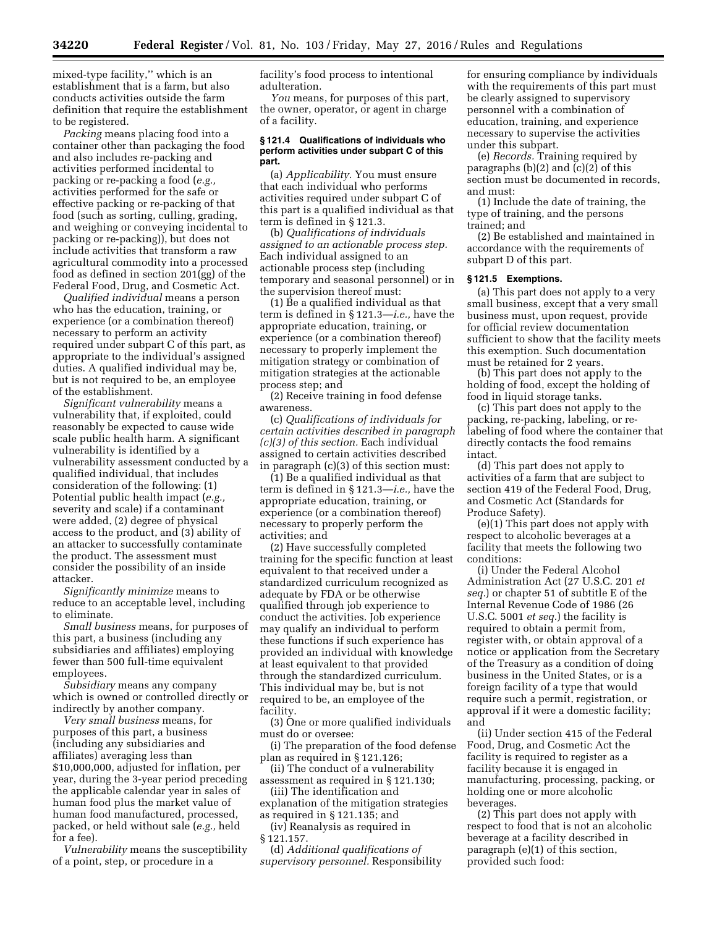mixed-type facility,'' which is an establishment that is a farm, but also conducts activities outside the farm definition that require the establishment to be registered.

*Packing* means placing food into a container other than packaging the food and also includes re-packing and activities performed incidental to packing or re-packing a food (*e.g.,*  activities performed for the safe or effective packing or re-packing of that food (such as sorting, culling, grading, and weighing or conveying incidental to packing or re-packing)), but does not include activities that transform a raw agricultural commodity into a processed food as defined in section 201(gg) of the Federal Food, Drug, and Cosmetic Act.

*Qualified individual* means a person who has the education, training, or experience (or a combination thereof) necessary to perform an activity required under subpart C of this part, as appropriate to the individual's assigned duties. A qualified individual may be, but is not required to be, an employee of the establishment.

*Significant vulnerability* means a vulnerability that, if exploited, could reasonably be expected to cause wide scale public health harm. A significant vulnerability is identified by a vulnerability assessment conducted by a qualified individual, that includes consideration of the following: (1) Potential public health impact (*e.g.,*  severity and scale) if a contaminant were added, (2) degree of physical access to the product, and (3) ability of an attacker to successfully contaminate the product. The assessment must consider the possibility of an inside attacker.

*Significantly minimize* means to reduce to an acceptable level, including to eliminate.

*Small business* means, for purposes of this part, a business (including any subsidiaries and affiliates) employing fewer than 500 full-time equivalent employees.

*Subsidiary* means any company which is owned or controlled directly or indirectly by another company.

*Very small business* means, for purposes of this part, a business (including any subsidiaries and affiliates) averaging less than \$10,000,000, adjusted for inflation, per year, during the 3-year period preceding the applicable calendar year in sales of human food plus the market value of human food manufactured, processed, packed, or held without sale (*e.g.,* held for a fee).

*Vulnerability* means the susceptibility of a point, step, or procedure in a

facility's food process to intentional adulteration.

*You* means, for purposes of this part, the owner, operator, or agent in charge of a facility.

#### **§ 121.4 Qualifications of individuals who perform activities under subpart C of this part.**

(a) *Applicability.* You must ensure that each individual who performs activities required under subpart C of this part is a qualified individual as that term is defined in § 121.3.

(b) *Qualifications of individuals assigned to an actionable process step.*  Each individual assigned to an actionable process step (including temporary and seasonal personnel) or in the supervision thereof must:

(1) Be a qualified individual as that term is defined in § 121.3—*i.e.,* have the appropriate education, training, or experience (or a combination thereof) necessary to properly implement the mitigation strategy or combination of mitigation strategies at the actionable process step; and

(2) Receive training in food defense awareness.

(c) *Qualifications of individuals for certain activities described in paragraph (c)(3) of this section.* Each individual assigned to certain activities described in paragraph (c)(3) of this section must:

(1) Be a qualified individual as that term is defined in § 121.3—*i.e.,* have the appropriate education, training, or experience (or a combination thereof) necessary to properly perform the activities; and

(2) Have successfully completed training for the specific function at least equivalent to that received under a standardized curriculum recognized as adequate by FDA or be otherwise qualified through job experience to conduct the activities. Job experience may qualify an individual to perform these functions if such experience has provided an individual with knowledge at least equivalent to that provided through the standardized curriculum. This individual may be, but is not required to be, an employee of the facility.

(3) One or more qualified individuals must do or oversee:

(i) The preparation of the food defense plan as required in § 121.126;

(ii) The conduct of a vulnerability assessment as required in § 121.130;

(iii) The identification and explanation of the mitigation strategies as required in § 121.135; and

(iv) Reanalysis as required in § 121.157.

(d) *Additional qualifications of supervisory personnel.* Responsibility

for ensuring compliance by individuals with the requirements of this part must be clearly assigned to supervisory personnel with a combination of education, training, and experience necessary to supervise the activities under this subpart.

(e) *Records.* Training required by paragraphs  $(b)(2)$  and  $(c)(2)$  of this section must be documented in records, and must:

(1) Include the date of training, the type of training, and the persons trained; and

(2) Be established and maintained in accordance with the requirements of subpart D of this part.

# **§ 121.5 Exemptions.**

(a) This part does not apply to a very small business, except that a very small business must, upon request, provide for official review documentation sufficient to show that the facility meets this exemption. Such documentation must be retained for 2 years.

(b) This part does not apply to the holding of food, except the holding of food in liquid storage tanks.

(c) This part does not apply to the packing, re-packing, labeling, or relabeling of food where the container that directly contacts the food remains intact.

(d) This part does not apply to activities of a farm that are subject to section 419 of the Federal Food, Drug, and Cosmetic Act (Standards for Produce Safety).

(e)(1) This part does not apply with respect to alcoholic beverages at a facility that meets the following two conditions:

(i) Under the Federal Alcohol Administration Act (27 U.S.C. 201 *et seq.*) or chapter 51 of subtitle E of the Internal Revenue Code of 1986 (26 U.S.C. 5001 *et seq.*) the facility is required to obtain a permit from, register with, or obtain approval of a notice or application from the Secretary of the Treasury as a condition of doing business in the United States, or is a foreign facility of a type that would require such a permit, registration, or approval if it were a domestic facility; and

(ii) Under section 415 of the Federal Food, Drug, and Cosmetic Act the facility is required to register as a facility because it is engaged in manufacturing, processing, packing, or holding one or more alcoholic beverages.

(2) This part does not apply with respect to food that is not an alcoholic beverage at a facility described in paragraph (e)(1) of this section, provided such food: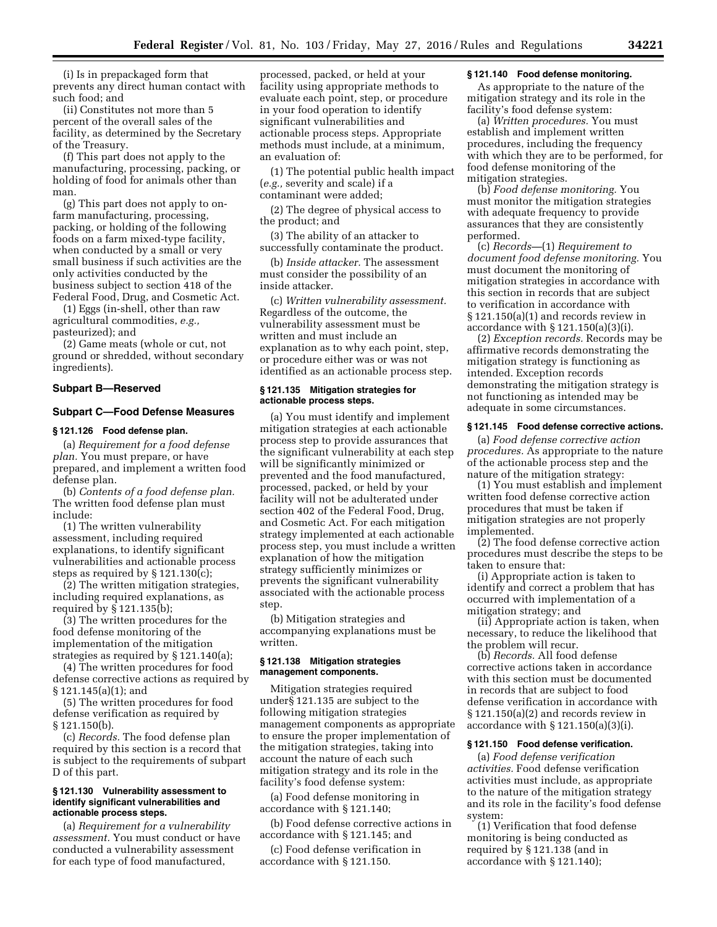(i) Is in prepackaged form that prevents any direct human contact with such food; and

(ii) Constitutes not more than 5 percent of the overall sales of the facility, as determined by the Secretary of the Treasury.

(f) This part does not apply to the manufacturing, processing, packing, or holding of food for animals other than man.

(g) This part does not apply to onfarm manufacturing, processing, packing, or holding of the following foods on a farm mixed-type facility, when conducted by a small or very small business if such activities are the only activities conducted by the business subject to section 418 of the Federal Food, Drug, and Cosmetic Act.

(1) Eggs (in-shell, other than raw agricultural commodities, *e.g.,*  pasteurized); and

(2) Game meats (whole or cut, not ground or shredded, without secondary ingredients).

### **Subpart B—Reserved**

# **Subpart C—Food Defense Measures**

#### **§ 121.126 Food defense plan.**

(a) *Requirement for a food defense plan.* You must prepare, or have prepared, and implement a written food defense plan.

(b) *Contents of a food defense plan.*  The written food defense plan must include:

(1) The written vulnerability assessment, including required explanations, to identify significant vulnerabilities and actionable process steps as required by § 121.130(c);

(2) The written mitigation strategies, including required explanations, as required by § 121.135(b);

(3) The written procedures for the food defense monitoring of the implementation of the mitigation strategies as required by § 121.140(a);

(4) The written procedures for food defense corrective actions as required by § 121.145(a)(1); and

(5) The written procedures for food defense verification as required by § 121.150(b).

(c) *Records.* The food defense plan required by this section is a record that is subject to the requirements of subpart D of this part.

### **§ 121.130 Vulnerability assessment to identify significant vulnerabilities and actionable process steps.**

(a) *Requirement for a vulnerability assessment.* You must conduct or have conducted a vulnerability assessment for each type of food manufactured,

processed, packed, or held at your facility using appropriate methods to evaluate each point, step, or procedure in your food operation to identify significant vulnerabilities and actionable process steps. Appropriate methods must include, at a minimum, an evaluation of:

(1) The potential public health impact (*e.g.,* severity and scale) if a contaminant were added;

(2) The degree of physical access to the product; and

(3) The ability of an attacker to successfully contaminate the product.

(b) *Inside attacker.* The assessment must consider the possibility of an inside attacker.

(c) *Written vulnerability assessment.*  Regardless of the outcome, the vulnerability assessment must be written and must include an explanation as to why each point, step, or procedure either was or was not identified as an actionable process step.

### **§ 121.135 Mitigation strategies for actionable process steps.**

(a) You must identify and implement mitigation strategies at each actionable process step to provide assurances that the significant vulnerability at each step will be significantly minimized or prevented and the food manufactured, processed, packed, or held by your facility will not be adulterated under section 402 of the Federal Food, Drug, and Cosmetic Act. For each mitigation strategy implemented at each actionable process step, you must include a written explanation of how the mitigation strategy sufficiently minimizes or prevents the significant vulnerability associated with the actionable process step.

(b) Mitigation strategies and accompanying explanations must be written.

### **§ 121.138 Mitigation strategies management components.**

Mitigation strategies required under§ 121.135 are subject to the following mitigation strategies management components as appropriate to ensure the proper implementation of the mitigation strategies, taking into account the nature of each such mitigation strategy and its role in the facility's food defense system:

(a) Food defense monitoring in accordance with § 121.140;

(b) Food defense corrective actions in accordance with § 121.145; and

(c) Food defense verification in accordance with § 121.150.

# **§ 121.140 Food defense monitoring.**

As appropriate to the nature of the mitigation strategy and its role in the facility's food defense system:

(a) *Written procedures.* You must establish and implement written procedures, including the frequency with which they are to be performed, for food defense monitoring of the mitigation strategies.

(b) *Food defense monitoring.* You must monitor the mitigation strategies with adequate frequency to provide assurances that they are consistently performed.

(c) *Records—*(1) *Requirement to document food defense monitoring.* You must document the monitoring of mitigation strategies in accordance with this section in records that are subject to verification in accordance with § 121.150(a)(1) and records review in accordance with § 121.150(a)(3)(i).

(2) *Exception records.* Records may be affirmative records demonstrating the mitigation strategy is functioning as intended. Exception records demonstrating the mitigation strategy is not functioning as intended may be adequate in some circumstances.

# **§ 121.145 Food defense corrective actions.**

(a) *Food defense corrective action procedures.* As appropriate to the nature of the actionable process step and the nature of the mitigation strategy:

(1) You must establish and implement written food defense corrective action procedures that must be taken if mitigation strategies are not properly implemented.

(2) The food defense corrective action procedures must describe the steps to be taken to ensure that:

(i) Appropriate action is taken to identify and correct a problem that has occurred with implementation of a mitigation strategy; and

(ii) Appropriate action is taken, when necessary, to reduce the likelihood that the problem will recur.

(b) *Records.* All food defense corrective actions taken in accordance with this section must be documented in records that are subject to food defense verification in accordance with § 121.150(a)(2) and records review in accordance with  $\S 121.150(a)(3)(i)$ .

### **§ 121.150 Food defense verification.**

(a) *Food defense verification activities.* Food defense verification activities must include, as appropriate to the nature of the mitigation strategy and its role in the facility's food defense system:

(1) Verification that food defense monitoring is being conducted as required by § 121.138 (and in accordance with § 121.140);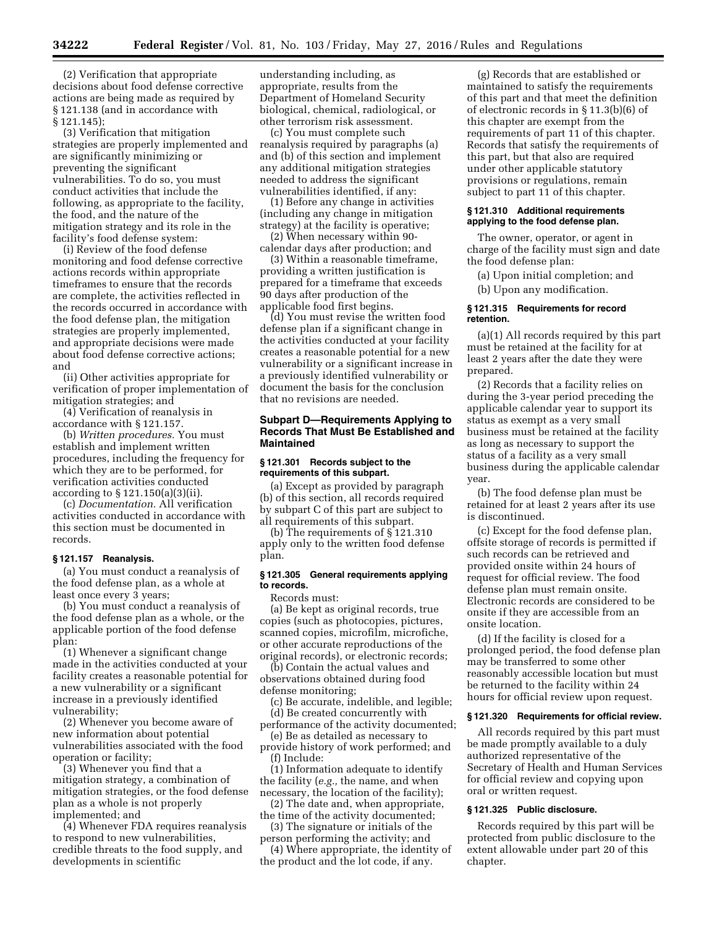(2) Verification that appropriate decisions about food defense corrective actions are being made as required by § 121.138 (and in accordance with § 121.145);

(3) Verification that mitigation strategies are properly implemented and are significantly minimizing or preventing the significant vulnerabilities. To do so, you must conduct activities that include the following, as appropriate to the facility, the food, and the nature of the mitigation strategy and its role in the facility's food defense system:

(i) Review of the food defense monitoring and food defense corrective actions records within appropriate timeframes to ensure that the records are complete, the activities reflected in the records occurred in accordance with the food defense plan, the mitigation strategies are properly implemented, and appropriate decisions were made about food defense corrective actions; and

(ii) Other activities appropriate for verification of proper implementation of mitigation strategies; and

(4) Verification of reanalysis in accordance with § 121.157.

(b) *Written procedures.* You must establish and implement written procedures, including the frequency for which they are to be performed, for verification activities conducted according to § 121.150(a)(3)(ii).

(c) *Documentation.* All verification activities conducted in accordance with this section must be documented in records.

### **§ 121.157 Reanalysis.**

(a) You must conduct a reanalysis of the food defense plan, as a whole at least once every 3 years;

(b) You must conduct a reanalysis of the food defense plan as a whole, or the applicable portion of the food defense plan:

(1) Whenever a significant change made in the activities conducted at your facility creates a reasonable potential for a new vulnerability or a significant increase in a previously identified vulnerability;

(2) Whenever you become aware of new information about potential vulnerabilities associated with the food operation or facility;

(3) Whenever you find that a mitigation strategy, a combination of mitigation strategies, or the food defense plan as a whole is not properly implemented; and

(4) Whenever FDA requires reanalysis to respond to new vulnerabilities, credible threats to the food supply, and developments in scientific

understanding including, as appropriate, results from the Department of Homeland Security biological, chemical, radiological, or other terrorism risk assessment.

(c) You must complete such reanalysis required by paragraphs (a) and (b) of this section and implement any additional mitigation strategies needed to address the significant vulnerabilities identified, if any:

(1) Before any change in activities (including any change in mitigation strategy) at the facility is operative; (2) When necessary within 90-

calendar days after production; and

(3) Within a reasonable timeframe, providing a written justification is prepared for a timeframe that exceeds 90 days after production of the applicable food first begins.

(d) You must revise the written food defense plan if a significant change in the activities conducted at your facility creates a reasonable potential for a new vulnerability or a significant increase in a previously identified vulnerability or document the basis for the conclusion that no revisions are needed.

# **Subpart D—Requirements Applying to Records That Must Be Established and Maintained**

### **§ 121.301 Records subject to the requirements of this subpart.**

(a) Except as provided by paragraph (b) of this section, all records required by subpart C of this part are subject to all requirements of this subpart.

(b) The requirements of § 121.310 apply only to the written food defense plan.

### **§ 121.305 General requirements applying to records.**

Records must:

(a) Be kept as original records, true copies (such as photocopies, pictures, scanned copies, microfilm, microfiche, or other accurate reproductions of the original records), or electronic records;

(b) Contain the actual values and observations obtained during food defense monitoring;

(c) Be accurate, indelible, and legible; (d) Be created concurrently with

performance of the activity documented; (e) Be as detailed as necessary to

provide history of work performed; and (f) Include:

(1) Information adequate to identify the facility (*e.g.,* the name, and when necessary, the location of the facility);

(2) The date and, when appropriate, the time of the activity documented;

(3) The signature or initials of the person performing the activity; and

(4) Where appropriate, the identity of the product and the lot code, if any.

(g) Records that are established or maintained to satisfy the requirements of this part and that meet the definition of electronic records in § 11.3(b)(6) of this chapter are exempt from the requirements of part 11 of this chapter. Records that satisfy the requirements of this part, but that also are required under other applicable statutory provisions or regulations, remain subject to part 11 of this chapter.

# **§ 121.310 Additional requirements applying to the food defense plan.**

The owner, operator, or agent in charge of the facility must sign and date the food defense plan:

(a) Upon initial completion; and

(b) Upon any modification.

### **§ 121.315 Requirements for record retention.**

(a)(1) All records required by this part must be retained at the facility for at least 2 years after the date they were prepared.

(2) Records that a facility relies on during the 3-year period preceding the applicable calendar year to support its status as exempt as a very small business must be retained at the facility as long as necessary to support the status of a facility as a very small business during the applicable calendar year.

(b) The food defense plan must be retained for at least 2 years after its use is discontinued.

(c) Except for the food defense plan, offsite storage of records is permitted if such records can be retrieved and provided onsite within 24 hours of request for official review. The food defense plan must remain onsite. Electronic records are considered to be onsite if they are accessible from an onsite location.

(d) If the facility is closed for a prolonged period, the food defense plan may be transferred to some other reasonably accessible location but must be returned to the facility within 24 hours for official review upon request.

#### **§ 121.320 Requirements for official review.**

All records required by this part must be made promptly available to a duly authorized representative of the Secretary of Health and Human Services for official review and copying upon oral or written request.

# **§ 121.325 Public disclosure.**

Records required by this part will be protected from public disclosure to the extent allowable under part 20 of this chapter.